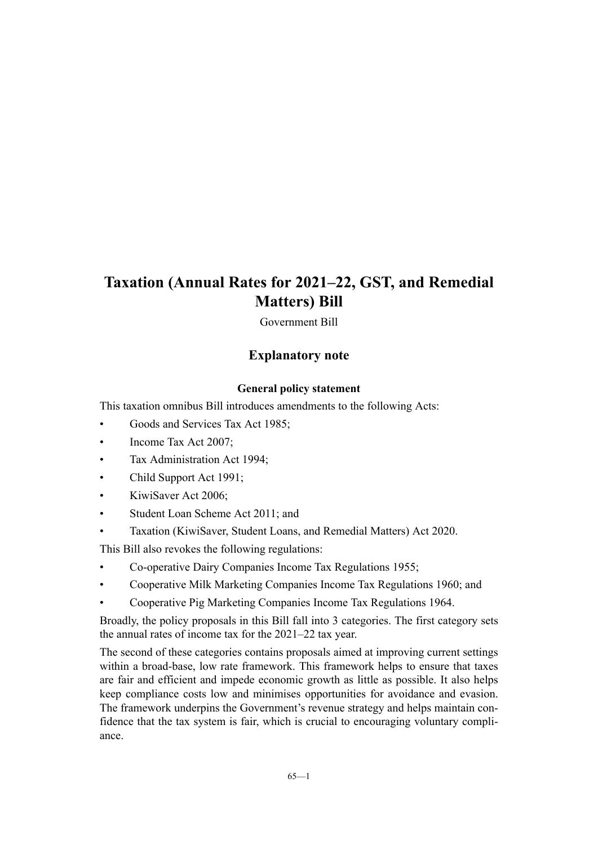Government Bill

# **Explanatory note**

## **General policy statement**

This taxation omnibus Bill introduces amendments to the following Acts:

- Goods and Services Tax Act 1985;
- Income Tax Act 2007;
- Tax Administration Act 1994;
- Child Support Act 1991;
- KiwiSaver Act 2006;
- Student Loan Scheme Act 2011; and
- Taxation (KiwiSaver, Student Loans, and Remedial Matters) Act 2020.

This Bill also revokes the following regulations:

- Co-operative Dairy Companies Income Tax Regulations 1955;
- Cooperative Milk Marketing Companies Income Tax Regulations 1960; and
- Cooperative Pig Marketing Companies Income Tax Regulations 1964.

Broadly, the policy proposals in this Bill fall into 3 categories. The first category sets the annual rates of income tax for the 2021–22 tax year.

The second of these categories contains proposals aimed at improving current settings within a broad-base, low rate framework. This framework helps to ensure that taxes are fair and efficient and impede economic growth as little as possible. It also helps keep compliance costs low and minimises opportunities for avoidance and evasion. The framework underpins the Government's revenue strategy and helps maintain confidence that the tax system is fair, which is crucial to encouraging voluntary compli‐ ance.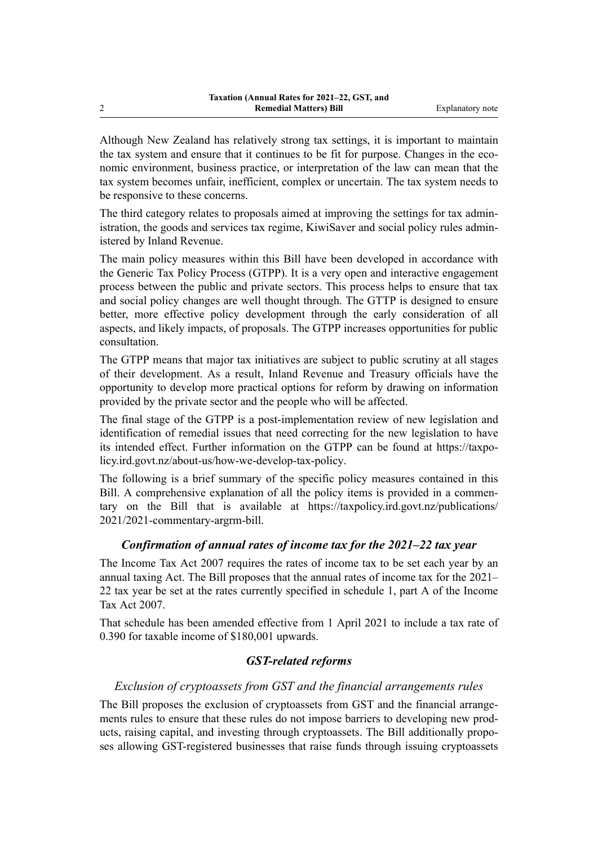Although New Zealand has relatively strong tax settings, it is important to maintain the tax system and ensure that it continues to be fit for purpose. Changes in the economic environment, business practice, or interpretation of the law can mean that the tax system becomes unfair, inefficient, complex or uncertain. The tax system needs to be responsive to these concerns.

The third category relates to proposals aimed at improving the settings for tax administration, the goods and services tax regime, KiwiSaver and social policy rules admin‐ istered by Inland Revenue.

The main policy measures within this Bill have been developed in accordance with the Generic Tax Policy Process (GTPP). It is a very open and interactive engagement process between the public and private sectors. This process helps to ensure that tax and social policy changes are well thought through. The GTTP is designed to ensure better, more effective policy development through the early consideration of all aspects, and likely impacts, of proposals. The GTPP increases opportunities for public consultation.

The GTPP means that major tax initiatives are subject to public scrutiny at all stages of their development. As a result, Inland Revenue and Treasury officials have the opportunity to develop more practical options for reform by drawing on information provided by the private sector and the people who will be affected.

The final stage of the GTPP is a post-implementation review of new legislation and identification of remedial issues that need correcting for the new legislation to have its intended effect. Further information on the GTPP can be found at https://taxpo[licy.ird.govt.nz/about-us/how-we-develop-tax-policy](https://taxpolicy.ird.govt.nz/about-us/how-we-develop-tax-policy).

The following is a brief summary of the specific policy measures contained in this Bill. A comprehensive explanation of all the policy items is provided in a commentary on the Bill that is available at [https://taxpolicy.ird.govt.nz/publications/](https://taxpolicy.ird.govt.nz/publications/2021/2021-commentary-argrm-bill) [2021/2021-commentary-argrm-bill.](https://taxpolicy.ird.govt.nz/publications/2021/2021-commentary-argrm-bill)

## *Confirmation of annual rates of income tax for the 2021–22 tax year*

The Income Tax Act 2007 requires the rates of income tax to be set each year by an annual taxing Act. The Bill proposes that the annual rates of income tax for the 2021– 22 tax year be set at the rates currently specified in schedule 1, part A of the Income Tax Act 2007.

That schedule has been amended effective from 1 April 2021 to include a tax rate of 0.390 for taxable income of \$180,001 upwards.

## *GST-related reforms*

## *Exclusion of cryptoassets from GST and the financial arrangements rules*

The Bill proposes the exclusion of cryptoassets from GST and the financial arrangements rules to ensure that these rules do not impose barriers to developing new prod‐ ucts, raising capital, and investing through cryptoassets. The Bill additionally propo‐ ses allowing GST-registered businesses that raise funds through issuing cryptoassets

2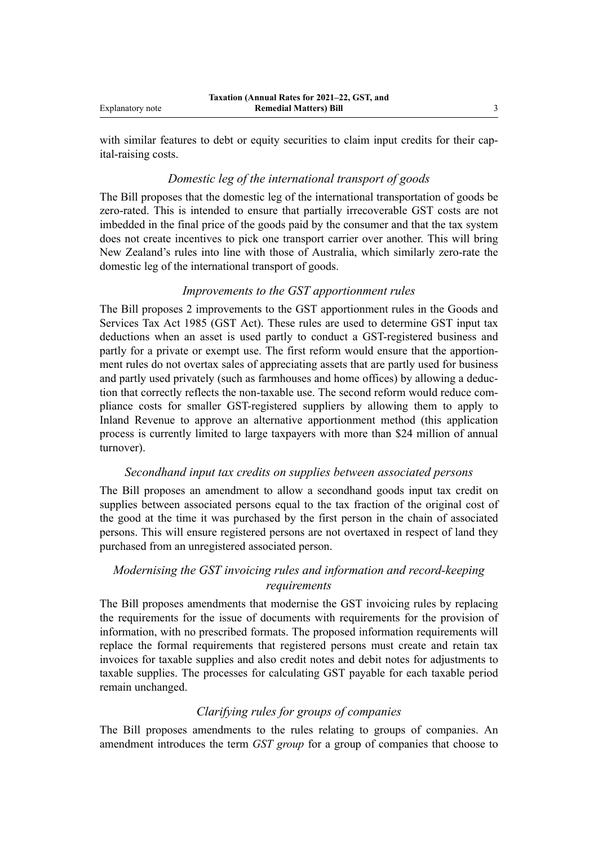with similar features to debt or equity securities to claim input credits for their capital-raising costs.

#### *Domestic leg of the international transport of goods*

The Bill proposes that the domestic leg of the international transportation of goods be zero-rated. This is intended to ensure that partially irrecoverable GST costs are not imbedded in the final price of the goods paid by the consumer and that the tax system does not create incentives to pick one transport carrier over another. This will bring New Zealand's rules into line with those of Australia, which similarly zero-rate the domestic leg of the international transport of goods.

## *Improvements to the GST apportionment rules*

The Bill proposes 2 improvements to the GST apportionment rules in the Goods and Services Tax Act 1985 (GST Act). These rules are used to determine GST input tax deductions when an asset is used partly to conduct a GST-registered business and partly for a private or exempt use. The first reform would ensure that the apportionment rules do not overtax sales of appreciating assets that are partly used for business and partly used privately (such as farmhouses and home offices) by allowing a deduc‐ tion that correctly reflects the non-taxable use. The second reform would reduce com‐ pliance costs for smaller GST-registered suppliers by allowing them to apply to Inland Revenue to approve an alternative apportionment method (this application process is currently limited to large taxpayers with more than \$24 million of annual turnover).

#### *Secondhand input tax credits on supplies between associated persons*

The Bill proposes an amendment to allow a secondhand goods input tax credit on supplies between associated persons equal to the tax fraction of the original cost of the good at the time it was purchased by the first person in the chain of associated persons. This will ensure registered persons are not overtaxed in respect of land they purchased from an unregistered associated person.

## *Modernising the GST invoicing rules and information and record-keeping requirements*

The Bill proposes amendments that modernise the GST invoicing rules by replacing the requirements for the issue of documents with requirements for the provision of information, with no prescribed formats. The proposed information requirements will replace the formal requirements that registered persons must create and retain tax invoices for taxable supplies and also credit notes and debit notes for adjustments to taxable supplies. The processes for calculating GST payable for each taxable period remain unchanged.

## *Clarifying rules for groups of companies*

The Bill proposes amendments to the rules relating to groups of companies. An amendment introduces the term *GST group* for a group of companies that choose to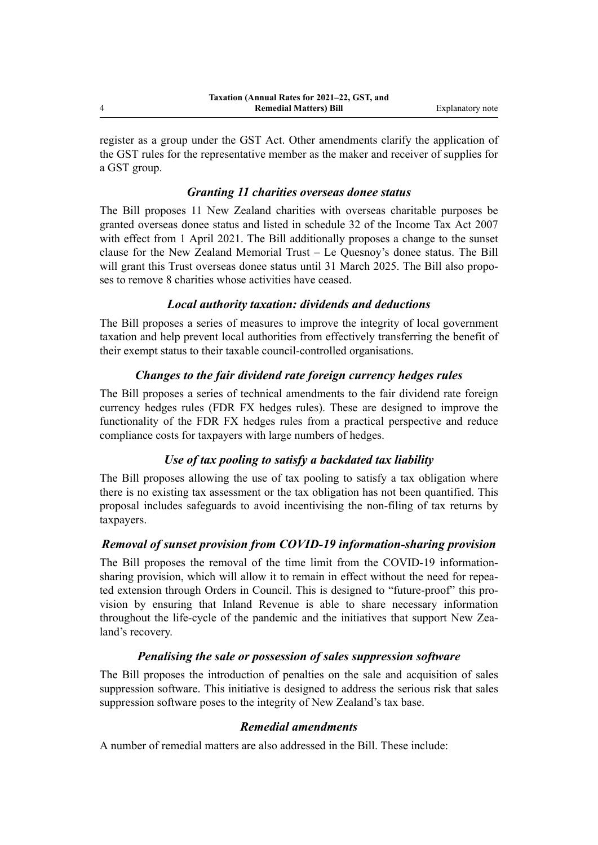register as a group under the GST Act. Other amendments clarify the application of the GST rules for the representative member as the maker and receiver of supplies for a GST group.

## *Granting 11 charities overseas donee status*

The Bill proposes 11 New Zealand charities with overseas charitable purposes be granted overseas donee status and listed in schedule 32 of the Income Tax Act 2007 with effect from 1 April 2021. The Bill additionally proposes a change to the sunset clause for the New Zealand Memorial Trust – Le Quesnoy's donee status. The Bill will grant this Trust overseas donee status until 31 March 2025. The Bill also proposes to remove 8 charities whose activities have ceased.

## *Local authority taxation: dividends and deductions*

The Bill proposes a series of measures to improve the integrity of local government taxation and help prevent local authorities from effectively transferring the benefit of their exempt status to their taxable council-controlled organisations.

# *Changes to the fair dividend rate foreign currency hedges rules*

The Bill proposes a series of technical amendments to the fair dividend rate foreign currency hedges rules (FDR FX hedges rules). These are designed to improve the functionality of the FDR FX hedges rules from a practical perspective and reduce compliance costs for taxpayers with large numbers of hedges.

# *Use of tax pooling to satisfy a backdated tax liability*

The Bill proposes allowing the use of tax pooling to satisfy a tax obligation where there is no existing tax assessment or the tax obligation has not been quantified. This proposal includes safeguards to avoid incentivising the non-filing of tax returns by taxpayers.

# *Removal of sunset provision from COVID-19 information-sharing provision*

The Bill proposes the removal of the time limit from the COVID-19 informationsharing provision, which will allow it to remain in effect without the need for repeated extension through Orders in Council. This is designed to "future-proof" this pro‐ vision by ensuring that Inland Revenue is able to share necessary information throughout the life-cycle of the pandemic and the initiatives that support New Zealand's recovery.

# *Penalising the sale or possession of sales suppression software*

The Bill proposes the introduction of penalties on the sale and acquisition of sales suppression software. This initiative is designed to address the serious risk that sales suppression software poses to the integrity of New Zealand's tax base.

# *Remedial amendments*

A number of remedial matters are also addressed in the Bill. These include:

4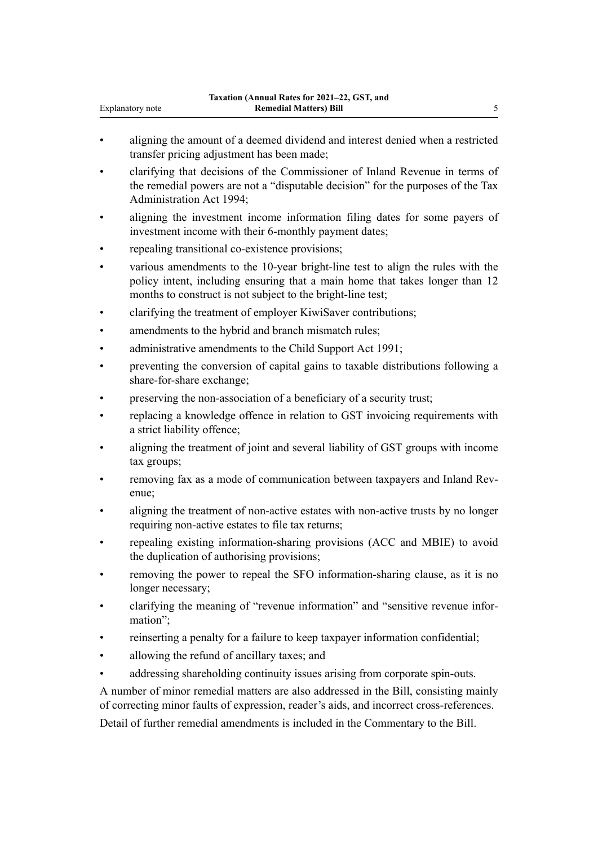- aligning the amount of a deemed dividend and interest denied when a restricted transfer pricing adjustment has been made;
- clarifying that decisions of the Commissioner of Inland Revenue in terms of the remedial powers are not a "disputable decision" for the purposes of the Tax Administration Act 1994;
- aligning the investment income information filing dates for some payers of investment income with their 6-monthly payment dates;
- repealing transitional co-existence provisions;
- various amendments to the 10-year bright-line test to align the rules with the policy intent, including ensuring that a main home that takes longer than 12 months to construct is not subject to the bright-line test;
- clarifying the treatment of employer KiwiSaver contributions;
- amendments to the hybrid and branch mismatch rules;
- administrative amendments to the Child Support Act 1991;
- preventing the conversion of capital gains to taxable distributions following a share-for-share exchange;
- preserving the non-association of a beneficiary of a security trust;
- replacing a knowledge offence in relation to GST invoicing requirements with a strict liability offence;
- aligning the treatment of joint and several liability of GST groups with income tax groups;
- removing fax as a mode of communication between taxpayers and Inland Revenue;
- aligning the treatment of non-active estates with non-active trusts by no longer requiring non-active estates to file tax returns;
- repealing existing information-sharing provisions (ACC and MBIE) to avoid the duplication of authorising provisions;
- removing the power to repeal the SFO information-sharing clause, as it is no longer necessary;
- clarifying the meaning of "revenue information" and "sensitive revenue infor‐ mation";
- reinserting a penalty for a failure to keep taxpayer information confidential;
- allowing the refund of ancillary taxes; and
- addressing shareholding continuity issues arising from corporate spin-outs.

A number of minor remedial matters are also addressed in the Bill, consisting mainly of correcting minor faults of expression, reader's aids, and incorrect cross-references.

Detail of further remedial amendments is included in the Commentary to the Bill.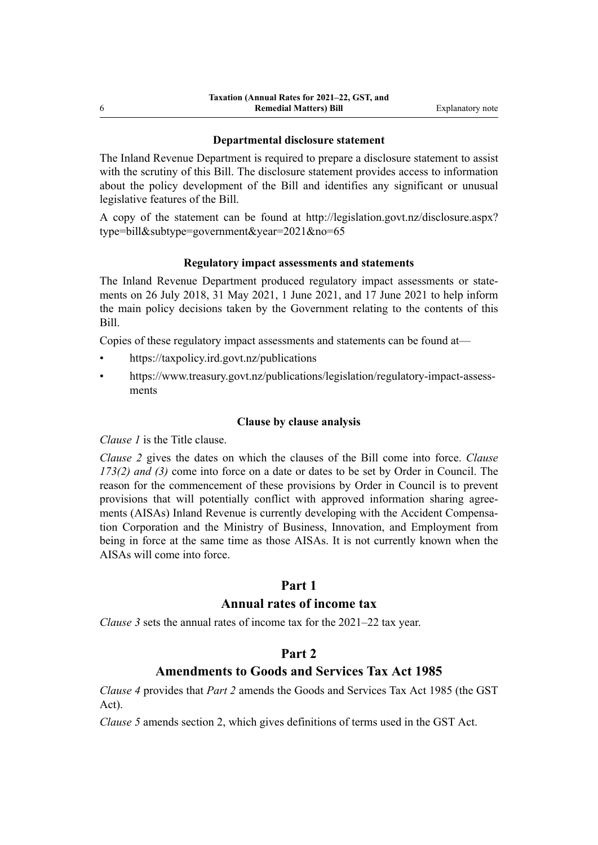#### **Departmental disclosure statement**

The Inland Revenue Department is required to prepare a disclosure statement to assist with the scrutiny of this Bill. The disclosure statement provides access to information about the policy development of the Bill and identifies any significant or unusual legislative features of the Bill.

A copy of the statement can be found at [http://legislation.govt.nz/disclosure.aspx?](http://legislation.govt.nz/disclosure.aspx?type=bill&subtype=government&year=2021&no=65) [type=bill&subtype=government&year=2021&no=65](http://legislation.govt.nz/disclosure.aspx?type=bill&subtype=government&year=2021&no=65)

#### **Regulatory impact assessments and statements**

The Inland Revenue Department produced regulatory impact assessments or statements on 26 July 2018, 31 May 2021, 1 June 2021, and 17 June 2021 to help inform the main policy decisions taken by the Government relating to the contents of this Bill.

Copies of these regulatory impact assessments and statements can be found at—

- <https://taxpolicy.ird.govt.nz/publications>
- [https://www.treasury.govt.nz/publications/legislation/regulatory-impact-assess‐](https://www.treasury.govt.nz/publications/legislation/regulatory-impact-assessments) [ments](https://www.treasury.govt.nz/publications/legislation/regulatory-impact-assessments)

#### **Clause by clause analysis**

*Clause 1* is the Title clause.

*Clause 2* gives the dates on which the clauses of the Bill come into force. *Clause 173(2) and (3)* come into force on a date or dates to be set by Order in Council. The reason for the commencement of these provisions by Order in Council is to prevent provisions that will potentially conflict with approved information sharing agreements (AISAs) Inland Revenue is currently developing with the Accident Compensa‐ tion Corporation and the Ministry of Business, Innovation, and Employment from being in force at the same time as those AISAs. It is not currently known when the AISAs will come into force.

## **Part 1**

# **Annual rates of income tax**

*Clause 3* sets the annual rates of income tax for the 2021–22 tax year.

## **Part 2**

## **Amendments to Goods and Services Tax Act 1985**

*Clause 4* provides that *Part 2* amends the Goods and Services Tax Act 1985 (the GST Act).

*Clause 5* amends section 2, which gives definitions of terms used in the GST Act.

6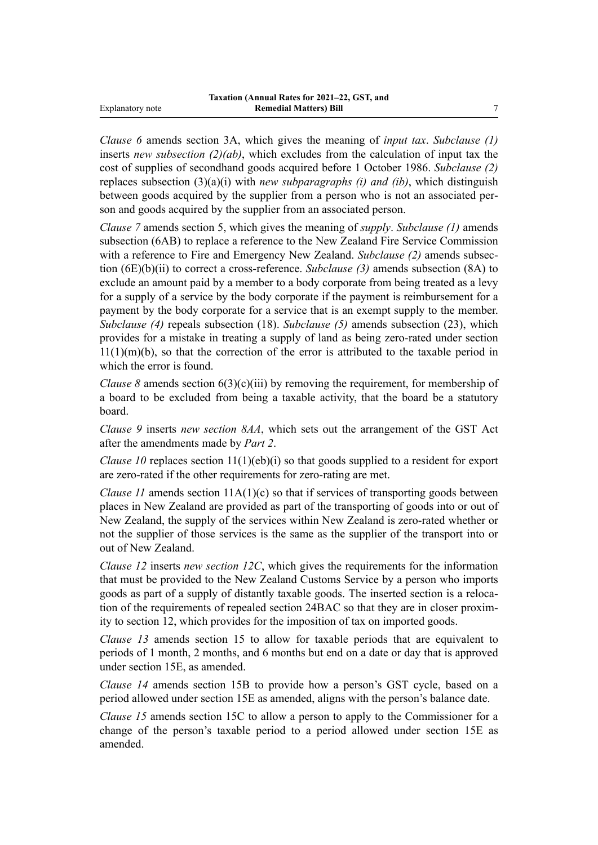*Clause 6* amends section 3A, which gives the meaning of *input tax*. *Subclause (1)* inserts *new subsection (2)(ab)*, which excludes from the calculation of input tax the cost of supplies of secondhand goods acquired before 1 October 1986. *Subclause (2)* replaces subsection (3)(a)(i) with *new subparagraphs (i) and (ib)*, which distinguish between goods acquired by the supplier from a person who is not an associated person and goods acquired by the supplier from an associated person.

*Clause 7* amends section 5, which gives the meaning of *supply*. *Subclause (1)* amends subsection (6AB) to replace a reference to the New Zealand Fire Service Commission with a reference to Fire and Emergency New Zealand. *Subclause (2)* amends subsec‐ tion (6E)(b)(ii) to correct a cross-reference. *Subclause (3)* amends subsection (8A) to exclude an amount paid by a member to a body corporate from being treated as a levy for a supply of a service by the body corporate if the payment is reimbursement for a payment by the body corporate for a service that is an exempt supply to the member. *Subclause (4)* repeals subsection (18). *Subclause (5)* amends subsection (23), which provides for a mistake in treating a supply of land as being zero-rated under section  $11(1)(m)(b)$ , so that the correction of the error is attributed to the taxable period in which the error is found.

*Clause 8* amends section  $6(3)(c)(iii)$  by removing the requirement, for membership of a board to be excluded from being a taxable activity, that the board be a statutory board.

*Clause 9* inserts *new section 8AA*, which sets out the arrangement of the GST Act after the amendments made by *Part 2*.

*Clause 10* replaces section 11(1)(eb)(i) so that goods supplied to a resident for export are zero-rated if the other requirements for zero-rating are met.

*Clause 11* amends section 11A(1)(c) so that if services of transporting goods between places in New Zealand are provided as part of the transporting of goods into or out of New Zealand, the supply of the services within New Zealand is zero-rated whether or not the supplier of those services is the same as the supplier of the transport into or out of New Zealand.

*Clause 12* inserts *new section 12C*, which gives the requirements for the information that must be provided to the New Zealand Customs Service by a person who imports goods as part of a supply of distantly taxable goods. The inserted section is a reloca‐ tion of the requirements of repealed section 24BAC so that they are in closer proxim‐ ity to section 12, which provides for the imposition of tax on imported goods.

*Clause 13* amends section 15 to allow for taxable periods that are equivalent to periods of 1 month, 2 months, and 6 months but end on a date or day that is approved under section 15E, as amended.

*Clause 14* amends section 15B to provide how a person's GST cycle, based on a period allowed under section 15E as amended, aligns with the person's balance date.

*Clause 15* amends section 15C to allow a person to apply to the Commissioner for a change of the person's taxable period to a period allowed under section 15E as amended.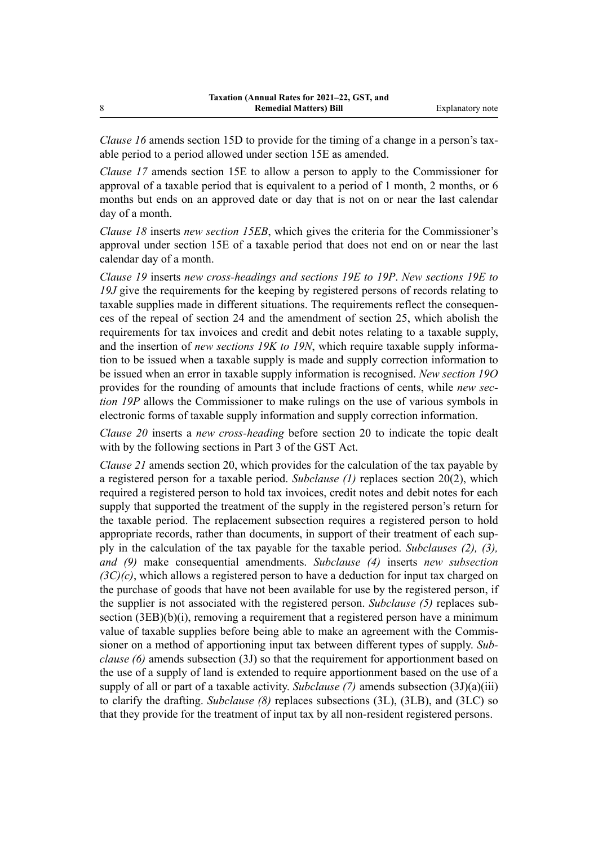*Clause 16* amends section 15D to provide for the timing of a change in a person's taxable period to a period allowed under section 15E as amended.

*Clause 17* amends section 15E to allow a person to apply to the Commissioner for approval of a taxable period that is equivalent to a period of 1 month, 2 months, or 6 months but ends on an approved date or day that is not on or near the last calendar day of a month.

*Clause 18* inserts *new section 15EB*, which gives the criteria for the Commissioner's approval under section 15E of a taxable period that does not end on or near the last calendar day of a month.

*Clause 19* inserts *new cross-headings and sections 19E to 19P*. *New sections 19E to* 19J give the requirements for the keeping by registered persons of records relating to taxable supplies made in different situations. The requirements reflect the consequences of the repeal of section 24 and the amendment of section 25, which abolish the requirements for tax invoices and credit and debit notes relating to a taxable supply, and the insertion of *new sections 19K to 19N*, which require taxable supply information to be issued when a taxable supply is made and supply correction information to be issued when an error in taxable supply information is recognised. *New section 19O* provides for the rounding of amounts that include fractions of cents, while *new sec‐ tion 19P* allows the Commissioner to make rulings on the use of various symbols in electronic forms of taxable supply information and supply correction information.

*Clause 20* inserts a *new cross-heading* before section 20 to indicate the topic dealt with by the following sections in Part 3 of the GST Act.

*Clause 21* amends section 20, which provides for the calculation of the tax payable by a registered person for a taxable period. *Subclause (1)* replaces section 20(2), which required a registered person to hold tax invoices, credit notes and debit notes for each supply that supported the treatment of the supply in the registered person's return for the taxable period. The replacement subsection requires a registered person to hold appropriate records, rather than documents, in support of their treatment of each supply in the calculation of the tax payable for the taxable period. *Subclauses (2), (3), and (9)* make consequential amendments. *Subclause (4)* inserts *new subsection (3C)(c)*, which allows a registered person to have a deduction for input tax charged on the purchase of goods that have not been available for use by the registered person, if the supplier is not associated with the registered person. *Subclause (5)* replaces sub‐ section (3EB)(b)(i), removing a requirement that a registered person have a minimum value of taxable supplies before being able to make an agreement with the Commissioner on a method of apportioning input tax between different types of supply. *Sub‐ clause (6)* amends subsection (3J) so that the requirement for apportionment based on the use of a supply of land is extended to require apportionment based on the use of a supply of all or part of a taxable activity. *Subclause* (7) amends subsection (3J)(a)(iii) to clarify the drafting. *Subclause (8)* replaces subsections (3L), (3LB), and (3LC) so that they provide for the treatment of input tax by all non-resident registered persons.

8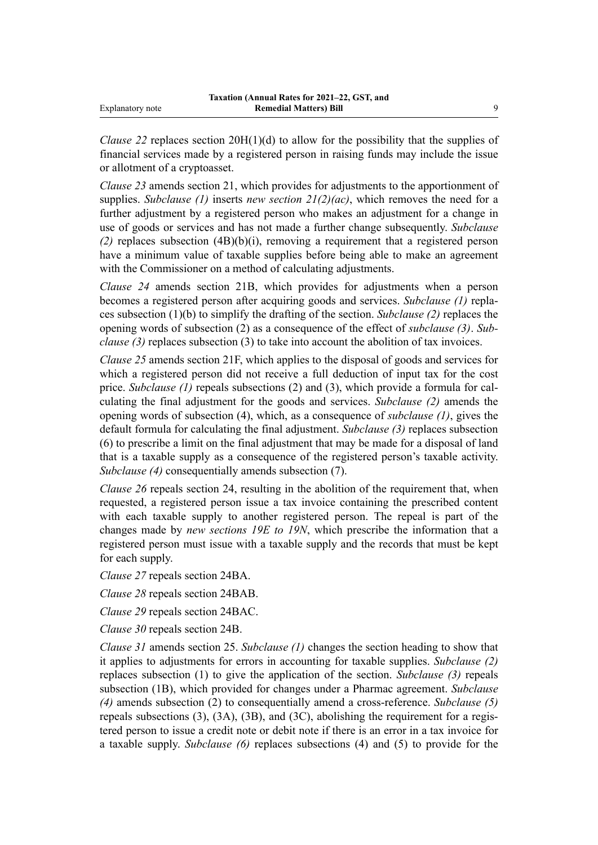*Clause 22* replaces section 20H(1)(d) to allow for the possibility that the supplies of financial services made by a registered person in raising funds may include the issue or allotment of a cryptoasset.

*Clause 23* amends section 21, which provides for adjustments to the apportionment of supplies. *Subclause (1)* inserts *new section 21(2)(ac)*, which removes the need for a further adjustment by a registered person who makes an adjustment for a change in use of goods or services and has not made a further change subsequently. *Subclause (2)* replaces subsection (4B)(b)(i), removing a requirement that a registered person have a minimum value of taxable supplies before being able to make an agreement with the Commissioner on a method of calculating adjustments.

*Clause 24* amends section 21B, which provides for adjustments when a person becomes a registered person after acquiring goods and services. *Subclause (1)* repla‐ ces subsection (1)(b) to simplify the drafting of the section. *Subclause (2)* replaces the opening words of subsection (2) as a consequence of the effect of *subclause (3)*. *Sub‐ clause (3)* replaces subsection (3) to take into account the abolition of tax invoices.

*Clause 25* amends section 21F, which applies to the disposal of goods and services for which a registered person did not receive a full deduction of input tax for the cost price. *Subclause (1)* repeals subsections (2) and (3), which provide a formula for calculating the final adjustment for the goods and services. *Subclause (2)* amends the opening words of subsection (4), which, as a consequence of *subclause (1)*, gives the default formula for calculating the final adjustment. *Subclause (3)* replaces subsection (6) to prescribe a limit on the final adjustment that may be made for a disposal of land that is a taxable supply as a consequence of the registered person's taxable activity. *Subclause (4)* consequentially amends subsection (7).

*Clause 26* repeals section 24, resulting in the abolition of the requirement that, when requested, a registered person issue a tax invoice containing the prescribed content with each taxable supply to another registered person. The repeal is part of the changes made by *new sections 19E to 19N*, which prescribe the information that a registered person must issue with a taxable supply and the records that must be kept for each supply.

*Clause 27* repeals section 24BA.

*Clause 28* repeals section 24BAB.

*Clause 29* repeals section 24BAC.

*Clause 30* repeals section 24B.

*Clause 31* amends section 25. *Subclause (1)* changes the section heading to show that it applies to adjustments for errors in accounting for taxable supplies. *Subclause (2)* replaces subsection (1) to give the application of the section. *Subclause (3)* repeals subsection (1B), which provided for changes under a Pharmac agreement. *Subclause (4)* amends subsection (2) to consequentially amend a cross-reference. *Subclause (5)* repeals subsections  $(3)$ ,  $(3A)$ ,  $(3B)$ , and  $(3C)$ , abolishing the requirement for a registered person to issue a credit note or debit note if there is an error in a tax invoice for a taxable supply. *Subclause (6)* replaces subsections (4) and (5) to provide for the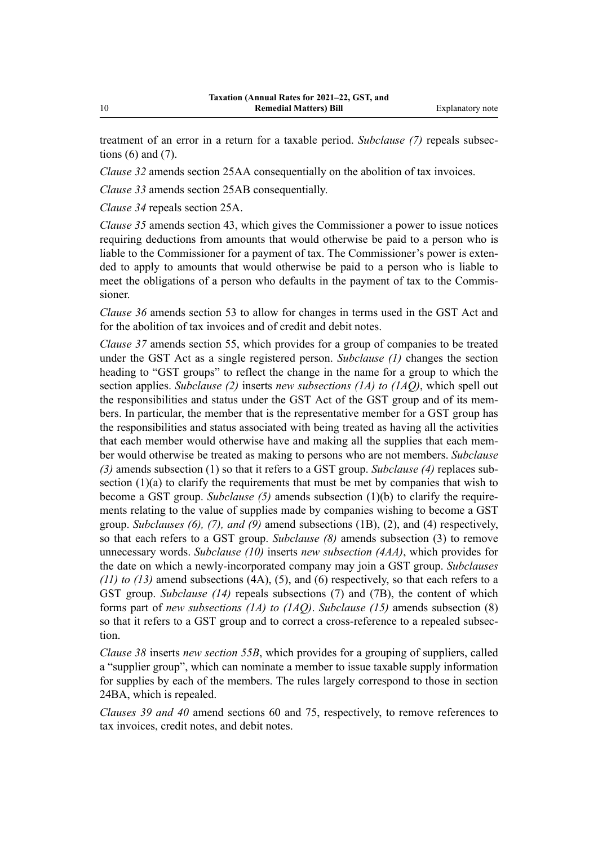treatment of an error in a return for a taxable period. *Subclause (7)* repeals subsec‐ tions  $(6)$  and  $(7)$ .

*Clause 32* amends section 25AA consequentially on the abolition of tax invoices.

*Clause 33* amends section 25AB consequentially.

*Clause 34* repeals section 25A.

*Clause 35* amends section 43, which gives the Commissioner a power to issue notices requiring deductions from amounts that would otherwise be paid to a person who is liable to the Commissioner for a payment of tax. The Commissioner's power is extended to apply to amounts that would otherwise be paid to a person who is liable to meet the obligations of a person who defaults in the payment of tax to the Commissioner.

*Clause 36* amends section 53 to allow for changes in terms used in the GST Act and for the abolition of tax invoices and of credit and debit notes.

*Clause 37* amends section 55, which provides for a group of companies to be treated under the GST Act as a single registered person. *Subclause (1)* changes the section heading to "GST groups" to reflect the change in the name for a group to which the section applies. *Subclause (2)* inserts *new subsections (1A) to (1AQ)*, which spell out the responsibilities and status under the GST Act of the GST group and of its members. In particular, the member that is the representative member for a GST group has the responsibilities and status associated with being treated as having all the activities that each member would otherwise have and making all the supplies that each member would otherwise be treated as making to persons who are not members. *Subclause (3)* amends subsection (1) so that it refers to a GST group. *Subclause (4)* replaces sub‐ section (1)(a) to clarify the requirements that must be met by companies that wish to become a GST group. *Subclause (5)* amends subsection (1)(b) to clarify the require‐ ments relating to the value of supplies made by companies wishing to become a GST group. *Subclauses (6), (7), and (9)* amend subsections (1B), (2), and (4) respectively, so that each refers to a GST group. *Subclause (8)* amends subsection (3) to remove unnecessary words. *Subclause (10)* inserts *new subsection (4AA)*, which provides for the date on which a newly-incorporated company may join a GST group. *Subclauses (11) to (13)* amend subsections (4A), (5), and (6) respectively, so that each refers to a GST group. *Subclause (14)* repeals subsections (7) and (7B), the content of which forms part of *new subsections (1A) to (1AQ)*. *Subclause (15)* amends subsection (8) so that it refers to a GST group and to correct a cross-reference to a repealed subsection.

*Clause 38* inserts *new section 55B*, which provides for a grouping of suppliers, called a "supplier group", which can nominate a member to issue taxable supply information for supplies by each of the members. The rules largely correspond to those in section 24BA, which is repealed.

*Clauses 39 and 40* amend sections 60 and 75, respectively, to remove references to tax invoices, credit notes, and debit notes.

10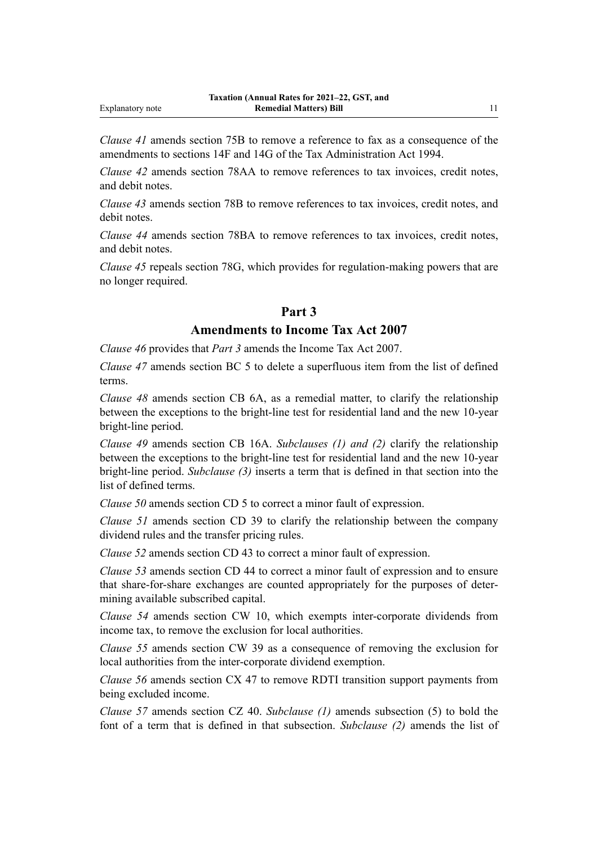*Clause 41* amends section 75B to remove a reference to fax as a consequence of the amendments to sections 14F and 14G of the Tax Administration Act 1994.

*Clause 42* amends section 78AA to remove references to tax invoices, credit notes, and debit notes.

*Clause 43* amends section 78B to remove references to tax invoices, credit notes, and debit notes.

*Clause 44* amends section 78BA to remove references to tax invoices, credit notes, and debit notes.

*Clause 45* repeals section 78G, which provides for regulation-making powers that are no longer required.

#### **Part 3**

#### **Amendments to Income Tax Act 2007**

*Clause 46* provides that *Part 3* amends the Income Tax Act 2007.

*Clause 47* amends section BC 5 to delete a superfluous item from the list of defined terms.

*Clause 48* amends section CB 6A, as a remedial matter, to clarify the relationship between the exceptions to the bright-line test for residential land and the new 10-year bright-line period.

*Clause 49* amends section CB 16A. *Subclauses (1) and (2)* clarify the relationship between the exceptions to the bright-line test for residential land and the new 10-year bright-line period. *Subclause (3)* inserts a term that is defined in that section into the list of defined terms.

*Clause 50* amends section CD 5 to correct a minor fault of expression.

*Clause 51* amends section CD 39 to clarify the relationship between the company dividend rules and the transfer pricing rules.

*Clause 52* amends section CD 43 to correct a minor fault of expression.

*Clause 53* amends section CD 44 to correct a minor fault of expression and to ensure that share-for-share exchanges are counted appropriately for the purposes of deter‐ mining available subscribed capital.

*Clause 54* amends section CW 10, which exempts inter-corporate dividends from income tax, to remove the exclusion for local authorities.

*Clause 55* amends section CW 39 as a consequence of removing the exclusion for local authorities from the inter-corporate dividend exemption.

*Clause 56* amends section CX 47 to remove RDTI transition support payments from being excluded income.

*Clause 57* amends section CZ 40. *Subclause (1)* amends subsection (5) to bold the font of a term that is defined in that subsection. *Subclause (2)* amends the list of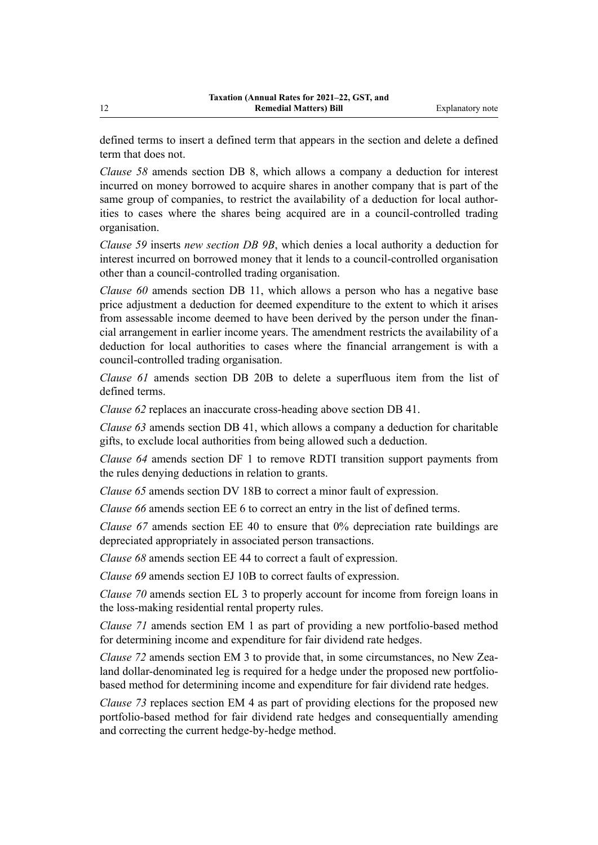defined terms to insert a defined term that appears in the section and delete a defined term that does not.

*Clause 58* amends section DB 8, which allows a company a deduction for interest incurred on money borrowed to acquire shares in another company that is part of the same group of companies, to restrict the availability of a deduction for local authorities to cases where the shares being acquired are in a council-controlled trading organisation.

*Clause 59* inserts *new section DB 9B*, which denies a local authority a deduction for interest incurred on borrowed money that it lends to a council-controlled organisation other than a council-controlled trading organisation.

*Clause 60* amends section DB 11, which allows a person who has a negative base price adjustment a deduction for deemed expenditure to the extent to which it arises from assessable income deemed to have been derived by the person under the financial arrangement in earlier income years. The amendment restricts the availability of a deduction for local authorities to cases where the financial arrangement is with a council-controlled trading organisation.

*Clause 61* amends section DB 20B to delete a superfluous item from the list of defined terms.

*Clause 62* replaces an inaccurate cross-heading above section DB 41.

*Clause 63* amends section DB 41, which allows a company a deduction for charitable gifts, to exclude local authorities from being allowed such a deduction.

*Clause 64* amends section DF 1 to remove RDTI transition support payments from the rules denying deductions in relation to grants.

*Clause 65* amends section DV 18B to correct a minor fault of expression.

*Clause 66* amends section EE 6 to correct an entry in the list of defined terms.

*Clause 67* amends section EE 40 to ensure that 0% depreciation rate buildings are depreciated appropriately in associated person transactions.

*Clause 68* amends section EE 44 to correct a fault of expression.

*Clause 69* amends section EJ 10B to correct faults of expression.

*Clause 70* amends section EL 3 to properly account for income from foreign loans in the loss-making residential rental property rules.

*Clause 71* amends section EM 1 as part of providing a new portfolio-based method for determining income and expenditure for fair dividend rate hedges.

*Clause 72* amends section EM 3 to provide that, in some circumstances, no New Zealand dollar-denominated leg is required for a hedge under the proposed new portfoliobased method for determining income and expenditure for fair dividend rate hedges.

*Clause 73* replaces section EM 4 as part of providing elections for the proposed new portfolio-based method for fair dividend rate hedges and consequentially amending and correcting the current hedge-by-hedge method.

12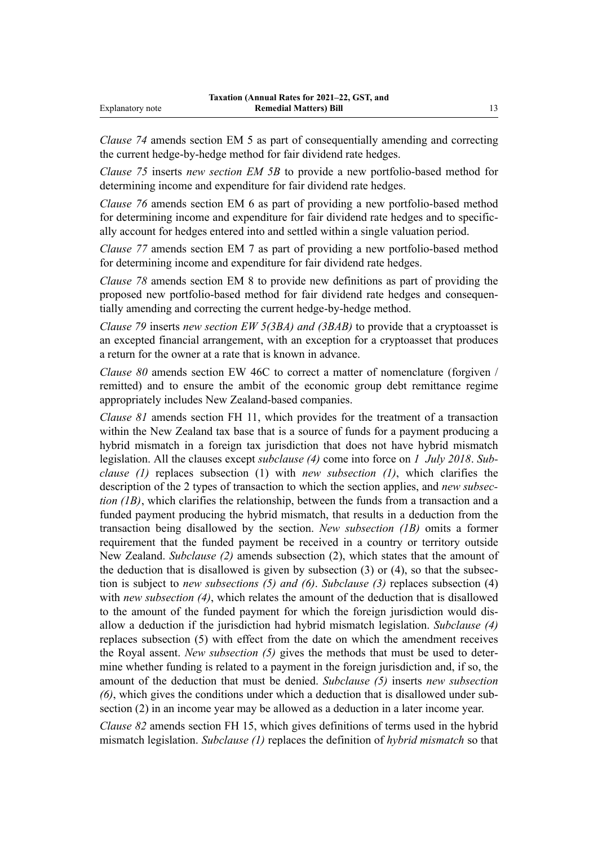*Clause 74* amends section EM 5 as part of consequentially amending and correcting the current hedge-by-hedge method for fair dividend rate hedges.

*Clause 75* inserts *new section EM 5B* to provide a new portfolio-based method for determining income and expenditure for fair dividend rate hedges.

*Clause 76* amends section EM 6 as part of providing a new portfolio-based method for determining income and expenditure for fair dividend rate hedges and to specifically account for hedges entered into and settled within a single valuation period.

*Clause 77* amends section EM 7 as part of providing a new portfolio-based method for determining income and expenditure for fair dividend rate hedges.

*Clause 78* amends section EM 8 to provide new definitions as part of providing the proposed new portfolio-based method for fair dividend rate hedges and consequentially amending and correcting the current hedge-by-hedge method.

*Clause 79* inserts *new section EW 5(3BA) and (3BAB)* to provide that a cryptoasset is an excepted financial arrangement, with an exception for a cryptoasset that produces a return for the owner at a rate that is known in advance.

*Clause 80* amends section EW 46C to correct a matter of nomenclature (forgiven / remitted) and to ensure the ambit of the economic group debt remittance regime appropriately includes New Zealand-based companies.

*Clause 81* amends section FH 11, which provides for the treatment of a transaction within the New Zealand tax base that is a source of funds for a payment producing a hybrid mismatch in a foreign tax jurisdiction that does not have hybrid mismatch legislation. All the clauses except *subclause (4)* come into force on *1 July 2018*. *Sub‐ clause (1)* replaces subsection (1) with *new subsection (1)*, which clarifies the description of the 2 types of transaction to which the section applies, and *new subsec‐ tion (1B)*, which clarifies the relationship, between the funds from a transaction and a funded payment producing the hybrid mismatch, that results in a deduction from the transaction being disallowed by the section. *New subsection (1B)* omits a former requirement that the funded payment be received in a country or territory outside New Zealand. *Subclause (2)* amends subsection (2), which states that the amount of the deduction that is disallowed is given by subsection  $(3)$  or  $(4)$ , so that the subsection is subject to *new subsections (5) and (6)*. *Subclause (3)* replaces subsection (4) with *new subsection (4)*, which relates the amount of the deduction that is disallowed to the amount of the funded payment for which the foreign jurisdiction would dis‐ allow a deduction if the jurisdiction had hybrid mismatch legislation. *Subclause (4)* replaces subsection (5) with effect from the date on which the amendment receives the Royal assent. *New subsection (5)* gives the methods that must be used to deter‐ mine whether funding is related to a payment in the foreign jurisdiction and, if so, the amount of the deduction that must be denied. *Subclause (5)* inserts *new subsection (6)*, which gives the conditions under which a deduction that is disallowed under sub‐ section (2) in an income year may be allowed as a deduction in a later income year.

*Clause 82* amends section FH 15, which gives definitions of terms used in the hybrid mismatch legislation. *Subclause (1)* replaces the definition of *hybrid mismatch* so that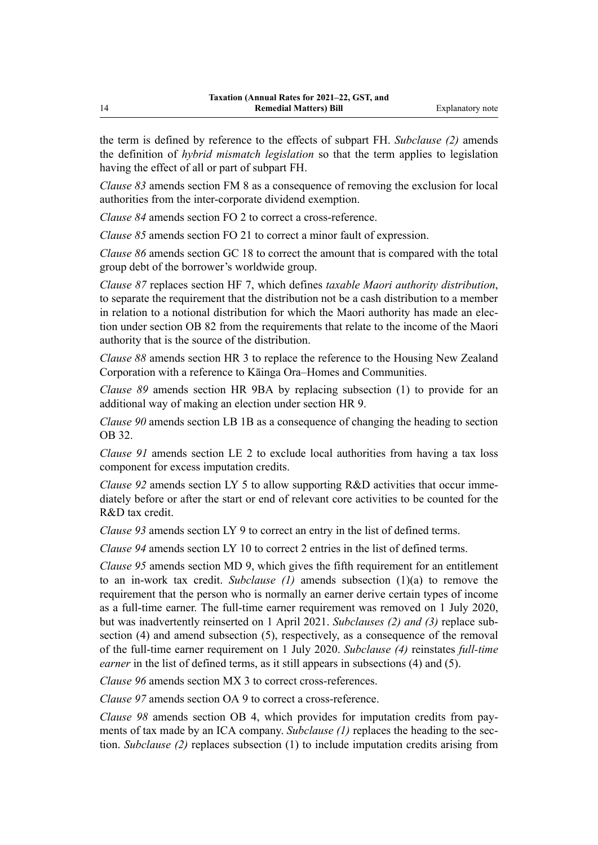the term is defined by reference to the effects of subpart FH. *Subclause (2)* amends the definition of *hybrid mismatch legislation* so that the term applies to legislation having the effect of all or part of subpart FH.

*Clause 83* amends section FM 8 as a consequence of removing the exclusion for local authorities from the inter-corporate dividend exemption.

*Clause 84* amends section FO 2 to correct a cross-reference.

*Clause 85* amends section FO 21 to correct a minor fault of expression.

*Clause 86* amends section GC 18 to correct the amount that is compared with the total group debt of the borrower's worldwide group.

*Clause 87* replaces section HF 7, which defines *taxable Maori authority distribution*, to separate the requirement that the distribution not be a cash distribution to a member in relation to a notional distribution for which the Maori authority has made an election under section OB 82 from the requirements that relate to the income of the Maori authority that is the source of the distribution.

*Clause 88* amends section HR 3 to replace the reference to the Housing New Zealand Corporation with a reference to Kāinga Ora–Homes and Communities.

*Clause 89* amends section HR 9BA by replacing subsection (1) to provide for an additional way of making an election under section HR 9.

*Clause 90* amends section LB 1B as a consequence of changing the heading to section OB 32.

*Clause 91* amends section LE 2 to exclude local authorities from having a tax loss component for excess imputation credits.

*Clause 92* amends section LY 5 to allow supporting R&D activities that occur immediately before or after the start or end of relevant core activities to be counted for the R&D tax credit.

*Clause 93* amends section LY 9 to correct an entry in the list of defined terms.

*Clause 94* amends section LY 10 to correct 2 entries in the list of defined terms.

*Clause 95* amends section MD 9, which gives the fifth requirement for an entitlement to an in-work tax credit. *Subclause (1)* amends subsection (1)(a) to remove the requirement that the person who is normally an earner derive certain types of income as a full-time earner. The full-time earner requirement was removed on 1 July 2020, but was inadvertently reinserted on 1 April 2021. *Subclauses (2) and (3)* replace sub‐ section (4) and amend subsection (5), respectively, as a consequence of the removal of the full-time earner requirement on 1 July 2020. *Subclause (4)* reinstates *full-time earner* in the list of defined terms, as it still appears in subsections (4) and (5).

*Clause 96* amends section MX 3 to correct cross-references.

*Clause 97* amends section OA 9 to correct a cross-reference.

*Clause 98* amends section OB 4, which provides for imputation credits from pay‐ ments of tax made by an ICA company. *Subclause (1)* replaces the heading to the section. *Subclause (2)* replaces subsection (1) to include imputation credits arising from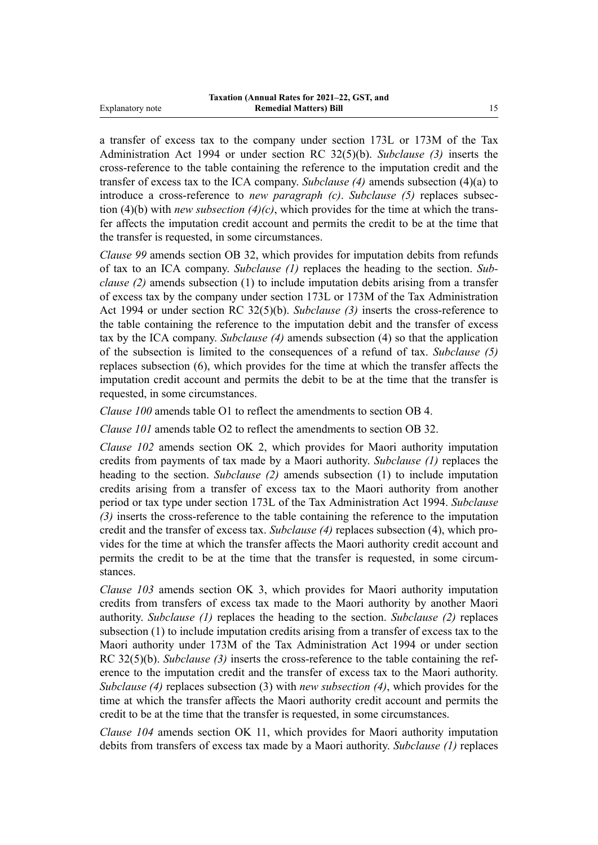a transfer of excess tax to the company under section 173L or 173M of the Tax Administration Act 1994 or under section RC 32(5)(b). *Subclause (3)* inserts the cross-reference to the table containing the reference to the imputation credit and the transfer of excess tax to the ICA company. *Subclause (4)* amends subsection (4)(a) to introduce a cross-reference to *new paragraph (c)*. *Subclause (5)* replaces subsec‐ tion (4)(b) with *new subsection (4)(c)*, which provides for the time at which the transfer affects the imputation credit account and permits the credit to be at the time that the transfer is requested, in some circumstances.

*Clause 99* amends section OB 32, which provides for imputation debits from refunds of tax to an ICA company. *Subclause (1)* replaces the heading to the section. *Sub‐ clause (2)* amends subsection (1) to include imputation debits arising from a transfer of excess tax by the company under section 173L or 173M of the Tax Administration Act 1994 or under section RC 32(5)(b). *Subclause (3)* inserts the cross-reference to the table containing the reference to the imputation debit and the transfer of excess tax by the ICA company. *Subclause (4)* amends subsection (4) so that the application of the subsection is limited to the consequences of a refund of tax. *Subclause (5)* replaces subsection (6), which provides for the time at which the transfer affects the imputation credit account and permits the debit to be at the time that the transfer is requested, in some circumstances.

*Clause 100* amends table O1 to reflect the amendments to section OB 4.

*Clause 101* amends table O2 to reflect the amendments to section OB 32.

*Clause 102* amends section OK 2, which provides for Maori authority imputation credits from payments of tax made by a Maori authority. *Subclause (1)* replaces the heading to the section. *Subclause (2)* amends subsection (1) to include imputation credits arising from a transfer of excess tax to the Maori authority from another period or tax type under section 173L of the Tax Administration Act 1994. *Subclause (3)* inserts the cross-reference to the table containing the reference to the imputation credit and the transfer of excess tax. *Subclause (4)* replaces subsection (4), which pro‐ vides for the time at which the transfer affects the Maori authority credit account and permits the credit to be at the time that the transfer is requested, in some circumstances.

*Clause 103* amends section OK 3, which provides for Maori authority imputation credits from transfers of excess tax made to the Maori authority by another Maori authority. *Subclause (1)* replaces the heading to the section. *Subclause (2)* replaces subsection (1) to include imputation credits arising from a transfer of excess tax to the Maori authority under 173M of the Tax Administration Act 1994 or under section RC 32(5)(b). *Subclause (3)* inserts the cross-reference to the table containing the reference to the imputation credit and the transfer of excess tax to the Maori authority. *Subclause (4)* replaces subsection (3) with *new subsection (4)*, which provides for the time at which the transfer affects the Maori authority credit account and permits the credit to be at the time that the transfer is requested, in some circumstances.

*Clause 104* amends section OK 11, which provides for Maori authority imputation debits from transfers of excess tax made by a Maori authority. *Subclause (1)* replaces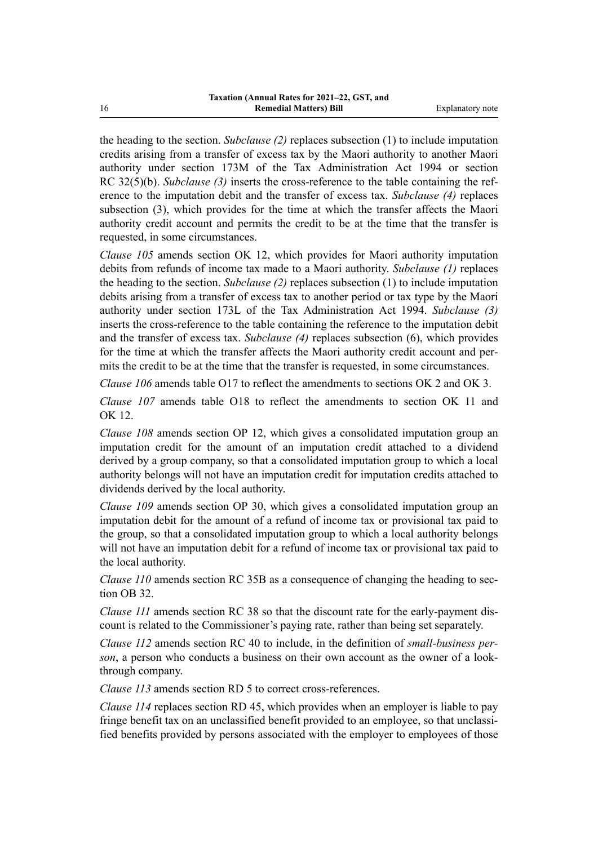the heading to the section. *Subclause (2)* replaces subsection (1) to include imputation credits arising from a transfer of excess tax by the Maori authority to another Maori authority under section 173M of the Tax Administration Act 1994 or section RC 32(5)(b). *Subclause (3)* inserts the cross-reference to the table containing the reference to the imputation debit and the transfer of excess tax. *Subclause (4)* replaces subsection (3), which provides for the time at which the transfer affects the Maori authority credit account and permits the credit to be at the time that the transfer is requested, in some circumstances.

*Clause 105* amends section OK 12, which provides for Maori authority imputation debits from refunds of income tax made to a Maori authority. *Subclause (1)* replaces the heading to the section. *Subclause (2)* replaces subsection (1) to include imputation debits arising from a transfer of excess tax to another period or tax type by the Maori authority under section 173L of the Tax Administration Act 1994. *Subclause (3)* inserts the cross-reference to the table containing the reference to the imputation debit and the transfer of excess tax. *Subclause (4)* replaces subsection (6), which provides for the time at which the transfer affects the Maori authority credit account and permits the credit to be at the time that the transfer is requested, in some circumstances.

*Clause 106* amends table O17 to reflect the amendments to sections OK 2 and OK 3.

*Clause 107* amends table O18 to reflect the amendments to section OK 11 and OK 12.

*Clause 108* amends section OP 12, which gives a consolidated imputation group an imputation credit for the amount of an imputation credit attached to a dividend derived by a group company, so that a consolidated imputation group to which a local authority belongs will not have an imputation credit for imputation credits attached to dividends derived by the local authority.

*Clause 109* amends section OP 30, which gives a consolidated imputation group an imputation debit for the amount of a refund of income tax or provisional tax paid to the group, so that a consolidated imputation group to which a local authority belongs will not have an imputation debit for a refund of income tax or provisional tax paid to the local authority.

*Clause 110* amends section RC 35B as a consequence of changing the heading to section OB 32.

*Clause 111* amends section RC 38 so that the discount rate for the early-payment discount is related to the Commissioner's paying rate, rather than being set separately.

*Clause 112* amends section RC 40 to include, in the definition of *small-business per‐ son*, a person who conducts a business on their own account as the owner of a lookthrough company.

*Clause 113* amends section RD 5 to correct cross-references.

*Clause 114* replaces section RD 45, which provides when an employer is liable to pay fringe benefit tax on an unclassified benefit provided to an employee, so that unclassified benefits provided by persons associated with the employer to employees of those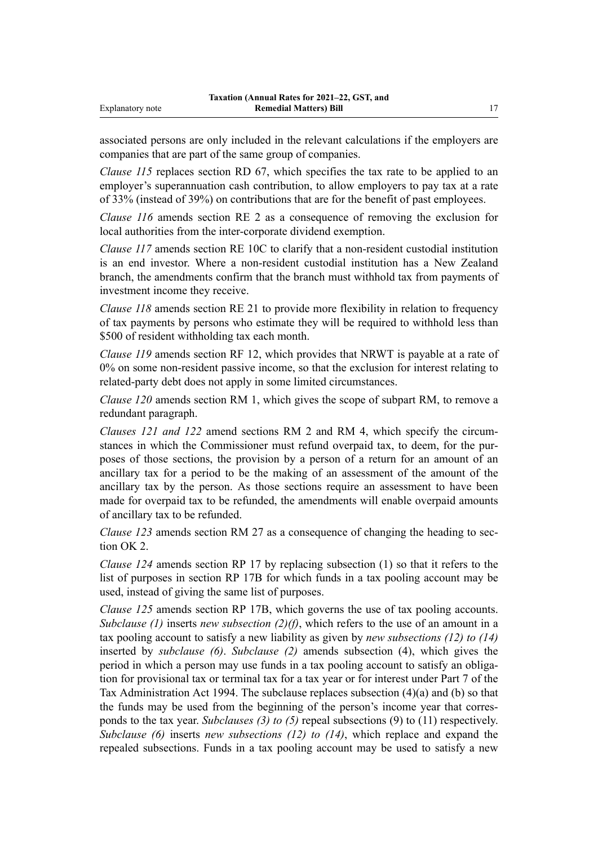associated persons are only included in the relevant calculations if the employers are companies that are part of the same group of companies.

*Clause 115* replaces section RD 67, which specifies the tax rate to be applied to an employer's superannuation cash contribution, to allow employers to pay tax at a rate of 33% (instead of 39%) on contributions that are for the benefit of past employees.

*Clause 116* amends section RE 2 as a consequence of removing the exclusion for local authorities from the inter-corporate dividend exemption.

*Clause 117* amends section RE 10C to clarify that a non-resident custodial institution is an end investor. Where a non-resident custodial institution has a New Zealand branch, the amendments confirm that the branch must withhold tax from payments of investment income they receive.

*Clause 118* amends section RE 21 to provide more flexibility in relation to frequency of tax payments by persons who estimate they will be required to withhold less than \$500 of resident withholding tax each month.

*Clause 119* amends section RF 12, which provides that NRWT is payable at a rate of 0% on some non-resident passive income, so that the exclusion for interest relating to related-party debt does not apply in some limited circumstances.

*Clause 120* amends section RM 1, which gives the scope of subpart RM, to remove a redundant paragraph.

*Clauses 121 and 122* amend sections RM 2 and RM 4, which specify the circum‐ stances in which the Commissioner must refund overpaid tax, to deem, for the purposes of those sections, the provision by a person of a return for an amount of an ancillary tax for a period to be the making of an assessment of the amount of the ancillary tax by the person. As those sections require an assessment to have been made for overpaid tax to be refunded, the amendments will enable overpaid amounts of ancillary tax to be refunded.

*Clause 123* amends section RM 27 as a consequence of changing the heading to section OK 2.

*Clause 124* amends section RP 17 by replacing subsection (1) so that it refers to the list of purposes in section RP 17B for which funds in a tax pooling account may be used, instead of giving the same list of purposes.

*Clause 125* amends section RP 17B, which governs the use of tax pooling accounts. *Subclause (1)* inserts *new subsection (2)(f)*, which refers to the use of an amount in a tax pooling account to satisfy a new liability as given by *new subsections (12) to (14)* inserted by *subclause (6)*. *Subclause (2)* amends subsection (4), which gives the period in which a person may use funds in a tax pooling account to satisfy an obligation for provisional tax or terminal tax for a tax year or for interest under Part 7 of the Tax Administration Act 1994. The subclause replaces subsection (4)(a) and (b) so that the funds may be used from the beginning of the person's income year that corres‐ ponds to the tax year. *Subclauses (3) to (5)* repeal subsections (9) to (11) respectively. *Subclause (6)* inserts *new subsections (12) to (14)*, which replace and expand the repealed subsections. Funds in a tax pooling account may be used to satisfy a new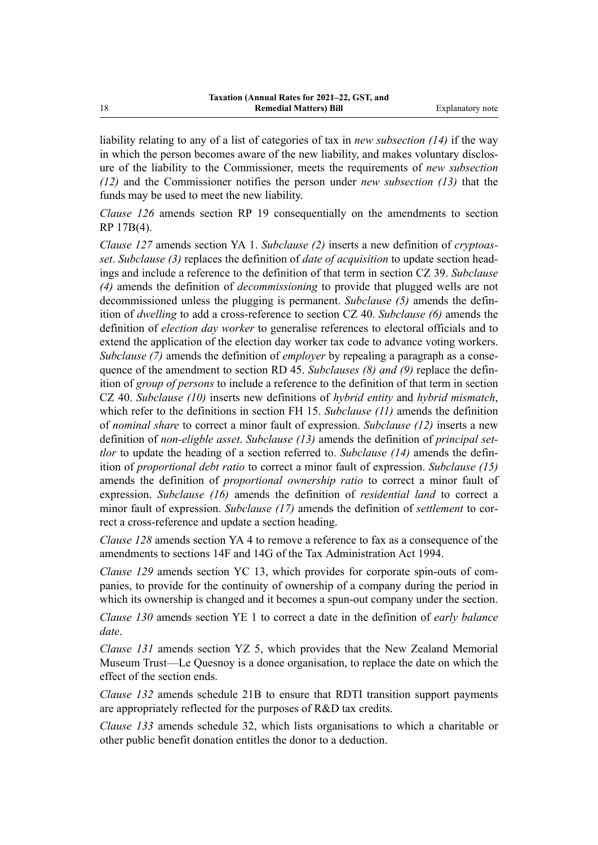liability relating to any of a list of categories of tax in *new subsection (14)* if the way in which the person becomes aware of the new liability, and makes voluntary disclosure of the liability to the Commissioner, meets the requirements of *new subsection (12)* and the Commissioner notifies the person under *new subsection (13)* that the funds may be used to meet the new liability.

*Clause 126* amends section RP 19 consequentially on the amendments to section RP 17B(4).

*Clause 127* amends section YA 1. *Subclause (2)* inserts a new definition of *cryptoas‐ set*. *Subclause (3)* replaces the definition of *date of acquisition* to update section head‐ ings and include a reference to the definition of that term in section CZ 39. *Subclause (4)* amends the definition of *decommissioning* to provide that plugged wells are not decommissioned unless the plugging is permanent. *Subclause (5)* amends the defin‐ ition of *dwelling* to add a cross-reference to section CZ 40. *Subclause (6)* amends the definition of *election day worker* to generalise references to electoral officials and to extend the application of the election day worker tax code to advance voting workers. *Subclause (7)* amends the definition of *employer* by repealing a paragraph as a consequence of the amendment to section RD 45. *Subclauses (8) and (9)* replace the definition of *group of persons* to include a reference to the definition of that term in section CZ 40. *Subclause (10)* inserts new definitions of *hybrid entity* and *hybrid mismatch*, which refer to the definitions in section FH 15. *Subclause (11)* amends the definition of *nominal share* to correct a minor fault of expression. *Subclause (12)* inserts a new definition of *non-eligble asset*. *Subclause (13)* amends the definition of *principal set‐ tlor* to update the heading of a section referred to. *Subclause* (14) amends the definition of *proportional debt ratio* to correct a minor fault of expression. *Subclause (15)* amends the definition of *proportional ownership ratio* to correct a minor fault of expression. *Subclause (16)* amends the definition of *residential land* to correct a minor fault of expression. *Subclause* (17) amends the definition of *settlement* to correct a cross-reference and update a section heading.

*Clause 128* amends section YA 4 to remove a reference to fax as a consequence of the amendments to sections 14F and 14G of the Tax Administration Act 1994.

*Clause 129* amends section YC 13, which provides for corporate spin-outs of companies, to provide for the continuity of ownership of a company during the period in which its ownership is changed and it becomes a spun-out company under the section.

*Clause 130* amends section YE 1 to correct a date in the definition of *early balance date*.

*Clause 131* amends section YZ 5, which provides that the New Zealand Memorial Museum Trust—Le Quesnoy is a donee organisation, to replace the date on which the effect of the section ends.

*Clause 132* amends schedule 21B to ensure that RDTI transition support payments are appropriately reflected for the purposes of R&D tax credits.

*Clause 133* amends schedule 32, which lists organisations to which a charitable or other public benefit donation entitles the donor to a deduction.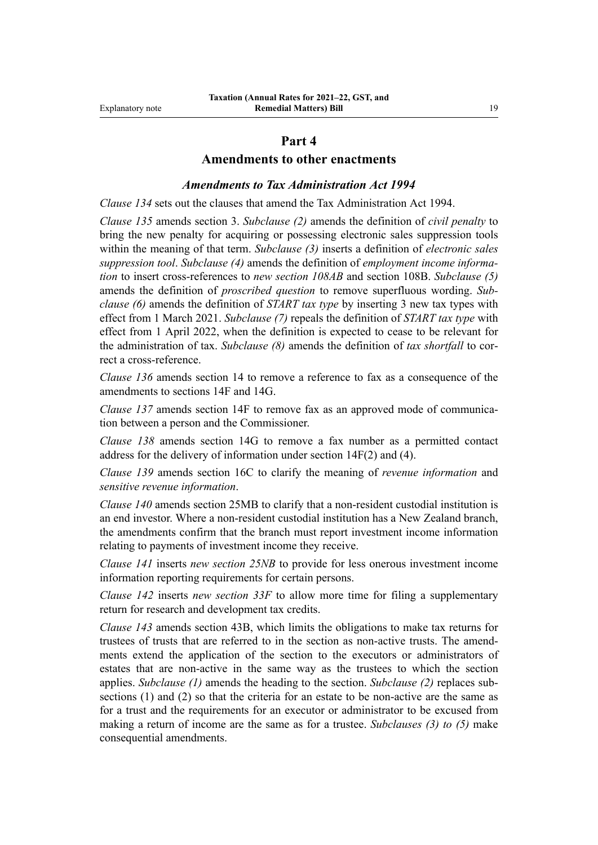## **Part 4**

#### **Amendments to other enactments**

#### *Amendments to Tax Administration Act 1994*

*Clause 134* sets out the clauses that amend the Tax Administration Act 1994.

*Clause 135* amends section 3. *Subclause (2)* amends the definition of *civil penalty* to bring the new penalty for acquiring or possessing electronic sales suppression tools within the meaning of that term. *Subclause (3)* inserts a definition of *electronic sales suppression tool*. *Subclause (4)* amends the definition of *employment income informa‐ tion* to insert cross-references to *new section 108AB* and section 108B. *Subclause (5)* amends the definition of *proscribed question* to remove superfluous wording. *Sub‐ clause (6)* amends the definition of *START tax type* by inserting 3 new tax types with effect from 1 March 2021. *Subclause (7)* repeals the definition of *START tax type* with effect from 1 April 2022, when the definition is expected to cease to be relevant for the administration of tax. *Subclause (8)* amends the definition of *tax shortfall* to cor‐ rect a cross-reference.

*Clause 136* amends section 14 to remove a reference to fax as a consequence of the amendments to sections 14F and 14G.

*Clause 137* amends section 14F to remove fax as an approved mode of communication between a person and the Commissioner.

*Clause 138* amends section 14G to remove a fax number as a permitted contact address for the delivery of information under section 14F(2) and (4).

*Clause 139* amends section 16C to clarify the meaning of *revenue information* and *sensitive revenue information*.

*Clause 140* amends section 25MB to clarify that a non-resident custodial institution is an end investor. Where a non-resident custodial institution has a New Zealand branch, the amendments confirm that the branch must report investment income information relating to payments of investment income they receive.

*Clause 141* inserts *new section 25NB* to provide for less onerous investment income information reporting requirements for certain persons.

*Clause 142* inserts *new section 33F* to allow more time for filing a supplementary return for research and development tax credits.

*Clause 143* amends section 43B, which limits the obligations to make tax returns for trustees of trusts that are referred to in the section as non-active trusts. The amend‐ ments extend the application of the section to the executors or administrators of estates that are non-active in the same way as the trustees to which the section applies. *Subclause (1)* amends the heading to the section. *Subclause (2)* replaces sub‐ sections (1) and (2) so that the criteria for an estate to be non-active are the same as for a trust and the requirements for an executor or administrator to be excused from making a return of income are the same as for a trustee. *Subclauses (3) to (5)* make consequential amendments.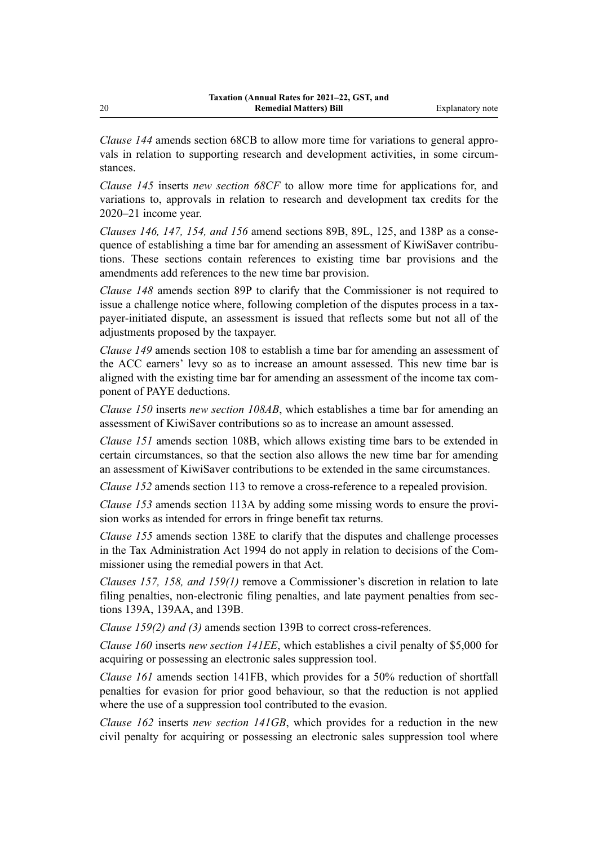*Clause 144* amends section 68CB to allow more time for variations to general appro‐ vals in relation to supporting research and development activities, in some circumstances.

*Clause 145* inserts *new section 68CF* to allow more time for applications for, and variations to, approvals in relation to research and development tax credits for the 2020–21 income year.

*Clauses 146, 147, 154, and 156* amend sections 89B, 89L, 125, and 138P as a conse‐ quence of establishing a time bar for amending an assessment of KiwiSaver contributions. These sections contain references to existing time bar provisions and the amendments add references to the new time bar provision.

*Clause 148* amends section 89P to clarify that the Commissioner is not required to issue a challenge notice where, following completion of the disputes process in a taxpayer-initiated dispute, an assessment is issued that reflects some but not all of the adjustments proposed by the taxpayer.

*Clause 149* amends section 108 to establish a time bar for amending an assessment of the ACC earners' levy so as to increase an amount assessed. This new time bar is aligned with the existing time bar for amending an assessment of the income tax com‐ ponent of PAYE deductions.

*Clause 150* inserts *new section 108AB*, which establishes a time bar for amending an assessment of KiwiSaver contributions so as to increase an amount assessed.

*Clause 151* amends section 108B, which allows existing time bars to be extended in certain circumstances, so that the section also allows the new time bar for amending an assessment of KiwiSaver contributions to be extended in the same circumstances.

*Clause 152* amends section 113 to remove a cross-reference to a repealed provision.

*Clause 153* amends section 113A by adding some missing words to ensure the provision works as intended for errors in fringe benefit tax returns.

*Clause 155* amends section 138E to clarify that the disputes and challenge processes in the Tax Administration Act 1994 do not apply in relation to decisions of the Commissioner using the remedial powers in that Act.

*Clauses 157, 158, and 159(1)* remove a Commissioner's discretion in relation to late filing penalties, non-electronic filing penalties, and late payment penalties from sections 139A, 139AA, and 139B.

*Clause 159(2) and (3)* amends section 139B to correct cross-references.

*Clause 160* inserts *new section 141EE*, which establishes a civil penalty of \$5,000 for acquiring or possessing an electronic sales suppression tool.

*Clause 161* amends section 141FB, which provides for a 50% reduction of shortfall penalties for evasion for prior good behaviour, so that the reduction is not applied where the use of a suppression tool contributed to the evasion.

*Clause 162* inserts *new section 141GB*, which provides for a reduction in the new civil penalty for acquiring or possessing an electronic sales suppression tool where

20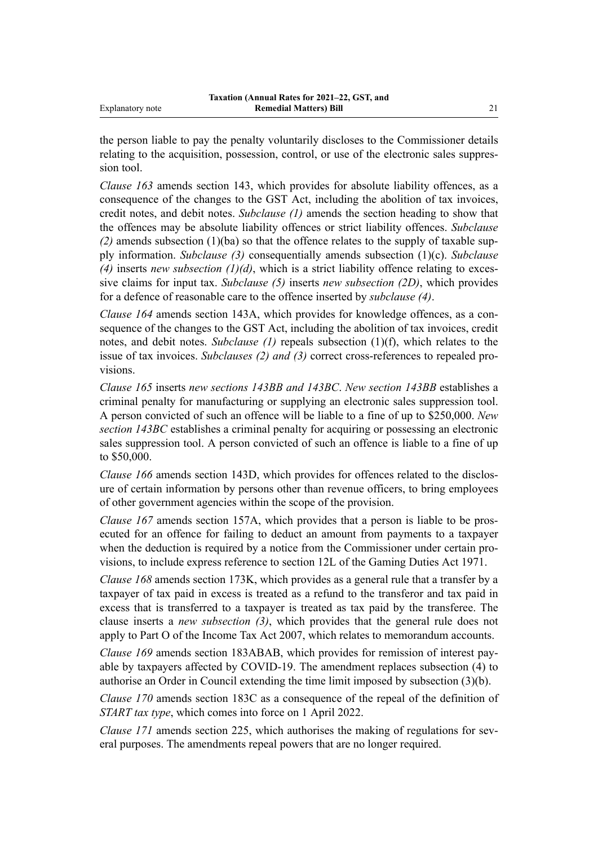the person liable to pay the penalty voluntarily discloses to the Commissioner details relating to the acquisition, possession, control, or use of the electronic sales suppres‐ sion tool.

*Clause 163* amends section 143, which provides for absolute liability offences, as a consequence of the changes to the GST Act, including the abolition of tax invoices, credit notes, and debit notes. *Subclause (1)* amends the section heading to show that the offences may be absolute liability offences or strict liability offences. *Subclause*  $(2)$  amends subsection  $(1)(ba)$  so that the offence relates to the supply of taxable supply information. *Subclause (3)* consequentially amends subsection (1)(c). *Subclause* (4) inserts *new subsection*  $(1)(d)$ , which is a strict liability offence relating to excessive claims for input tax. *Subclause (5)* inserts *new subsection (2D)*, which provides for a defence of reasonable care to the offence inserted by *subclause (4)*.

*Clause 164* amends section 143A, which provides for knowledge offences, as a consequence of the changes to the GST Act, including the abolition of tax invoices, credit notes, and debit notes. *Subclause (1)* repeals subsection (1)(f), which relates to the issue of tax invoices. *Subclauses (2) and (3)* correct cross-references to repealed provisions.

*Clause 165* inserts *new sections 143BB and 143BC*. *New section 143BB* establishes a criminal penalty for manufacturing or supplying an electronic sales suppression tool. A person convicted of such an offence will be liable to a fine of up to \$250,000. *New section 143BC* establishes a criminal penalty for acquiring or possessing an electronic sales suppression tool. A person convicted of such an offence is liable to a fine of up to \$50,000.

*Clause 166* amends section 143D, which provides for offences related to the disclosure of certain information by persons other than revenue officers, to bring employees of other government agencies within the scope of the provision.

*Clause 167* amends section 157A, which provides that a person is liable to be prosecuted for an offence for failing to deduct an amount from payments to a taxpayer when the deduction is required by a notice from the Commissioner under certain provisions, to include express reference to section 12L of the Gaming Duties Act 1971.

*Clause 168* amends section 173K, which provides as a general rule that a transfer by a taxpayer of tax paid in excess is treated as a refund to the transferor and tax paid in excess that is transferred to a taxpayer is treated as tax paid by the transferee. The clause inserts a *new subsection (3)*, which provides that the general rule does not apply to Part O of the Income Tax Act 2007, which relates to memorandum accounts.

*Clause 169* amends section 183ABAB, which provides for remission of interest pay‐ able by taxpayers affected by COVID-19. The amendment replaces subsection (4) to authorise an Order in Council extending the time limit imposed by subsection (3)(b).

*Clause 170* amends section 183C as a consequence of the repeal of the definition of *START tax type*, which comes into force on 1 April 2022.

*Clause 171* amends section 225, which authorises the making of regulations for several purposes. The amendments repeal powers that are no longer required.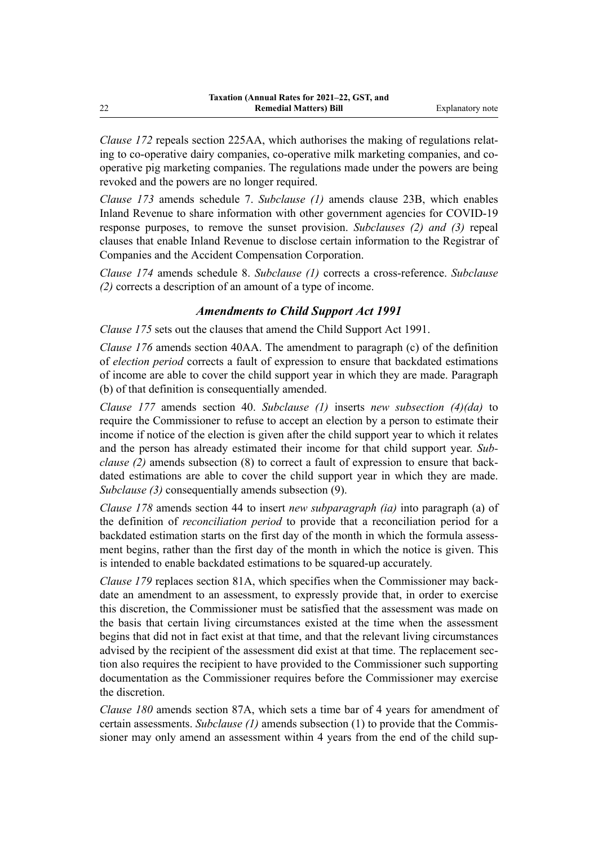*Clause 172* repeals section 225AA, which authorises the making of regulations relating to co-operative dairy companies, co-operative milk marketing companies, and cooperative pig marketing companies. The regulations made under the powers are being revoked and the powers are no longer required.

*Clause 173* amends schedule 7. *Subclause (1)* amends clause 23B, which enables Inland Revenue to share information with other government agencies for COVID-19 response purposes, to remove the sunset provision. *Subclauses (2) and (3)* repeal clauses that enable Inland Revenue to disclose certain information to the Registrar of Companies and the Accident Compensation Corporation.

*Clause 174* amends schedule 8. *Subclause (1)* corrects a cross-reference. *Subclause (2)* corrects a description of an amount of a type of income.

## *Amendments to Child Support Act 1991*

*Clause 175* sets out the clauses that amend the Child Support Act 1991.

*Clause 176* amends section 40AA. The amendment to paragraph (c) of the definition of *election period* corrects a fault of expression to ensure that backdated estimations of income are able to cover the child support year in which they are made. Paragraph (b) of that definition is consequentially amended.

*Clause 177* amends section 40. *Subclause (1)* inserts *new subsection (4)(da)* to require the Commissioner to refuse to accept an election by a person to estimate their income if notice of the election is given after the child support year to which it relates and the person has already estimated their income for that child support year. *Sub‐ clause (2)* amends subsection (8) to correct a fault of expression to ensure that backdated estimations are able to cover the child support year in which they are made. *Subclause (3)* consequentially amends subsection (9).

*Clause 178* amends section 44 to insert *new subparagraph (ia)* into paragraph (a) of the definition of *reconciliation period* to provide that a reconciliation period for a backdated estimation starts on the first day of the month in which the formula assessment begins, rather than the first day of the month in which the notice is given. This is intended to enable backdated estimations to be squared-up accurately.

*Clause 179* replaces section 81A, which specifies when the Commissioner may back‐ date an amendment to an assessment, to expressly provide that, in order to exercise this discretion, the Commissioner must be satisfied that the assessment was made on the basis that certain living circumstances existed at the time when the assessment begins that did not in fact exist at that time, and that the relevant living circumstances advised by the recipient of the assessment did exist at that time. The replacement section also requires the recipient to have provided to the Commissioner such supporting documentation as the Commissioner requires before the Commissioner may exercise the discretion.

*Clause 180* amends section 87A, which sets a time bar of 4 years for amendment of certain assessments. *Subclause (1)* amends subsection (1) to provide that the Commissioner may only amend an assessment within 4 years from the end of the child sup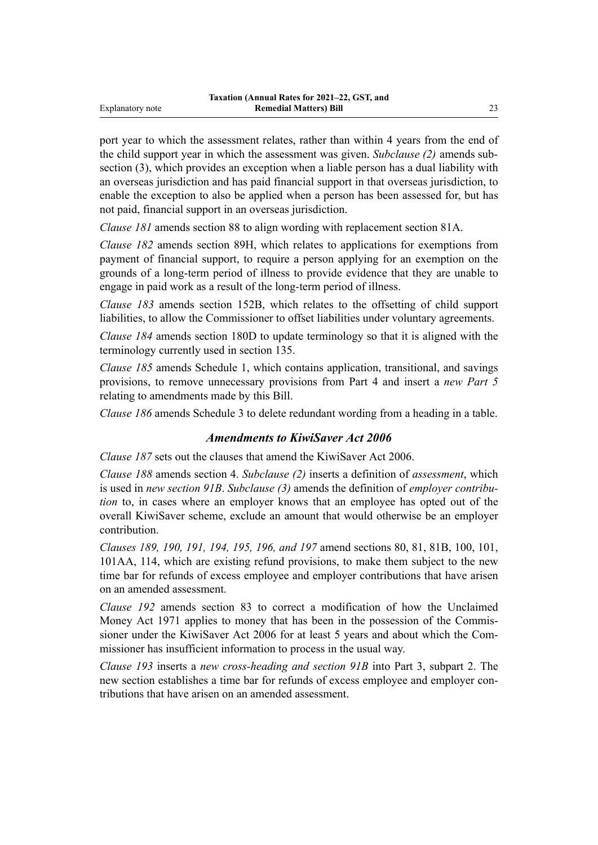port year to which the assessment relates, rather than within 4 years from the end of the child support year in which the assessment was given. *Subclause (2)* amends sub‐ section (3), which provides an exception when a liable person has a dual liability with an overseas jurisdiction and has paid financial support in that overseas jurisdiction, to enable the exception to also be applied when a person has been assessed for, but has not paid, financial support in an overseas jurisdiction.

*Clause 181* amends section 88 to align wording with replacement section 81A.

*Clause 182* amends section 89H, which relates to applications for exemptions from payment of financial support, to require a person applying for an exemption on the grounds of a long-term period of illness to provide evidence that they are unable to engage in paid work as a result of the long-term period of illness.

*Clause 183* amends section 152B, which relates to the offsetting of child support liabilities, to allow the Commissioner to offset liabilities under voluntary agreements.

*Clause 184* amends section 180D to update terminology so that it is aligned with the terminology currently used in section 135.

*Clause 185* amends Schedule 1, which contains application, transitional, and savings provisions, to remove unnecessary provisions from Part 4 and insert a *new Part 5* relating to amendments made by this Bill.

*Clause 186* amends Schedule 3 to delete redundant wording from a heading in a table.

#### *Amendments to KiwiSaver Act 2006*

*Clause 187* sets out the clauses that amend the KiwiSaver Act 2006.

*Clause 188* amends section 4. *Subclause (2)* inserts a definition of *assessment*, which is used in *new section 91B*. *Subclause (3)* amends the definition of *employer contribu‐ tion* to, in cases where an employer knows that an employee has opted out of the overall KiwiSaver scheme, exclude an amount that would otherwise be an employer contribution.

*Clauses 189, 190, 191, 194, 195, 196, and 197* amend sections 80, 81, 81B, 100, 101, 101AA, 114, which are existing refund provisions, to make them subject to the new time bar for refunds of excess employee and employer contributions that have arisen on an amended assessment.

*Clause 192* amends section 83 to correct a modification of how the Unclaimed Money Act 1971 applies to money that has been in the possession of the Commissioner under the KiwiSaver Act 2006 for at least 5 years and about which the Commissioner has insufficient information to process in the usual way.

*Clause 193* inserts a *new cross-heading and section 91B* into Part 3, subpart 2. The new section establishes a time bar for refunds of excess employee and employer contributions that have arisen on an amended assessment.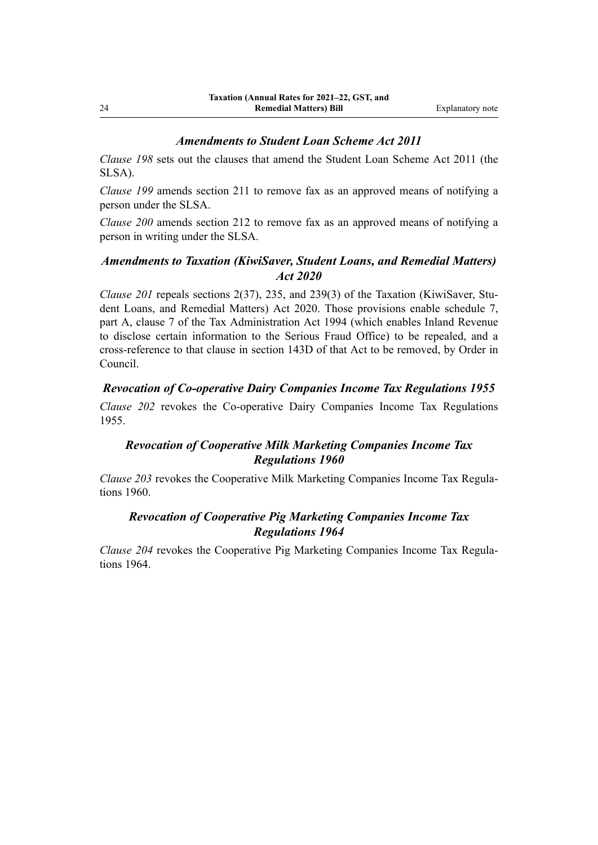#### *Amendments to Student Loan Scheme Act 2011*

*Clause 198* sets out the clauses that amend the Student Loan Scheme Act 2011 (the SLSA).

*Clause 199* amends section 211 to remove fax as an approved means of notifying a person under the SLSA.

*Clause 200* amends section 212 to remove fax as an approved means of notifying a person in writing under the SLSA.

# *Amendments to Taxation (KiwiSaver, Student Loans, and Remedial Matters) Act 2020*

*Clause 201* repeals sections 2(37), 235, and 239(3) of the Taxation (KiwiSaver, Student Loans, and Remedial Matters) Act 2020. Those provisions enable schedule 7, part A, clause 7 of the Tax Administration Act 1994 (which enables Inland Revenue to disclose certain information to the Serious Fraud Office) to be repealed, and a cross-reference to that clause in section 143D of that Act to be removed, by Order in Council.

## *Revocation of Co-operative Dairy Companies Income Tax Regulations 1955*

*Clause 202* revokes the Co-operative Dairy Companies Income Tax Regulations 1955.

## *Revocation of Cooperative Milk Marketing Companies Income Tax Regulations 1960*

*Clause 203* revokes the Cooperative Milk Marketing Companies Income Tax Regula‐ tions 1960.

# *Revocation of Cooperative Pig Marketing Companies Income Tax Regulations 1964*

*Clause 204* revokes the Cooperative Pig Marketing Companies Income Tax Regula‐ tions 1964.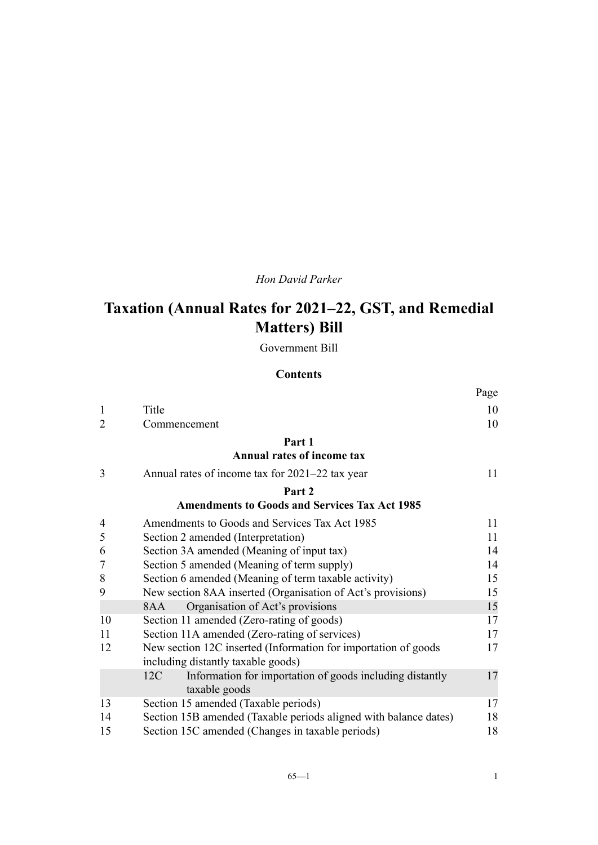# *Hon David Parker*

# **Taxation (Annual Rates for 2021–22, GST, and Remedial Matters) Bill**

Government Bill

#### **Contents**

|                |                                                                  | Page |
|----------------|------------------------------------------------------------------|------|
| 1              | Title                                                            | 10   |
| $\overline{2}$ | Commencement                                                     | 10   |
|                | Part 1                                                           |      |
|                | <b>Annual rates of income tax</b>                                |      |
| 3              | Annual rates of income tax for 2021–22 tax year                  | 11   |
|                | Part 2                                                           |      |
|                | <b>Amendments to Goods and Services Tax Act 1985</b>             |      |
| 4              | Amendments to Goods and Services Tax Act 1985                    | 11   |
| 5              | Section 2 amended (Interpretation)                               | 11   |
| 6              | Section 3A amended (Meaning of input tax)                        | 14   |
| $\overline{7}$ | Section 5 amended (Meaning of term supply)                       | 14   |
| 8              | Section 6 amended (Meaning of term taxable activity)             | 15   |
| 9              | New section 8AA inserted (Organisation of Act's provisions)      | 15   |
|                | Organisation of Act's provisions<br>8AA                          | 15   |
| 10             | Section 11 amended (Zero-rating of goods)                        | 17   |
| 11             | Section 11A amended (Zero-rating of services)                    | 17   |
| 12             | New section 12C inserted (Information for importation of goods   | 17   |
|                | including distantly taxable goods)                               |      |
|                | Information for importation of goods including distantly<br>12C  | 17   |
|                | taxable goods                                                    |      |
| 13             | Section 15 amended (Taxable periods)                             | 17   |
| 14             | Section 15B amended (Taxable periods aligned with balance dates) | 18   |
| 15             | Section 15C amended (Changes in taxable periods)                 | 18   |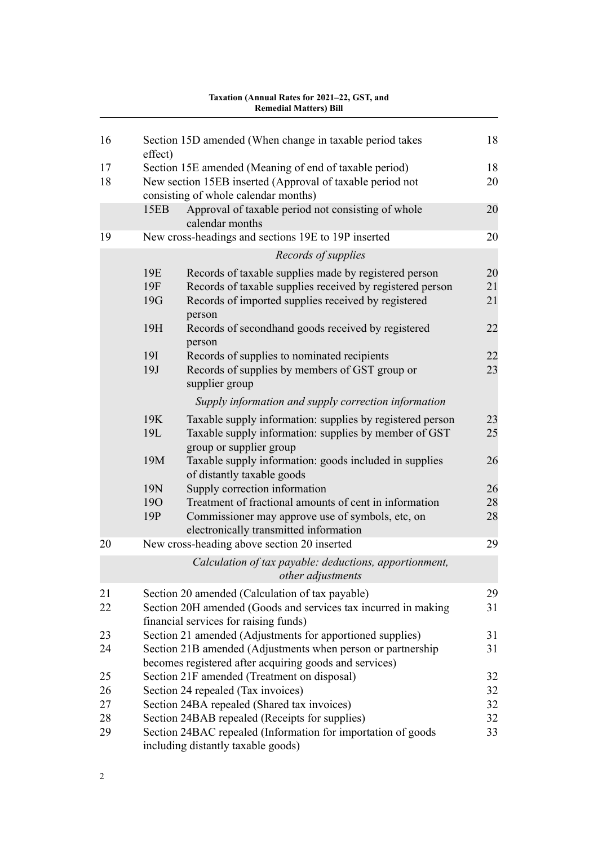| 1 axauvii (Aliiluai Kates Ivi 2021–22, GST, aliu<br><b>Remedial Matters) Bill</b> |                   |                                                                                                                                                                                     |                |
|-----------------------------------------------------------------------------------|-------------------|-------------------------------------------------------------------------------------------------------------------------------------------------------------------------------------|----------------|
| 16                                                                                | effect)           | Section 15D amended (When change in taxable period takes                                                                                                                            | 18             |
| 17                                                                                |                   | Section 15E amended (Meaning of end of taxable period)                                                                                                                              | 18             |
| 18                                                                                |                   | New section 15EB inserted (Approval of taxable period not                                                                                                                           | 20             |
|                                                                                   |                   | consisting of whole calendar months)                                                                                                                                                |                |
|                                                                                   | 15EB              | Approval of taxable period not consisting of whole<br>calendar months                                                                                                               | 20             |
| 19                                                                                |                   | New cross-headings and sections 19E to 19P inserted                                                                                                                                 | 20             |
|                                                                                   |                   | Records of supplies                                                                                                                                                                 |                |
|                                                                                   | 19E<br>19F<br>19G | Records of taxable supplies made by registered person<br>Records of taxable supplies received by registered person<br>Records of imported supplies received by registered<br>person | 20<br>21<br>21 |
|                                                                                   | 19H               | Records of secondhand goods received by registered<br>person                                                                                                                        | 22             |
|                                                                                   | <b>19I</b><br>19J | Records of supplies to nominated recipients<br>Records of supplies by members of GST group or<br>supplier group                                                                     | 22<br>23       |
|                                                                                   |                   | Supply information and supply correction information                                                                                                                                |                |
|                                                                                   | 19K<br>19L        | Taxable supply information: supplies by registered person<br>Taxable supply information: supplies by member of GST<br>group or supplier group                                       | 23<br>25       |
|                                                                                   | 19M               | Taxable supply information: goods included in supplies<br>of distantly taxable goods                                                                                                | 26             |
|                                                                                   | 19N               | Supply correction information                                                                                                                                                       | 26             |
|                                                                                   | <b>190</b><br>19P | Treatment of fractional amounts of cent in information<br>Commissioner may approve use of symbols, etc, on<br>electronically transmitted information                                | 28<br>28       |
| 20                                                                                |                   | New cross-heading above section 20 inserted                                                                                                                                         | 29             |
|                                                                                   |                   | Calculation of tax payable: deductions, apportionment,<br>other adjustments                                                                                                         |                |
| 21<br>22                                                                          |                   | Section 20 amended (Calculation of tax payable)<br>Section 20H amended (Goods and services tax incurred in making<br>financial services for raising funds)                          | 29<br>31       |
| 23                                                                                |                   | Section 21 amended (Adjustments for apportioned supplies)                                                                                                                           | 31             |
| 24                                                                                |                   | Section 21B amended (Adjustments when person or partnership<br>becomes registered after acquiring goods and services)                                                               | 31             |
| 25                                                                                |                   | Section 21F amended (Treatment on disposal)                                                                                                                                         | 32             |
| 26                                                                                |                   | Section 24 repealed (Tax invoices)                                                                                                                                                  | 32             |
| 27                                                                                |                   | Section 24BA repealed (Shared tax invoices)                                                                                                                                         | 32             |
| 28                                                                                |                   | Section 24BAB repealed (Receipts for supplies)                                                                                                                                      | 32             |
| 29                                                                                |                   | Section 24BAC repealed (Information for importation of goods<br>including distantly taxable goods)                                                                                  | 33             |

# **Taxation (Annual Rates for 2021–22, GST, and**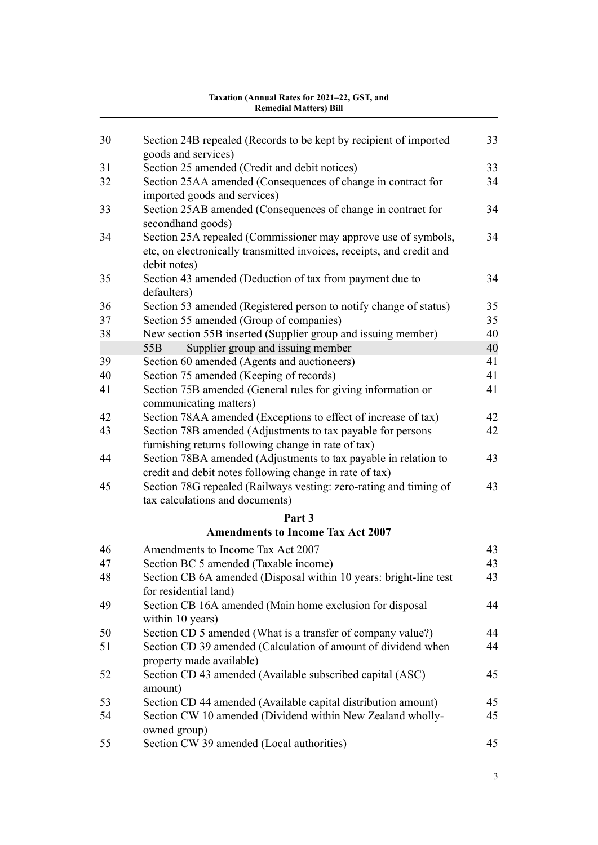| 30 | Section 24B repealed (Records to be kept by recipient of imported<br>goods and services)                                                                | 33 |
|----|---------------------------------------------------------------------------------------------------------------------------------------------------------|----|
| 31 | Section 25 amended (Credit and debit notices)                                                                                                           | 33 |
| 32 | Section 25AA amended (Consequences of change in contract for                                                                                            | 34 |
|    | imported goods and services)                                                                                                                            |    |
| 33 | Section 25AB amended (Consequences of change in contract for                                                                                            | 34 |
|    | secondhand goods)                                                                                                                                       |    |
| 34 | Section 25A repealed (Commissioner may approve use of symbols,<br>etc, on electronically transmitted invoices, receipts, and credit and<br>debit notes) | 34 |
| 35 | Section 43 amended (Deduction of tax from payment due to<br>defaulters)                                                                                 | 34 |
| 36 | Section 53 amended (Registered person to notify change of status)                                                                                       | 35 |
| 37 | Section 55 amended (Group of companies)                                                                                                                 | 35 |
| 38 | New section 55B inserted (Supplier group and issuing member)                                                                                            | 40 |
|    | Supplier group and issuing member<br>55 <sub>B</sub>                                                                                                    | 40 |
| 39 | Section 60 amended (Agents and auctioneers)                                                                                                             | 41 |
| 40 | Section 75 amended (Keeping of records)                                                                                                                 | 41 |
| 41 | Section 75B amended (General rules for giving information or                                                                                            | 41 |
|    | communicating matters)                                                                                                                                  |    |
| 42 | Section 78AA amended (Exceptions to effect of increase of tax)                                                                                          | 42 |
| 43 | Section 78B amended (Adjustments to tax payable for persons                                                                                             | 42 |
|    | furnishing returns following change in rate of tax)                                                                                                     |    |
| 44 | Section 78BA amended (Adjustments to tax payable in relation to                                                                                         | 43 |
|    | credit and debit notes following change in rate of tax)                                                                                                 |    |
| 45 | Section 78G repealed (Railways vesting: zero-rating and timing of                                                                                       | 43 |
|    | tax calculations and documents)                                                                                                                         |    |
|    | Part 3                                                                                                                                                  |    |
|    | <b>Amendments to Income Tax Act 2007</b>                                                                                                                |    |
| 46 | Amendments to Income Tax Act 2007                                                                                                                       | 43 |
| 47 | Section BC 5 amended (Taxable income)                                                                                                                   | 43 |
| 48 | Section CB 6A amended (Disposal within 10 years: bright-line test                                                                                       | 43 |
|    | for residential land)                                                                                                                                   |    |
| 49 | Section CB 16A amended (Main home exclusion for disposal                                                                                                | 44 |
| 50 | within 10 years)                                                                                                                                        | 44 |
|    | Section CD 5 amended (What is a transfer of company value?)<br>Section CD 39 amended (Calculation of amount of dividend when                            |    |
| 51 | property made available)                                                                                                                                | 44 |
| 52 | Section CD 43 amended (Available subscribed capital (ASC)                                                                                               | 45 |
|    | amount)                                                                                                                                                 |    |
| 53 | Section CD 44 amended (Available capital distribution amount)                                                                                           | 45 |
| 54 | Section CW 10 amended (Dividend within New Zealand wholly-                                                                                              | 45 |
|    | owned group)                                                                                                                                            |    |
| 55 | Section CW 39 amended (Local authorities)                                                                                                               | 45 |
|    |                                                                                                                                                         |    |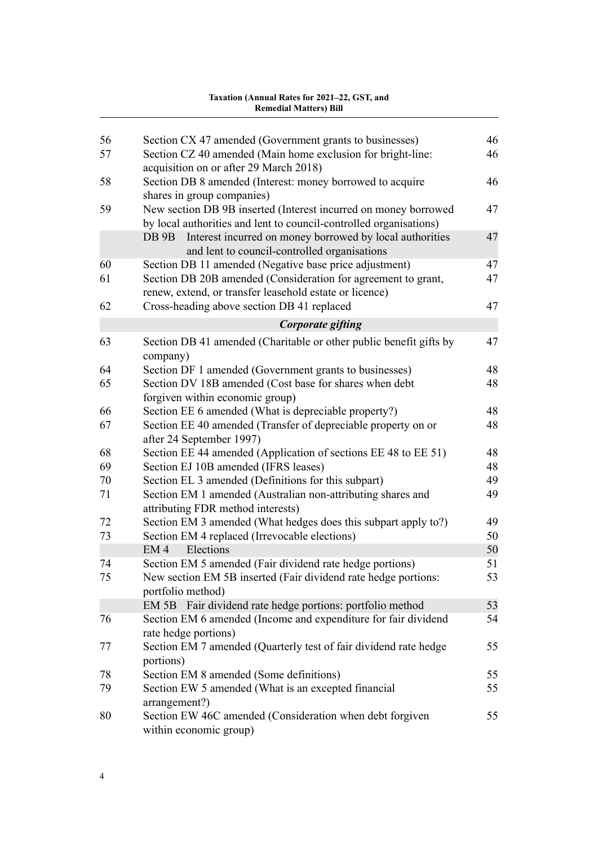| 56 | Section CX 47 amended (Government grants to businesses)                                                                               | 46 |
|----|---------------------------------------------------------------------------------------------------------------------------------------|----|
| 57 | Section CZ 40 amended (Main home exclusion for bright-line:<br>acquisition on or after 29 March 2018)                                 | 46 |
| 58 | Section DB 8 amended (Interest: money borrowed to acquire<br>shares in group companies)                                               | 46 |
| 59 | New section DB 9B inserted (Interest incurred on money borrowed<br>by local authorities and lent to council-controlled organisations) | 47 |
|    | Interest incurred on money borrowed by local authorities<br>DB 9B<br>and lent to council-controlled organisations                     | 47 |
| 60 | Section DB 11 amended (Negative base price adjustment)                                                                                | 47 |
| 61 | Section DB 20B amended (Consideration for agreement to grant,<br>renew, extend, or transfer leasehold estate or licence)              | 47 |
| 62 | Cross-heading above section DB 41 replaced                                                                                            | 47 |
|    | Corporate gifting                                                                                                                     |    |
| 63 | Section DB 41 amended (Charitable or other public benefit gifts by<br>company)                                                        | 47 |
| 64 | Section DF 1 amended (Government grants to businesses)                                                                                | 48 |
| 65 | Section DV 18B amended (Cost base for shares when debt<br>forgiven within economic group)                                             | 48 |
| 66 | Section EE 6 amended (What is depreciable property?)                                                                                  | 48 |
| 67 | Section EE 40 amended (Transfer of depreciable property on or<br>after 24 September 1997)                                             | 48 |
| 68 | Section EE 44 amended (Application of sections EE 48 to EE 51)                                                                        | 48 |
| 69 | Section EJ 10B amended (IFRS leases)                                                                                                  | 48 |
| 70 | Section EL 3 amended (Definitions for this subpart)                                                                                   | 49 |
| 71 | Section EM 1 amended (Australian non-attributing shares and<br>attributing FDR method interests)                                      | 49 |
| 72 | Section EM 3 amended (What hedges does this subpart apply to?)                                                                        | 49 |
| 73 | Section EM 4 replaced (Irrevocable elections)                                                                                         | 50 |
|    | Elections<br>EM <sub>4</sub>                                                                                                          | 50 |
| 74 | Section EM 5 amended (Fair dividend rate hedge portions)                                                                              | 51 |
| 75 | New section EM 5B inserted (Fair dividend rate hedge portions:<br>portfolio method)                                                   | 53 |
|    | Fair dividend rate hedge portions: portfolio method<br>EM 5B                                                                          | 53 |
| 76 | Section EM 6 amended (Income and expenditure for fair dividend<br>rate hedge portions)                                                | 54 |
| 77 | Section EM 7 amended (Quarterly test of fair dividend rate hedge<br>portions)                                                         | 55 |
| 78 | Section EM 8 amended (Some definitions)                                                                                               | 55 |
| 79 | Section EW 5 amended (What is an excepted financial<br>arrangement?)                                                                  | 55 |
| 80 | Section EW 46C amended (Consideration when debt forgiven<br>within economic group)                                                    | 55 |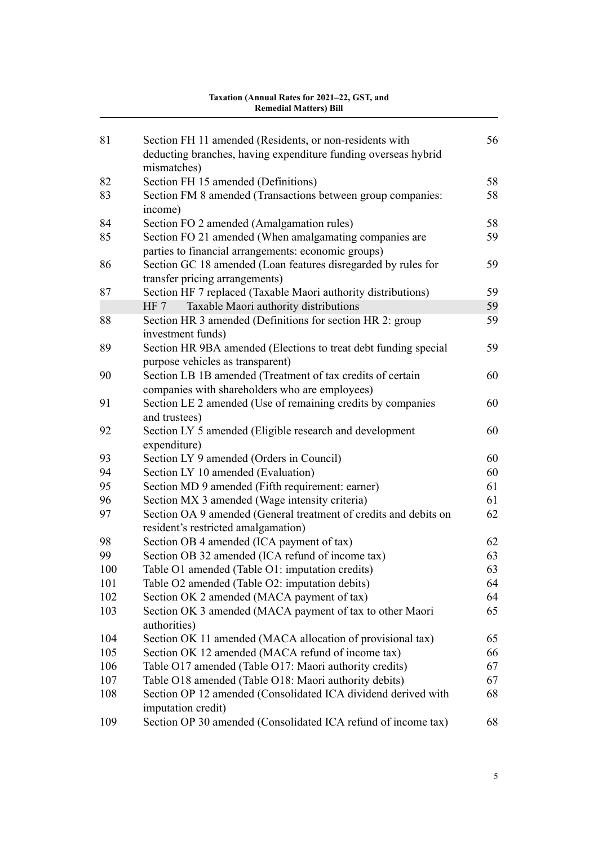| 81  | Section FH 11 amended (Residents, or non-residents with<br>deducting branches, having expenditure funding overseas hybrid<br>mismatches) | 56 |
|-----|------------------------------------------------------------------------------------------------------------------------------------------|----|
| 82  | Section FH 15 amended (Definitions)                                                                                                      | 58 |
| 83  | Section FM 8 amended (Transactions between group companies:                                                                              | 58 |
|     | income)                                                                                                                                  |    |
| 84  | Section FO 2 amended (Amalgamation rules)                                                                                                | 58 |
| 85  | Section FO 21 amended (When amalgamating companies are                                                                                   | 59 |
|     | parties to financial arrangements: economic groups)                                                                                      |    |
| 86  | Section GC 18 amended (Loan features disregarded by rules for                                                                            | 59 |
|     | transfer pricing arrangements)                                                                                                           |    |
| 87  | Section HF 7 replaced (Taxable Maori authority distributions)                                                                            | 59 |
|     | HF 7<br>Taxable Maori authority distributions                                                                                            | 59 |
| 88  | Section HR 3 amended (Definitions for section HR 2: group                                                                                | 59 |
|     | investment funds)                                                                                                                        |    |
| 89  | Section HR 9BA amended (Elections to treat debt funding special                                                                          | 59 |
|     | purpose vehicles as transparent)                                                                                                         |    |
| 90  | Section LB 1B amended (Treatment of tax credits of certain                                                                               | 60 |
|     | companies with shareholders who are employees)                                                                                           |    |
| 91  | Section LE 2 amended (Use of remaining credits by companies                                                                              | 60 |
|     | and trustees)                                                                                                                            |    |
| 92  | Section LY 5 amended (Eligible research and development<br>expenditure)                                                                  | 60 |
| 93  | Section LY 9 amended (Orders in Council)                                                                                                 | 60 |
| 94  | Section LY 10 amended (Evaluation)                                                                                                       | 60 |
| 95  | Section MD 9 amended (Fifth requirement: earner)                                                                                         | 61 |
| 96  | Section MX 3 amended (Wage intensity criteria)                                                                                           | 61 |
| 97  | Section OA 9 amended (General treatment of credits and debits on                                                                         | 62 |
|     | resident's restricted amalgamation)                                                                                                      |    |
| 98  | Section OB 4 amended (ICA payment of tax)                                                                                                | 62 |
| 99  | Section OB 32 amended (ICA refund of income tax)                                                                                         | 63 |
| 100 | Table O1 amended (Table O1: imputation credits)                                                                                          | 63 |
| 101 | Table O2 amended (Table O2: imputation debits)                                                                                           | 64 |
| 102 | Section OK 2 amended (MACA payment of tax)                                                                                               | 64 |
| 103 | Section OK 3 amended (MACA payment of tax to other Maori                                                                                 | 65 |
|     | authorities)                                                                                                                             |    |
| 104 | Section OK 11 amended (MACA allocation of provisional tax)                                                                               | 65 |
| 105 | Section OK 12 amended (MACA refund of income tax)                                                                                        | 66 |
| 106 | Table O17 amended (Table O17: Maori authority credits)                                                                                   | 67 |
| 107 | Table O18 amended (Table O18: Maori authority debits)                                                                                    | 67 |
| 108 | Section OP 12 amended (Consolidated ICA dividend derived with                                                                            | 68 |
|     | imputation credit)                                                                                                                       |    |
| 109 | Section OP 30 amended (Consolidated ICA refund of income tax)                                                                            | 68 |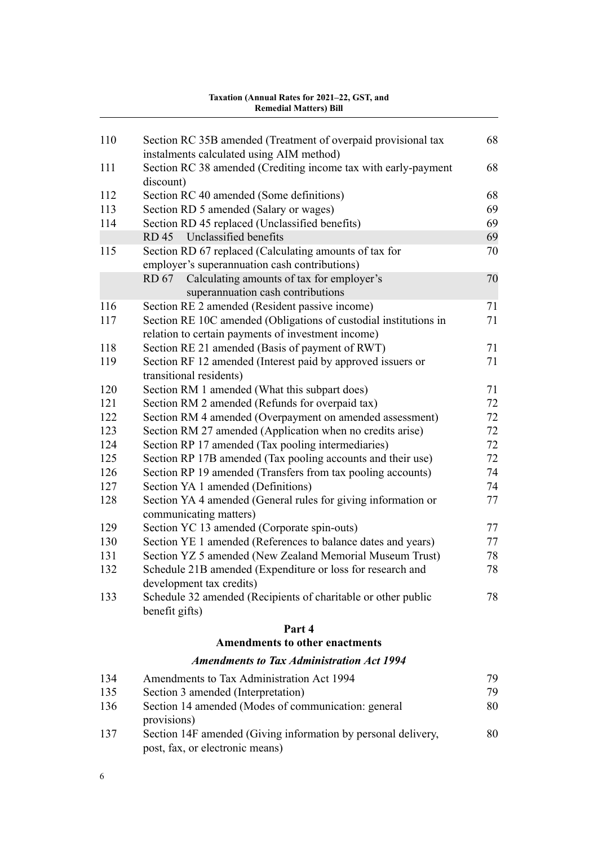|     | <b>Amendments to other enactments</b>                                 |    |
|-----|-----------------------------------------------------------------------|----|
|     | Part 4                                                                |    |
|     | benefit gifts)                                                        |    |
| 133 | Schedule 32 amended (Recipients of charitable or other public         | 78 |
|     | development tax credits)                                              |    |
| 132 | Schedule 21B amended (Expenditure or loss for research and            | 78 |
| 131 | Section YZ 5 amended (New Zealand Memorial Museum Trust)              | 78 |
| 130 | Section YE 1 amended (References to balance dates and years)          | 77 |
| 129 | communicating matters)<br>Section YC 13 amended (Corporate spin-outs) | 77 |
| 128 | Section YA 4 amended (General rules for giving information or         | 77 |
| 127 | Section YA 1 amended (Definitions)                                    | 74 |
| 126 | Section RP 19 amended (Transfers from tax pooling accounts)           | 74 |
| 125 | Section RP 17B amended (Tax pooling accounts and their use)           | 72 |
| 124 | Section RP 17 amended (Tax pooling intermediaries)                    | 72 |
| 123 | Section RM 27 amended (Application when no credits arise)             | 72 |
| 122 | Section RM 4 amended (Overpayment on amended assessment)              | 72 |
| 121 | Section RM 2 amended (Refunds for overpaid tax)                       | 72 |
| 120 | Section RM 1 amended (What this subpart does)                         | 71 |
|     | transitional residents)                                               |    |
| 119 | Section RF 12 amended (Interest paid by approved issuers or           | 71 |
| 118 | Section RE 21 amended (Basis of payment of RWT)                       | 71 |
|     | relation to certain payments of investment income)                    |    |
| 117 | Section RE 10C amended (Obligations of custodial institutions in      | 71 |
| 116 | Section RE 2 amended (Resident passive income)                        | 71 |
|     | superannuation cash contributions                                     |    |
|     | Calculating amounts of tax for employer's<br>RD 67                    | 70 |
|     | employer's superannuation cash contributions)                         |    |
| 115 | Section RD 67 replaced (Calculating amounts of tax for                | 70 |
|     | Unclassified benefits<br>RD 45                                        | 69 |
| 114 | Section RD 45 replaced (Unclassified benefits)                        | 69 |
| 113 | Section RD 5 amended (Salary or wages)                                | 69 |
| 112 | discount)<br>Section RC 40 amended (Some definitions)                 | 68 |
| 111 | Section RC 38 amended (Crediting income tax with early-payment        | 68 |
|     | instalments calculated using AIM method)                              |    |
| 110 | Section RC 35B amended (Treatment of overpaid provisional tax         | 68 |
|     |                                                                       |    |

## *[Amendments to Tax Administration Act 1994](#page-102-0)*

| 134 | Amendments to Tax Administration Act 1994                                                        | 79 |
|-----|--------------------------------------------------------------------------------------------------|----|
| 135 | Section 3 amended (Interpretation)                                                               | 79 |
| 136 | Section 14 amended (Modes of communication: general<br>provisions)                               | 80 |
| 137 | Section 14F amended (Giving information by personal delivery,<br>post, fax, or electronic means) | 80 |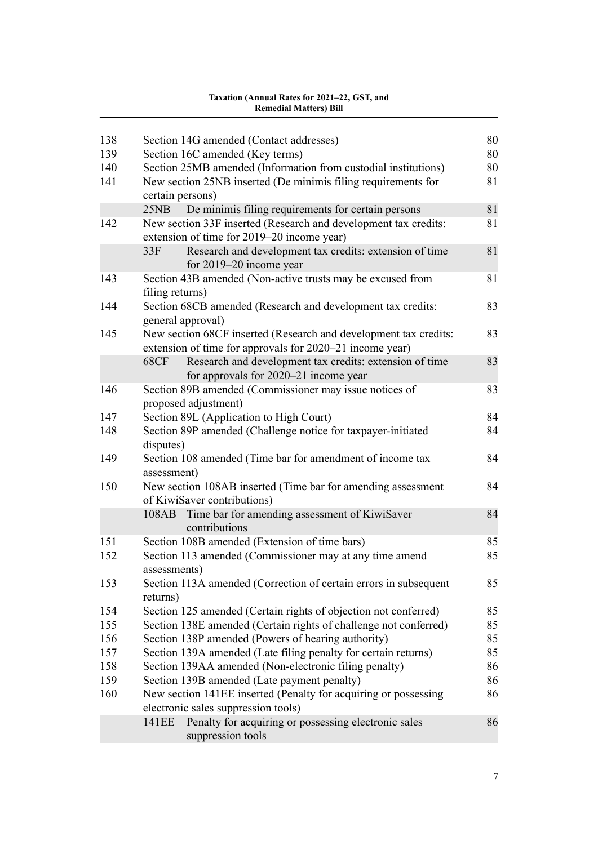| 138 | Section 14G amended (Contact addresses)                                                   | 80 |
|-----|-------------------------------------------------------------------------------------------|----|
| 139 | Section 16C amended (Key terms)                                                           | 80 |
| 140 | Section 25MB amended (Information from custodial institutions)                            | 80 |
| 141 | New section 25NB inserted (De minimis filing requirements for<br>certain persons)         | 81 |
|     | De minimis filing requirements for certain persons<br>25NB                                | 81 |
| 142 | New section 33F inserted (Research and development tax credits:                           | 81 |
|     | extension of time for 2019–20 income year)                                                |    |
|     | Research and development tax credits: extension of time<br>33F<br>for 2019–20 income year | 81 |
| 143 | Section 43B amended (Non-active trusts may be excused from                                | 81 |
|     | filing returns)                                                                           |    |
| 144 | Section 68CB amended (Research and development tax credits:<br>general approval)          | 83 |
| 145 | New section 68CF inserted (Research and development tax credits:                          | 83 |
|     | extension of time for approvals for 2020–21 income year)                                  |    |
|     | Research and development tax credits: extension of time<br>68CF                           | 83 |
|     | for approvals for 2020–21 income year                                                     |    |
| 146 | Section 89B amended (Commissioner may issue notices of                                    | 83 |
|     | proposed adjustment)                                                                      |    |
| 147 | Section 89L (Application to High Court)                                                   | 84 |
| 148 | Section 89P amended (Challenge notice for taxpayer-initiated                              | 84 |
|     | disputes)                                                                                 |    |
| 149 | Section 108 amended (Time bar for amendment of income tax<br>assessment)                  | 84 |
| 150 | New section 108AB inserted (Time bar for amending assessment                              | 84 |
|     | of KiwiSaver contributions)                                                               |    |
|     | Time bar for amending assessment of KiwiSaver<br>108AB<br>contributions                   | 84 |
| 151 | Section 108B amended (Extension of time bars)                                             | 85 |
| 152 | Section 113 amended (Commissioner may at any time amend<br>assessments)                   | 85 |
| 153 | Section 113A amended (Correction of certain errors in subsequent<br>returns)              | 85 |
| 154 | Section 125 amended (Certain rights of objection not conferred)                           | 85 |
| 155 | Section 138E amended (Certain rights of challenge not conferred)                          | 85 |
| 156 | Section 138P amended (Powers of hearing authority)                                        | 85 |
| 157 | Section 139A amended (Late filing penalty for certain returns)                            | 85 |
| 158 | Section 139AA amended (Non-electronic filing penalty)                                     | 86 |
| 159 | Section 139B amended (Late payment penalty)                                               | 86 |
| 160 | New section 141EE inserted (Penalty for acquiring or possessing                           | 86 |
|     | electronic sales suppression tools)                                                       |    |
|     | Penalty for acquiring or possessing electronic sales<br>141EE<br>suppression tools        | 86 |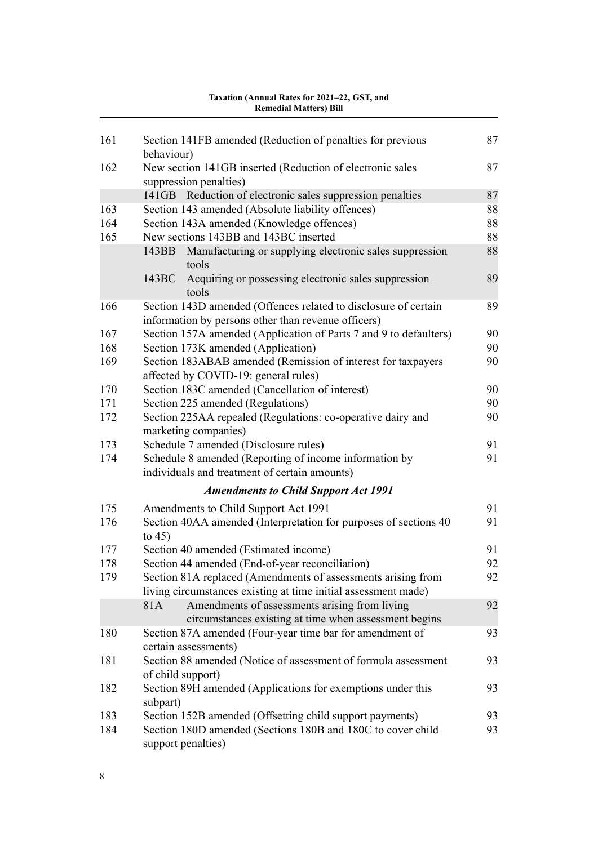| 161 | Section 141FB amended (Reduction of penalties for previous                                                                     | 87 |
|-----|--------------------------------------------------------------------------------------------------------------------------------|----|
|     | behaviour)                                                                                                                     |    |
| 162 | New section 141GB inserted (Reduction of electronic sales<br>suppression penalties)                                            | 87 |
|     | 141GB Reduction of electronic sales suppression penalties                                                                      | 87 |
| 163 | Section 143 amended (Absolute liability offences)                                                                              | 88 |
| 164 | Section 143A amended (Knowledge offences)                                                                                      | 88 |
| 165 | New sections 143BB and 143BC inserted                                                                                          | 88 |
|     | Manufacturing or supplying electronic sales suppression<br>143BB<br>tools                                                      | 88 |
|     | Acquiring or possessing electronic sales suppression<br>143BC<br>tools                                                         | 89 |
| 166 | Section 143D amended (Offences related to disclosure of certain<br>information by persons other than revenue officers)         | 89 |
| 167 | Section 157A amended (Application of Parts 7 and 9 to defaulters)                                                              | 90 |
| 168 | Section 173K amended (Application)                                                                                             | 90 |
| 169 | Section 183ABAB amended (Remission of interest for taxpayers<br>affected by COVID-19: general rules)                           | 90 |
| 170 | Section 183C amended (Cancellation of interest)                                                                                | 90 |
| 171 | Section 225 amended (Regulations)                                                                                              | 90 |
| 172 | Section 225AA repealed (Regulations: co-operative dairy and<br>marketing companies)                                            | 90 |
| 173 | Schedule 7 amended (Disclosure rules)                                                                                          | 91 |
| 174 | Schedule 8 amended (Reporting of income information by<br>individuals and treatment of certain amounts)                        | 91 |
|     | <b>Amendments to Child Support Act 1991</b>                                                                                    |    |
| 175 | Amendments to Child Support Act 1991                                                                                           | 91 |
| 176 | Section 40AA amended (Interpretation for purposes of sections 40<br>to $45)$                                                   | 91 |
| 177 | Section 40 amended (Estimated income)                                                                                          | 91 |
| 178 | Section 44 amended (End-of-year reconciliation)                                                                                | 92 |
| 179 | Section 81A replaced (Amendments of assessments arising from<br>living circumstances existing at time initial assessment made) | 92 |
|     | 81A<br>Amendments of assessments arising from living<br>circumstances existing at time when assessment begins                  | 92 |
| 180 | Section 87A amended (Four-year time bar for amendment of<br>certain assessments)                                               | 93 |
| 181 | Section 88 amended (Notice of assessment of formula assessment<br>of child support)                                            | 93 |
| 182 | Section 89H amended (Applications for exemptions under this<br>subpart)                                                        | 93 |
| 183 | Section 152B amended (Offsetting child support payments)                                                                       | 93 |
| 184 | Section 180D amended (Sections 180B and 180C to cover child<br>support penalties)                                              | 93 |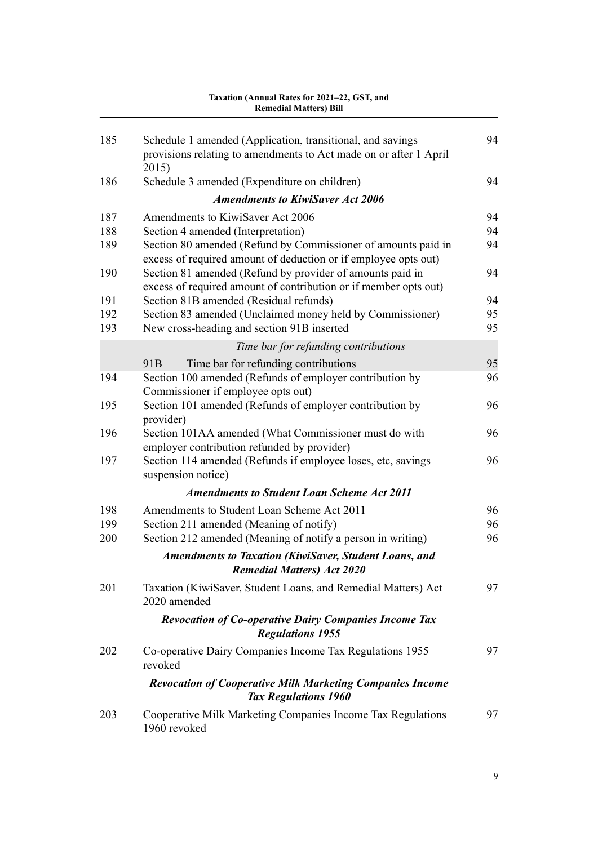#### [185](#page-117-0) [Schedule 1 amended \(Application, transitional, and savings](#page-117-0) [provisions relating to amendments to Act made on or after 1 April](#page-117-0) [2015\)](#page-117-0) [94](#page-117-0) [186](#page-117-0) [Schedule 3 amended \(Expenditure on children\)](#page-117-0) [94](#page-117-0) *[Amendments to KiwiSaver Act 2006](#page-117-0)* [187](#page-117-0) [Amendments to KiwiSaver Act 2006](#page-117-0) [94](#page-117-0) [188](#page-117-0) [Section 4 amended \(Interpretation\)](#page-117-0) [94](#page-117-0) [189](#page-117-0) [Section 80 amended \(Refund by Commissioner of amounts paid in](#page-117-0) [excess of required amount of deduction or if employee opts out\)](#page-117-0) [94](#page-117-0) [190](#page-117-0) [Section 81 amended \(Refund by provider of amounts paid in](#page-117-0) [excess of required amount of contribution or if member opts out\)](#page-117-0) [94](#page-117-0) [191](#page-117-0) [Section 81B amended \(Residual refunds\)](#page-117-0) [94](#page-117-0) [192](#page-118-0) [Section 83 amended \(Unclaimed money held by Commissioner\)](#page-118-0) [95](#page-118-0) [193](#page-118-0) [New cross-heading and section 91B inserted](#page-118-0) [95](#page-118-0) *[Time bar for refunding contributions](#page-118-0)* [91B](#page-118-0) [Time bar for refunding contributions](#page-118-0) [95](#page-118-0) [194](#page-119-0) [Section 100 amended \(Refunds of employer contribution by](#page-119-0) [Commissioner if employee opts out\)](#page-119-0) [96](#page-119-0) [195](#page-119-0) [Section 101 amended \(Refunds of employer contribution by](#page-119-0) [provider\)](#page-119-0) [96](#page-119-0) [196](#page-119-0) [Section 101AA amended \(What Commissioner must do with](#page-119-0) [employer contribution refunded by provider\)](#page-119-0) [96](#page-119-0) [197](#page-119-0) [Section 114 amended \(Refunds if employee loses, etc, savings](#page-119-0) [suspension notice\)](#page-119-0) [96](#page-119-0) *[Amendments to Student Loan Scheme Act 2011](#page-119-0)* [198](#page-119-0) [Amendments to Student Loan Scheme Act 2011](#page-119-0) [96](#page-119-0) [199](#page-119-0) [Section 211 amended \(Meaning of notify\)](#page-119-0) [96](#page-119-0) [200](#page-119-0) [Section 212 amended \(Meaning of notify a person in writing\)](#page-119-0) [96](#page-119-0) *[Amendments to Taxation \(KiwiSaver, Student Loans, and](#page-120-0) [Remedial Matters\) Act 2020](#page-120-0)* [201](#page-120-0) [Taxation \(KiwiSaver, Student Loans, and Remedial Matters\) Act](#page-120-0) [2020 amended](#page-120-0) [97](#page-120-0) *[Revocation of Co-operative Dairy Companies Income Tax](#page-120-0) [Regulations 1955](#page-120-0)* [202](#page-120-0) [Co-operative Dairy Companies Income Tax Regulations 1955](#page-120-0) [revoked](#page-120-0) [97](#page-120-0) *[Revocation of Cooperative Milk Marketing Companies Income](#page-120-0) [Tax Regulations 1960](#page-120-0)* [203](#page-120-0) [Cooperative Milk Marketing Companies Income Tax Regulations](#page-120-0) [1960 revoked](#page-120-0) [97](#page-120-0) **Remedial Matters) Bill**

# **Taxation (Annual Rates for 2021–22, GST, and**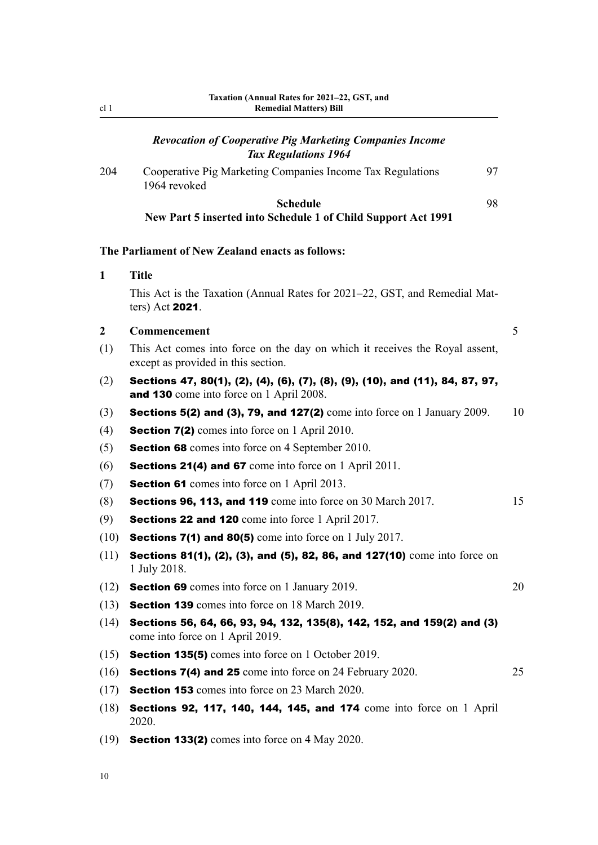## *[Revocation of Cooperative Pig Marketing Companies Income](#page-120-0) [Tax Regulations 1964](#page-120-0)*

<span id="page-33-0"></span>[204](#page-120-0) [Cooperative Pig Marketing Companies Income Tax Regulations](#page-120-0) [1964 revoked](#page-120-0) [97](#page-120-0) **[Schedule](#page-121-0)** [98](#page-121-0)

**[New Part 5 inserted into Schedule 1 of Child Support Act 1991](#page-121-0)**

## **The Parliament of New Zealand enacts as follows:**

#### **1 Title**

This Act is the Taxation (Annual Rates for 2021–22, GST, and Remedial Mat‐ ters) Act 2021.

## **2 Commencement** 5

- (1) This Act comes into force on the day on which it receives the Royal assent, except as provided in this section.
- (2) Sections 47, 80(1), (2), (4), (6), (7), (8), (9), (10), and (11), 84, 87, 97, and 130 come into force on 1 April 2008.
- (3) Sections 5(2) and (3), 79, and 127(2) come into force on 1 January 2009.  $10$
- (4) **Section 7(2)** comes into force on 1 April 2010.
- (5) Section 68 comes into force on 4 September 2010.
- (6) Sections 21(4) and 67 come into force on 1 April 2011.
- (7) Section 61 comes into force on 1 April 2013.
- (8) **Sections 96, 113, and 119** come into force on 30 March 2017.  $15$
- (9) Sections 22 and 120 come into force 1 April 2017.
- (10) **Sections 7(1) and 80(5)** come into force on 1 July 2017.
- $(11)$  Sections 81(1), (2), (3), and (5), 82, 86, and 127(10) come into force on 1 July 2018.
- (12) Section 69 comes into force on 1 January 2019. 20
- (13) Section 139 comes into force on 18 March 2019.
- (14) Sections 56, 64, 66, 93, 94, 132, 135(8), 142, 152, and 159(2) and (3) come into force on 1 April 2019.
- (15) Section 135(5) comes into force on 1 October 2019.
- (16) Sections 7(4) and 25 come into force on 24 February 2020. 25
- (17) Section 153 comes into force on 23 March 2020.
- (18) Sections 92, 117, 140, 144, 145, and 174 come into force on 1 April 2020.
- (19) **Section 133(2)** comes into force on 4 May 2020.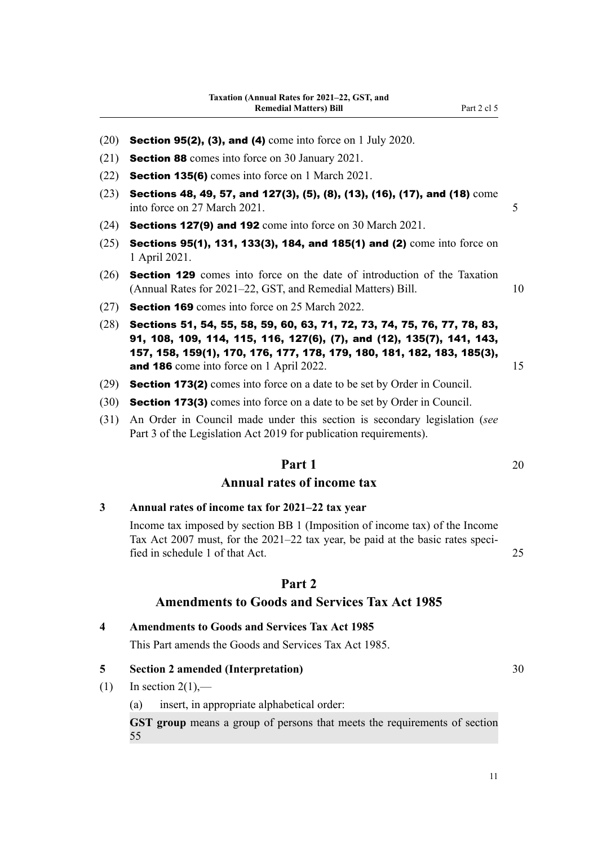- <span id="page-34-0"></span> $(20)$  Section 95(2), (3), and (4) come into force on 1 July 2020.
- (21) Section 88 comes into force on 30 January 2021.
- (22) Section 135(6) comes into force on 1 March 2021.
- $(23)$  Sections 48, 49, 57, and 127(3), (5), (8), (13), (16), (17), and (18) come into force on 27 March 2021. 5
- (24) Sections 127(9) and 192 come into force on 30 March 2021.
- $(25)$  Sections 95(1), 131, 133(3), 184, and 185(1) and (2) come into force on 1 April 2021.
- (26) Section 129 comes into force on the date of introduction of the Taxation (Annual Rates for 2021–22, GST, and Remedial Matters) Bill. 10
- (27) Section 169 comes into force on 25 March 2022.
- (28) Sections 51, 54, 55, 58, 59, 60, 63, 71, 72, 73, 74, 75, 76, 77, 78, 83, 91, 108, 109, 114, 115, 116, 127(6), (7), and (12), 135(7), 141, 143, 157, 158, 159(1), 170, 176, 177, 178, 179, 180, 181, 182, 183, 185(3), and 186 come into force on 1 April 2022. 15
- (29) Section 173(2) comes into force on a date to be set by Order in Council.
- (30) Section 173(3) comes into force on a date to be set by Order in Council.
- (31) An Order in Council made under this section is secondary legislation (*see* Part 3 of the Legislation Act 2019 for publication requirements).

# **Part 1** 20

## **Annual rates of income tax**

#### **3 Annual rates of income tax for 2021–22 tax year**

Income tax imposed by section BB 1 (Imposition of income tax) of the Income Tax Act 2007 must, for the 2021–22 tax year, be paid at the basic rates specified in schedule 1 of that Act. 25

## **Part 2**

#### **Amendments to Goods and Services Tax Act 1985**

**4 Amendments to Goods and Services Tax Act 1985**

This Part amends the Goods and Services Tax Act 1985.

## **5 Section 2 amended (Interpretation)** 30

- $(1)$  In section  $2(1)$ ,—
	- (a) insert, in appropriate alphabetical order:

**GST group** means a group of persons that meets the requirements of section 55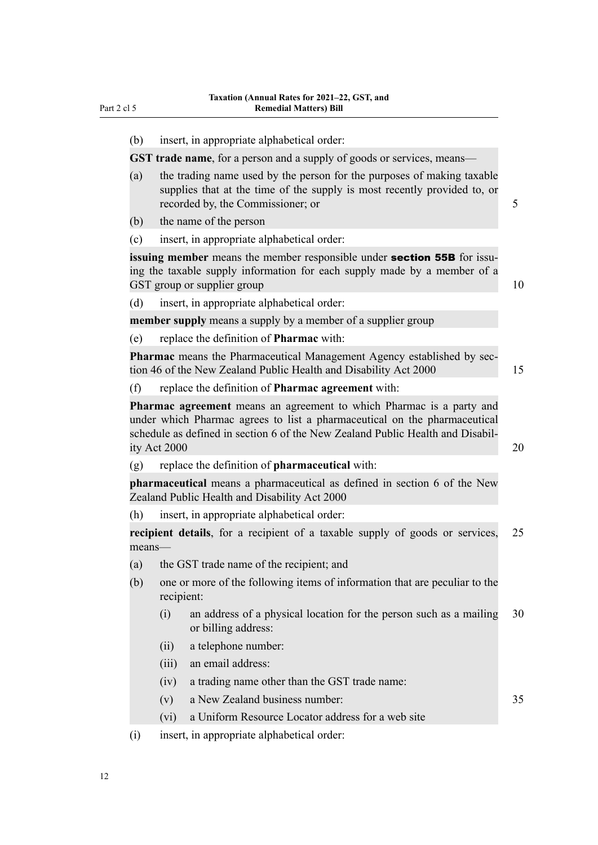(b) insert, in appropriate alphabetical order:

**GST trade name**, for a person and a supply of goods or services, means-

- (a) the trading name used by the person for the purposes of making taxable supplies that at the time of the supply is most recently provided to, or recorded by, the Commissioner; or 5
- (b) the name of the person
- (c) insert, in appropriate alphabetical order:

**issuing member** means the member responsible under **section 55B** for issuing the taxable supply information for each supply made by a member of a GST group or supplier group 10

(d) insert, in appropriate alphabetical order:

**member supply** means a supply by a member of a supplier group

(e) replace the definition of **Pharmac** with:

**Pharmac** means the Pharmaceutical Management Agency established by sec‐ tion 46 of the New Zealand Public Health and Disability Act 2000 15

(f) replace the definition of **Pharmac agreement** with:

**Pharmac agreement** means an agreement to which Pharmac is a party and under which Pharmac agrees to list a pharmaceutical on the pharmaceutical schedule as defined in section 6 of the New Zealand Public Health and Disabil- $\frac{1}{10}$  ity Act 2000 20

(g) replace the definition of **pharmaceutical** with:

**pharmaceutical** means a pharmaceutical as defined in section 6 of the New Zealand Public Health and Disability Act 2000

(h) insert, in appropriate alphabetical order:

**recipient details**, for a recipient of a taxable supply of goods or services, 25 means—

- (a) the GST trade name of the recipient; and
- (b) one or more of the following items of information that are peculiar to the recipient:
	- (i) an address of a physical location for the person such as a mailing 30 or billing address:
	- (ii) a telephone number:
	- (iii) an email address:
	- (iv) a trading name other than the GST trade name:
	- (v) a New Zealand business number: 35
	- (vi) a Uniform Resource Locator address for a web site
- (i) insert, in appropriate alphabetical order: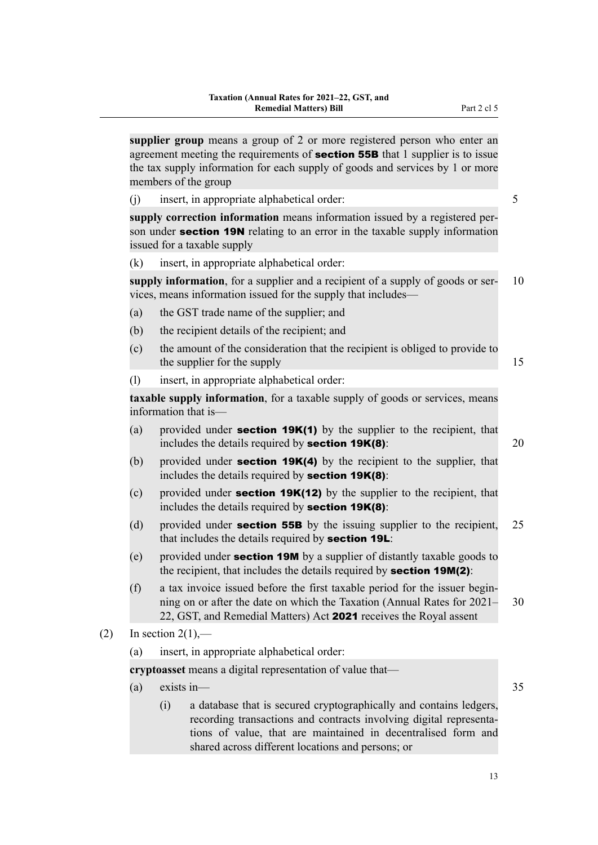**supplier group** means a group of 2 or more registered person who enter an agreement meeting the requirements of **section 55B** that 1 supplier is to issue the tax supply information for each supply of goods and services by 1 or more members of the group

(j) insert, in appropriate alphabetical order: 5

**supply correction information** means information issued by a registered per‐ son under **section 19N** relating to an error in the taxable supply information issued for a taxable supply

(k) insert, in appropriate alphabetical order:

**supply information**, for a supplier and a recipient of a supply of goods or ser- 10 vices, means information issued for the supply that includes—

- (a) the GST trade name of the supplier; and
- (b) the recipient details of the recipient; and
- (c) the amount of the consideration that the recipient is obliged to provide to the supplier for the supply 15
- (l) insert, in appropriate alphabetical order:

**taxable supply information**, for a taxable supply of goods or services, means information that is—

- (a) provided under **section 19K(1)** by the supplier to the recipient, that includes the details required by **section 19K(8)**:  $20$
- (b) provided under **section 19K(4)** by the recipient to the supplier, that includes the details required by section  $19K(8)$ :
- (c) provided under **section 19K(12)** by the supplier to the recipient, that includes the details required by section 19K(8):
- (d) provided under **section 55B** by the issuing supplier to the recipient,  $25$ that includes the details required by **section 19L**:
- (e) provided under **section 19M** by a supplier of distantly taxable goods to the recipient, that includes the details required by **section 19M(2)**:
- (f) a tax invoice issued before the first taxable period for the issuer begin‐ ning on or after the date on which the Taxation (Annual Rates for 2021– 30 22, GST, and Remedial Matters) Act 2021 receives the Royal assent
- $(2)$  In section  $2(1)$ ,—
	- (a) insert, in appropriate alphabetical order:

**cryptoasset** means a digital representation of value that—

- (a) exists in  $\frac{35}{2}$ 
	- (i) a database that is secured cryptographically and contains ledgers, recording transactions and contracts involving digital representations of value, that are maintained in decentralised form and shared across different locations and persons; or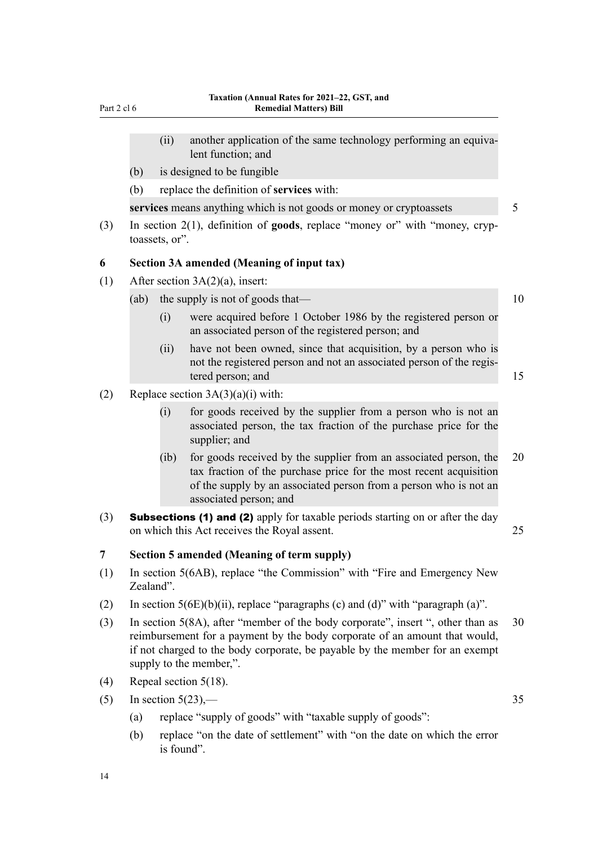- (ii) another application of the same technology performing an equivalent function; and
- (b) is designed to be fungible
- (b) replace the definition of **services** with:

**services** means anything which is not goods or money or cryptoassets 5

(3) In section 2(1), definition of **goods**, replace "money or" with "money, cryp‐ toassets, or".

## **6 Section 3A amended (Meaning of input tax)**

- (1) After section  $3A(2)(a)$ , insert:
	- (ab) the supply is not of goods that—  $10$ 
		- (i) were acquired before 1 October 1986 by the registered person or an associated person of the registered person; and
		- (ii) have not been owned, since that acquisition, by a person who is not the registered person and not an associated person of the regis‐ tered person; and 15
- (2) Replace section  $3A(3)(a)(i)$  with:
	- (i) for goods received by the supplier from a person who is not an associated person, the tax fraction of the purchase price for the supplier; and
	- (ib) for goods received by the supplier from an associated person, the 20 tax fraction of the purchase price for the most recent acquisition of the supply by an associated person from a person who is not an associated person; and
- (3) Subsections (1) and (2) apply for taxable periods starting on or after the day on which this Act receives the Royal assent. 25

## **7 Section 5 amended (Meaning of term supply)**

- (1) In section 5(6AB), replace "the Commission" with "Fire and Emergency New Zealand".
- (2) In section  $5(6E)(b)(ii)$ , replace "paragraphs (c) and (d)" with "paragraph (a)".
- (3) In section 5(8A), after "member of the body corporate", insert ", other than as 30 reimbursement for a payment by the body corporate of an amount that would, if not charged to the body corporate, be payable by the member for an exempt supply to the member,".
- (4) Repeal section 5(18).
- (5) In section  $5(23)$ ,  $-$  35
	- (a) replace "supply of goods" with "taxable supply of goods":
	- (b) replace "on the date of settlement" with "on the date on which the error is found".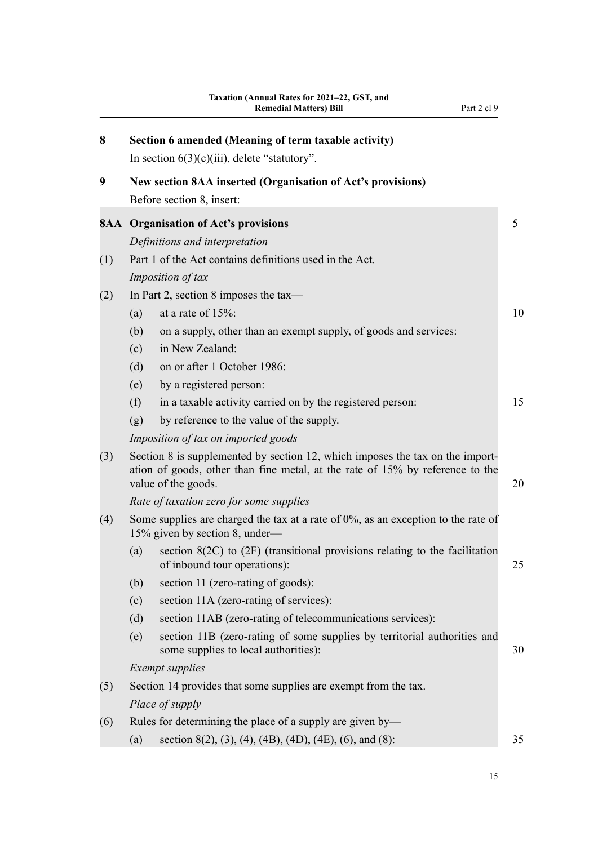| 8   | Section 6 amended (Meaning of term taxable activity)<br>In section $6(3)(c)(iii)$ , delete "statutory". |                                                                                                                                                                                       |    |  |  |  |  |
|-----|---------------------------------------------------------------------------------------------------------|---------------------------------------------------------------------------------------------------------------------------------------------------------------------------------------|----|--|--|--|--|
| 9   |                                                                                                         | New section 8AA inserted (Organisation of Act's provisions)<br>Before section 8, insert:                                                                                              |    |  |  |  |  |
|     |                                                                                                         | <b>8AA</b> Organisation of Act's provisions                                                                                                                                           | 5  |  |  |  |  |
|     |                                                                                                         | Definitions and interpretation                                                                                                                                                        |    |  |  |  |  |
| (1) |                                                                                                         | Part 1 of the Act contains definitions used in the Act.                                                                                                                               |    |  |  |  |  |
|     |                                                                                                         | Imposition of tax                                                                                                                                                                     |    |  |  |  |  |
| (2) |                                                                                                         | In Part 2, section 8 imposes the tax—                                                                                                                                                 |    |  |  |  |  |
|     | (a)                                                                                                     | at a rate of $15\%$ :                                                                                                                                                                 | 10 |  |  |  |  |
|     | (b)                                                                                                     | on a supply, other than an exempt supply, of goods and services:                                                                                                                      |    |  |  |  |  |
|     | (c)                                                                                                     | in New Zealand:                                                                                                                                                                       |    |  |  |  |  |
|     | (d)                                                                                                     | on or after 1 October 1986:                                                                                                                                                           |    |  |  |  |  |
|     | (e)                                                                                                     | by a registered person:                                                                                                                                                               |    |  |  |  |  |
|     | (f)                                                                                                     | in a taxable activity carried on by the registered person:                                                                                                                            | 15 |  |  |  |  |
|     | (g)                                                                                                     | by reference to the value of the supply.                                                                                                                                              |    |  |  |  |  |
|     |                                                                                                         | Imposition of tax on imported goods                                                                                                                                                   |    |  |  |  |  |
| (3) |                                                                                                         | Section 8 is supplemented by section 12, which imposes the tax on the import-<br>ation of goods, other than fine metal, at the rate of 15% by reference to the<br>value of the goods. | 20 |  |  |  |  |
|     |                                                                                                         | Rate of taxation zero for some supplies                                                                                                                                               |    |  |  |  |  |
| (4) |                                                                                                         | Some supplies are charged the tax at a rate of $0\%$ , as an exception to the rate of<br>15% given by section 8, under—                                                               |    |  |  |  |  |
|     | (a)                                                                                                     | section $8(2C)$ to $(2F)$ (transitional provisions relating to the facilitation<br>of inbound tour operations):                                                                       | 25 |  |  |  |  |
|     | (b)                                                                                                     | section 11 (zero-rating of goods):                                                                                                                                                    |    |  |  |  |  |
|     | (c)                                                                                                     | section 11A (zero-rating of services):                                                                                                                                                |    |  |  |  |  |
|     | (d)                                                                                                     | section 11AB (zero-rating of telecommunications services):                                                                                                                            |    |  |  |  |  |
|     | (e)                                                                                                     | section 11B (zero-rating of some supplies by territorial authorities and<br>some supplies to local authorities):                                                                      | 30 |  |  |  |  |
|     |                                                                                                         | <b>Exempt</b> supplies                                                                                                                                                                |    |  |  |  |  |
| (5) |                                                                                                         | Section 14 provides that some supplies are exempt from the tax.                                                                                                                       |    |  |  |  |  |
|     |                                                                                                         | Place of supply                                                                                                                                                                       |    |  |  |  |  |
| (6) |                                                                                                         | Rules for determining the place of a supply are given by—                                                                                                                             |    |  |  |  |  |
|     | (a)                                                                                                     | section 8(2), (3), (4), (4B), (4D), (4E), (6), and (8):                                                                                                                               | 35 |  |  |  |  |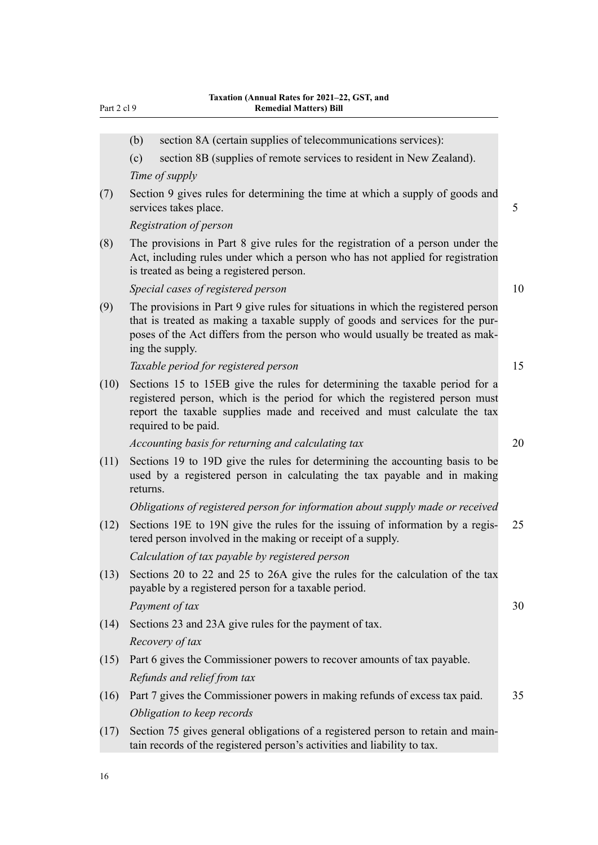| иΓ |  |  |
|----|--|--|
|    |  |  |

|      | (b)      | section 8A (certain supplies of telecommunications services):                                                                                                                                                                                                          |    |
|------|----------|------------------------------------------------------------------------------------------------------------------------------------------------------------------------------------------------------------------------------------------------------------------------|----|
|      | (c)      | section 8B (supplies of remote services to resident in New Zealand).                                                                                                                                                                                                   |    |
|      |          | Time of supply                                                                                                                                                                                                                                                         |    |
| (7)  |          | Section 9 gives rules for determining the time at which a supply of goods and<br>services takes place.                                                                                                                                                                 | 5  |
|      |          | Registration of person                                                                                                                                                                                                                                                 |    |
| (8)  |          | The provisions in Part 8 give rules for the registration of a person under the<br>Act, including rules under which a person who has not applied for registration<br>is treated as being a registered person.                                                           |    |
|      |          | Special cases of registered person                                                                                                                                                                                                                                     | 10 |
| (9)  |          | The provisions in Part 9 give rules for situations in which the registered person<br>that is treated as making a taxable supply of goods and services for the pur-<br>poses of the Act differs from the person who would usually be treated as mak-<br>ing the supply. |    |
|      |          | Taxable period for registered person                                                                                                                                                                                                                                   | 15 |
| (10) |          | Sections 15 to 15EB give the rules for determining the taxable period for a<br>registered person, which is the period for which the registered person must<br>report the taxable supplies made and received and must calculate the tax<br>required to be paid.         |    |
|      |          | Accounting basis for returning and calculating tax                                                                                                                                                                                                                     | 20 |
| (11) | returns. | Sections 19 to 19D give the rules for determining the accounting basis to be<br>used by a registered person in calculating the tax payable and in making                                                                                                               |    |
|      |          | Obligations of registered person for information about supply made or received                                                                                                                                                                                         |    |
| (12) |          | Sections 19E to 19N give the rules for the issuing of information by a regis-<br>tered person involved in the making or receipt of a supply.                                                                                                                           | 25 |
|      |          | Calculation of tax payable by registered person                                                                                                                                                                                                                        |    |
| (13) |          | Sections 20 to 22 and 25 to 26A give the rules for the calculation of the tax<br>payable by a registered person for a taxable period.                                                                                                                                  |    |
|      |          | Payment of tax                                                                                                                                                                                                                                                         | 30 |
| (14) |          | Sections 23 and 23A give rules for the payment of tax.                                                                                                                                                                                                                 |    |
|      |          | Recovery of tax                                                                                                                                                                                                                                                        |    |
| (15) |          | Part 6 gives the Commissioner powers to recover amounts of tax payable.                                                                                                                                                                                                |    |
|      |          | Refunds and relief from tax                                                                                                                                                                                                                                            |    |
| (16) |          | Part 7 gives the Commissioner powers in making refunds of excess tax paid.                                                                                                                                                                                             | 35 |
|      |          | Obligation to keep records                                                                                                                                                                                                                                             |    |
| (17) |          | Section 75 gives general obligations of a registered person to retain and main-<br>tain records of the registered person's activities and liability to tax.                                                                                                            |    |
| 16   |          |                                                                                                                                                                                                                                                                        |    |
|      |          |                                                                                                                                                                                                                                                                        |    |
|      |          |                                                                                                                                                                                                                                                                        |    |
|      |          |                                                                                                                                                                                                                                                                        |    |
|      |          |                                                                                                                                                                                                                                                                        |    |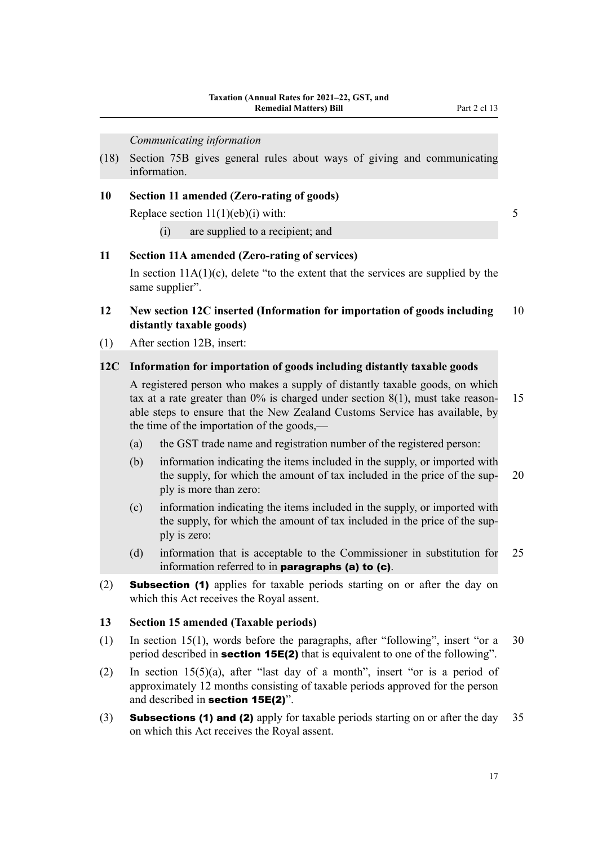*Communicating information*

(18) Section 75B gives general rules about ways of giving and communicating information.

### **10 Section 11 amended (Zero-rating of goods)**

Replace section  $11(1)(eb)(i)$  with: 5

(i) are supplied to a recipient; and

# **11 Section 11A amended (Zero-rating of services)**

In section  $11A(1)(c)$ , delete "to the extent that the services are supplied by the same supplier".

## **12 New section 12C inserted (Information for importation of goods including** 10 **distantly taxable goods)**

(1) After section 12B, insert:

#### **12C Information for importation of goods including distantly taxable goods**

A registered person who makes a supply of distantly taxable goods, on which tax at a rate greater than  $0\%$  is charged under section  $8(1)$ , must take reason- 15 able steps to ensure that the New Zealand Customs Service has available, by the time of the importation of the goods,—

- (a) the GST trade name and registration number of the registered person:
- (b) information indicating the items included in the supply, or imported with the supply, for which the amount of tax included in the price of the sup- 20 ply is more than zero:
- (c) information indicating the items included in the supply, or imported with the supply, for which the amount of tax included in the price of the sup‐ ply is zero:
- (d) information that is acceptable to the Commissioner in substitution for 25 information referred to in paragraphs (a) to (c).
- (2) Subsection (1) applies for taxable periods starting on or after the day on which this Act receives the Royal assent.

#### **13 Section 15 amended (Taxable periods)**

- (1) In section 15(1), words before the paragraphs, after "following", insert "or a 30 period described in **section 15E(2)** that is equivalent to one of the following".
- (2) In section 15(5)(a), after "last day of a month", insert "or is a period of approximately 12 months consisting of taxable periods approved for the person and described in section 15E(2)".
- (3) **Subsections (1) and (2)** apply for taxable periods starting on or after the day  $35$ on which this Act receives the Royal assent.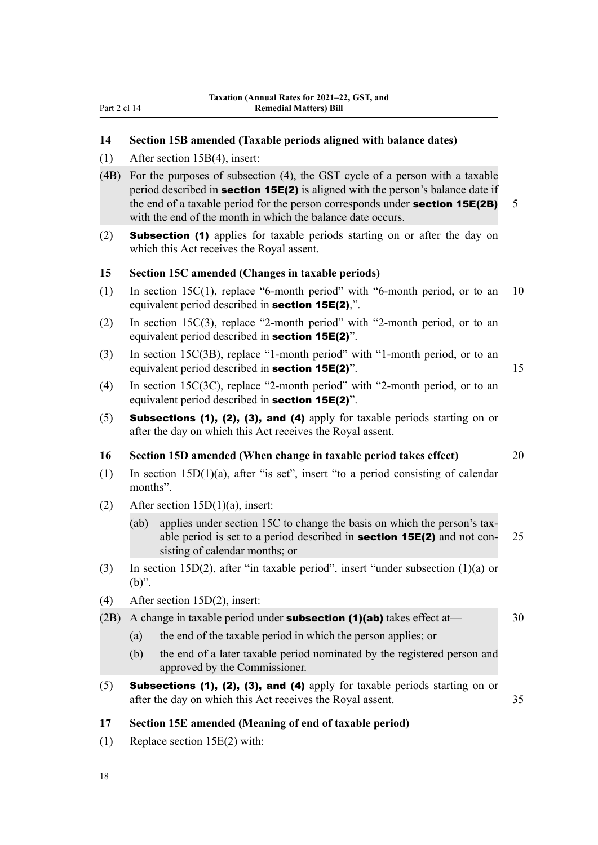# **14 Section 15B amended (Taxable periods aligned with balance dates)**

- (1) After section 15B(4), insert:
- (4B) For the purposes of subsection (4), the GST cycle of a person with a taxable period described in **section 15E(2)** is aligned with the person's balance date if the end of a taxable period for the person corresponds under **section 15E(2B)** 5 with the end of the month in which the balance date occurs.
- (2) Subsection (1) applies for taxable periods starting on or after the day on which this Act receives the Royal assent.

#### **15 Section 15C amended (Changes in taxable periods)**

- (1) In section 15C(1), replace "6-month period" with "6-month period, or to an 10 equivalent period described in section 15E(2),".
- (2) In section 15C(3), replace "2-month period" with "2-month period, or to an equivalent period described in section 15E(2)".
- (3) In section 15C(3B), replace "1-month period" with "1-month period, or to an equivalent period described in **section 15E(2)**". 15
- (4) In section 15C(3C), replace "2-month period" with "2-month period, or to an equivalent period described in section 15E(2)".
- (5) Subsections (1), (2), (3), and (4) apply for taxable periods starting on or after the day on which this Act receives the Royal assent.

# **16 Section 15D amended (When change in taxable period takes effect)** 20

- (1) In section 15D(1)(a), after "is set", insert "to a period consisting of calendar months".
- (2) After section  $15D(1)(a)$ , insert:
	- (ab) applies under section 15C to change the basis on which the person's taxable period is set to a period described in **section 15E(2)** and not con- $25$ sisting of calendar months; or
- (3) In section 15D(2), after "in taxable period", insert "under subsection (1)(a) or (b)".
- (4) After section 15D(2), insert:
- (2B) A change in taxable period under **subsection (1)(ab)** takes effect at  $\qquad$  30
	- (a) the end of the taxable period in which the person applies; or
	- (b) the end of a later taxable period nominated by the registered person and approved by the Commissioner.
- $(5)$  Subsections (1), (2), (3), and (4) apply for taxable periods starting on or after the day on which this Act receives the Royal assent. 35

## **17 Section 15E amended (Meaning of end of taxable period)**

(1) Replace section 15E(2) with: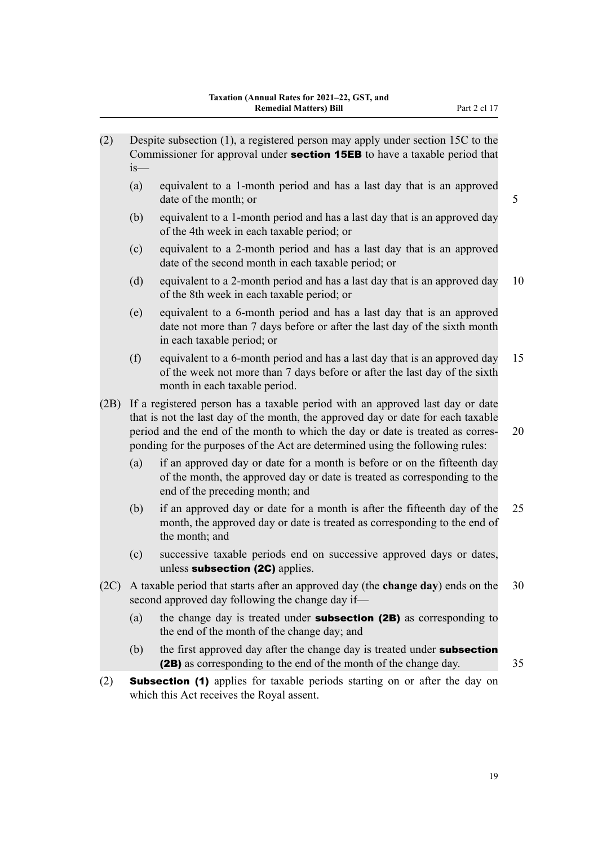| (2)  | $is$ — | Despite subsection (1), a registered person may apply under section 15C to the<br>Commissioner for approval under <b>section 15EB</b> to have a taxable period that                                                                                                                                                                  |    |
|------|--------|--------------------------------------------------------------------------------------------------------------------------------------------------------------------------------------------------------------------------------------------------------------------------------------------------------------------------------------|----|
|      | (a)    | equivalent to a 1-month period and has a last day that is an approved<br>date of the month; or                                                                                                                                                                                                                                       | 5  |
|      | (b)    | equivalent to a 1-month period and has a last day that is an approved day<br>of the 4th week in each taxable period; or                                                                                                                                                                                                              |    |
|      | (c)    | equivalent to a 2-month period and has a last day that is an approved<br>date of the second month in each taxable period; or                                                                                                                                                                                                         |    |
|      | (d)    | equivalent to a 2-month period and has a last day that is an approved day<br>of the 8th week in each taxable period; or                                                                                                                                                                                                              | 10 |
|      | (e)    | equivalent to a 6-month period and has a last day that is an approved<br>date not more than 7 days before or after the last day of the sixth month<br>in each taxable period; or                                                                                                                                                     |    |
|      | (f)    | equivalent to a 6-month period and has a last day that is an approved day<br>of the week not more than 7 days before or after the last day of the sixth<br>month in each taxable period.                                                                                                                                             | 15 |
| (2B) |        | If a registered person has a taxable period with an approved last day or date<br>that is not the last day of the month, the approved day or date for each taxable<br>period and the end of the month to which the day or date is treated as corres-<br>ponding for the purposes of the Act are determined using the following rules: | 20 |
|      | (a)    | if an approved day or date for a month is before or on the fifteenth day<br>of the month, the approved day or date is treated as corresponding to the<br>end of the preceding month; and                                                                                                                                             |    |
|      | (b)    | if an approved day or date for a month is after the fifteenth day of the<br>month, the approved day or date is treated as corresponding to the end of<br>the month; and                                                                                                                                                              | 25 |
|      | (c)    | successive taxable periods end on successive approved days or dates,<br>unless subsection (2C) applies.                                                                                                                                                                                                                              |    |
| (2C) |        | A taxable period that starts after an approved day (the <b>change day</b> ) ends on the<br>second approved day following the change day if-                                                                                                                                                                                          | 30 |
|      | (a)    | the change day is treated under <b>subsection (2B)</b> as corresponding to<br>the end of the month of the change day; and                                                                                                                                                                                                            |    |
|      | (b)    | the first approved day after the change day is treated under subsection<br>(2B) as corresponding to the end of the month of the change day.                                                                                                                                                                                          | 35 |
| (2)  |        | <b>Subsection (1)</b> applies for taxable periods starting on or after the day on<br>which this Act receives the Royal assent.                                                                                                                                                                                                       |    |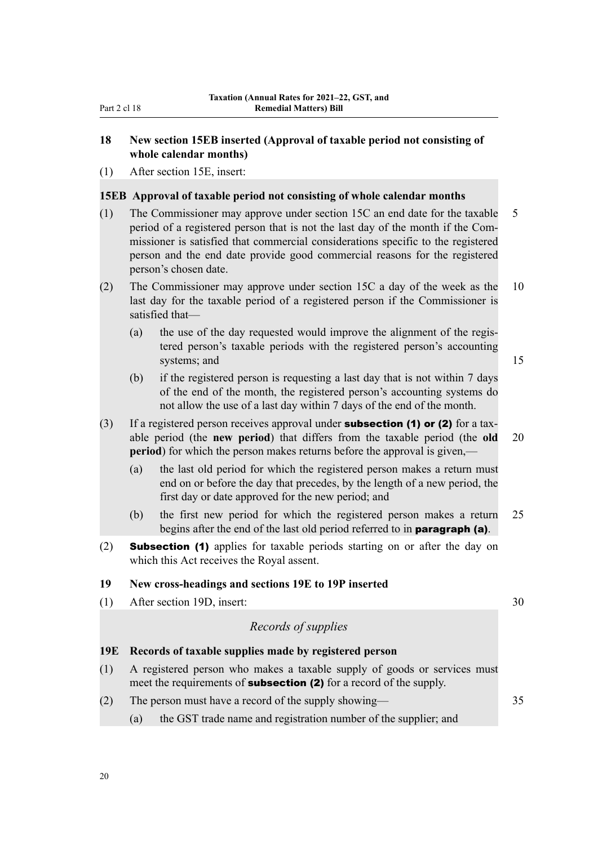## **18 New section 15EB inserted (Approval of taxable period not consisting of whole calendar months)**

(1) After section 15E, insert:

#### **15EB Approval of taxable period not consisting of whole calendar months**

- (1) The Commissioner may approve under section 15C an end date for the taxable 5 period of a registered person that is not the last day of the month if the Com‐ missioner is satisfied that commercial considerations specific to the registered person and the end date provide good commercial reasons for the registered person's chosen date.
- (2) The Commissioner may approve under section 15C a day of the week as the 10 last day for the taxable period of a registered person if the Commissioner is satisfied that—
	- (a) the use of the day requested would improve the alignment of the regis‐ tered person's taxable periods with the registered person's accounting systems; and 15
		-
	- (b) if the registered person is requesting a last day that is not within 7 days of the end of the month, the registered person's accounting systems do not allow the use of a last day within 7 days of the end of the month.
- (3) If a registered person receives approval under **subsection (1) or (2)** for a taxable period (the **new period**) that differs from the taxable period (the **old** 20 **period**) for which the person makes returns before the approval is given,—
	- (a) the last old period for which the registered person makes a return must end on or before the day that precedes, by the length of a new period, the first day or date approved for the new period; and
	- (b) the first new period for which the registered person makes a return 25 begins after the end of the last old period referred to in paragraph (a).
- (2) Subsection (1) applies for taxable periods starting on or after the day on which this Act receives the Royal assent.

#### **19 New cross-headings and sections 19E to 19P inserted**

(1) After section 19D, insert: 30

#### *Records of supplies*

#### **19E Records of taxable supplies made by registered person**

- (1) A registered person who makes a taxable supply of goods or services must meet the requirements of **subsection (2)** for a record of the supply.
- (2) The person must have a record of the supply showing— 35
	- (a) the GST trade name and registration number of the supplier; and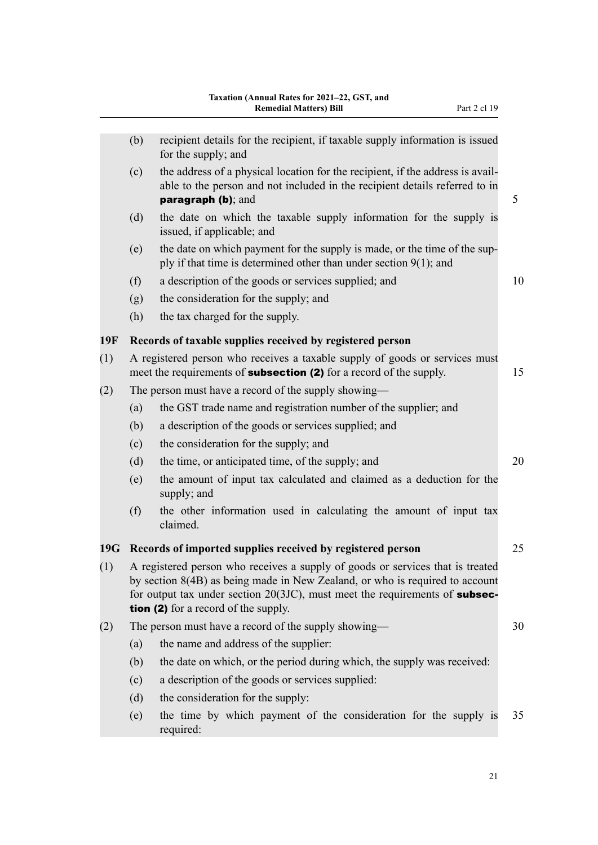|            | (b)                                                                                                                                                                                                                                                                                      | recipient details for the recipient, if taxable supply information is issued<br>for the supply; and                                                                                 |    |  |  |
|------------|------------------------------------------------------------------------------------------------------------------------------------------------------------------------------------------------------------------------------------------------------------------------------------------|-------------------------------------------------------------------------------------------------------------------------------------------------------------------------------------|----|--|--|
|            | (c)                                                                                                                                                                                                                                                                                      | the address of a physical location for the recipient, if the address is avail-<br>able to the person and not included in the recipient details referred to in<br>paragraph (b); and | 5  |  |  |
|            | (d)                                                                                                                                                                                                                                                                                      | the date on which the taxable supply information for the supply is<br>issued, if applicable; and                                                                                    |    |  |  |
|            | (e)                                                                                                                                                                                                                                                                                      | the date on which payment for the supply is made, or the time of the sup-<br>ply if that time is determined other than under section $9(1)$ ; and                                   |    |  |  |
|            | (f)                                                                                                                                                                                                                                                                                      | a description of the goods or services supplied; and                                                                                                                                | 10 |  |  |
|            | (g)                                                                                                                                                                                                                                                                                      | the consideration for the supply; and                                                                                                                                               |    |  |  |
|            | (h)                                                                                                                                                                                                                                                                                      | the tax charged for the supply.                                                                                                                                                     |    |  |  |
| <b>19F</b> |                                                                                                                                                                                                                                                                                          | Records of taxable supplies received by registered person                                                                                                                           |    |  |  |
| (1)        |                                                                                                                                                                                                                                                                                          | A registered person who receives a taxable supply of goods or services must<br>15<br>meet the requirements of <b>subsection (2)</b> for a record of the supply.                     |    |  |  |
| (2)        |                                                                                                                                                                                                                                                                                          | The person must have a record of the supply showing—                                                                                                                                |    |  |  |
|            | (a)                                                                                                                                                                                                                                                                                      | the GST trade name and registration number of the supplier; and                                                                                                                     |    |  |  |
|            | (b)                                                                                                                                                                                                                                                                                      | a description of the goods or services supplied; and                                                                                                                                |    |  |  |
|            | (c)                                                                                                                                                                                                                                                                                      | the consideration for the supply; and                                                                                                                                               |    |  |  |
|            | (d)                                                                                                                                                                                                                                                                                      | the time, or anticipated time, of the supply; and                                                                                                                                   | 20 |  |  |
|            | (e)                                                                                                                                                                                                                                                                                      | the amount of input tax calculated and claimed as a deduction for the<br>supply; and                                                                                                |    |  |  |
|            | (f)                                                                                                                                                                                                                                                                                      | the other information used in calculating the amount of input tax<br>claimed.                                                                                                       |    |  |  |
|            |                                                                                                                                                                                                                                                                                          | 19G Records of imported supplies received by registered person                                                                                                                      | 25 |  |  |
| (1)        | A registered person who receives a supply of goods or services that is treated<br>by section 8(4B) as being made in New Zealand, or who is required to account<br>for output tax under section $20(3JC)$ , must meet the requirements of subsec-<br>tion (2) for a record of the supply. |                                                                                                                                                                                     |    |  |  |
| (2)        |                                                                                                                                                                                                                                                                                          | The person must have a record of the supply showing—                                                                                                                                | 30 |  |  |
|            | (a)                                                                                                                                                                                                                                                                                      | the name and address of the supplier:                                                                                                                                               |    |  |  |
|            | (b)                                                                                                                                                                                                                                                                                      | the date on which, or the period during which, the supply was received:                                                                                                             |    |  |  |
|            | (c)                                                                                                                                                                                                                                                                                      | a description of the goods or services supplied:                                                                                                                                    |    |  |  |
|            | (d)                                                                                                                                                                                                                                                                                      | the consideration for the supply:                                                                                                                                                   |    |  |  |
|            | (e)                                                                                                                                                                                                                                                                                      | the time by which payment of the consideration for the supply is<br>required:                                                                                                       | 35 |  |  |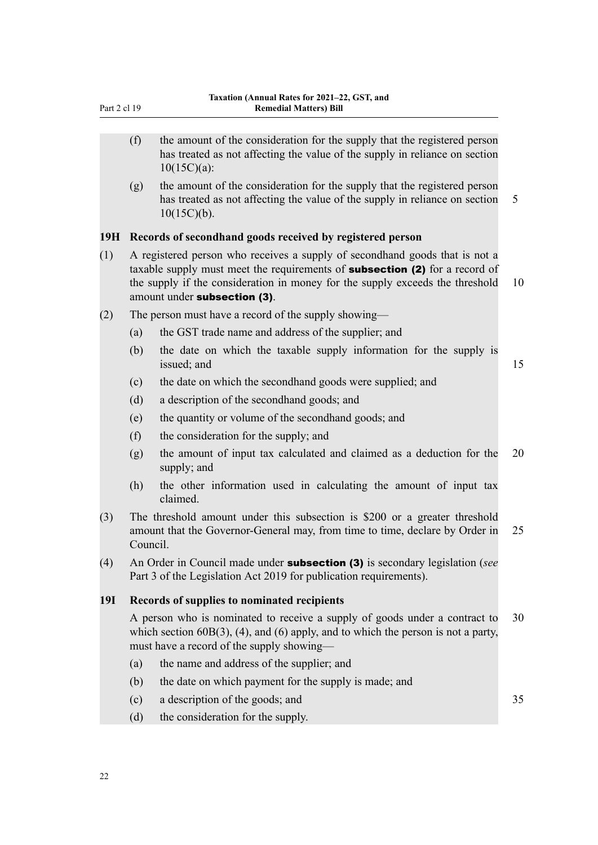- (f) the amount of the consideration for the supply that the registered person has treated as not affecting the value of the supply in reliance on section 10(15C)(a):
- (g) the amount of the consideration for the supply that the registered person has treated as not affecting the value of the supply in reliance on section 5  $10(15C)(b)$ .

### **19H Records of secondhand goods received by registered person**

- (1) A registered person who receives a supply of secondhand goods that is not a taxable supply must meet the requirements of **subsection (2)** for a record of the supply if the consideration in money for the supply exceeds the threshold 10 amount under subsection (3).
- (2) The person must have a record of the supply showing—
	- (a) the GST trade name and address of the supplier; and
	- (b) the date on which the taxable supply information for the supply is issued; and 15
	- (c) the date on which the secondhand goods were supplied; and
	- (d) a description of the secondhand goods; and
	- (e) the quantity or volume of the secondhand goods; and
	- (f) the consideration for the supply; and
	- (g) the amount of input tax calculated and claimed as a deduction for the 20 supply; and
	- (h) the other information used in calculating the amount of input tax claimed.
- (3) The threshold amount under this subsection is \$200 or a greater threshold amount that the Governor-General may, from time to time, declare by Order in 25 Council.
- (4) An Order in Council made under subsection (3) is secondary legislation (*see* Part 3 of the Legislation Act 2019 for publication requirements).

## **19I Records of supplies to nominated recipients**

A person who is nominated to receive a supply of goods under a contract to 30 which section 60B(3), (4), and (6) apply, and to which the person is not a party, must have a record of the supply showing—

- (a) the name and address of the supplier; and
- (b) the date on which payment for the supply is made; and
- (c) a description of the goods; and 35
- (d) the consideration for the supply.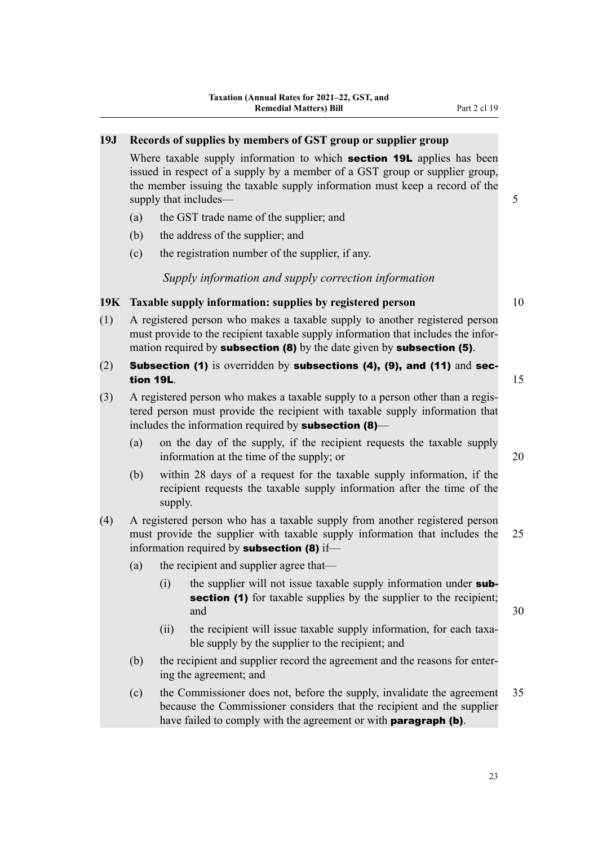# **19J Records of supplies by members of GST group or supplier group**

Where taxable supply information to which **section 19L** applies has been issued in respect of a supply by a member of a GST group or supplier group, the member issuing the taxable supply information must keep a record of the supply that includes— 5

- (a) the GST trade name of the supplier; and
- (b) the address of the supplier; and
- (c) the registration number of the supplier, if any.

*Supply information and supply correction information*

## **19K Taxable supply information: supplies by registered person** 10

- (1) A registered person who makes a taxable supply to another registered person must provide to the recipient taxable supply information that includes the information required by **subsection (8)** by the date given by **subsection (5)**.
- (2) Subsection (1) is overridden by subsections (4), (9), and (11) and section 19L.  $15$
- (3) A registered person who makes a taxable supply to a person other than a regis‐ tered person must provide the recipient with taxable supply information that includes the information required by **subsection (8)**—
	- (a) on the day of the supply, if the recipient requests the taxable supply information at the time of the supply; or 20
	- (b) within 28 days of a request for the taxable supply information, if the recipient requests the taxable supply information after the time of the supply.
- (4) A registered person who has a taxable supply from another registered person must provide the supplier with taxable supply information that includes the 25 information required by **subsection (8)** if—
	- (a) the recipient and supplier agree that—
		- $(i)$  the supplier will not issue taxable supply information under subsection (1) for taxable supplies by the supplier to the recipient; and  $30$
		- (ii) the recipient will issue taxable supply information, for each taxable supply by the supplier to the recipient; and
	- (b) the recipient and supplier record the agreement and the reasons for entering the agreement; and
	- (c) the Commissioner does not, before the supply, invalidate the agreement 35 because the Commissioner considers that the recipient and the supplier have failed to comply with the agreement or with **paragraph (b)**.

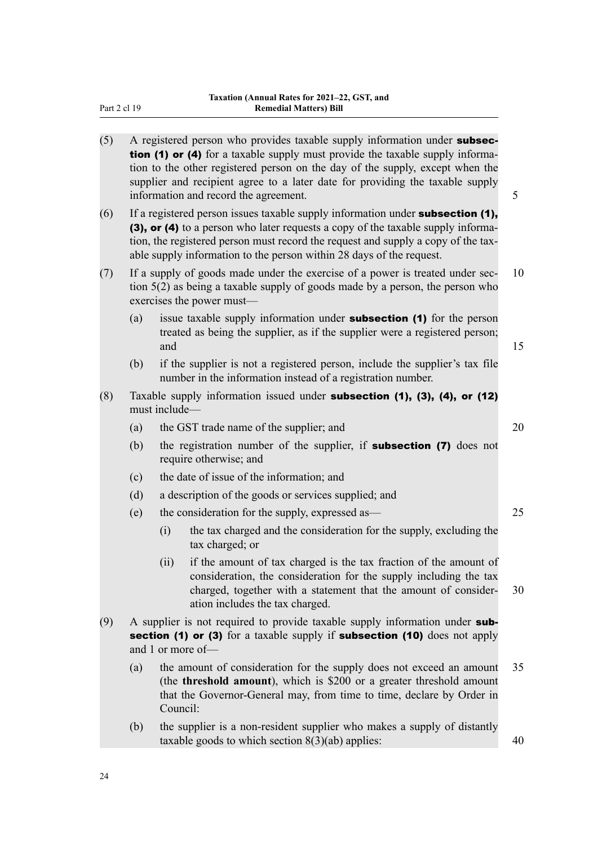| (5) |     |                                                                                                                                                                               | A registered person who provides taxable supply information under subsec-<br>tion (1) or (4) for a taxable supply must provide the taxable supply informa-<br>tion to the other registered person on the day of the supply, except when the<br>supplier and recipient agree to a later date for providing the taxable supply<br>information and record the agreement. | 5  |  |  |  |
|-----|-----|-------------------------------------------------------------------------------------------------------------------------------------------------------------------------------|-----------------------------------------------------------------------------------------------------------------------------------------------------------------------------------------------------------------------------------------------------------------------------------------------------------------------------------------------------------------------|----|--|--|--|
| (6) |     |                                                                                                                                                                               | If a registered person issues taxable supply information under subsection (1),<br>(3), or (4) to a person who later requests a copy of the taxable supply informa-<br>tion, the registered person must record the request and supply a copy of the tax-<br>able supply information to the person within 28 days of the request.                                       |    |  |  |  |
| (7) |     |                                                                                                                                                                               | If a supply of goods made under the exercise of a power is treated under sec-<br>tion $5(2)$ as being a taxable supply of goods made by a person, the person who<br>exercises the power must—                                                                                                                                                                         | 10 |  |  |  |
|     | (a) | and                                                                                                                                                                           | issue taxable supply information under <b>subsection (1)</b> for the person<br>treated as being the supplier, as if the supplier were a registered person;                                                                                                                                                                                                            | 15 |  |  |  |
|     | (b) |                                                                                                                                                                               | if the supplier is not a registered person, include the supplier's tax file<br>number in the information instead of a registration number.                                                                                                                                                                                                                            |    |  |  |  |
| (8) |     | Taxable supply information issued under subsection (1), (3), (4), or (12)<br>must include-                                                                                    |                                                                                                                                                                                                                                                                                                                                                                       |    |  |  |  |
|     | (a) |                                                                                                                                                                               | the GST trade name of the supplier; and                                                                                                                                                                                                                                                                                                                               | 20 |  |  |  |
|     | (b) |                                                                                                                                                                               | the registration number of the supplier, if <b>subsection (7)</b> does not<br>require otherwise; and                                                                                                                                                                                                                                                                  |    |  |  |  |
|     | (c) | the date of issue of the information; and                                                                                                                                     |                                                                                                                                                                                                                                                                                                                                                                       |    |  |  |  |
|     | (d) |                                                                                                                                                                               | a description of the goods or services supplied; and                                                                                                                                                                                                                                                                                                                  |    |  |  |  |
|     | (e) |                                                                                                                                                                               | the consideration for the supply, expressed as-                                                                                                                                                                                                                                                                                                                       | 25 |  |  |  |
|     |     | (i)                                                                                                                                                                           | the tax charged and the consideration for the supply, excluding the<br>tax charged; or                                                                                                                                                                                                                                                                                |    |  |  |  |
|     |     | (ii)                                                                                                                                                                          | if the amount of tax charged is the tax fraction of the amount of<br>consideration, the consideration for the supply including the tax<br>charged, together with a statement that the amount of consider-<br>ation includes the tax charged.                                                                                                                          | 30 |  |  |  |
| (9) |     | A supplier is not required to provide taxable supply information under sub-<br>section (1) or (3) for a taxable supply if subsection (10) does not apply<br>and 1 or more of- |                                                                                                                                                                                                                                                                                                                                                                       |    |  |  |  |
|     | (a) | Council:                                                                                                                                                                      | the amount of consideration for the supply does not exceed an amount<br>(the <b>threshold amount</b> ), which is \$200 or a greater threshold amount<br>that the Governor-General may, from time to time, declare by Order in                                                                                                                                         | 35 |  |  |  |
|     | (b) |                                                                                                                                                                               | the supplier is a non-resident supplier who makes a supply of distantly<br>taxable goods to which section $8(3)(ab)$ applies:                                                                                                                                                                                                                                         | 40 |  |  |  |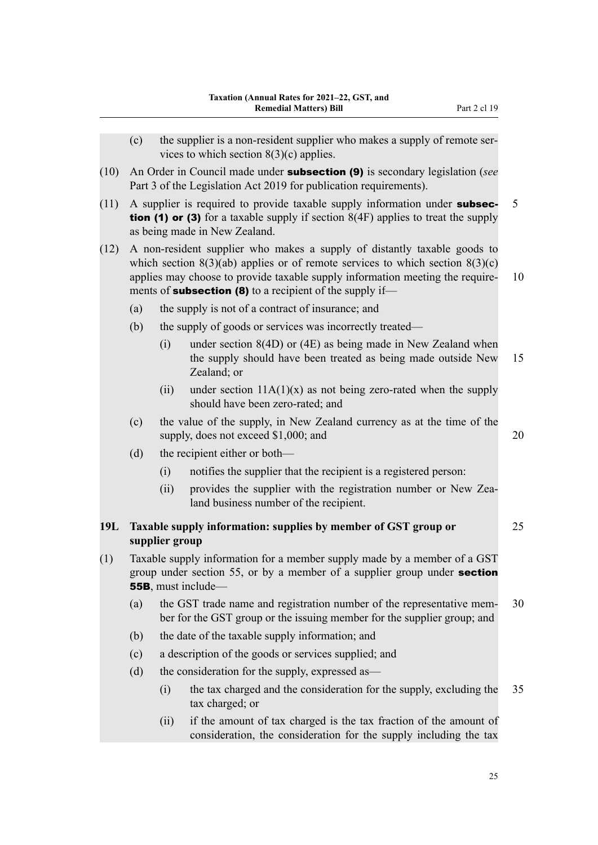|      | (c) |                                                                                                                                                         | the supplier is a non-resident supplier who makes a supply of remote ser-<br>vices to which section $8(3)(c)$ applies.                                                                                                                                                                                            |    |  |  |
|------|-----|---------------------------------------------------------------------------------------------------------------------------------------------------------|-------------------------------------------------------------------------------------------------------------------------------------------------------------------------------------------------------------------------------------------------------------------------------------------------------------------|----|--|--|
| (10) |     | An Order in Council made under <b>subsection (9)</b> is secondary legislation (see<br>Part 3 of the Legislation Act 2019 for publication requirements). |                                                                                                                                                                                                                                                                                                                   |    |  |  |
| (11) |     |                                                                                                                                                         | A supplier is required to provide taxable supply information under subsec-<br><b>tion (1) or (3)</b> for a taxable supply if section $8(4F)$ applies to treat the supply<br>as being made in New Zealand.                                                                                                         | 5  |  |  |
| (12) |     |                                                                                                                                                         | A non-resident supplier who makes a supply of distantly taxable goods to<br>which section $8(3)(ab)$ applies or of remote services to which section $8(3)(c)$<br>applies may choose to provide taxable supply information meeting the require-<br>ments of <b>subsection (8)</b> to a recipient of the supply if- | 10 |  |  |
|      | (a) |                                                                                                                                                         | the supply is not of a contract of insurance; and                                                                                                                                                                                                                                                                 |    |  |  |
|      | (b) |                                                                                                                                                         | the supply of goods or services was incorrectly treated—                                                                                                                                                                                                                                                          |    |  |  |
|      |     | (i)                                                                                                                                                     | under section $8(4D)$ or $(4E)$ as being made in New Zealand when<br>the supply should have been treated as being made outside New<br>Zealand; or                                                                                                                                                                 | 15 |  |  |
|      |     | (ii)                                                                                                                                                    | under section $11A(1)(x)$ as not being zero-rated when the supply<br>should have been zero-rated; and                                                                                                                                                                                                             |    |  |  |
|      | (c) |                                                                                                                                                         | the value of the supply, in New Zealand currency as at the time of the<br>supply, does not exceed \$1,000; and                                                                                                                                                                                                    | 20 |  |  |
|      | (d) |                                                                                                                                                         | the recipient either or both—                                                                                                                                                                                                                                                                                     |    |  |  |
|      |     | (i)                                                                                                                                                     | notifies the supplier that the recipient is a registered person:                                                                                                                                                                                                                                                  |    |  |  |
|      |     | (ii)                                                                                                                                                    | provides the supplier with the registration number or New Zea-<br>land business number of the recipient.                                                                                                                                                                                                          |    |  |  |
| 19L  |     | supplier group                                                                                                                                          | Taxable supply information: supplies by member of GST group or                                                                                                                                                                                                                                                    | 25 |  |  |
| (1)  |     |                                                                                                                                                         | Taxable supply information for a member supply made by a member of a GST<br>group under section 55, or by a member of a supplier group under section<br><b>55B</b> , must include—                                                                                                                                |    |  |  |
|      | (a) |                                                                                                                                                         | the GST trade name and registration number of the representative mem-<br>ber for the GST group or the issuing member for the supplier group; and                                                                                                                                                                  | 30 |  |  |
|      | (b) |                                                                                                                                                         | the date of the taxable supply information; and                                                                                                                                                                                                                                                                   |    |  |  |
|      | (c) |                                                                                                                                                         | a description of the goods or services supplied; and                                                                                                                                                                                                                                                              |    |  |  |
|      | (d) |                                                                                                                                                         | the consideration for the supply, expressed as—                                                                                                                                                                                                                                                                   |    |  |  |
|      |     | (i)                                                                                                                                                     | the tax charged and the consideration for the supply, excluding the<br>tax charged; or                                                                                                                                                                                                                            | 35 |  |  |
|      |     | (ii)                                                                                                                                                    | if the amount of tax charged is the tax fraction of the amount of<br>consideration, the consideration for the supply including the tax                                                                                                                                                                            |    |  |  |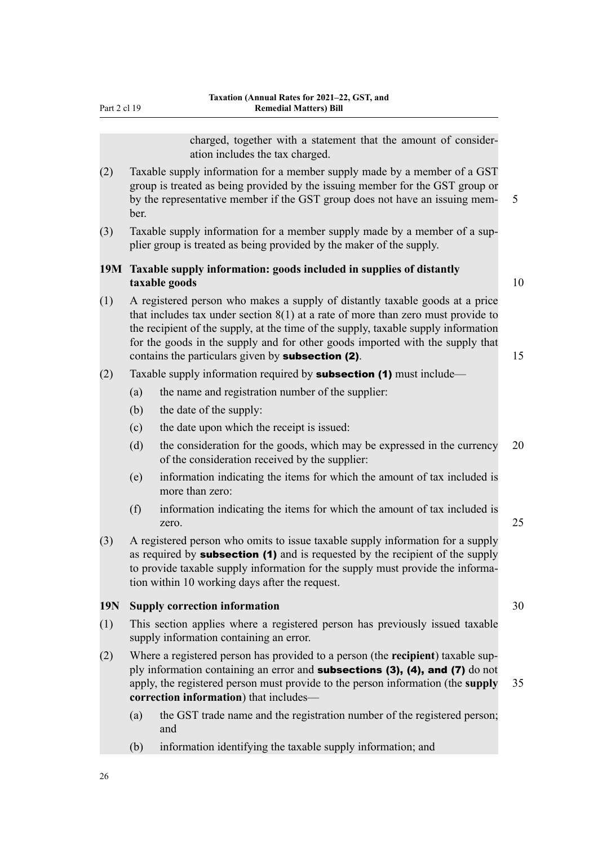Part 2 cl 19

charged, together with a statement that the amount of consider‐ ation includes the tax charged.

- (2) Taxable supply information for a member supply made by a member of a GST group is treated as being provided by the issuing member for the GST group or by the representative member if the GST group does not have an issuing mem- 5 ber.
- (3) Taxable supply information for a member supply made by a member of a sup‐ plier group is treated as being provided by the maker of the supply.

## **19M Taxable supply information: goods included in supplies of distantly taxable goods** 10

(1) A registered person who makes a supply of distantly taxable goods at a price that includes tax under section 8(1) at a rate of more than zero must provide to the recipient of the supply, at the time of the supply, taxable supply information for the goods in the supply and for other goods imported with the supply that contains the particulars given by **subsection (2)**.  $15$ 

# (2) Taxable supply information required by **subsection (1)** must include—

- (a) the name and registration number of the supplier:
- (b) the date of the supply:
- (c) the date upon which the receipt is issued:
- (d) the consideration for the goods, which may be expressed in the currency 20 of the consideration received by the supplier:
- (e) information indicating the items for which the amount of tax included is more than zero:
- (f) information indicating the items for which the amount of tax included is zero. 25
- (3) A registered person who omits to issue taxable supply information for a supply as required by **subsection (1)** and is requested by the recipient of the supply to provide taxable supply information for the supply must provide the information within 10 working days after the request.

## **19N Supply correction information** 30

- (1) This section applies where a registered person has previously issued taxable supply information containing an error.
- (2) Where a registered person has provided to a person (the **recipient**) taxable sup‐ ply information containing an error and subsections (3), (4), and (7) do not apply, the registered person must provide to the person information (the **supply** 35 **correction information**) that includes—
	- (a) the GST trade name and the registration number of the registered person; and
	- (b) information identifying the taxable supply information; and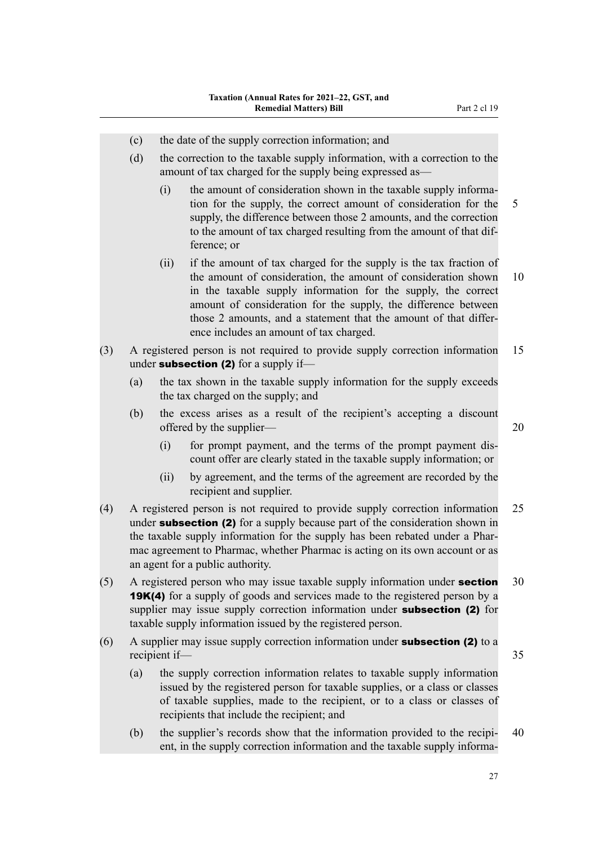- (c) the date of the supply correction information; and
- (d) the correction to the taxable supply information, with a correction to the amount of tax charged for the supply being expressed as—
	- (i) the amount of consideration shown in the taxable supply information for the supply, the correct amount of consideration for the 5 supply, the difference between those 2 amounts, and the correction to the amount of tax charged resulting from the amount of that dif‐ ference; or
	- (ii) if the amount of tax charged for the supply is the tax fraction of the amount of consideration, the amount of consideration shown 10 in the taxable supply information for the supply, the correct amount of consideration for the supply, the difference between those 2 amounts, and a statement that the amount of that differ‐ ence includes an amount of tax charged.
- (3) A registered person is not required to provide supply correction information 15 under **subsection (2)** for a supply if-
	- (a) the tax shown in the taxable supply information for the supply exceeds the tax charged on the supply; and
	- (b) the excess arises as a result of the recipient's accepting a discount offered by the supplier— 20
		- (i) for prompt payment, and the terms of the prompt payment dis‐ count offer are clearly stated in the taxable supply information; or
		- (ii) by agreement, and the terms of the agreement are recorded by the recipient and supplier.
- (4) A registered person is not required to provide supply correction information 25 under **subsection (2)** for a supply because part of the consideration shown in the taxable supply information for the supply has been rebated under a Pharmac agreement to Pharmac, whether Pharmac is acting on its own account or as an agent for a public authority.
- (5) A registered person who may issue taxable supply information under **section**  $30$ **19K(4)** for a supply of goods and services made to the registered person by a supplier may issue supply correction information under **subsection (2)** for taxable supply information issued by the registered person.
- $(6)$  A supplier may issue supply correction information under **subsection (2)** to a recipient if— 35
	- (a) the supply correction information relates to taxable supply information issued by the registered person for taxable supplies, or a class or classes of taxable supplies, made to the recipient, or to a class or classes of recipients that include the recipient; and
	- (b) the supplier's records show that the information provided to the recipi-  $40$ ent, in the supply correction information and the taxable supply informa-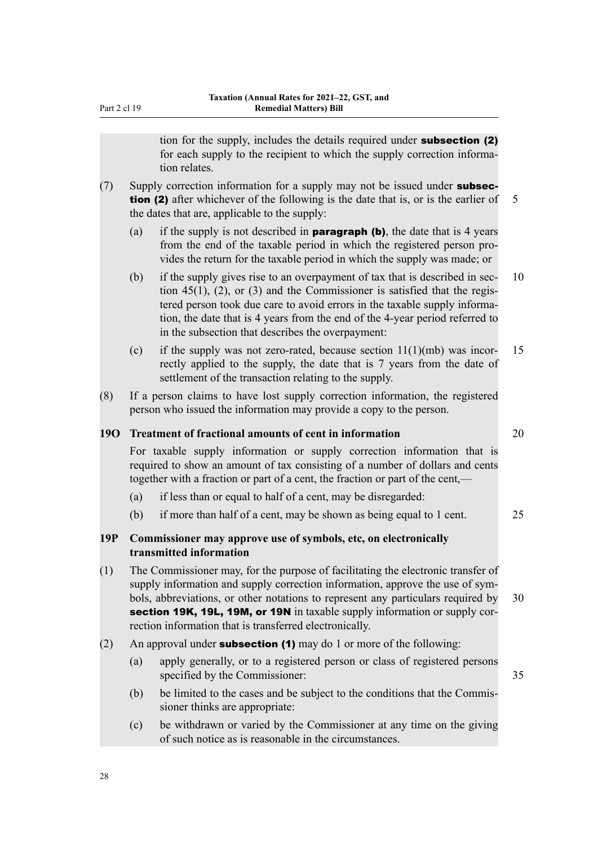tion for the supply, includes the details required under **subsection (2)** for each supply to the recipient to which the supply correction information relates. (7) Supply correction information for a supply may not be issued under **subsection (2)** after whichever of the following is the date that is, or is the earlier of  $\overline{5}$ the dates that are, applicable to the supply: (a) if the supply is not described in **paragraph (b)**, the date that is 4 years from the end of the taxable period in which the registered person pro‐ vides the return for the taxable period in which the supply was made; or (b) if the supply gives rise to an overpayment of tax that is described in sec- 10 tion  $45(1)$ ,  $(2)$ , or  $(3)$  and the Commissioner is satisfied that the registered person took due care to avoid errors in the taxable supply information, the date that is 4 years from the end of the 4-year period referred to in the subsection that describes the overpayment: (c) if the supply was not zero-rated, because section  $11(1)(mb)$  was incor- 15 rectly applied to the supply, the date that is 7 years from the date of settlement of the transaction relating to the supply. (8) If a person claims to have lost supply correction information, the registered person who issued the information may provide a copy to the person. **19O Treatment of fractional amounts of cent in information** 20 For taxable supply information or supply correction information that is required to show an amount of tax consisting of a number of dollars and cents together with a fraction or part of a cent, the fraction or part of the cent,— (a) if less than or equal to half of a cent, may be disregarded: (b) if more than half of a cent, may be shown as being equal to 1 cent. 25 **19P Commissioner may approve use of symbols, etc, on electronically transmitted information** (1) The Commissioner may, for the purpose of facilitating the electronic transfer of supply information and supply correction information, approve the use of symbols, abbreviations, or other notations to represent any particulars required by 30 section 19K, 19L, 19M, or 19N in taxable supply information or supply correction information that is transferred electronically. (2) An approval under **subsection (1)** may do 1 or more of the following: (a) apply generally, or to a registered person or class of registered persons specified by the Commissioner: 35 (b) be limited to the cases and be subject to the conditions that the Commissioner thinks are appropriate: (c) be withdrawn or varied by the Commissioner at any time on the giving of such notice as is reasonable in the circumstances.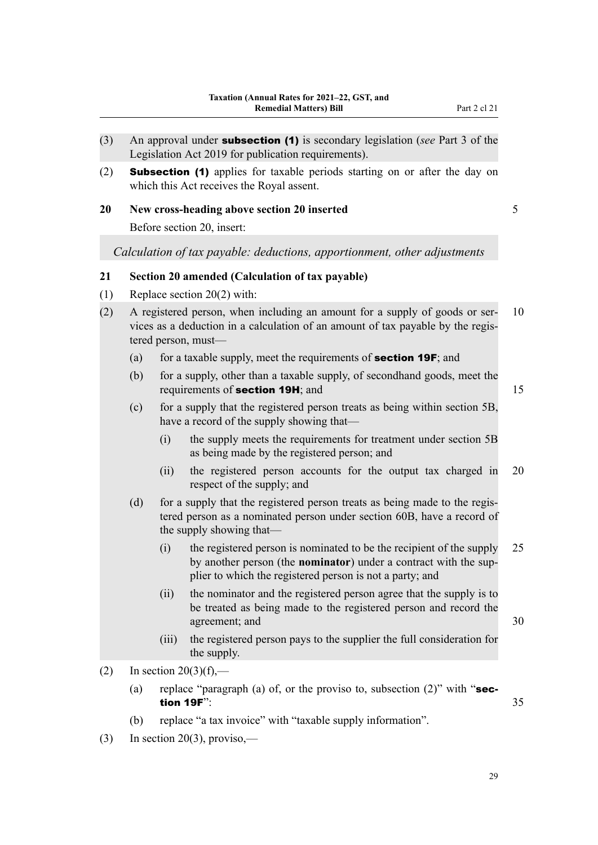- (3) An approval under subsection (1) is secondary legislation (*see* Part 3 of the Legislation Act 2019 for publication requirements).
- (2) Subsection (1) applies for taxable periods starting on or after the day on which this Act receives the Royal assent.
- **20 New cross-heading above section 20 inserted** 5

Before section 20, insert:

*Calculation of tax payable: deductions, apportionment, other adjustments*

## **21 Section 20 amended (Calculation of tax payable)**

- (1) Replace section 20(2) with:
- (2) A registered person, when including an amount for a supply of goods or ser-  $10$ vices as a deduction in a calculation of an amount of tax payable by the regis‐ tered person, must—
	- (a) for a taxable supply, meet the requirements of **section 19F**; and
	- (b) for a supply, other than a taxable supply, of secondhand goods, meet the requirements of **section 19H**; and 15
	- (c) for a supply that the registered person treats as being within section 5B, have a record of the supply showing that—
		- (i) the supply meets the requirements for treatment under section 5B as being made by the registered person; and
		- (ii) the registered person accounts for the output tax charged in 20 respect of the supply; and
	- (d) for a supply that the registered person treats as being made to the registered person as a nominated person under section 60B, have a record of the supply showing that—
		- (i) the registered person is nominated to be the recipient of the supply 25 by another person (the **nominator**) under a contract with the sup‐ plier to which the registered person is not a party; and
		- (ii) the nominator and the registered person agree that the supply is to be treated as being made to the registered person and record the agreement; and 30
		- (iii) the registered person pays to the supplier the full consideration for the supply.
- (2) In section  $20(3)(f)$ ,—
	- (a) replace "paragraph (a) of, or the proviso to, subsection  $(2)$ " with "section 19F": 35
	- (b) replace "a tax invoice" with "taxable supply information".
- (3) In section 20(3), proviso,—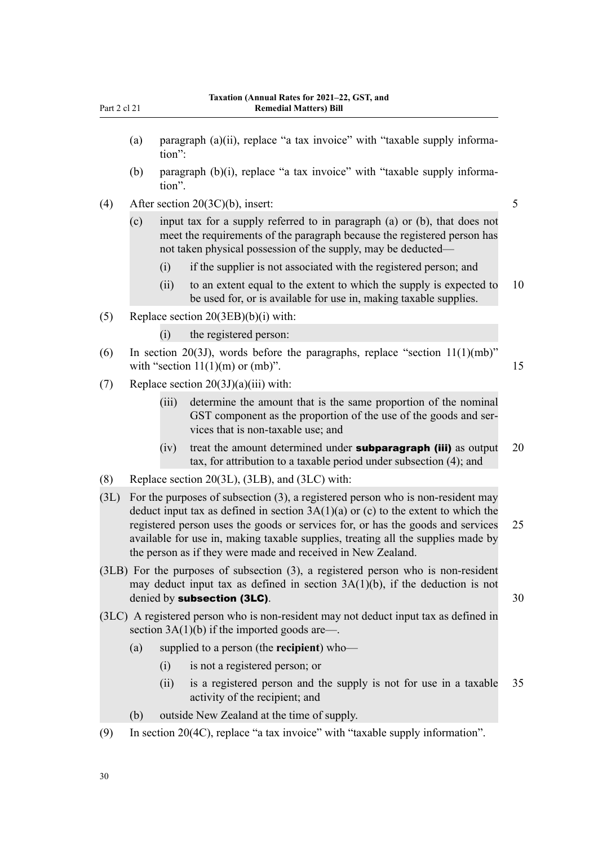- (a) paragraph (a)(ii), replace "a tax invoice" with "taxable supply information":
- (b) paragraph  $(b)(i)$ , replace "a tax invoice" with "taxable supply information".
- (4) After section  $20(3C)(b)$ , insert: 5
	- (c) input tax for a supply referred to in paragraph (a) or (b), that does not meet the requirements of the paragraph because the registered person has not taken physical possession of the supply, may be deducted—
		- (i) if the supplier is not associated with the registered person; and
		- (ii) to an extent equal to the extent to which the supply is expected to 10 be used for, or is available for use in, making taxable supplies.
- (5) Replace section 20(3EB)(b)(i) with:
	- (i) the registered person:
- (6) In section 20(3J), words before the paragraphs, replace "section  $11(1)(mb)$ " with "section  $11(1)(m)$  or (mb)". 15
- (7) Replace section  $20(3J)(a)(iii)$  with:
	- (iii) determine the amount that is the same proportion of the nominal GST component as the proportion of the use of the goods and services that is non-taxable use; and
	- (iv) treat the amount determined under **subparagraph (iii)** as output  $20$ tax, for attribution to a taxable period under subsection (4); and
- (8) Replace section 20(3L), (3LB), and (3LC) with:
- (3L) For the purposes of subsection (3), a registered person who is non-resident may deduct input tax as defined in section  $3A(1)(a)$  or (c) to the extent to which the registered person uses the goods or services for, or has the goods and services 25 available for use in, making taxable supplies, treating all the supplies made by the person as if they were made and received in New Zealand.
- (3LB) For the purposes of subsection (3), a registered person who is non-resident may deduct input tax as defined in section 3A(1)(b), if the deduction is not denied by **subsection (3LC)**. 30
- (3LC) A registered person who is non-resident may not deduct input tax as defined in section  $3A(1)(b)$  if the imported goods are—.
	- (a) supplied to a person (the **recipient**) who—
		- (i) is not a registered person; or
		- (ii) is a registered person and the supply is not for use in a taxable 35 activity of the recipient; and
	- (b) outside New Zealand at the time of supply.
- (9) In section 20(4C), replace "a tax invoice" with "taxable supply information".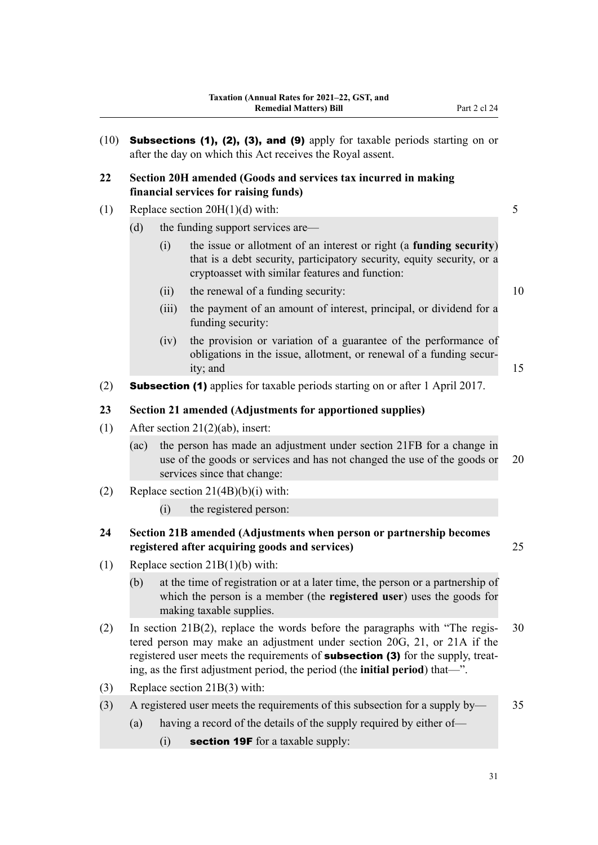|      |       | Subsections (1), (2), (3), and (9) apply for taxable periods starting on or<br>after the day on which this Act receives the Royal assent.                                                                                                            |    |
|------|-------|------------------------------------------------------------------------------------------------------------------------------------------------------------------------------------------------------------------------------------------------------|----|
|      |       | Section 20H amended (Goods and services tax incurred in making<br>financial services for raising funds)                                                                                                                                              |    |
|      |       | Replace section $20H(1)(d)$ with:                                                                                                                                                                                                                    | 5  |
| (d)  |       | the funding support services are—                                                                                                                                                                                                                    |    |
|      | (i)   | the issue or allotment of an interest or right (a funding security)<br>that is a debt security, participatory security, equity security, or a<br>cryptoasset with similar features and function:                                                     |    |
|      | (ii)  | the renewal of a funding security:                                                                                                                                                                                                                   | 10 |
|      | (iii) | the payment of an amount of interest, principal, or dividend for a<br>funding security:                                                                                                                                                              |    |
|      | (iv)  | the provision or variation of a guarantee of the performance of<br>obligations in the issue, allotment, or renewal of a funding secur-<br>ity; and                                                                                                   | 15 |
|      |       | <b>Subsection (1)</b> applies for taxable periods starting on or after 1 April 2017.                                                                                                                                                                 |    |
|      |       | Section 21 amended (Adjustments for apportioned supplies)                                                                                                                                                                                            |    |
|      |       | After section $21(2)(ab)$ , insert:                                                                                                                                                                                                                  |    |
| (ac) |       | the person has made an adjustment under section 21FB for a change in<br>use of the goods or services and has not changed the use of the goods or<br>services since that change:                                                                      | 20 |
|      |       | Replace section $21(4B)(b)(i)$ with:                                                                                                                                                                                                                 |    |
|      | (i)   | the registered person:                                                                                                                                                                                                                               |    |
|      |       | Section 21B amended (Adjustments when person or partnership becomes<br>registered after acquiring goods and services)                                                                                                                                | 25 |
|      |       | Replace section $21B(1)(b)$ with:                                                                                                                                                                                                                    |    |
| (b)  |       | at the time of registration or at a later time, the person or a partnership of<br>which the person is a member (the <b>registered user</b> ) uses the goods for<br>making taxable supplies.                                                          |    |
|      |       | In section $21B(2)$ , replace the words before the paragraphs with "The regis-<br>tered person may make an adjustment under section 20G, 21, or 21A if the<br>registered user meets the requirements of <b>subsection (3)</b> for the supply, treat- | 30 |

- (3) Replace section 21B(3) with:
- (3) A registered user meets the requirements of this subsection for a supply by— 35
	- (a) having a record of the details of the supply required by either of—

ing, as the first adjustment period, the period (the **initial period**) that—".

(i) section 19F for a taxable supply: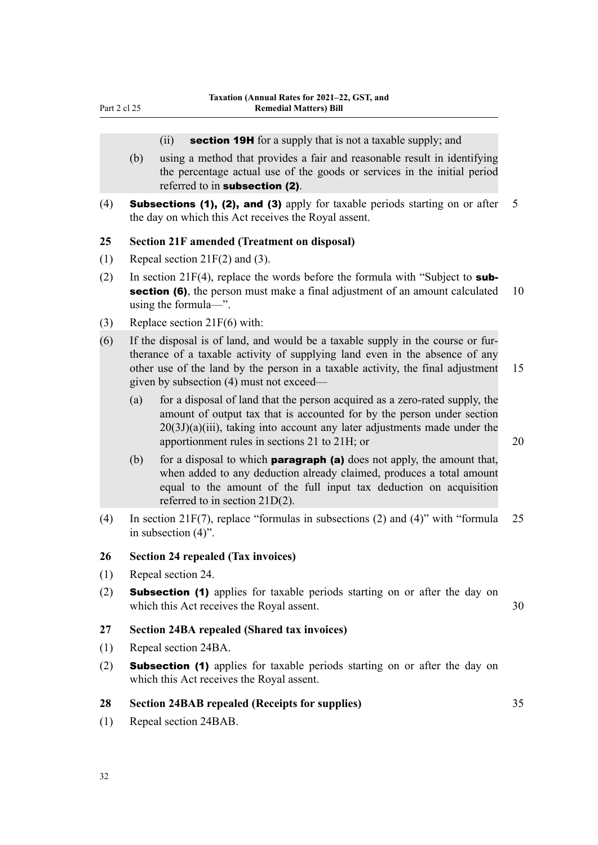#### (ii) section 19H for a supply that is not a taxable supply; and

- (b) using a method that provides a fair and reasonable result in identifying the percentage actual use of the goods or services in the initial period referred to in subsection (2).
- (4) **Subsections (1), (2), and (3)** apply for taxable periods starting on or after  $5$ the day on which this Act receives the Royal assent.

### **25 Section 21F amended (Treatment on disposal)**

- (1) Repeal section 21F(2) and (3).
- (2) In section 21F(4), replace the words before the formula with "Subject to **subsection (6)**, the person must make a final adjustment of an amount calculated 10 using the formula—".
- (3) Replace section 21F(6) with:
- (6) If the disposal is of land, and would be a taxable supply in the course or fur‐ therance of a taxable activity of supplying land even in the absence of any other use of the land by the person in a taxable activity, the final adjustment 15 given by subsection (4) must not exceed—
	- (a) for a disposal of land that the person acquired as a zero-rated supply, the amount of output tax that is accounted for by the person under section  $20(3J)(a)(iii)$ , taking into account any later adjustments made under the apportionment rules in sections 21 to 21H; or 20

- (b) for a disposal to which **paragraph (a)** does not apply, the amount that, when added to any deduction already claimed, produces a total amount equal to the amount of the full input tax deduction on acquisition referred to in section 21D(2).
- (4) In section 21F(7), replace "formulas in subsections (2) and (4)" with "formula 25 in subsection (4)".

## **26 Section 24 repealed (Tax invoices)**

- (1) Repeal section 24.
- (2) Subsection (1) applies for taxable periods starting on or after the day on which this Act receives the Royal assent. 30

#### **27 Section 24BA repealed (Shared tax invoices)**

- (1) Repeal section 24BA.
- (2) Subsection (1) applies for taxable periods starting on or after the day on which this Act receives the Royal assent.

#### **28 Section 24BAB repealed (Receipts for supplies)** 35

(1) Repeal section 24BAB.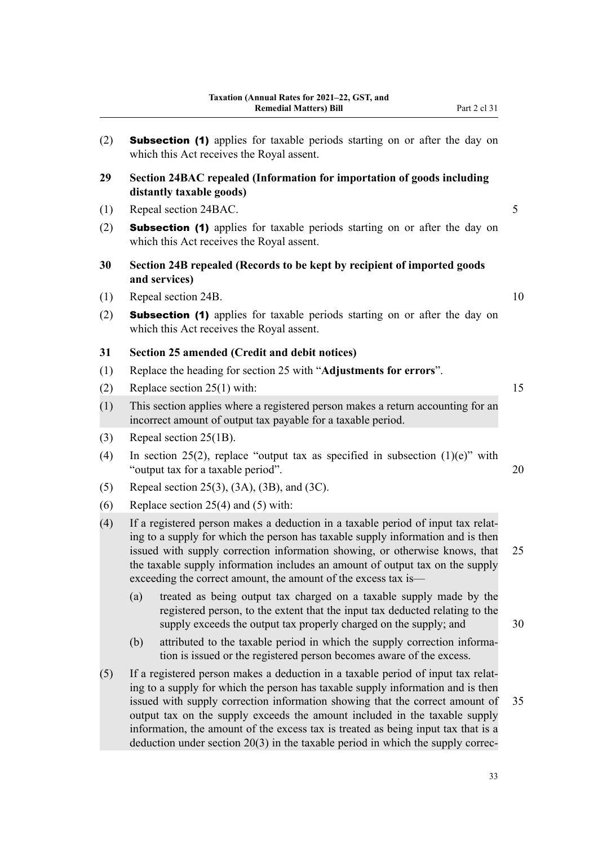| (2) | <b>Subsection (1)</b> applies for taxable periods starting on or after the day on<br>which this Act receives the Royal assent.                                                                                                                                                                                                                                                                        |    |
|-----|-------------------------------------------------------------------------------------------------------------------------------------------------------------------------------------------------------------------------------------------------------------------------------------------------------------------------------------------------------------------------------------------------------|----|
| 29  | Section 24BAC repealed (Information for importation of goods including<br>distantly taxable goods)                                                                                                                                                                                                                                                                                                    |    |
| (1) | Repeal section 24BAC.                                                                                                                                                                                                                                                                                                                                                                                 | 5  |
| (2) | <b>Subsection (1)</b> applies for taxable periods starting on or after the day on<br>which this Act receives the Royal assent.                                                                                                                                                                                                                                                                        |    |
| 30  | Section 24B repealed (Records to be kept by recipient of imported goods<br>and services)                                                                                                                                                                                                                                                                                                              |    |
| (1) | Repeal section 24B.                                                                                                                                                                                                                                                                                                                                                                                   | 10 |
| (2) | <b>Subsection (1)</b> applies for taxable periods starting on or after the day on<br>which this Act receives the Royal assent.                                                                                                                                                                                                                                                                        |    |
| 31  | Section 25 amended (Credit and debit notices)                                                                                                                                                                                                                                                                                                                                                         |    |
| (1) | Replace the heading for section 25 with "Adjustments for errors".                                                                                                                                                                                                                                                                                                                                     |    |
| (2) | Replace section $25(1)$ with:                                                                                                                                                                                                                                                                                                                                                                         | 15 |
| (1) | This section applies where a registered person makes a return accounting for an<br>incorrect amount of output tax payable for a taxable period.                                                                                                                                                                                                                                                       |    |
| (3) | Repeal section 25(1B).                                                                                                                                                                                                                                                                                                                                                                                |    |
| (4) | In section 25(2), replace "output tax as specified in subsection $(1)(e)$ " with<br>"output tax for a taxable period".                                                                                                                                                                                                                                                                                | 20 |
| (5) | Repeal section 25(3), (3A), (3B), and (3C).                                                                                                                                                                                                                                                                                                                                                           |    |
| (6) | Replace section $25(4)$ and $(5)$ with:                                                                                                                                                                                                                                                                                                                                                               |    |
| (4) | If a registered person makes a deduction in a taxable period of input tax relat-<br>ing to a supply for which the person has taxable supply information and is then<br>issued with supply correction information showing, or otherwise knows, that<br>the taxable supply information includes an amount of output tax on the supply<br>exceeding the correct amount, the amount of the excess tax is— | 25 |
|     | treated as being output tax charged on a taxable supply made by the<br>(a)<br>registered person, to the extent that the input tax deducted relating to the                                                                                                                                                                                                                                            |    |

supply exceeds the output tax properly charged on the supply; and 30

- (b) attributed to the taxable period in which the supply correction information is issued or the registered person becomes aware of the excess.
- (5) If a registered person makes a deduction in a taxable period of input tax relat‐ ing to a supply for which the person has taxable supply information and is then issued with supply correction information showing that the correct amount of 35 output tax on the supply exceeds the amount included in the taxable supply information, the amount of the excess tax is treated as being input tax that is a deduction under section  $20(3)$  in the taxable period in which the supply correc-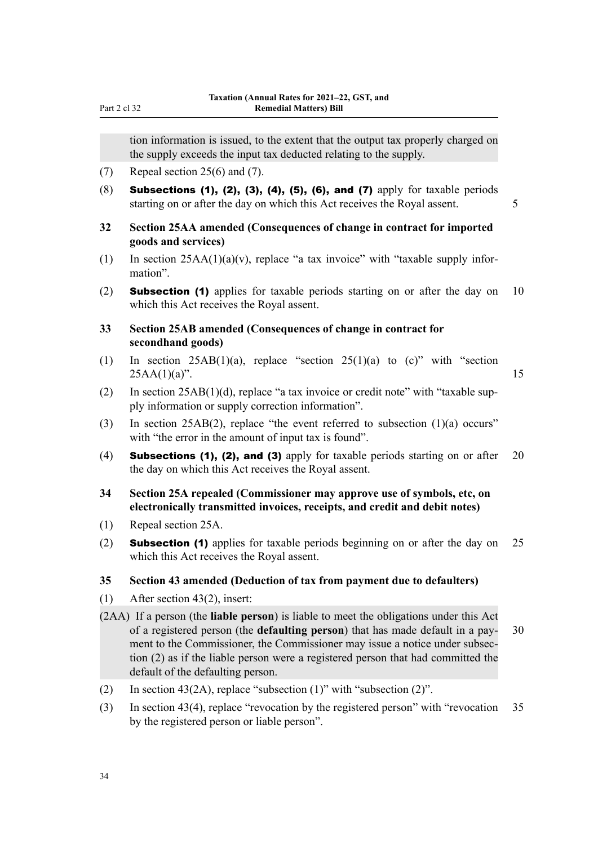tion information is issued, to the extent that the output tax properly charged on the supply exceeds the input tax deducted relating to the supply.

- (7) Repeal section 25(6) and (7).
- (8) Subsections (1), (2), (3), (4), (5), (6), and (7) apply for taxable periods starting on or after the day on which this Act receives the Royal assent. 5
- **32 Section 25AA amended (Consequences of change in contract for imported goods and services)**
- (1) In section  $25AA(1)(a)(v)$ , replace "a tax invoice" with "taxable supply information".
- (2) **Subsection (1)** applies for taxable periods starting on or after the day on 10 which this Act receives the Royal assent.

## **33 Section 25AB amended (Consequences of change in contract for secondhand goods)**

- (1) In section  $25AB(1)(a)$ , replace "section  $25(1)(a)$  to (c)" with "section  $25AA(1)(a)$ ". 15
- (2) In section  $25AB(1)(d)$ , replace "a tax invoice or credit note" with "taxable supply information or supply correction information".
- (3) In section 25AB(2), replace "the event referred to subsection  $(1)(a)$  occurs" with "the error in the amount of input tax is found".
- (4) **Subsections (1), (2), and (3)** apply for taxable periods starting on or after 20 the day on which this Act receives the Royal assent.
- **34 Section 25A repealed (Commissioner may approve use of symbols, etc, on electronically transmitted invoices, receipts, and credit and debit notes)**
- (1) Repeal section 25A.
- (2) Subsection (1) applies for taxable periods beginning on or after the day on 25 which this Act receives the Royal assent.

## **35 Section 43 amended (Deduction of tax from payment due to defaulters)**

- (1) After section 43(2), insert:
- (2AA) If a person (the **liable person**) is liable to meet the obligations under this Act of a registered person (the **defaulting person**) that has made default in a pay‐ 30 ment to the Commissioner, the Commissioner may issue a notice under subsection (2) as if the liable person were a registered person that had committed the default of the defaulting person.
- (2) In section 43(2A), replace "subsection  $(1)$ " with "subsection  $(2)$ ".
- (3) In section 43(4), replace "revocation by the registered person" with "revocation 35 by the registered person or liable person".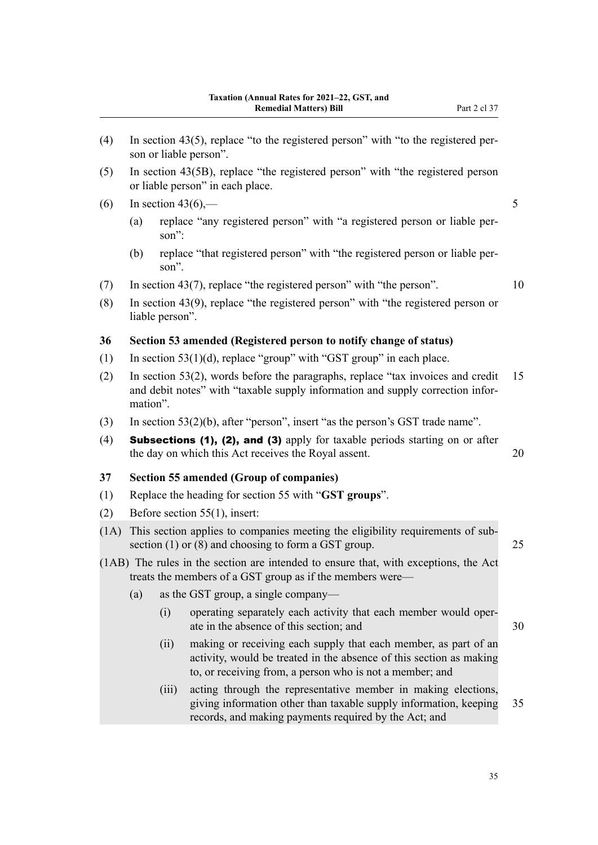- (5) In section 43(5B), replace "the registered person" with "the registered person or liable person" in each place.
- (6) In section 43(6),— $\qquad \qquad$  5
	- (a) replace "any registered person" with "a registered person or liable per‐ son":
	- (b) replace "that registered person" with "the registered person or liable per‐ son".
- (7) In section 43(7), replace "the registered person" with "the person". 10
- (8) In section 43(9), replace "the registered person" with "the registered person or liable person".

#### **36 Section 53 amended (Registered person to notify change of status)**

- (1) In section  $53(1)(d)$ , replace "group" with "GST group" in each place.
- (2) In section 53(2), words before the paragraphs, replace "tax invoices and credit 15 and debit notes" with "taxable supply information and supply correction information".
- (3) In section 53(2)(b), after "person", insert "as the person's GST trade name".
- (4) **Subsections (1), (2), and (3)** apply for taxable periods starting on or after the day on which this Act receives the Royal assent. 20

## **37 Section 55 amended (Group of companies)**

- (1) Replace the heading for section 55 with "**GST groups**".
- (2) Before section 55(1), insert:
- (1A) This section applies to companies meeting the eligibility requirements of sub‐ section (1) or (8) and choosing to form a GST group. 25
- (1AB) The rules in the section are intended to ensure that, with exceptions, the Act treats the members of a GST group as if the members were—
	- (a) as the GST group, a single company—
		- (i) operating separately each activity that each member would oper‐ ate in the absence of this section; and 30
		- (ii) making or receiving each supply that each member, as part of an activity, would be treated in the absence of this section as making to, or receiving from, a person who is not a member; and
		- (iii) acting through the representative member in making elections, giving information other than taxable supply information, keeping 35 records, and making payments required by the Act; and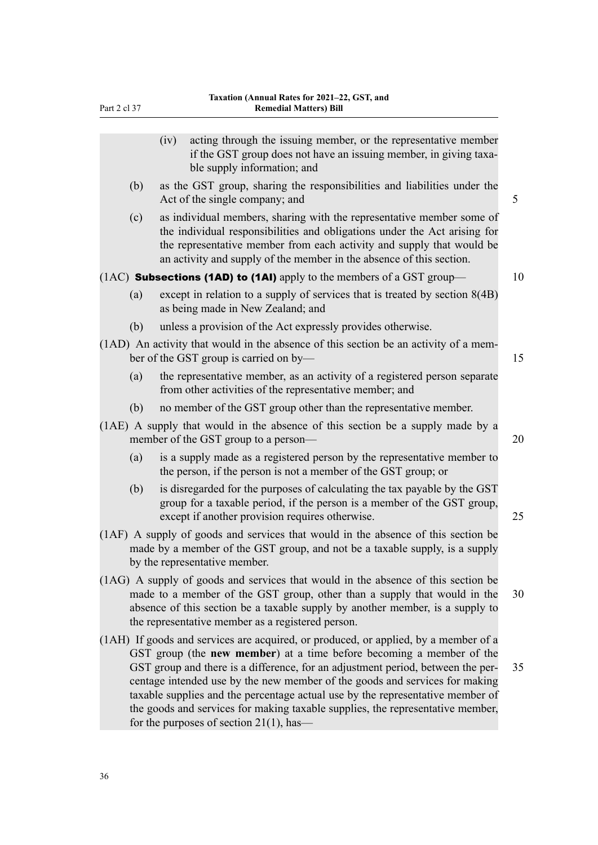| Part 2 cl 37 | <b>Remedial Matters) Bill</b>                                                                                                                                                                                                                                                                                                                                                                                                                                                                     |    |  |  |  |
|--------------|---------------------------------------------------------------------------------------------------------------------------------------------------------------------------------------------------------------------------------------------------------------------------------------------------------------------------------------------------------------------------------------------------------------------------------------------------------------------------------------------------|----|--|--|--|
|              | acting through the issuing member, or the representative member<br>(iv)<br>if the GST group does not have an issuing member, in giving taxa-<br>ble supply information; and                                                                                                                                                                                                                                                                                                                       |    |  |  |  |
| (b)          | as the GST group, sharing the responsibilities and liabilities under the<br>Act of the single company; and                                                                                                                                                                                                                                                                                                                                                                                        | 5  |  |  |  |
| (c)          | as individual members, sharing with the representative member some of<br>the individual responsibilities and obligations under the Act arising for<br>the representative member from each activity and supply that would be<br>an activity and supply of the member in the absence of this section.                                                                                                                                                                                               |    |  |  |  |
|              | $(1AC)$ Subsections (1AD) to (1AI) apply to the members of a GST group—                                                                                                                                                                                                                                                                                                                                                                                                                           | 10 |  |  |  |
| (a)          | except in relation to a supply of services that is treated by section $8(4B)$<br>as being made in New Zealand; and                                                                                                                                                                                                                                                                                                                                                                                |    |  |  |  |
| (b)          | unless a provision of the Act expressly provides otherwise.                                                                                                                                                                                                                                                                                                                                                                                                                                       |    |  |  |  |
|              | (1AD) An activity that would in the absence of this section be an activity of a mem-<br>ber of the GST group is carried on by-                                                                                                                                                                                                                                                                                                                                                                    | 15 |  |  |  |
| (a)          | the representative member, as an activity of a registered person separate<br>from other activities of the representative member; and                                                                                                                                                                                                                                                                                                                                                              |    |  |  |  |
| (b)          | no member of the GST group other than the representative member.                                                                                                                                                                                                                                                                                                                                                                                                                                  |    |  |  |  |
|              | (1AE) A supply that would in the absence of this section be a supply made by a<br>member of the GST group to a person—                                                                                                                                                                                                                                                                                                                                                                            | 20 |  |  |  |
| (a)          | is a supply made as a registered person by the representative member to<br>the person, if the person is not a member of the GST group; or                                                                                                                                                                                                                                                                                                                                                         |    |  |  |  |
| (b)          | is disregarded for the purposes of calculating the tax payable by the GST<br>group for a taxable period, if the person is a member of the GST group,<br>except if another provision requires otherwise.                                                                                                                                                                                                                                                                                           | 25 |  |  |  |
|              | (1AF) A supply of goods and services that would in the absence of this section be<br>made by a member of the GST group, and not be a taxable supply, is a supply<br>by the representative member.                                                                                                                                                                                                                                                                                                 |    |  |  |  |
|              | (1AG) A supply of goods and services that would in the absence of this section be<br>made to a member of the GST group, other than a supply that would in the<br>absence of this section be a taxable supply by another member, is a supply to<br>the representative member as a registered person.                                                                                                                                                                                               | 30 |  |  |  |
|              | (1AH) If goods and services are acquired, or produced, or applied, by a member of a<br>GST group (the new member) at a time before becoming a member of the<br>GST group and there is a difference, for an adjustment period, between the per-<br>centage intended use by the new member of the goods and services for making<br>taxable supplies and the percentage actual use by the representative member of<br>the goods and services for making taxable supplies, the representative member, | 35 |  |  |  |

for the purposes of section 21(1), has—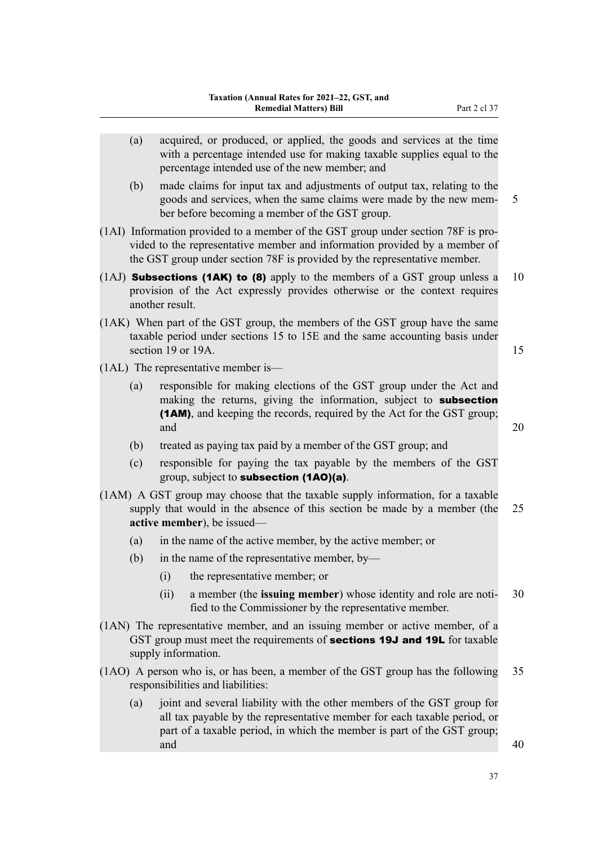| (a) | acquired, or produced, or applied, the goods and services at the time<br>with a percentage intended use for making taxable supplies equal to the<br>percentage intended use of the new member; and                                           |    |
|-----|----------------------------------------------------------------------------------------------------------------------------------------------------------------------------------------------------------------------------------------------|----|
| (b) | made claims for input tax and adjustments of output tax, relating to the<br>goods and services, when the same claims were made by the new mem-<br>5<br>ber before becoming a member of the GST group.                                        |    |
|     | (1AI) Information provided to a member of the GST group under section 78F is pro-<br>vided to the representative member and information provided by a member of<br>the GST group under section 78F is provided by the representative member. |    |
|     | (1AJ) <b>Subsections (1AK) to (8)</b> apply to the members of a GST group unless a<br>provision of the Act expressly provides otherwise or the context requires<br>another result.                                                           | 10 |
|     | (1AK) When part of the GST group, the members of the GST group have the same<br>taxable period under sections 15 to 15E and the same accounting basis under<br>section 19 or 19A.                                                            | 15 |
|     | $(1AL)$ The representative member is—                                                                                                                                                                                                        |    |
| (a) | responsible for making elections of the GST group under the Act and<br>making the returns, giving the information, subject to subsection<br>(1AM), and keeping the records, required by the Act for the GST group;<br>and                    | 20 |
| (b) | treated as paying tax paid by a member of the GST group; and                                                                                                                                                                                 |    |
| (c) | responsible for paying the tax payable by the members of the GST<br>group, subject to <b>subsection (1AO)(a)</b> .                                                                                                                           |    |
|     | (1AM) A GST group may choose that the taxable supply information, for a taxable<br>supply that would in the absence of this section be made by a member (the<br>active member), be issued—                                                   | 25 |
| (a) | in the name of the active member, by the active member; or                                                                                                                                                                                   |    |
| (b) | in the name of the representative member, by-                                                                                                                                                                                                |    |
|     | the representative member; or<br>(i)                                                                                                                                                                                                         |    |
|     | a member (the issuing member) whose identity and role are noti-<br>(ii)<br>fied to the Commissioner by the representative member.                                                                                                            | 30 |
|     | (1AN) The representative member, and an issuing member or active member, of a<br>GST group must meet the requirements of <b>sections 19J and 19L</b> for taxable<br>supply information.                                                      |    |
|     | (1AO) A person who is, or has been, a member of the GST group has the following<br>responsibilities and liabilities:                                                                                                                         | 35 |
| (a) | joint and several liability with the other members of the GST group for<br>all tax payable by the representative member for each taxable period, or<br>part of a taxable period, in which the member is part of the GST group;<br>and        | 40 |
|     |                                                                                                                                                                                                                                              |    |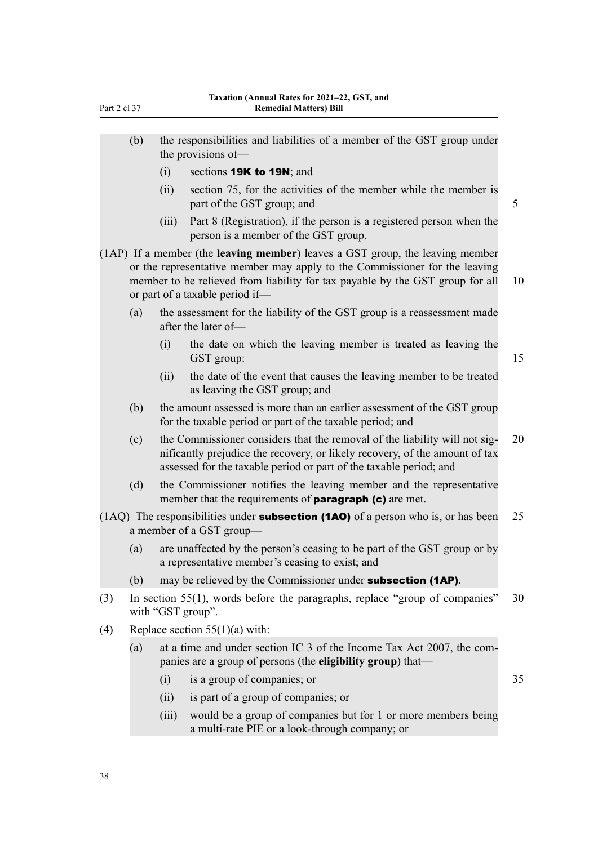- (b) the responsibilities and liabilities of a member of the GST group under the provisions of—
	- (i) sections **19K to 19N**; and
	- (ii) section 75, for the activities of the member while the member is part of the GST group; and 5
	- (iii) Part 8 (Registration), if the person is a registered person when the person is a member of the GST group.
- (1AP) If a member (the **leaving member**) leaves a GST group, the leaving member or the representative member may apply to the Commissioner for the leaving member to be relieved from liability for tax payable by the GST group for all 10 or part of a taxable period if—
	- (a) the assessment for the liability of the GST group is a reassessment made after the later of—
		- (i) the date on which the leaving member is treated as leaving the GST group: 15
		- (ii) the date of the event that causes the leaving member to be treated as leaving the GST group; and
	- (b) the amount assessed is more than an earlier assessment of the GST group for the taxable period or part of the taxable period; and
	- (c) the Commissioner considers that the removal of the liability will not sig- 20 nificantly prejudice the recovery, or likely recovery, of the amount of tax assessed for the taxable period or part of the taxable period; and
	- (d) the Commissioner notifies the leaving member and the representative member that the requirements of **paragraph (c)** are met.
- (1AQ) The responsibilities under **subsection (1AO)** of a person who is, or has been 25 a member of a GST group—
	- (a) are unaffected by the person's ceasing to be part of the GST group or by a representative member's ceasing to exist; and
	- (b) may be relieved by the Commissioner under **subsection (1AP)**.
- (3) In section 55(1), words before the paragraphs, replace "group of companies" 30 with "GST group".
- (4) Replace section  $55(1)(a)$  with:
	- (a) at a time and under section IC  $3$  of the Income Tax Act 2007, the companies are a group of persons (the **eligibility group**) that—
		- (i) is a group of companies; or 35
		- (ii) is part of a group of companies; or
		- (iii) would be a group of companies but for 1 or more members being a multi-rate PIE or a look-through company; or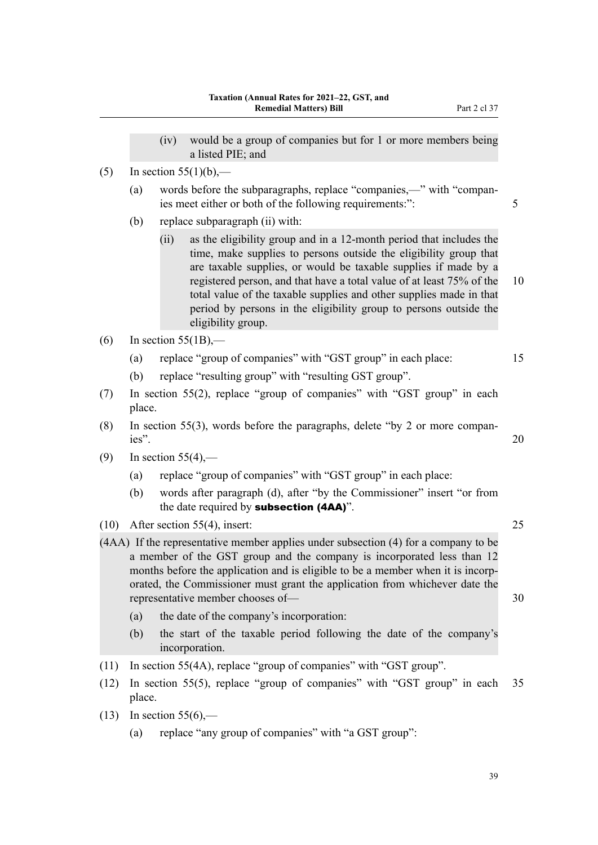- (iv) would be a group of companies but for 1 or more members being a listed PIE; and
- $(5)$  In section 55(1)(b),—
	- (a) words before the subparagraphs, replace "companies,—" with "compan‐ ies meet either or both of the following requirements:": 5
	- (b) replace subparagraph (ii) with:
		- (ii) as the eligibility group and in a 12-month period that includes the time, make supplies to persons outside the eligibility group that are taxable supplies, or would be taxable supplies if made by a registered person, and that have a total value of at least 75% of the 10 total value of the taxable supplies and other supplies made in that period by persons in the eligibility group to persons outside the eligibility group.
- $(6)$  In section 55(1B),—
	- (a) replace "group of companies" with "GST group" in each place: 15
	- (b) replace "resulting group" with "resulting GST group".
- (7) In section 55(2), replace "group of companies" with "GST group" in each place.
- (8) In section 55(3), words before the paragraphs, delete "by 2 or more compan‐ ies". 20
- $(9)$  In section 55(4),—
	- (a) replace "group of companies" with "GST group" in each place:
	- (b) words after paragraph (d), after "by the Commissioner" insert "or from the date required by **subsection (4AA)**".
- (10) After section 55(4), insert: 25

(4AA) If the representative member applies under subsection (4) for a company to be a member of the GST group and the company is incorporated less than 12 months before the application and is eligible to be a member when it is incorporated, the Commissioner must grant the application from whichever date the representative member chooses of — 30

- (a) the date of the company's incorporation:
- (b) the start of the taxable period following the date of the company's incorporation.
- (11) In section 55(4A), replace "group of companies" with "GST group".
- (12) In section 55(5), replace "group of companies" with "GST group" in each 35 place.
- (13) In section  $55(6)$ ,—
	- (a) replace "any group of companies" with "a GST group":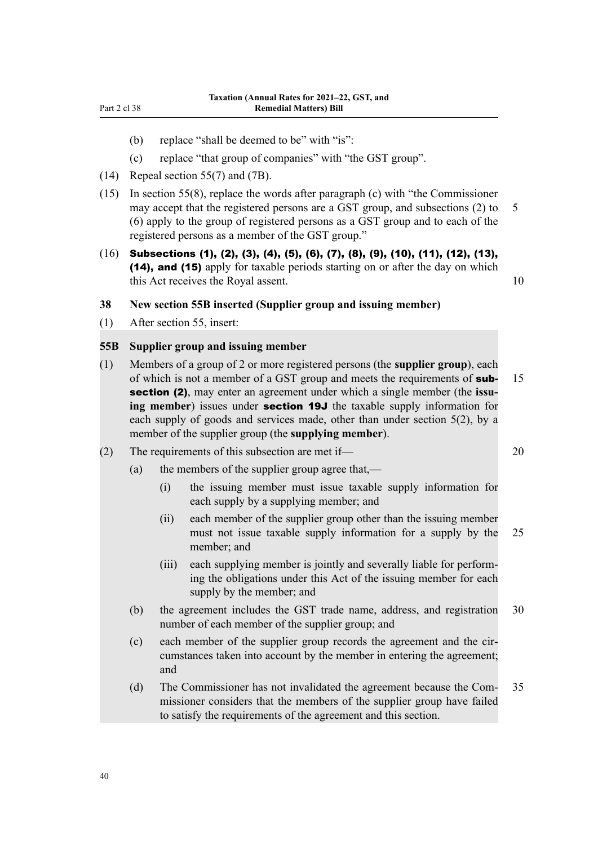- (b) replace "shall be deemed to be" with "is":
- (c) replace "that group of companies" with "the GST group".
- (14) Repeal section 55(7) and (7B).
- (15) In section 55(8), replace the words after paragraph (c) with "the Commissioner may accept that the registered persons are a GST group, and subsections  $(2)$  to 5 (6) apply to the group of registered persons as a GST group and to each of the registered persons as a member of the GST group."
- (16) Subsections (1), (2), (3), (4), (5), (6), (7), (8), (9), (10), (11), (12), (13), (14), and (15) apply for taxable periods starting on or after the day on which this Act receives the Royal assent. 10

## **38 New section 55B inserted (Supplier group and issuing member)**

(1) After section 55, insert:

## **55B Supplier group and issuing member**

- (1) Members of a group of 2 or more registered persons (the **supplier group**), each of which is not a member of a GST group and meets the requirements of **sub-** 15 section (2), may enter an agreement under which a single member (the **issu‐ ing member**) issues under section 19J the taxable supply information for each supply of goods and services made, other than under section 5(2), by a member of the supplier group (the **supplying member**).
- (2) The requirements of this subsection are met if— 20
	- (a) the members of the supplier group agree that,—
		- (i) the issuing member must issue taxable supply information for each supply by a supplying member; and
		- (ii) each member of the supplier group other than the issuing member must not issue taxable supply information for a supply by the 25 member; and
		- (iii) each supplying member is jointly and severally liable for perform‐ ing the obligations under this Act of the issuing member for each supply by the member; and
	- (b) the agreement includes the GST trade name, address, and registration 30 number of each member of the supplier group; and
	- (c) each member of the supplier group records the agreement and the circumstances taken into account by the member in entering the agreement; and
	- (d) The Commissioner has not invalidated the agreement because the Com‐ 35 missioner considers that the members of the supplier group have failed to satisfy the requirements of the agreement and this section.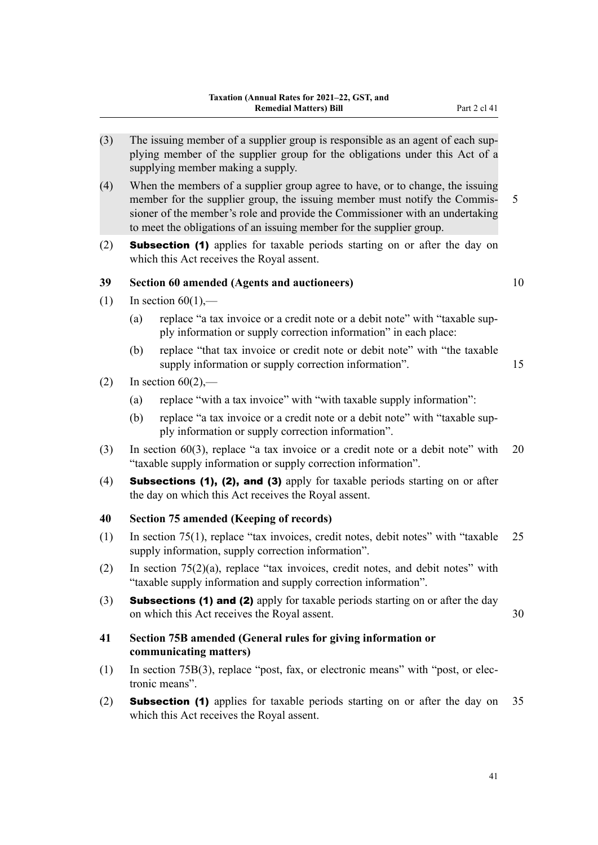- (3) The issuing member of a supplier group is responsible as an agent of each sup‐ plying member of the supplier group for the obligations under this Act of a supplying member making a supply.
- (4) When the members of a supplier group agree to have, or to change, the issuing member for the supplier group, the issuing member must notify the Commis- 5 sioner of the member's role and provide the Commissioner with an undertaking to meet the obligations of an issuing member for the supplier group.
- (2) Subsection (1) applies for taxable periods starting on or after the day on which this Act receives the Royal assent.

## **39 Section 60 amended (Agents and auctioneers)** 10

- (1) In section  $60(1)$ ,—
	- (a) replace "a tax invoice or a credit note or a debit note" with "taxable sup‐ ply information or supply correction information" in each place:
	- (b) replace "that tax invoice or credit note or debit note" with "the taxable supply information or supply correction information". 15
- (2) In section  $60(2)$ ,—
	- (a) replace "with a tax invoice" with "with taxable supply information":
	- (b) replace "a tax invoice or a credit note or a debit note" with "taxable sup‐ ply information or supply correction information".
- (3) In section 60(3), replace "a tax invoice or a credit note or a debit note" with 20 "taxable supply information or supply correction information".
- (4) Subsections (1), (2), and (3) apply for taxable periods starting on or after the day on which this Act receives the Royal assent.

#### **40 Section 75 amended (Keeping of records)**

- (1) In section 75(1), replace "tax invoices, credit notes, debit notes" with "taxable 25 supply information, supply correction information".
- (2) In section 75(2)(a), replace "tax invoices, credit notes, and debit notes" with "taxable supply information and supply correction information".
- (3) Subsections (1) and (2) apply for taxable periods starting on or after the day on which this Act receives the Royal assent. 30
- **41 Section 75B amended (General rules for giving information or communicating matters)**
- (1) In section 75B(3), replace "post, fax, or electronic means" with "post, or elec‐ tronic means".
- (2) Subsection (1) applies for taxable periods starting on or after the day on 35 which this Act receives the Royal assent.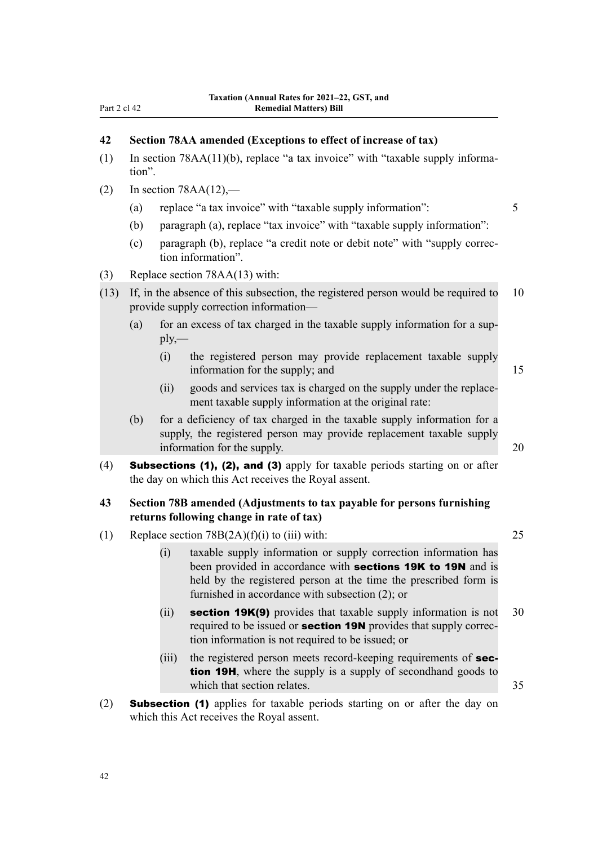# **42 Section 78AA amended (Exceptions to effect of increase of tax)**

- (1) In section 78AA(11)(b), replace "a tax invoice" with "taxable supply informa‐ tion".
- (2) In section  $78AA(12)$ ,—
	- (a) replace "a tax invoice" with "taxable supply information": 5
	- (b) paragraph (a), replace "tax invoice" with "taxable supply information":
	- (c) paragraph (b), replace "a credit note or debit note" with "supply correc‐ tion information".
- (3) Replace section 78AA(13) with:
- (13) If, in the absence of this subsection, the registered person would be required to 10 provide supply correction information—
	- (a) for an excess of tax charged in the taxable supply information for a sup $ply, -$ 
		- (i) the registered person may provide replacement taxable supply information for the supply; and 15
		- (ii) goods and services tax is charged on the supply under the replace‐ ment taxable supply information at the original rate:
	- (b) for a deficiency of tax charged in the taxable supply information for a supply, the registered person may provide replacement taxable supply information for the supply. 20
- (4) Subsections (1), (2), and (3) apply for taxable periods starting on or after the day on which this Act receives the Royal assent.

## **43 Section 78B amended (Adjustments to tax payable for persons furnishing returns following change in rate of tax)**

- (1) Replace section  $78B(2A)(f)(i)$  to (iii) with: 25
	- (i) taxable supply information or supply correction information has been provided in accordance with **sections 19K to 19N** and is held by the registered person at the time the prescribed form is furnished in accordance with subsection (2); or
	- (ii) section 19 $K(9)$  provides that taxable supply information is not 30 required to be issued or **section 19N** provides that supply correction information is not required to be issued; or
	- (iii) the registered person meets record-keeping requirements of **sec**tion 19H, where the supply is a supply of secondhand goods to which that section relates. 35
- (2) Subsection (1) applies for taxable periods starting on or after the day on which this Act receives the Royal assent.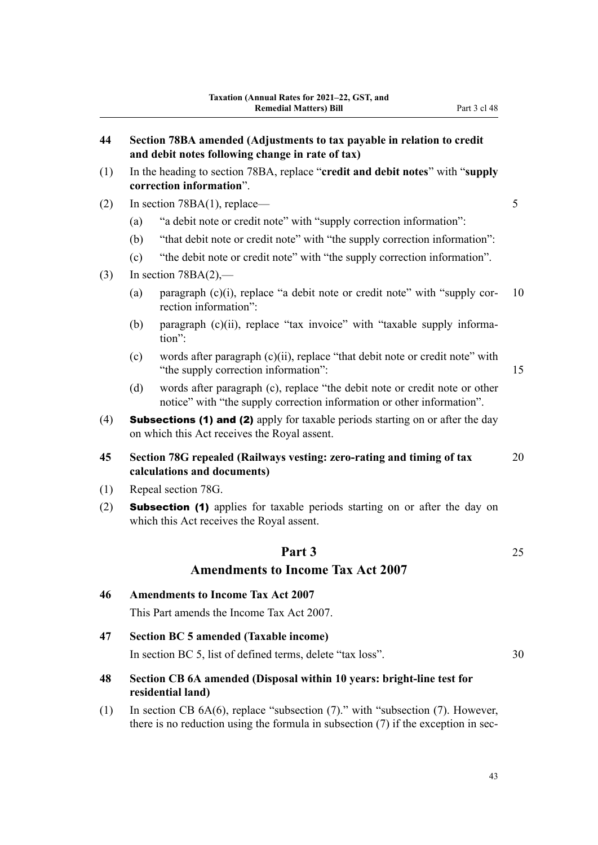| 44  |                                                                                                                                       | Section 78BA amended (Adjustments to tax payable in relation to credit<br>and debit notes following change in rate of tax)                                                     |    |  |  |  |  |
|-----|---------------------------------------------------------------------------------------------------------------------------------------|--------------------------------------------------------------------------------------------------------------------------------------------------------------------------------|----|--|--|--|--|
| (1) | In the heading to section 78BA, replace "credit and debit notes" with "supply<br>correction information".                             |                                                                                                                                                                                |    |  |  |  |  |
| (2) | In section $78BA(1)$ , replace—                                                                                                       |                                                                                                                                                                                |    |  |  |  |  |
|     | (a)                                                                                                                                   | "a debit note or credit note" with "supply correction information":                                                                                                            |    |  |  |  |  |
|     | (b)                                                                                                                                   | "that debit note or credit note" with "the supply correction information":                                                                                                     |    |  |  |  |  |
|     | (c)                                                                                                                                   | "the debit note or credit note" with "the supply correction information".                                                                                                      |    |  |  |  |  |
| (3) |                                                                                                                                       | In section $78BA(2)$ ,—                                                                                                                                                        |    |  |  |  |  |
|     | (a)                                                                                                                                   | paragraph (c)(i), replace "a debit note or credit note" with "supply cor-<br>rection information":                                                                             | 10 |  |  |  |  |
|     | (b)                                                                                                                                   | paragraph (c)(ii), replace "tax invoice" with "taxable supply informa-<br>tion":                                                                                               |    |  |  |  |  |
|     | (c)                                                                                                                                   | words after paragraph (c)(ii), replace "that debit note or credit note" with<br>"the supply correction information":                                                           | 15 |  |  |  |  |
|     | (d)                                                                                                                                   | words after paragraph (c), replace "the debit note or credit note or other<br>notice" with "the supply correction information or other information".                           |    |  |  |  |  |
| (4) | <b>Subsections (1) and (2)</b> apply for taxable periods starting on or after the day<br>on which this Act receives the Royal assent. |                                                                                                                                                                                |    |  |  |  |  |
| 45  | Section 78G repealed (Railways vesting: zero-rating and timing of tax<br>20<br>calculations and documents)                            |                                                                                                                                                                                |    |  |  |  |  |
| (1) |                                                                                                                                       | Repeal section 78G.                                                                                                                                                            |    |  |  |  |  |
| (2) | <b>Subsection (1)</b> applies for taxable periods starting on or after the day on<br>which this Act receives the Royal assent.        |                                                                                                                                                                                |    |  |  |  |  |
|     |                                                                                                                                       | Part 3                                                                                                                                                                         | 25 |  |  |  |  |
|     |                                                                                                                                       | <b>Amendments to Income Tax Act 2007</b>                                                                                                                                       |    |  |  |  |  |
| 46  | <b>Amendments to Income Tax Act 2007</b>                                                                                              |                                                                                                                                                                                |    |  |  |  |  |
|     |                                                                                                                                       | This Part amends the Income Tax Act 2007.                                                                                                                                      |    |  |  |  |  |
| 47  |                                                                                                                                       | <b>Section BC 5 amended (Taxable income)</b>                                                                                                                                   |    |  |  |  |  |
|     |                                                                                                                                       | In section BC 5, list of defined terms, delete "tax loss".                                                                                                                     | 30 |  |  |  |  |
| 48  | Section CB 6A amended (Disposal within 10 years: bright-line test for<br>residential land)                                            |                                                                                                                                                                                |    |  |  |  |  |
| (1) |                                                                                                                                       | In section CB $6A(6)$ , replace "subsection $(7)$ ." with "subsection $(7)$ . However,<br>there is no reduction using the formula in subsection $(7)$ if the exception in sec- |    |  |  |  |  |
|     |                                                                                                                                       |                                                                                                                                                                                |    |  |  |  |  |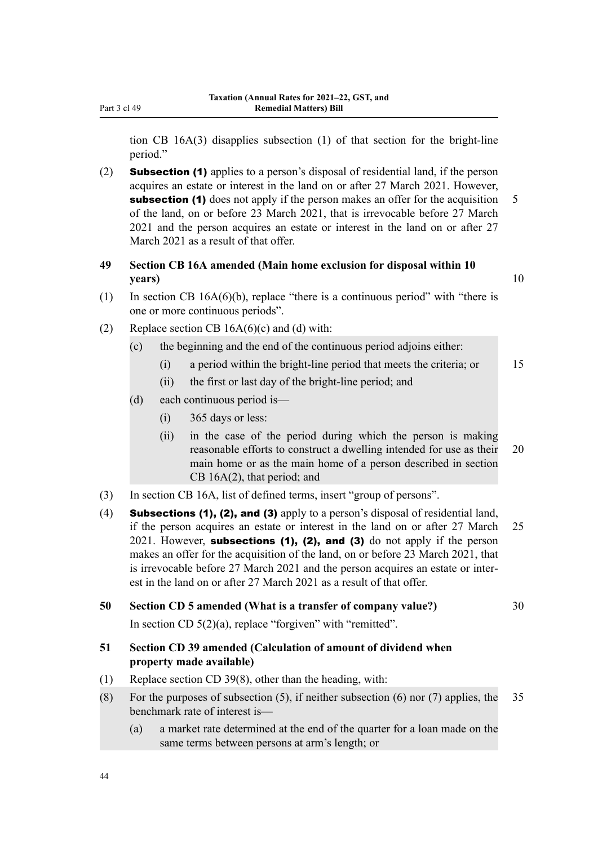tion CB 16A(3) disapplies subsection (1) of that section for the bright-line period."

- (2) Subsection (1) applies to a person's disposal of residential land, if the person acquires an estate or interest in the land on or after 27 March 2021. However, subsection (1) does not apply if the person makes an offer for the acquisition 5 of the land, on or before 23 March 2021, that is irrevocable before 27 March 2021 and the person acquires an estate or interest in the land on or after 27 March 2021 as a result of that offer.
- **49 Section CB 16A amended (Main home exclusion for disposal within 10 years)** 10

- (1) In section CB 16A(6)(b), replace "there is a continuous period" with "there is one or more continuous periods".
- (2) Replace section CB  $16A(6)(c)$  and (d) with:
	- (c) the beginning and the end of the continuous period adjoins either:
		- (i) a period within the bright-line period that meets the criteria; or 15
		- (ii) the first or last day of the bright-line period; and
	- (d) each continuous period is—
		- (i) 365 days or less:
		- (ii) in the case of the period during which the person is making reasonable efforts to construct a dwelling intended for use as their 20 main home or as the main home of a person described in section CB 16A(2), that period; and
- (3) In section CB 16A, list of defined terms, insert "group of persons".
- (4) Subsections (1), (2), and (3) apply to a person's disposal of residential land, if the person acquires an estate or interest in the land on or after 27 March 25 2021. However, subsections  $(1)$ ,  $(2)$ , and  $(3)$  do not apply if the person makes an offer for the acquisition of the land, on or before 23 March 2021, that is irrevocable before 27 March 2021 and the person acquires an estate or inter‐ est in the land on or after 27 March 2021 as a result of that offer.

#### **50 Section CD 5 amended (What is a transfer of company value?)** 30

In section CD  $5(2)(a)$ , replace "forgiven" with "remitted".

## **51 Section CD 39 amended (Calculation of amount of dividend when property made available)**

- (1) Replace section CD 39(8), other than the heading, with:
- (8) For the purposes of subsection (5), if neither subsection (6) nor (7) applies, the  $35$ benchmark rate of interest is—
	- (a) a market rate determined at the end of the quarter for a loan made on the same terms between persons at arm's length; or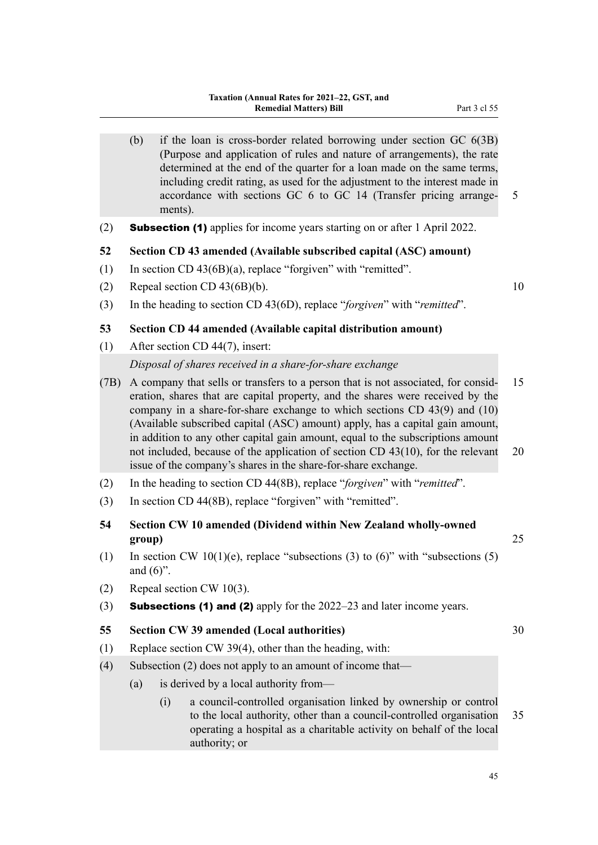- (b) if the loan is cross-border related borrowing under section GC 6(3B) (Purpose and application of rules and nature of arrangements), the rate determined at the end of the quarter for a loan made on the same terms, including credit rating, as used for the adjustment to the interest made in accordance with sections GC 6 to GC 14 (Transfer pricing arrange– 5 ments).
- (2) Subsection (1) applies for income years starting on or after 1 April 2022.

#### **52 Section CD 43 amended (Available subscribed capital (ASC) amount)**

- (1) In section CD 43(6B)(a), replace "forgiven" with "remitted".
- (2) Repeal section CD  $43(6B)(b)$ . 10
- (3) In the heading to section CD 43(6D), replace "*forgiven*" with "*remitted*".

## **53 Section CD 44 amended (Available capital distribution amount)**

- (1) After section CD 44(7), insert: *Disposal of shares received in a share-for-share exchange*
- (7B) A company that sells or transfers to a person that is not associated, for consid‐ 15 eration, shares that are capital property, and the shares were received by the company in a share-for-share exchange to which sections CD 43(9) and (10) (Available subscribed capital (ASC) amount) apply, has a capital gain amount, in addition to any other capital gain amount, equal to the subscriptions amount not included, because of the application of section CD 43(10), for the relevant 20 issue of the company's shares in the share-for-share exchange.
- (2) In the heading to section CD 44(8B), replace "*forgiven*" with "*remitted*".
- (3) In section CD 44(8B), replace "forgiven" with "remitted".
- **54 Section CW 10 amended (Dividend within New Zealand wholly-owned group)** 25
- (1) In section CW 10(1)(e), replace "subsections (3) to  $(6)$ " with "subsections (5) and  $(6)$ ".
- (2) Repeal section CW 10(3).
- (3) **Subsections (1) and (2)** apply for the  $2022-23$  and later income years.

#### **55 Section CW 39 amended (Local authorities)** 30

- (1) Replace section CW 39(4), other than the heading, with:
- (4) Subsection (2) does not apply to an amount of income that—
	- (a) is derived by a local authority from—
		- (i) a council-controlled organisation linked by ownership or control to the local authority, other than a council-controlled organisation 35 operating a hospital as a charitable activity on behalf of the local authority; or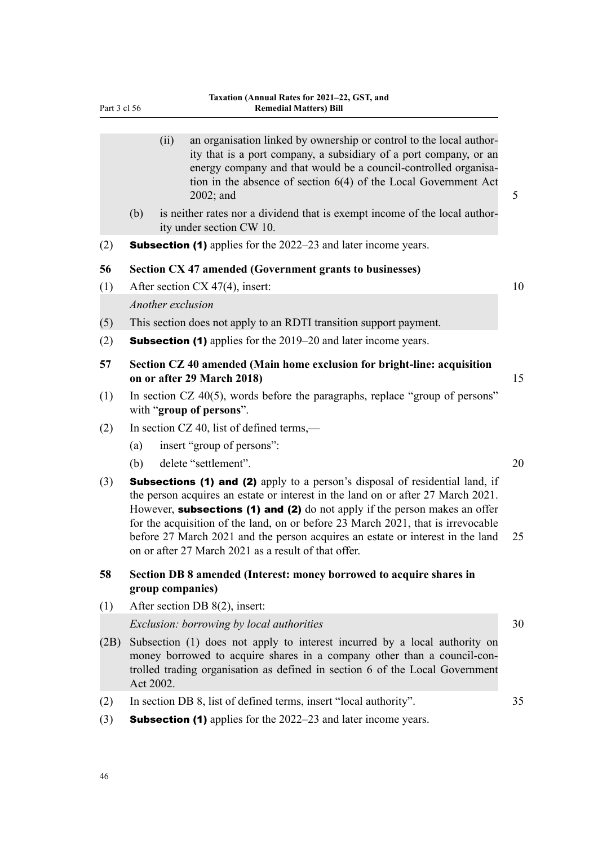|     |                                                                                                             | (ii)              | an organisation linked by ownership or control to the local author-<br>ity that is a port company, a subsidiary of a port company, or an<br>energy company and that would be a council-controlled organisa-<br>tion in the absence of section $6(4)$ of the Local Government Act<br>2002; and                                                                                                                                                                                | 5  |  |  |  |  |
|-----|-------------------------------------------------------------------------------------------------------------|-------------------|------------------------------------------------------------------------------------------------------------------------------------------------------------------------------------------------------------------------------------------------------------------------------------------------------------------------------------------------------------------------------------------------------------------------------------------------------------------------------|----|--|--|--|--|
|     | (b)                                                                                                         |                   | is neither rates nor a dividend that is exempt income of the local author-<br>ity under section CW 10.                                                                                                                                                                                                                                                                                                                                                                       |    |  |  |  |  |
| (2) |                                                                                                             |                   | <b>Subsection (1)</b> applies for the 2022–23 and later income years.                                                                                                                                                                                                                                                                                                                                                                                                        |    |  |  |  |  |
| 56  | Section CX 47 amended (Government grants to businesses)                                                     |                   |                                                                                                                                                                                                                                                                                                                                                                                                                                                                              |    |  |  |  |  |
| (1) |                                                                                                             |                   | After section CX 47(4), insert:                                                                                                                                                                                                                                                                                                                                                                                                                                              | 10 |  |  |  |  |
|     |                                                                                                             | Another exclusion |                                                                                                                                                                                                                                                                                                                                                                                                                                                                              |    |  |  |  |  |
| (5) |                                                                                                             |                   | This section does not apply to an RDTI transition support payment.                                                                                                                                                                                                                                                                                                                                                                                                           |    |  |  |  |  |
| (2) |                                                                                                             |                   | <b>Subsection (1)</b> applies for the 2019–20 and later income years.                                                                                                                                                                                                                                                                                                                                                                                                        |    |  |  |  |  |
| 57  | Section CZ 40 amended (Main home exclusion for bright-line: acquisition<br>15<br>on or after 29 March 2018) |                   |                                                                                                                                                                                                                                                                                                                                                                                                                                                                              |    |  |  |  |  |
| (1) |                                                                                                             |                   | In section CZ $40(5)$ , words before the paragraphs, replace "group of persons"<br>with "group of persons".                                                                                                                                                                                                                                                                                                                                                                  |    |  |  |  |  |
| (2) |                                                                                                             |                   | In section CZ 40, list of defined terms,-                                                                                                                                                                                                                                                                                                                                                                                                                                    |    |  |  |  |  |
|     | (a)                                                                                                         |                   | insert "group of persons":                                                                                                                                                                                                                                                                                                                                                                                                                                                   |    |  |  |  |  |
|     | (b)                                                                                                         |                   | delete "settlement".                                                                                                                                                                                                                                                                                                                                                                                                                                                         | 20 |  |  |  |  |
| (3) |                                                                                                             |                   | Subsections (1) and (2) apply to a person's disposal of residential land, if<br>the person acquires an estate or interest in the land on or after 27 March 2021.<br>However, subsections (1) and (2) do not apply if the person makes an offer<br>for the acquisition of the land, on or before 23 March 2021, that is irrevocable<br>before 27 March 2021 and the person acquires an estate or interest in the land<br>on or after 27 March 2021 as a result of that offer. | 25 |  |  |  |  |
| 58  | Section DB 8 amended (Interest: money borrowed to acquire shares in<br>group companies)                     |                   |                                                                                                                                                                                                                                                                                                                                                                                                                                                                              |    |  |  |  |  |
| (1) |                                                                                                             |                   | After section DB 8(2), insert:                                                                                                                                                                                                                                                                                                                                                                                                                                               |    |  |  |  |  |
|     |                                                                                                             |                   | Exclusion: borrowing by local authorities                                                                                                                                                                                                                                                                                                                                                                                                                                    | 30 |  |  |  |  |
|     |                                                                                                             |                   | $(2R)$ Subsection (1) does not early to interest incurred by a local authority on                                                                                                                                                                                                                                                                                                                                                                                            |    |  |  |  |  |

- (2B) Subsection (1) does not apply to interest incurred by a local authority on money borrowed to acquire shares in a company other than a council-controlled trading organisation as defined in section 6 of the Local Government Act 2002.
- (2) In section DB 8, list of defined terms, insert "local authority". 35
- (3) Subsection (1) applies for the 2022–23 and later income years.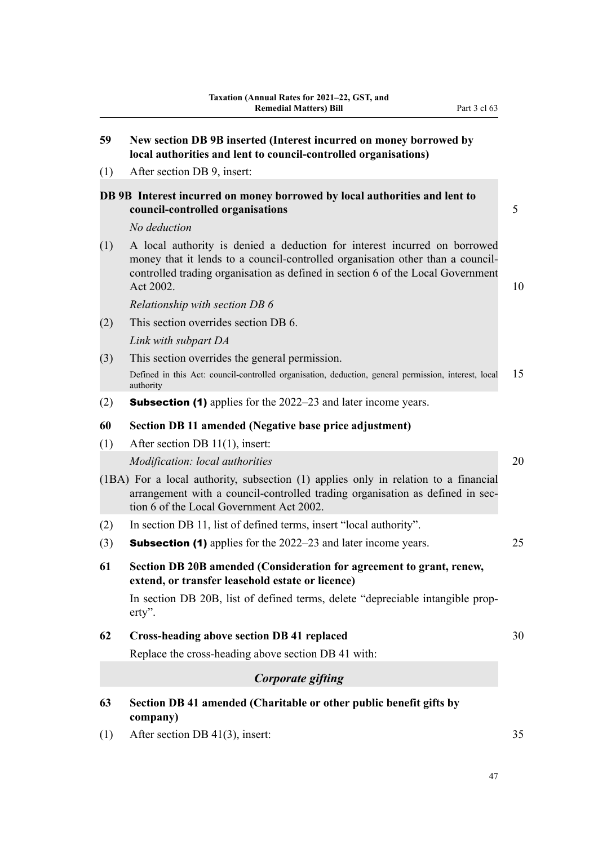| 59  | New section DB 9B inserted (Interest incurred on money borrowed by<br>local authorities and lent to council-controlled organisations)                                                                                                                       |    |  |  |  |
|-----|-------------------------------------------------------------------------------------------------------------------------------------------------------------------------------------------------------------------------------------------------------------|----|--|--|--|
| (1) | After section DB 9, insert:                                                                                                                                                                                                                                 |    |  |  |  |
|     | DB 9B Interest incurred on money borrowed by local authorities and lent to<br>council-controlled organisations                                                                                                                                              | 5  |  |  |  |
|     | No deduction                                                                                                                                                                                                                                                |    |  |  |  |
| (1) | A local authority is denied a deduction for interest incurred on borrowed<br>money that it lends to a council-controlled organisation other than a council-<br>controlled trading organisation as defined in section 6 of the Local Government<br>Act 2002. | 10 |  |  |  |
|     | Relationship with section DB 6                                                                                                                                                                                                                              |    |  |  |  |
| (2) | This section overrides section DB 6.                                                                                                                                                                                                                        |    |  |  |  |
|     | Link with subpart DA                                                                                                                                                                                                                                        |    |  |  |  |
| (3) | This section overrides the general permission.                                                                                                                                                                                                              |    |  |  |  |
|     | Defined in this Act: council-controlled organisation, deduction, general permission, interest, local<br>authority                                                                                                                                           | 15 |  |  |  |
| (2) | <b>Subsection (1)</b> applies for the 2022–23 and later income years.                                                                                                                                                                                       |    |  |  |  |
| 60  | Section DB 11 amended (Negative base price adjustment)                                                                                                                                                                                                      |    |  |  |  |
| (1) | After section DB $11(1)$ , insert:                                                                                                                                                                                                                          |    |  |  |  |
|     | Modification: local authorities                                                                                                                                                                                                                             | 20 |  |  |  |
|     | (1BA) For a local authority, subsection (1) applies only in relation to a financial<br>arrangement with a council-controlled trading organisation as defined in sec-<br>tion 6 of the Local Government Act 2002.                                            |    |  |  |  |
| (2) | In section DB 11, list of defined terms, insert "local authority".                                                                                                                                                                                          |    |  |  |  |
| (3) | <b>Subsection (1)</b> applies for the 2022–23 and later income years.                                                                                                                                                                                       | 25 |  |  |  |
| 61  | Section DB 20B amended (Consideration for agreement to grant, renew,<br>extend, or transfer leasehold estate or licence)                                                                                                                                    |    |  |  |  |
|     | In section DB 20B, list of defined terms, delete "depreciable intangible prop-<br>$\text{erty}$ .                                                                                                                                                           |    |  |  |  |
| 62  | <b>Cross-heading above section DB 41 replaced</b>                                                                                                                                                                                                           |    |  |  |  |
|     | Replace the cross-heading above section DB 41 with:                                                                                                                                                                                                         |    |  |  |  |
|     | Corporate gifting                                                                                                                                                                                                                                           |    |  |  |  |
| 63  | Section DB 41 amended (Charitable or other public benefit gifts by<br>company)                                                                                                                                                                              |    |  |  |  |

(1) After section DB 41(3), insert: 35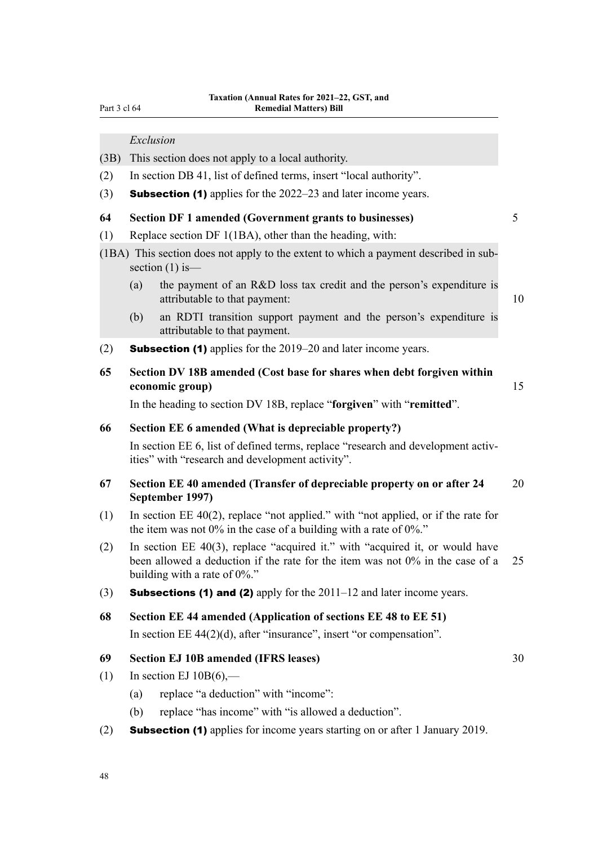Part 3 cl 64

*Exclusion*

- (3B) This section does not apply to a local authority.
- (2) In section DB 41, list of defined terms, insert "local authority".
- (3) **Subsection (1)** applies for the  $2022-23$  and later income years.

#### **64 Section DF 1 amended (Government grants to businesses)** 5

- (1) Replace section DF 1(1BA), other than the heading, with:
- (1BA) This section does not apply to the extent to which a payment described in sub‐ section  $(1)$  is—
	- (a) the payment of an R&D loss tax credit and the person's expenditure is attributable to that payment: 10
	- (b) an RDTI transition support payment and the person's expenditure is attributable to that payment.
- (2) **Subsection (1)** applies for the  $2019-20$  and later income years.
- **65 Section DV 18B amended (Cost base for shares when debt forgiven within economic group)** 15

In the heading to section DV 18B, replace "**forgiven**" with "**remitted**".

#### **66 Section EE 6 amended (What is depreciable property?)**

In section EE 6, list of defined terms, replace "research and development activities" with "research and development activity".

### **67 Section EE 40 amended (Transfer of depreciable property on or after 24** 20 **September 1997)**

- (1) In section EE 40(2), replace "not applied." with "not applied, or if the rate for the item was not  $0\%$  in the case of a building with a rate of  $0\%$ ."
- (2) In section EE 40(3), replace "acquired it." with "acquired it, or would have been allowed a deduction if the rate for the item was not 0% in the case of a 25 building with a rate of 0%."
- (3) **Subsections (1) and (2)** apply for the  $2011-12$  and later income years.
- **68 Section EE 44 amended (Application of sections EE 48 to EE 51)**

In section EE 44(2)(d), after "insurance", insert "or compensation".

# **69 Section EJ 10B amended (IFRS leases)** 30

- (1) In section EJ  $10B(6)$ ,—
	- (a) replace "a deduction" with "income":
	- (b) replace "has income" with "is allowed a deduction".
- (2) **Subsection (1)** applies for income years starting on or after 1 January 2019.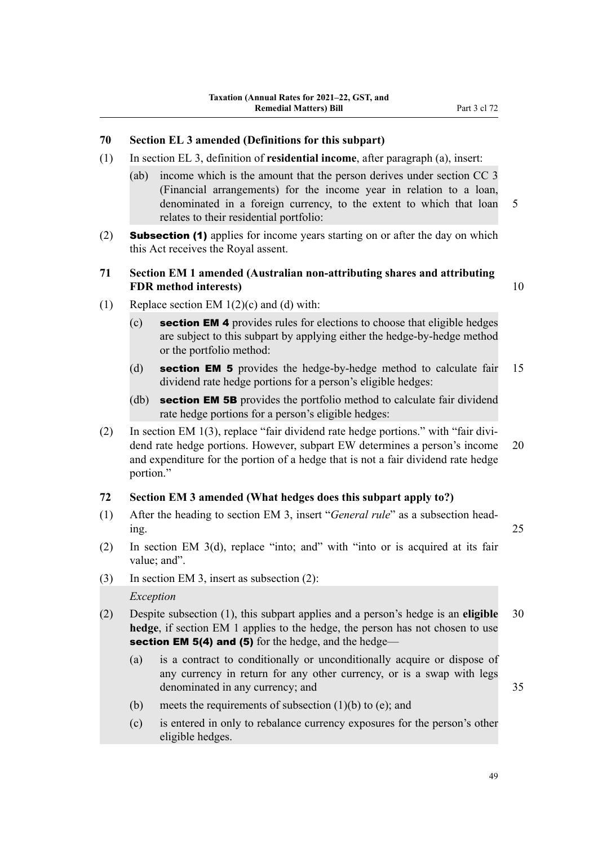## **70 Section EL 3 amended (Definitions for this subpart)**

- (1) In section EL 3, definition of **residential income**, after paragraph (a), insert:
	- (ab) income which is the amount that the person derives under section CC 3 (Financial arrangements) for the income year in relation to a loan, denominated in a foreign currency, to the extent to which that loan 5 relates to their residential portfolio:
- (2) **Subsection (1)** applies for income years starting on or after the day on which this Act receives the Royal assent.

### **71 Section EM 1 amended (Australian non-attributing shares and attributing FDR method interests)** 10

- (1) Replace section EM  $1(2)(c)$  and (d) with:
	- $(c)$  section EM 4 provides rules for elections to choose that eligible hedges are subject to this subpart by applying either the hedge-by-hedge method or the portfolio method:
	- (d) section EM 5 provides the hedge-by-hedge method to calculate fair 15 dividend rate hedge portions for a person's eligible hedges:
	- (db) **section EM 5B** provides the portfolio method to calculate fair dividend rate hedge portions for a person's eligible hedges:
- (2) In section EM 1(3), replace "fair dividend rate hedge portions." with "fair divi‐ dend rate hedge portions. However, subpart EW determines a person's income 20 and expenditure for the portion of a hedge that is not a fair dividend rate hedge portion."

### **72 Section EM 3 amended (What hedges does this subpart apply to?)**

- (1) After the heading to section EM 3, insert "*General rule*" as a subsection head‐ ing. 25
- (2) In section EM 3(d), replace "into; and" with "into or is acquired at its fair value: and".
- (3) In section EM 3, insert as subsection (2): *Exception*
- (2) Despite subsection (1), this subpart applies and a person's hedge is an **eligible** 30 **hedge**, if section EM 1 applies to the hedge, the person has not chosen to use section EM 5(4) and (5) for the hedge, and the hedge—
	- (a) is a contract to conditionally or unconditionally acquire or dispose of any currency in return for any other currency, or is a swap with legs denominated in any currency; and 35

- (b) meets the requirements of subsection  $(1)(b)$  to  $(e)$ ; and
- (c) is entered in only to rebalance currency exposures for the person's other eligible hedges.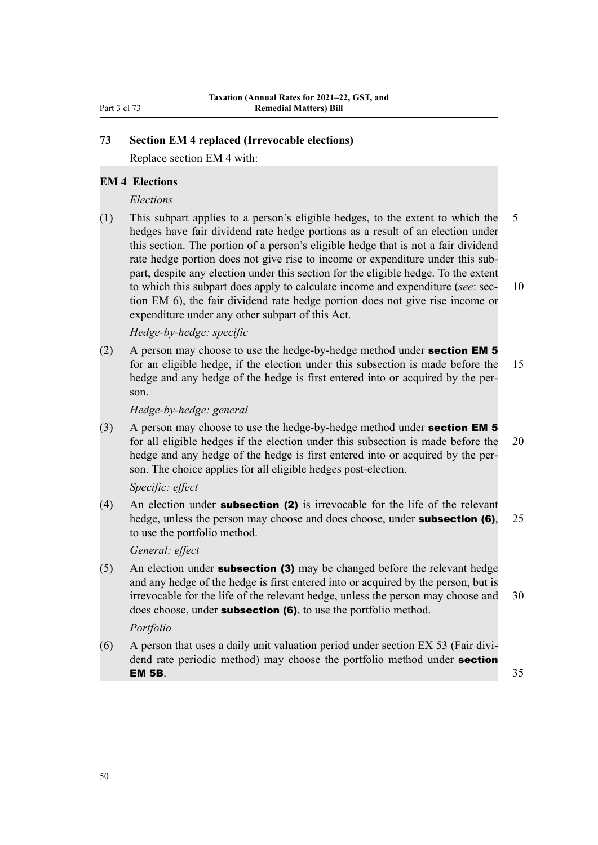# **73 Section EM 4 replaced (Irrevocable elections)**

Replace section EM 4 with:

## **EM 4 Elections**

#### *Elections*

(1) This subpart applies to a person's eligible hedges, to the extent to which the 5 hedges have fair dividend rate hedge portions as a result of an election under this section. The portion of a person's eligible hedge that is not a fair dividend rate hedge portion does not give rise to income or expenditure under this subpart, despite any election under this section for the eligible hedge. To the extent to which this subpart does apply to calculate income and expenditure (*see*: sec- 10 tion EM 6), the fair dividend rate hedge portion does not give rise income or expenditure under any other subpart of this Act.

*Hedge-by-hedge: specific*

(2) A person may choose to use the hedge-by-hedge method under **section EM 5** for an eligible hedge, if the election under this subsection is made before the 15 hedge and any hedge of the hedge is first entered into or acquired by the person.

*Hedge-by-hedge: general*

(3) A person may choose to use the hedge-by-hedge method under **section EM 5** for all eligible hedges if the election under this subsection is made before the 20 hedge and any hedge of the hedge is first entered into or acquired by the person. The choice applies for all eligible hedges post-election.

#### *Specific: effect*

(4) An election under **subsection (2)** is irrevocable for the life of the relevant hedge, unless the person may choose and does choose, under **subsection (6)**, 25 to use the portfolio method.

*General: effect*

(5) An election under **subsection (3)** may be changed before the relevant hedge and any hedge of the hedge is first entered into or acquired by the person, but is irrevocable for the life of the relevant hedge, unless the person may choose and 30 does choose, under **subsection (6)**, to use the portfolio method.

#### *Portfolio*

 $(6)$  A person that uses a daily unit valuation period under section EX 53 (Fair dividend rate periodic method) may choose the portfolio method under **section EM 5B.**  $35$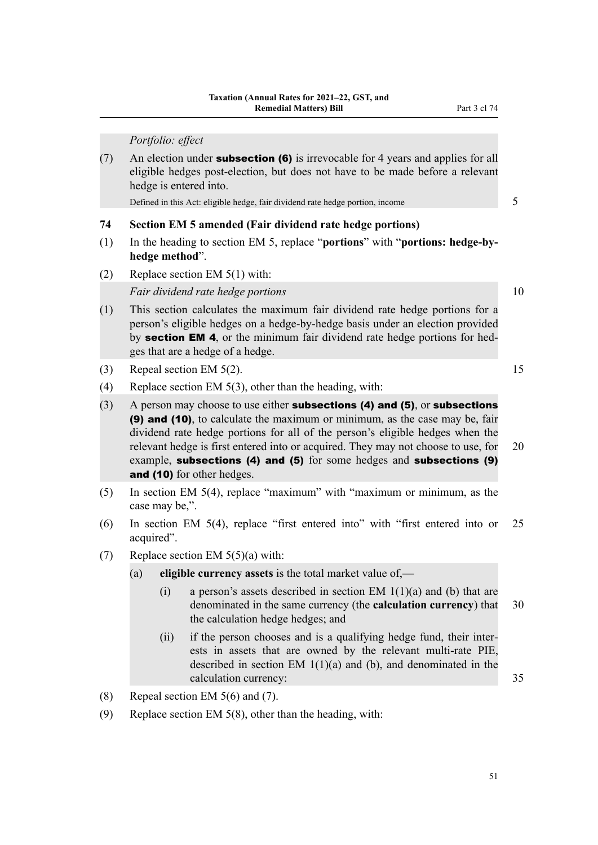*Portfolio: effect*

(7) An election under **subsection (6)** is irrevocable for 4 years and applies for all eligible hedges post-election, but does not have to be made before a relevant hedge is entered into.

Defined in this Act: eligible hedge, fair dividend rate hedge portion, income 5

#### **74 Section EM 5 amended (Fair dividend rate hedge portions)**

- (1) In the heading to section EM 5, replace "**portions**" with "**portions: hedge-byhedge method**".
- (2) Replace section EM 5(1) with:

*Fair dividend rate hedge portions* 10

- (1) This section calculates the maximum fair dividend rate hedge portions for a person's eligible hedges on a hedge-by-hedge basis under an election provided by **section EM 4**, or the minimum fair dividend rate hedge portions for hedges that are a hedge of a hedge.
- (3) Repeal section EM  $5(2)$ . 15
- (4) Replace section EM 5(3), other than the heading, with:
- $(3)$  A person may choose to use either **subsections (4) and (5)**, or **subsections** (9) and (10), to calculate the maximum or minimum, as the case may be, fair dividend rate hedge portions for all of the person's eligible hedges when the relevant hedge is first entered into or acquired. They may not choose to use, for 20 example, subsections (4) and (5) for some hedges and subsections (9) and (10) for other hedges.
- (5) In section EM 5(4), replace "maximum" with "maximum or minimum, as the case may be,".
- (6) In section EM 5(4), replace "first entered into" with "first entered into or 25 acquired".
- (7) Replace section EM 5(5)(a) with:
	- (a) **eligible currency assets** is the total market value of,—
		- (i) a person's assets described in section EM  $1(1)(a)$  and (b) that are denominated in the same currency (the **calculation currency**) that 30 the calculation hedge hedges; and
		- (ii) if the person chooses and is a qualifying hedge fund, their inter‐ ests in assets that are owned by the relevant multi-rate PIE, described in section EM 1(1)(a) and (b), and denominated in the calculation currency: 35
- (8) Repeal section EM  $5(6)$  and (7).
- (9) Replace section EM 5(8), other than the heading, with: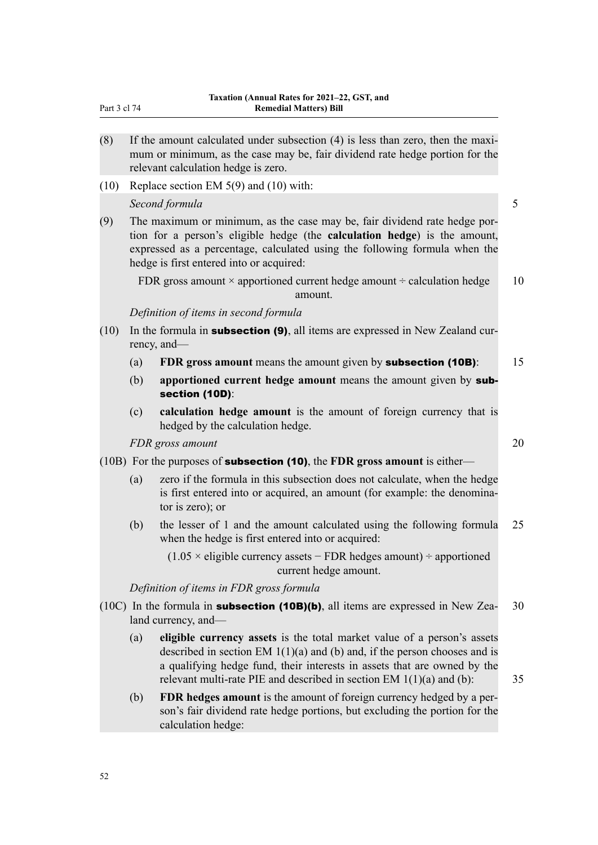- $(8)$  If the amount calculated under subsection  $(4)$  is less than zero, then the maximum or minimum, as the case may be, fair dividend rate hedge portion for the relevant calculation hedge is zero.
- (10) Replace section EM 5(9) and (10) with:

*Second formula* 5

(9) The maximum or minimum, as the case may be, fair dividend rate hedge por‐ tion for a person's eligible hedge (the **calculation hedge**) is the amount, expressed as a percentage, calculated using the following formula when the hedge is first entered into or acquired:

FDR gross amount  $\times$  apportioned current hedge amount  $\div$  calculation hedge 10 amount.

## *Definition of items in second formula*

- (10) In the formula in **subsection (9)**, all items are expressed in New Zealand currency, and—
	- (a) **FDR gross amount** means the amount given by subsection (10B): 15
	- (b) **apportioned current hedge amount** means the amount given by subsection (10D):
	- (c) **calculation hedge amount** is the amount of foreign currency that is hedged by the calculation hedge.

*FDR gross amount* 20

- (10B) For the purposes of subsection (10), the **FDR gross amount** is either—
	- (a) zero if the formula in this subsection does not calculate, when the hedge is first entered into or acquired, an amount (for example: the denominator is zero); or
	- (b) the lesser of 1 and the amount calculated using the following formula 25 when the hedge is first entered into or acquired:

(1.05 × eligible currency assets − FDR hedges amount) ÷ apportioned current hedge amount.

*Definition of items in FDR gross formula*

- (10C) In the formula in **subsection (10B)(b)**, all items are expressed in New Zea- 30 land currency, and—
	- (a) **eligible currency assets** is the total market value of a person's assets described in section EM  $1(1)(a)$  and (b) and, if the person chooses and is a qualifying hedge fund, their interests in assets that are owned by the relevant multi-rate PIE and described in section EM  $1(1)(a)$  and (b):  $35$
	- (b) **FDR hedges amount** is the amount of foreign currency hedged by a per‐ son's fair dividend rate hedge portions, but excluding the portion for the calculation hedge: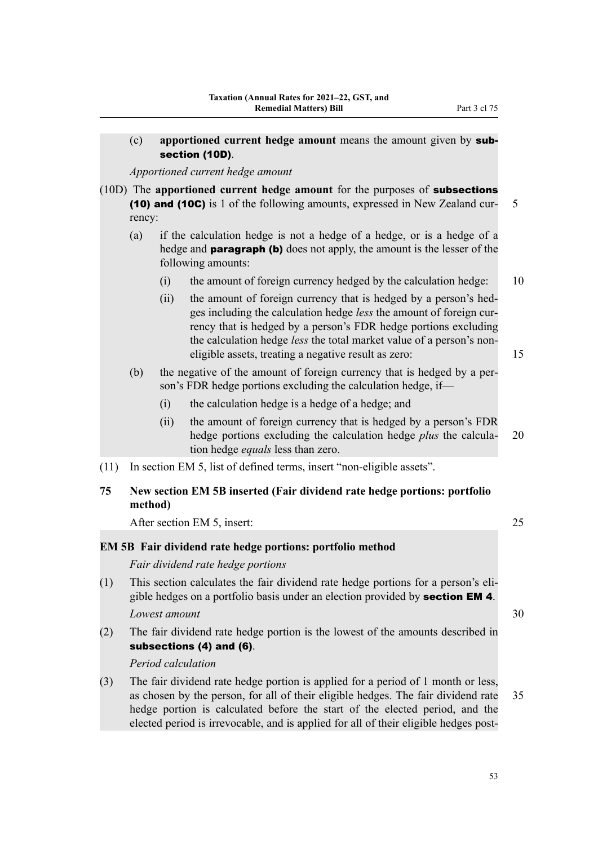|      | (c)           |      | apportioned current hedge amount means the amount given by sub-<br>section (10D).                                                                                                                                                                                                                                                          |    |
|------|---------------|------|--------------------------------------------------------------------------------------------------------------------------------------------------------------------------------------------------------------------------------------------------------------------------------------------------------------------------------------------|----|
|      |               |      | Apportioned current hedge amount                                                                                                                                                                                                                                                                                                           |    |
|      | rency:        |      | (10D) The apportioned current hedge amount for the purposes of subsections<br>(10) and (10C) is 1 of the following amounts, expressed in New Zealand cur-                                                                                                                                                                                  | 5  |
|      | (a)           |      | if the calculation hedge is not a hedge of a hedge, or is a hedge of a<br>hedge and <b>paragraph (b)</b> does not apply, the amount is the lesser of the<br>following amounts:                                                                                                                                                             |    |
|      |               | (i)  | the amount of foreign currency hedged by the calculation hedge:                                                                                                                                                                                                                                                                            | 10 |
|      |               | (ii) | the amount of foreign currency that is hedged by a person's hed-<br>ges including the calculation hedge less the amount of foreign cur-<br>rency that is hedged by a person's FDR hedge portions excluding<br>the calculation hedge less the total market value of a person's non-<br>eligible assets, treating a negative result as zero: | 15 |
|      | (b)           |      | the negative of the amount of foreign currency that is hedged by a per-<br>son's FDR hedge portions excluding the calculation hedge, if-                                                                                                                                                                                                   |    |
|      |               | (i)  | the calculation hedge is a hedge of a hedge; and                                                                                                                                                                                                                                                                                           |    |
|      |               | (ii) | the amount of foreign currency that is hedged by a person's FDR<br>hedge portions excluding the calculation hedge plus the calcula-<br>tion hedge <i>equals</i> less than zero.                                                                                                                                                            | 20 |
| (11) |               |      | In section EM 5, list of defined terms, insert "non-eligible assets".                                                                                                                                                                                                                                                                      |    |
| 75   | method)       |      | New section EM 5B inserted (Fair dividend rate hedge portions: portfolio                                                                                                                                                                                                                                                                   |    |
|      |               |      | After section EM 5, insert:                                                                                                                                                                                                                                                                                                                | 25 |
|      |               |      | <b>EM 5B</b> Fair dividend rate hedge portions: portfolio method                                                                                                                                                                                                                                                                           |    |
|      |               |      | Fair dividend rate hedge portions                                                                                                                                                                                                                                                                                                          |    |
| (1)  |               |      | This section calculates the fair dividend rate hedge portions for a person's eli-<br>gible hedges on a portfolio basis under an election provided by <b>section EM 4</b> .                                                                                                                                                                 |    |
|      | Lowest amount |      |                                                                                                                                                                                                                                                                                                                                            | 30 |
| (2)  |               |      | The fair dividend rate hedge portion is the lowest of the amounts described in<br>subsections (4) and (6).                                                                                                                                                                                                                                 |    |
|      |               |      | Period calculation                                                                                                                                                                                                                                                                                                                         |    |
| (3)  |               |      | The fair dividend rate hedge portion is applied for a period of 1 month or less,<br>as chosen by the person, for all of their eligible hedges. The fair dividend rate                                                                                                                                                                      | 35 |

hedge portion is calculated before the start of the elected period, and the elected period is irrevocable, and is applied for all of their eligible hedges post-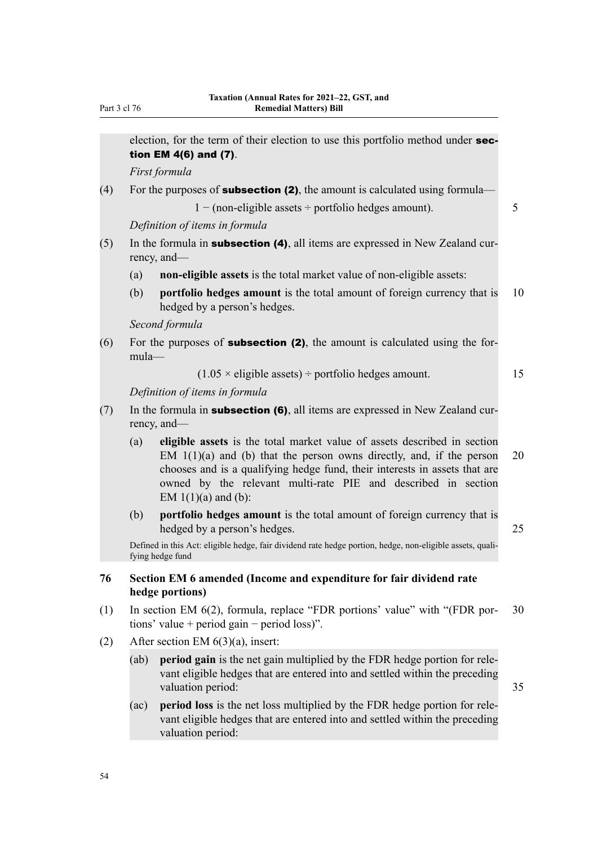|     | election, for the term of their election to use this portfolio method under sec-<br>tion EM $4(6)$ and $(7)$ .                                                                                                                                                                                                                    |    |
|-----|-----------------------------------------------------------------------------------------------------------------------------------------------------------------------------------------------------------------------------------------------------------------------------------------------------------------------------------|----|
|     | First formula                                                                                                                                                                                                                                                                                                                     |    |
| (4) | For the purposes of <b>subsection (2)</b> , the amount is calculated using formula—                                                                                                                                                                                                                                               |    |
|     | $1 - (non-eligible assets \div portfolio hedges amount).$                                                                                                                                                                                                                                                                         | 5  |
|     | Definition of items in formula                                                                                                                                                                                                                                                                                                    |    |
| (5) | In the formula in <b>subsection (4)</b> , all items are expressed in New Zealand cur-<br>rency, and—                                                                                                                                                                                                                              |    |
|     | non-eligible assets is the total market value of non-eligible assets:<br>(a)                                                                                                                                                                                                                                                      |    |
|     | portfolio hedges amount is the total amount of foreign currency that is<br>(b)<br>hedged by a person's hedges.                                                                                                                                                                                                                    | 10 |
|     | Second formula                                                                                                                                                                                                                                                                                                                    |    |
| (6) | For the purposes of <b>subsection (2)</b> , the amount is calculated using the for-<br>mula-                                                                                                                                                                                                                                      |    |
|     | $(1.05 \times$ eligible assets) ÷ portfolio hedges amount.                                                                                                                                                                                                                                                                        | 15 |
|     | Definition of items in formula                                                                                                                                                                                                                                                                                                    |    |
| (7) | In the formula in <b>subsection (6)</b> , all items are expressed in New Zealand cur-<br>rency, and—                                                                                                                                                                                                                              |    |
|     | eligible assets is the total market value of assets described in section<br>(a)<br>EM $1(1)(a)$ and (b) that the person owns directly, and, if the person<br>chooses and is a qualifying hedge fund, their interests in assets that are<br>owned by the relevant multi-rate PIE and described in section<br>EM $1(1)(a)$ and (b): | 20 |
|     | portfolio hedges amount is the total amount of foreign currency that is<br>(b)<br>hedged by a person's hedges.                                                                                                                                                                                                                    | 25 |
|     | Defined in this Act: eligible hedge, fair dividend rate hedge portion, hedge, non-eligible assets, quali-<br>fying hedge fund                                                                                                                                                                                                     |    |
| 76  | Section EM 6 amended (Income and expenditure for fair dividend rate<br>hedge portions)                                                                                                                                                                                                                                            |    |
| (1) | In section EM 6(2), formula, replace "FDR portions' value" with "(FDR por-<br>tions' value + period gain – period loss)".                                                                                                                                                                                                         | 30 |
| (2) | After section EM $6(3)(a)$ , insert:                                                                                                                                                                                                                                                                                              |    |
|     | period gain is the net gain multiplied by the FDR hedge portion for rele-<br>(ab)<br>vant eligible hedges that are entered into and settled within the preceding<br>valuation period:                                                                                                                                             | 35 |
|     | period loss is the net loss multiplied by the FDR hedge portion for rele-<br>(ac)                                                                                                                                                                                                                                                 |    |

vant eligible hedges that are entered into and settled within the preceding

54

valuation period: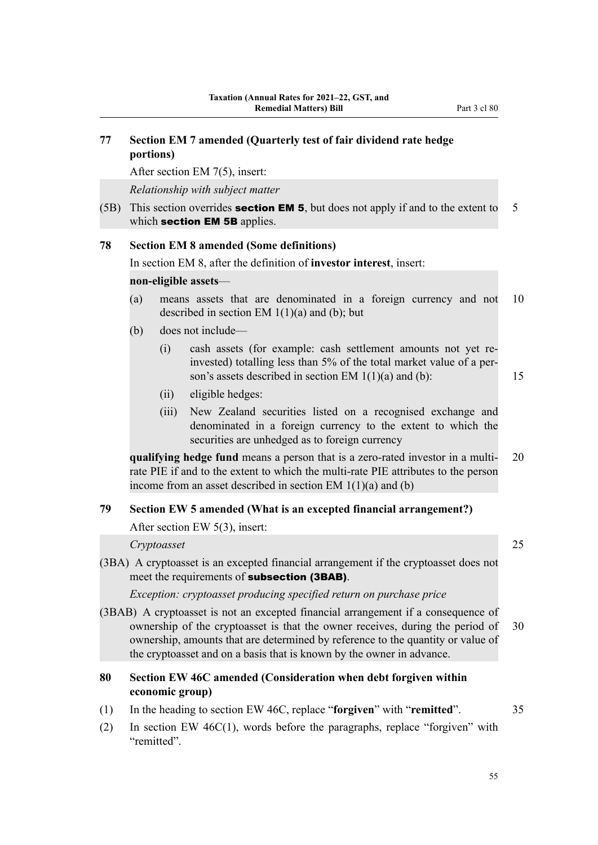# **77 Section EM 7 amended (Quarterly test of fair dividend rate hedge portions)**

After section EM 7(5), insert:

*Relationship with subject matter*

(5B) This section overrides **section EM 5**, but does not apply if and to the extent to  $5$ which section **EM 5B** applies.

### **78 Section EM 8 amended (Some definitions)**

In section EM 8, after the definition of **investor interest**, insert:

### **non-eligible assets**—

- (a) means assets that are denominated in a foreign currency and not 10 described in section EM  $1(1)(a)$  and (b); but
- (b) does not include—
	- (i) cash assets (for example: cash settlement amounts not yet reinvested) totalling less than 5% of the total market value of a person's assets described in section EM  $1(1)(a)$  and (b): 15
	- (ii) eligible hedges:
	- (iii) New Zealand securities listed on a recognised exchange and denominated in a foreign currency to the extent to which the securities are unhedged as to foreign currency

**qualifying hedge fund** means a person that is a zero-rated investor in a multi- 20 rate PIE if and to the extent to which the multi-rate PIE attributes to the person income from an asset described in section EM 1(1)(a) and (b)

## **79 Section EW 5 amended (What is an excepted financial arrangement?)**

After section EW 5(3), insert:

# *Cryptoasset* 25

(3BA) A cryptoasset is an excepted financial arrangement if the cryptoasset does not meet the requirements of **subsection (3BAB)**.

*Exception: cryptoasset producing specified return on purchase price*

(3BAB) A cryptoasset is not an excepted financial arrangement if a consequence of ownership of the cryptoasset is that the owner receives, during the period of 30 ownership, amounts that are determined by reference to the quantity or value of the cryptoasset and on a basis that is known by the owner in advance.

# **80 Section EW 46C amended (Consideration when debt forgiven within economic group)**

- (1) In the heading to section EW 46C, replace "**forgiven**" with "**remitted**". 35
- (2) In section EW 46C(1), words before the paragraphs, replace "forgiven" with "remitted".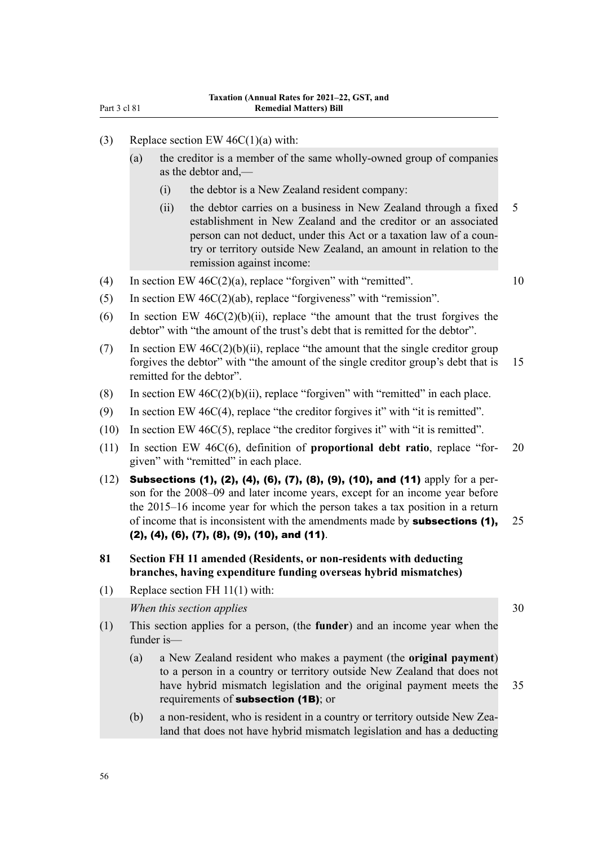- (3) Replace section EW  $46C(1)(a)$  with:
	- (a) the creditor is a member of the same wholly-owned group of companies as the debtor and,—
		- (i) the debtor is a New Zealand resident company:
		- (ii) the debtor carries on a business in New Zealand through a fixed 5 establishment in New Zealand and the creditor or an associated person can not deduct, under this Act or a taxation law of a country or territory outside New Zealand, an amount in relation to the remission against income:
- (4) In section EW  $46C(2)(a)$ , replace "forgiven" with "remitted". 10
- (5) In section EW 46C(2)(ab), replace "forgiveness" with "remission".
- (6) In section EW  $46C(2)(b)(ii)$ , replace "the amount that the trust forgives the debtor" with "the amount of the trust's debt that is remitted for the debtor".
- (7) In section EW  $46C(2)(b)(ii)$ , replace "the amount that the single creditor group forgives the debtor" with "the amount of the single creditor group's debt that is 15 remitted for the debtor".
- (8) In section EW  $46C(2)(b)(ii)$ , replace "forgiven" with "remitted" in each place.
- (9) In section EW 46C(4), replace "the creditor forgives it" with "it is remitted".
- (10) In section EW 46C(5), replace "the creditor forgives it" with "it is remitted".
- (11) In section EW 46C(6), definition of **proportional debt ratio**, replace "for‐ 20 given" with "remitted" in each place.
- (12) Subsections (1), (2), (4), (6), (7), (8), (9), (10), and (11) apply for a person for the 2008–09 and later income years, except for an income year before the 2015–16 income year for which the person takes a tax position in a return of income that is inconsistent with the amendments made by **subsections (1),** 25 (2), (4), (6), (7), (8), (9), (10), and (11).
- **81 Section FH 11 amended (Residents, or non-residents with deducting branches, having expenditure funding overseas hybrid mismatches)**
- (1) Replace section FH 11(1) with:

*When this section applies* 30

- (1) This section applies for a person, (the **funder**) and an income year when the funder is—
	- (a) a New Zealand resident who makes a payment (the **original payment**) to a person in a country or territory outside New Zealand that does not have hybrid mismatch legislation and the original payment meets the 35 requirements of **subsection (1B)**; or
	- (b) a non-resident, who is resident in a country or territory outside New Zea‐ land that does not have hybrid mismatch legislation and has a deducting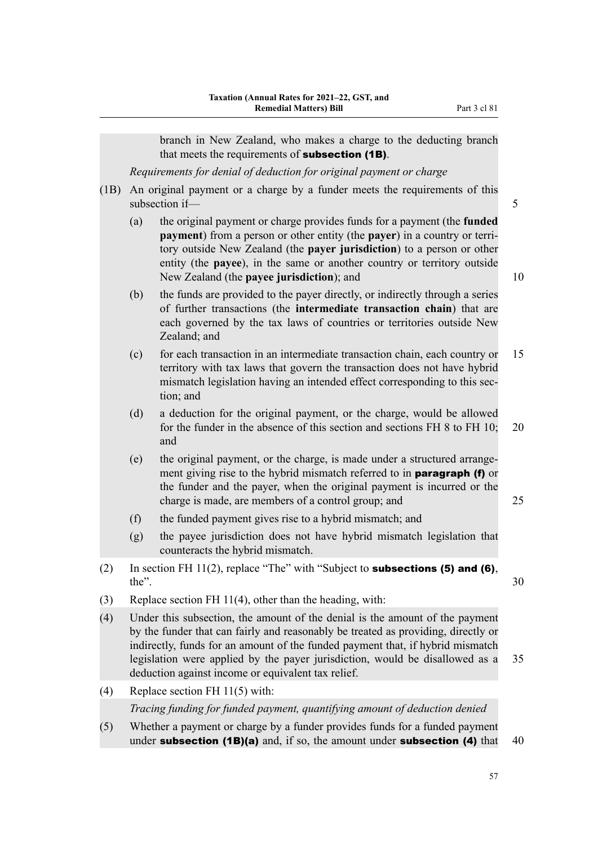branch in New Zealand, who makes a charge to the deducting branch that meets the requirements of **subsection (1B)**.

*Requirements for denial of deduction for original payment or charge*

- (1B) An original payment or a charge by a funder meets the requirements of this subsection if— 5
	- (a) the original payment or charge provides funds for a payment (the **funded payment**) from a person or other entity (the **payer**) in a country or terri‐ tory outside New Zealand (the **payer jurisdiction**) to a person or other entity (the **payee**), in the same or another country or territory outside New Zealand (the **payee jurisdiction**); and 10
	- (b) the funds are provided to the payer directly, or indirectly through a series of further transactions (the **intermediate transaction chain**) that are each governed by the tax laws of countries or territories outside New Zealand; and
	- (c) for each transaction in an intermediate transaction chain, each country or 15 territory with tax laws that govern the transaction does not have hybrid mismatch legislation having an intended effect corresponding to this section; and
	- (d) a deduction for the original payment, or the charge, would be allowed for the funder in the absence of this section and sections FH 8 to FH 10; 20 and
	- (e) the original payment, or the charge, is made under a structured arrange‐ ment giving rise to the hybrid mismatch referred to in **paragraph (f)** or the funder and the payer, when the original payment is incurred or the charge is made, are members of a control group; and 25
	- (f) the funded payment gives rise to a hybrid mismatch; and
	- (g) the payee jurisdiction does not have hybrid mismatch legislation that counteracts the hybrid mismatch.
- (2) In section FH 11(2), replace "The" with "Subject to **subsections (5) and (6)**,  $the$ ".  $30$
- (3) Replace section FH 11(4), other than the heading, with:
- (4) Under this subsection, the amount of the denial is the amount of the payment by the funder that can fairly and reasonably be treated as providing, directly or indirectly, funds for an amount of the funded payment that, if hybrid mismatch legislation were applied by the payer jurisdiction, would be disallowed as a 35 deduction against income or equivalent tax relief.
- (4) Replace section FH 11(5) with:

*Tracing funding for funded payment, quantifying amount of deduction denied*

(5) Whether a payment or charge by a funder provides funds for a funded payment under **subsection (1B)(a)** and, if so, the amount under **subsection (4)** that  $40$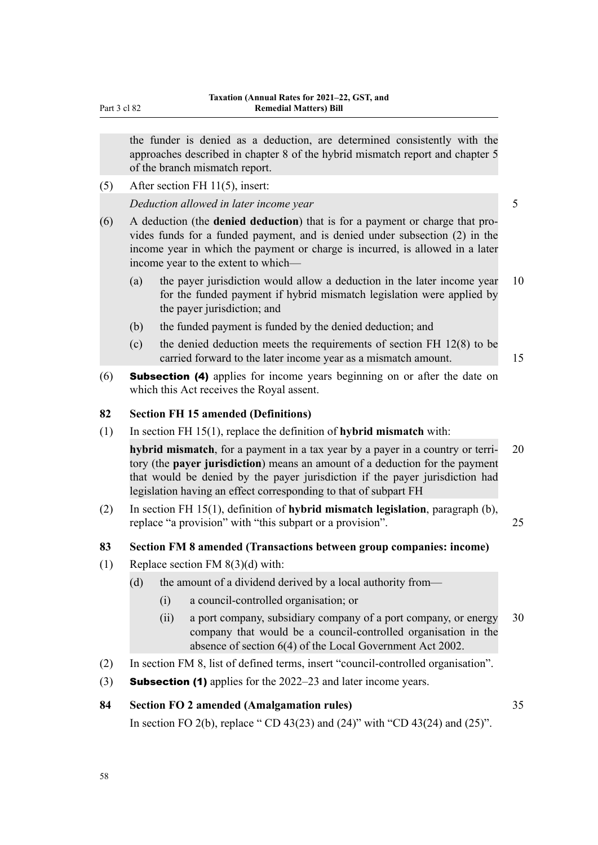the funder is denied as a deduction, are determined consistently with the approaches described in chapter 8 of the hybrid mismatch report and chapter 5 of the branch mismatch report.

(5) After section FH 11(5), insert:

*Deduction allowed in later income year* 5

- (6) A deduction (the **denied deduction**) that is for a payment or charge that pro‐ vides funds for a funded payment, and is denied under subsection (2) in the income year in which the payment or charge is incurred, is allowed in a later income year to the extent to which—
	- (a) the payer jurisdiction would allow a deduction in the later income year 10 for the funded payment if hybrid mismatch legislation were applied by the payer jurisdiction; and
	- (b) the funded payment is funded by the denied deduction; and
	- (c) the denied deduction meets the requirements of section FH 12(8) to be carried forward to the later income year as a mismatch amount. 15
- (6) Subsection (4) applies for income years beginning on or after the date on which this Act receives the Royal assent.

### **82 Section FH 15 amended (Definitions)**

(1) In section FH 15(1), replace the definition of **hybrid mismatch** with:

**hybrid mismatch**, for a payment in a tax year by a payer in a country or terri- 20 tory (the **payer jurisdiction**) means an amount of a deduction for the payment that would be denied by the payer jurisdiction if the payer jurisdiction had legislation having an effect corresponding to that of subpart FH

(2) In section FH 15(1), definition of **hybrid mismatch legislation**, paragraph (b), replace "a provision" with "this subpart or a provision". 25

### **83 Section FM 8 amended (Transactions between group companies: income)**

- (1) Replace section FM 8(3)(d) with:
	- (d) the amount of a dividend derived by a local authority from—
		- (i) a council-controlled organisation; or
		- (ii) a port company, subsidiary company of a port company, or energy 30 company that would be a council-controlled organisation in the absence of section 6(4) of the Local Government Act 2002.
- (2) In section FM 8, list of defined terms, insert "council-controlled organisation".
- (3) **Subsection (1)** applies for the  $2022-23$  and later income years.

# **84 Section FO 2 amended (Amalgamation rules)** 35

In section FO 2(b), replace " CD 43(23) and (24)" with "CD 43(24) and (25)".

Part 3 cl 82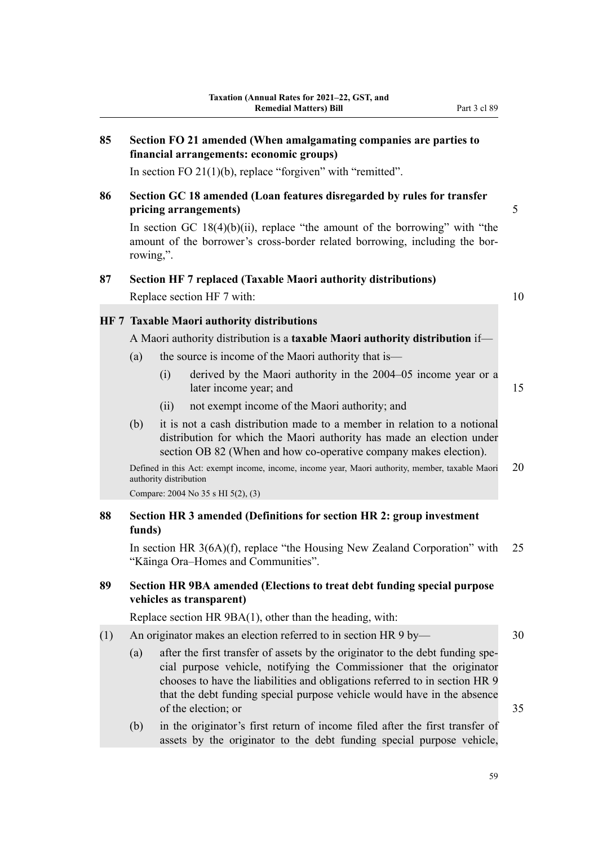| 85<br>Section FO 21 amended (When amalgamating companies are parties to<br>financial arrangements: economic groups) |           |                        |                                                                                                                                                                                                                                                                                                                                        |    |
|---------------------------------------------------------------------------------------------------------------------|-----------|------------------------|----------------------------------------------------------------------------------------------------------------------------------------------------------------------------------------------------------------------------------------------------------------------------------------------------------------------------------------|----|
|                                                                                                                     |           |                        | In section FO $21(1)(b)$ , replace "forgiven" with "remitted".                                                                                                                                                                                                                                                                         |    |
| 86                                                                                                                  |           |                        | Section GC 18 amended (Loan features disregarded by rules for transfer<br>pricing arrangements)                                                                                                                                                                                                                                        | 5  |
|                                                                                                                     | rowing,". |                        | In section GC $18(4)(b)(ii)$ , replace "the amount of the borrowing" with "the<br>amount of the borrower's cross-border related borrowing, including the bor-                                                                                                                                                                          |    |
| 87                                                                                                                  |           |                        | <b>Section HF 7 replaced (Taxable Maori authority distributions)</b>                                                                                                                                                                                                                                                                   |    |
|                                                                                                                     |           |                        | Replace section HF 7 with:                                                                                                                                                                                                                                                                                                             | 10 |
|                                                                                                                     |           |                        | <b>HF 7 Taxable Maori authority distributions</b>                                                                                                                                                                                                                                                                                      |    |
|                                                                                                                     |           |                        | A Maori authority distribution is a taxable Maori authority distribution if-                                                                                                                                                                                                                                                           |    |
|                                                                                                                     | (a)       |                        | the source is income of the Maori authority that is—                                                                                                                                                                                                                                                                                   |    |
|                                                                                                                     |           | (i)                    | derived by the Maori authority in the 2004–05 income year or a<br>later income year; and                                                                                                                                                                                                                                               | 15 |
|                                                                                                                     |           | (ii)                   | not exempt income of the Maori authority; and                                                                                                                                                                                                                                                                                          |    |
|                                                                                                                     | (b)       |                        | it is not a cash distribution made to a member in relation to a notional<br>distribution for which the Maori authority has made an election under<br>section OB 82 (When and how co-operative company makes election).                                                                                                                 |    |
|                                                                                                                     |           | authority distribution | Defined in this Act: exempt income, income, income year, Maori authority, member, taxable Maori                                                                                                                                                                                                                                        | 20 |
|                                                                                                                     |           |                        | Compare: 2004 No 35 s HI 5(2), (3)                                                                                                                                                                                                                                                                                                     |    |
| 88                                                                                                                  | funds)    |                        | Section HR 3 amended (Definitions for section HR 2: group investment                                                                                                                                                                                                                                                                   |    |
|                                                                                                                     |           |                        | In section HR 3(6A)(f), replace "the Housing New Zealand Corporation" with<br>"Kāinga Ora-Homes and Communities".                                                                                                                                                                                                                      | 25 |
| 89                                                                                                                  |           |                        | Section HR 9BA amended (Elections to treat debt funding special purpose<br>vehicles as transparent)                                                                                                                                                                                                                                    |    |
|                                                                                                                     |           |                        | Replace section HR 9BA(1), other than the heading, with:                                                                                                                                                                                                                                                                               |    |
| (1)                                                                                                                 |           |                        | An originator makes an election referred to in section HR 9 by-                                                                                                                                                                                                                                                                        | 30 |
|                                                                                                                     | (a)       |                        | after the first transfer of assets by the originator to the debt funding spe-<br>cial purpose vehicle, notifying the Commissioner that the originator<br>chooses to have the liabilities and obligations referred to in section HR 9<br>that the debt funding special purpose vehicle would have in the absence<br>of the election; or | 35 |

(b) in the originator's first return of income filed after the first transfer of assets by the originator to the debt funding special purpose vehicle,

59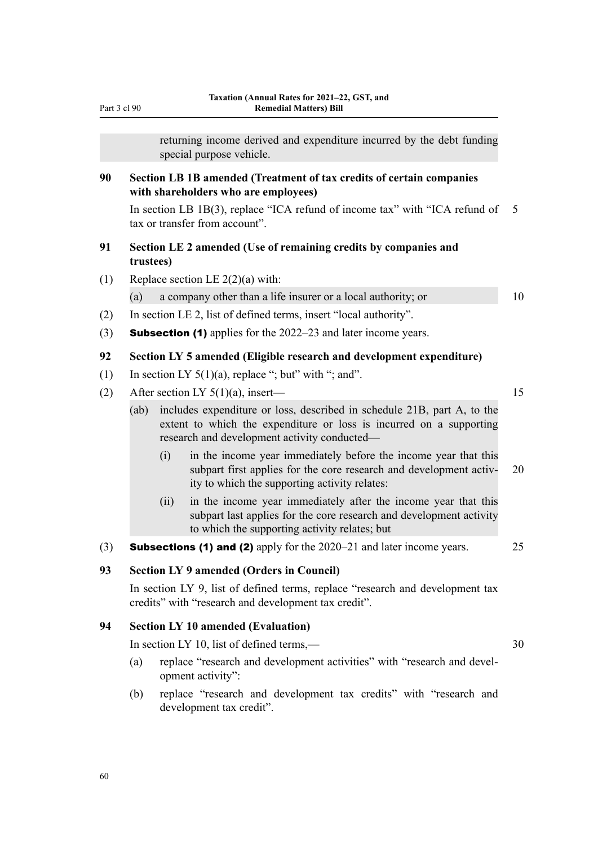#### Part 3 cl 90

returning income derived and expenditure incurred by the debt funding special purpose vehicle.

# **90 Section LB 1B amended (Treatment of tax credits of certain companies with shareholders who are employees)**

In section LB 1B(3), replace "ICA refund of income tax" with "ICA refund of  $5$ tax or transfer from account".

# **91 Section LE 2 amended (Use of remaining credits by companies and trustees)**

(1) Replace section LE  $2(2)(a)$  with:

(a) a company other than a life insurer or a local authority; or 10

- (2) In section LE 2, list of defined terms, insert "local authority".
- (3) Subsection (1) applies for the 2022–23 and later income years.

# **92 Section LY 5 amended (Eligible research and development expenditure)**

- (1) In section LY  $5(1)(a)$ , replace "; but" with "; and".
- (2) After section LY  $5(1)(a)$ , insert— 15

(ab) includes expenditure or loss, described in schedule 21B, part A, to the extent to which the expenditure or loss is incurred on a supporting research and development activity conducted—

- (i) in the income year immediately before the income year that this subpart first applies for the core research and development activ- 20 ity to which the supporting activity relates:
- (ii) in the income year immediately after the income year that this subpart last applies for the core research and development activity to which the supporting activity relates; but
- (3) **Subsections (1) and (2)** apply for the  $2020-21$  and later income years.  $25$

### **93 Section LY 9 amended (Orders in Council)**

In section LY 9, list of defined terms, replace "research and development tax credits" with "research and development tax credit".

# **94 Section LY 10 amended (Evaluation)**

In section LY 10, list of defined terms,— 30

- (a) replace "research and development activities" with "research and development activity":
- (b) replace "research and development tax credits" with "research and development tax credit".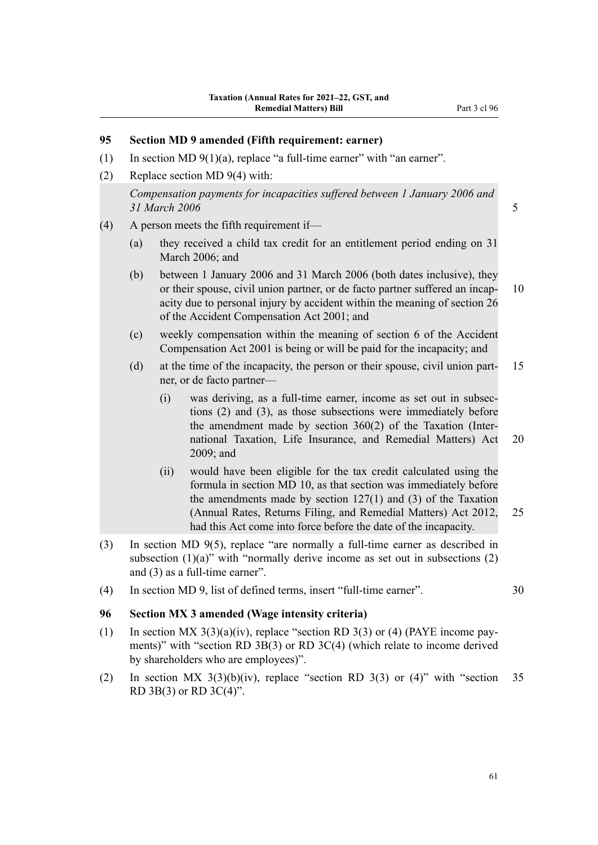# **95 Section MD 9 amended (Fifth requirement: earner)** (1) In section MD  $9(1)(a)$ , replace "a full-time earner" with "an earner". (2) Replace section MD 9(4) with:

*Compensation payments for incapacities suffered between 1 January 2006 and 31 March 2006* 5

# (4) A person meets the fifth requirement if—

- (a) they received a child tax credit for an entitlement period ending on 31 March 2006; and
- (b) between 1 January 2006 and 31 March 2006 (both dates inclusive), they or their spouse, civil union partner, or de facto partner suffered an incap- 10 acity due to personal injury by accident within the meaning of section 26 of the Accident Compensation Act 2001; and
- (c) weekly compensation within the meaning of section 6 of the Accident Compensation Act 2001 is being or will be paid for the incapacity; and
- (d) at the time of the incapacity, the person or their spouse, civil union part‐ 15 ner, or de facto partner—
	- (i) was deriving, as a full-time earner, income as set out in subsec‐ tions (2) and (3), as those subsections were immediately before the amendment made by section 360(2) of the Taxation (Inter‐ national Taxation, Life Insurance, and Remedial Matters) Act 20 2009; and
	- (ii) would have been eligible for the tax credit calculated using the formula in section MD 10, as that section was immediately before the amendments made by section  $127(1)$  and  $(3)$  of the Taxation (Annual Rates, Returns Filing, and Remedial Matters) Act 2012, 25 had this Act come into force before the date of the incapacity.
- (3) In section MD 9(5), replace "are normally a full-time earner as described in subsection  $(1)(a)$ " with "normally derive income as set out in subsections  $(2)$ and (3) as a full-time earner".
- (4) In section MD 9, list of defined terms, insert "full-time earner". 30

### **96 Section MX 3 amended (Wage intensity criteria)**

- (1) In section MX  $3(3)(a)(iv)$ , replace "section RD  $3(3)$  or (4) (PAYE income payments)" with "section RD 3B(3) or RD 3C(4) (which relate to income derived by shareholders who are employees)".
- (2) In section MX  $3(3)(b)(iv)$ , replace "section RD  $3(3)$  or  $(4)$ " with "section 35 RD 3B(3) or RD 3C(4)".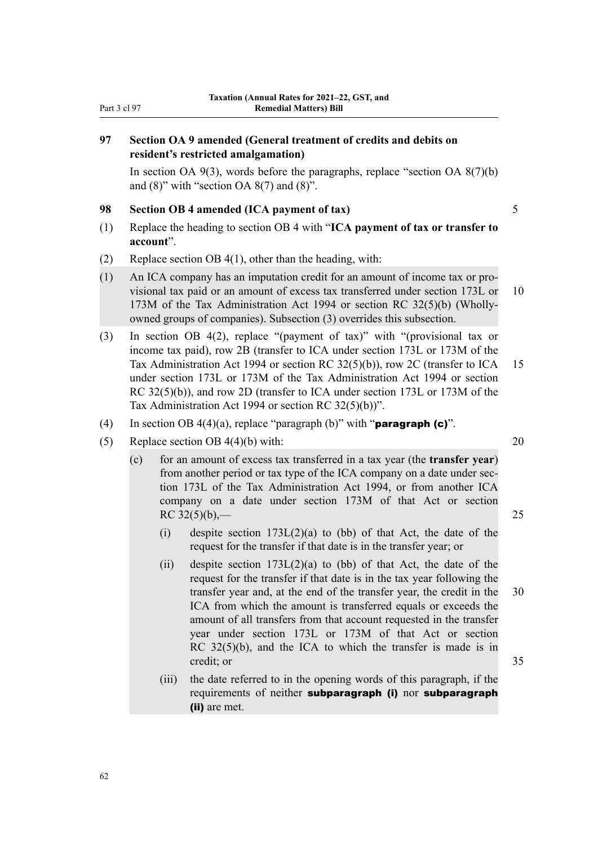# **97 Section OA 9 amended (General treatment of credits and debits on resident's restricted amalgamation)**

In section OA  $9(3)$ , words before the paragraphs, replace "section OA  $8(7)(b)$ and  $(8)$ " with "section OA  $8(7)$  and  $(8)$ ".

#### **98 Section OB 4 amended (ICA payment of tax)** 5

- (1) Replace the heading to section OB 4 with "**ICA payment of tax or transfer to account**".
- (2) Replace section OB 4(1), other than the heading, with:
- (1) An ICA company has an imputation credit for an amount of income tax or pro‐ visional tax paid or an amount of excess tax transferred under section 173L or 10 173M of the Tax Administration Act 1994 or section RC 32(5)(b) (Whollyowned groups of companies). Subsection (3) overrides this subsection.
- (3) In section OB 4(2), replace "(payment of tax)" with "(provisional tax or income tax paid), row 2B (transfer to ICA under section 173L or 173M of the Tax Administration Act 1994 or section RC 32(5)(b)), row 2C (transfer to ICA 15 under section 173L or 173M of the Tax Administration Act 1994 or section RC 32(5)(b)), and row 2D (transfer to ICA under section 173L or 173M of the Tax Administration Act 1994 or section RC 32(5)(b))".
- (4) In section OB 4(4)(a), replace "paragraph (b)" with "**paragraph (c)**".
- (5) Replace section OB  $4(4)(b)$  with: 20
	- (c) for an amount of excess tax transferred in a tax year (the **transfer year**) from another period or tax type of the ICA company on a date under sec‐ tion 173L of the Tax Administration Act 1994, or from another ICA company on a date under section 173M of that Act or section RC  $32(5)(b)$  – 25
		- (i) despite section  $173L(2)(a)$  to (bb) of that Act, the date of the request for the transfer if that date is in the transfer year; or
		- (ii) despite section  $173L(2)(a)$  to (bb) of that Act, the date of the request for the transfer if that date is in the tax year following the transfer year and, at the end of the transfer year, the credit in the 30 ICA from which the amount is transferred equals or exceeds the amount of all transfers from that account requested in the transfer year under section 173L or 173M of that Act or section RC 32(5)(b), and the ICA to which the transfer is made is in credit; or 35
		- (iii) the date referred to in the opening words of this paragraph, if the requirements of neither subparagraph (i) nor subparagraph (ii) are met.

62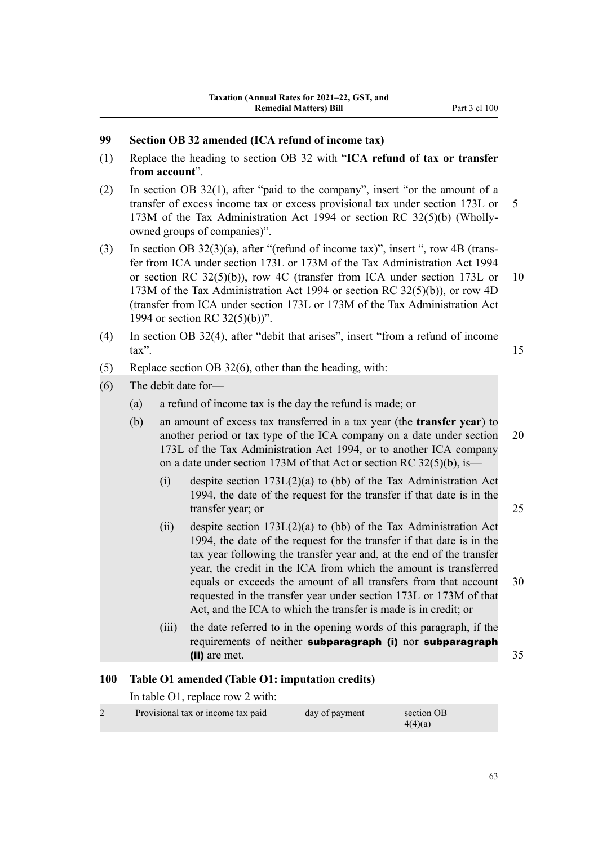# **99 Section OB 32 amended (ICA refund of income tax)**

- (1) Replace the heading to section OB 32 with "**ICA refund of tax or transfer from account**".
- (2) In section OB 32(1), after "paid to the company", insert "or the amount of a transfer of excess income tax or excess provisional tax under section 173L or 5 173M of the Tax Administration Act 1994 or section RC 32(5)(b) (Whollyowned groups of companies)".
- (3) In section OB  $32(3)(a)$ , after "(refund of income tax)", insert ", row 4B (transfer from ICA under section 173L or 173M of the Tax Administration Act 1994 or section RC 32(5)(b)), row 4C (transfer from ICA under section 173L or 10 173M of the Tax Administration Act 1994 or section RC 32(5)(b)), or row 4D (transfer from ICA under section 173L or 173M of the Tax Administration Act 1994 or section RC 32(5)(b))".
- (4) In section OB 32(4), after "debit that arises", insert "from a refund of income  $\text{tax"}.$  15
- (5) Replace section OB 32(6), other than the heading, with:
- (6) The debit date for—
	- (a) a refund of income tax is the day the refund is made; or
	- (b) an amount of excess tax transferred in a tax year (the **transfer year**) to another period or tax type of the ICA company on a date under section 20 173L of the Tax Administration Act 1994, or to another ICA company on a date under section 173M of that Act or section RC 32(5)(b), is—
		- (i) despite section  $173L(2)(a)$  to (bb) of the Tax Administration Act 1994, the date of the request for the transfer if that date is in the transfer year; or 25
		- (ii) despite section 173L(2)(a) to (bb) of the Tax Administration Act 1994, the date of the request for the transfer if that date is in the tax year following the transfer year and, at the end of the transfer year, the credit in the ICA from which the amount is transferred equals or exceeds the amount of all transfers from that account 30 requested in the transfer year under section 173L or 173M of that Act, and the ICA to which the transfer is made is in credit; or
		- (iii) the date referred to in the opening words of this paragraph, if the requirements of neither subparagraph (i) nor subparagraph (ii) are met. 35

### **100 Table O1 amended (Table O1: imputation credits)**

In table O1, replace row 2 with:

| Provisional tax or income tax paid | day of payment | section OB<br>4(4)(a) |
|------------------------------------|----------------|-----------------------|
|                                    |                |                       |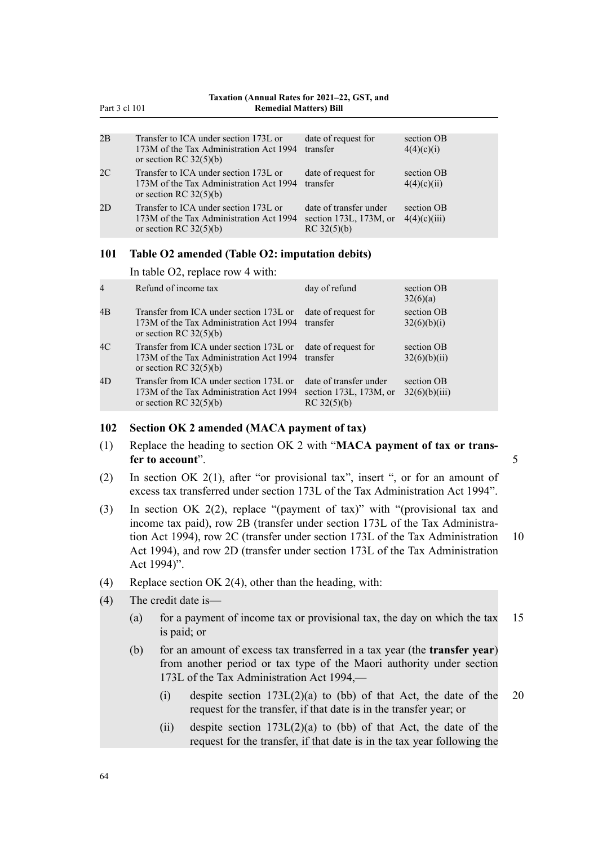|    | Taxation (Annual Rates for 2021–22, GST, and<br>Part 3 cl 101<br><b>Remedial Matters</b> ) Bill              |                                                                       |                            |  |  |
|----|--------------------------------------------------------------------------------------------------------------|-----------------------------------------------------------------------|----------------------------|--|--|
|    |                                                                                                              |                                                                       |                            |  |  |
| 2B | Transfer to ICA under section 173L or<br>173M of the Tax Administration Act 1994<br>or section RC $32(5)(b)$ | date of request for<br>transfer                                       | section OB<br>4(4)(c)(i)   |  |  |
| 2C | Transfer to ICA under section 173L or<br>173M of the Tax Administration Act 1994<br>or section RC $32(5)(b)$ | date of request for<br>transfer                                       | section OB<br>4(4)(c)(ii)  |  |  |
| 2D | Transfer to ICA under section 173L or<br>173M of the Tax Administration Act 1994<br>or section RC $32(5)(b)$ | date of transfer under<br>section $173L$ , $173M$ , or<br>RC 32(5)(b) | section OB<br>4(4)(c)(iii) |  |  |
|    |                                                                                                              |                                                                       |                            |  |  |

### **101 Table O2 amended (Table O2: imputation debits)**

In table O2, replace row 4 with:

| $\overline{4}$ | Refund of income tax                                                                                           | day of refund                                                   | section OB<br>32(6)(a)      |
|----------------|----------------------------------------------------------------------------------------------------------------|-----------------------------------------------------------------|-----------------------------|
| 4B             | Transfer from ICA under section 173L or<br>173M of the Tax Administration Act 1994<br>or section RC $32(5)(b)$ | date of request for<br>transfer                                 | section OB<br>32(6)(b)(i)   |
| 4C             | Transfer from ICA under section 173L or<br>173M of the Tax Administration Act 1994<br>or section RC $32(5)(b)$ | date of request for<br>transfer                                 | section OB<br>32(6)(b)(ii)  |
| 4D             | Transfer from ICA under section 173L or<br>173M of the Tax Administration Act 1994<br>or section RC $32(5)(b)$ | date of transfer under<br>section 173L, 173M, or<br>RC 32(5)(b) | section OB<br>32(6)(b)(iii) |

#### **102 Section OK 2 amended (MACA payment of tax)**

- (1) Replace the heading to section OK 2 with "**MACA payment of tax or trans‐ fer to account**". 5
- (2) In section OK 2(1), after "or provisional tax", insert ", or for an amount of excess tax transferred under section 173L of the Tax Administration Act 1994".
- (3) In section OK 2(2), replace "(payment of tax)" with "(provisional tax and income tax paid), row 2B (transfer under section 173L of the Tax Administration Act 1994), row 2C (transfer under section 173L of the Tax Administration 10 Act 1994), and row 2D (transfer under section 173L of the Tax Administration Act 1994)".
- (4) Replace section OK 2(4), other than the heading, with:
- (4) The credit date is—
	- (a) for a payment of income tax or provisional tax, the day on which the tax  $15$ is paid; or
	- (b) for an amount of excess tax transferred in a tax year (the **transfer year**) from another period or tax type of the Maori authority under section 173L of the Tax Administration Act 1994,—
		- (i) despite section  $173L(2)(a)$  to (bb) of that Act, the date of the 20 request for the transfer, if that date is in the transfer year; or
		- (ii) despite section  $173L(2)(a)$  to (bb) of that Act, the date of the request for the transfer, if that date is in the tax year following the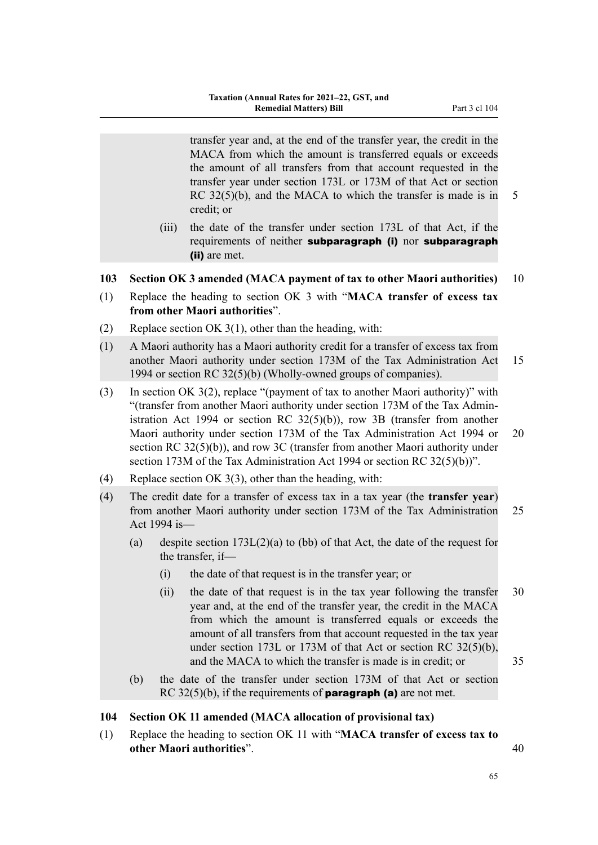transfer year and, at the end of the transfer year, the credit in the MACA from which the amount is transferred equals or exceeds the amount of all transfers from that account requested in the transfer year under section 173L or 173M of that Act or section RC  $32(5)(b)$ , and the MACA to which the transfer is made is in 5 credit; or

(iii) the date of the transfer under section 173L of that Act, if the requirements of neither subparagraph (i) nor subparagraph (ii) are met.

#### **103 Section OK 3 amended (MACA payment of tax to other Maori authorities)** 10

- (1) Replace the heading to section OK 3 with "**MACA transfer of excess tax from other Maori authorities**".
- (2) Replace section OK 3(1), other than the heading, with:
- (1) A Maori authority has a Maori authority credit for a transfer of excess tax from another Maori authority under section 173M of the Tax Administration Act 15 1994 or section RC 32(5)(b) (Wholly-owned groups of companies).
- (3) In section OK 3(2), replace "(payment of tax to another Maori authority)" with "(transfer from another Maori authority under section 173M of the Tax Admin‐ istration Act 1994 or section RC 32(5)(b)), row 3B (transfer from another Maori authority under section 173M of the Tax Administration Act 1994 or 20 section RC 32(5)(b)), and row 3C (transfer from another Maori authority under section 173M of the Tax Administration Act 1994 or section RC 32(5)(b))".
- (4) Replace section OK 3(3), other than the heading, with:
- (4) The credit date for a transfer of excess tax in a tax year (the **transfer year**) from another Maori authority under section 173M of the Tax Administration 25 Act 1994 is—
	- (a) despite section 173L(2)(a) to (bb) of that Act, the date of the request for the transfer, if—
		- (i) the date of that request is in the transfer year; or
		- (ii) the date of that request is in the tax year following the transfer 30 year and, at the end of the transfer year, the credit in the MACA from which the amount is transferred equals or exceeds the amount of all transfers from that account requested in the tax year under section 173L or 173M of that Act or section RC 32(5)(b), and the MACA to which the transfer is made is in credit; or 35
	- (b) the date of the transfer under section 173M of that Act or section RC  $32(5)(b)$ , if the requirements of **paragraph (a)** are not met.

### **104 Section OK 11 amended (MACA allocation of provisional tax)**

(1) Replace the heading to section OK 11 with "**MACA transfer of excess tax to other Maori authorities**". 40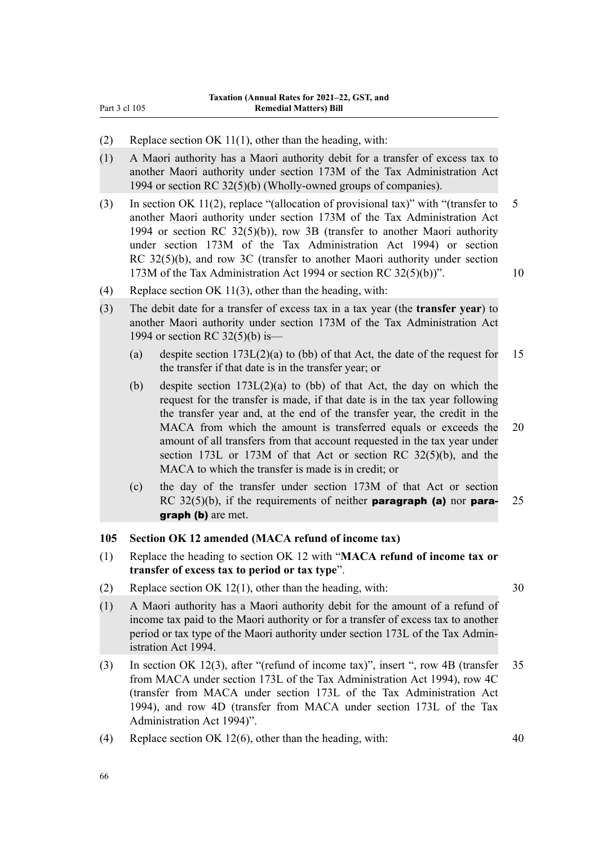- (2) Replace section OK 11(1), other than the heading, with:
- (1) A Maori authority has a Maori authority debit for a transfer of excess tax to another Maori authority under section 173M of the Tax Administration Act 1994 or section RC 32(5)(b) (Wholly-owned groups of companies).
- (3) In section OK 11(2), replace "(allocation of provisional tax)" with "(transfer to 5 another Maori authority under section 173M of the Tax Administration Act 1994 or section RC 32(5)(b)), row 3B (transfer to another Maori authority under section 173M of the Tax Administration Act 1994) or section RC 32(5)(b), and row 3C (transfer to another Maori authority under section 173M of the Tax Administration Act 1994 or section RC 32(5)(b))". 10
	-

- (4) Replace section OK 11(3), other than the heading, with:
- (3) The debit date for a transfer of excess tax in a tax year (the **transfer year**) to another Maori authority under section 173M of the Tax Administration Act 1994 or section RC 32(5)(b) is—
	- (a) despite section  $173L(2)(a)$  to (bb) of that Act, the date of the request for 15 the transfer if that date is in the transfer year; or
	- (b) despite section 173L(2)(a) to (bb) of that Act, the day on which the request for the transfer is made, if that date is in the tax year following the transfer year and, at the end of the transfer year, the credit in the MACA from which the amount is transferred equals or exceeds the 20 amount of all transfers from that account requested in the tax year under section 173L or 173M of that Act or section RC 32(5)(b), and the MACA to which the transfer is made is in credit; or
	- (c) the day of the transfer under section 173M of that Act or section RC  $32(5)(b)$ , if the requirements of neither **paragraph (a)** nor **para-** 25 graph (b) are met.

### **105 Section OK 12 amended (MACA refund of income tax)**

- (1) Replace the heading to section OK 12 with "**MACA refund of income tax or transfer of excess tax to period or tax type**".
- (2) Replace section OK 12(1), other than the heading, with: 30
	-
- (1) A Maori authority has a Maori authority debit for the amount of a refund of income tax paid to the Maori authority or for a transfer of excess tax to another period or tax type of the Maori authority under section 173L of the Tax Admin‐ istration Act 1994.
- (3) In section OK 12(3), after "(refund of income tax)", insert ", row 4B (transfer 35 from MACA under section 173L of the Tax Administration Act 1994), row 4C (transfer from MACA under section 173L of the Tax Administration Act 1994), and row 4D (transfer from MACA under section 173L of the Tax Administration Act 1994)".
- (4) Replace section OK 12(6), other than the heading, with: 40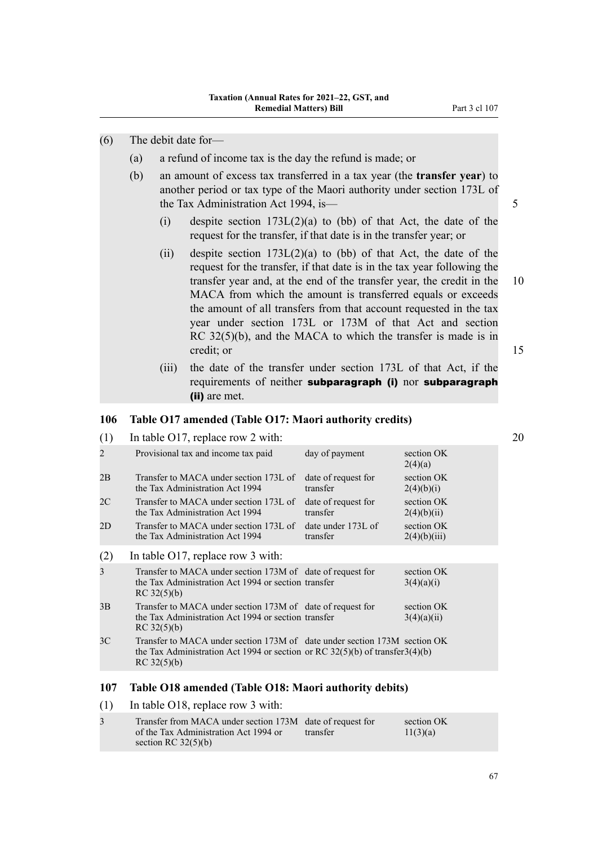- (a) a refund of income tax is the day the refund is made; or
- (b) an amount of excess tax transferred in a tax year (the **transfer year**) to another period or tax type of the Maori authority under section 173L of the Tax Administration Act 1994, is— 5
	- (i) despite section  $173L(2)(a)$  to (bb) of that Act, the date of the request for the transfer, if that date is in the transfer year; or
	- (ii) despite section  $173L(2)(a)$  to (bb) of that Act, the date of the request for the transfer, if that date is in the tax year following the transfer year and, at the end of the transfer year, the credit in the 10 MACA from which the amount is transferred equals or exceeds the amount of all transfers from that account requested in the tax year under section 173L or 173M of that Act and section RC 32(5)(b), and the MACA to which the transfer is made is in credit; or 15
	- (iii) the date of the transfer under section 173L of that Act, if the requirements of neither subparagraph (i) nor subparagraph (ii) are met.

#### **106 Table O17 amended (Table O17: Maori authority credits)**

| In table O17, replace row 2 with:                                         |                                 |                                                                                                                                                                                                                                                                                                                                                                                                        |
|---------------------------------------------------------------------------|---------------------------------|--------------------------------------------------------------------------------------------------------------------------------------------------------------------------------------------------------------------------------------------------------------------------------------------------------------------------------------------------------------------------------------------------------|
| Provisional tax and income tax paid                                       | day of payment                  | section OK<br>2(4)(a)                                                                                                                                                                                                                                                                                                                                                                                  |
| Transfer to MACA under section 173L of<br>the Tax Administration Act 1994 | date of request for<br>transfer | section OK<br>2(4)(b)(i)                                                                                                                                                                                                                                                                                                                                                                               |
| Transfer to MACA under section 173L of<br>the Tax Administration Act 1994 | date of request for<br>transfer | section OK<br>2(4)(b)(ii)                                                                                                                                                                                                                                                                                                                                                                              |
| Transfer to MACA under section 173L of<br>the Tax Administration Act 1994 | date under 173L of<br>transfer  | section OK<br>2(4)(b)(iii)                                                                                                                                                                                                                                                                                                                                                                             |
| In table $O17$ , replace row 3 with:                                      |                                 |                                                                                                                                                                                                                                                                                                                                                                                                        |
| RC 32(5)(b)                                                               |                                 | section OK<br>3(4)(a)(i)                                                                                                                                                                                                                                                                                                                                                                               |
| RC 32(5)(b)                                                               |                                 | section OK<br>3(4)(a)(ii)                                                                                                                                                                                                                                                                                                                                                                              |
| RC 32(5)(b)                                                               |                                 |                                                                                                                                                                                                                                                                                                                                                                                                        |
|                                                                           |                                 | Transfer to MACA under section 173M of date of request for<br>the Tax Administration Act 1994 or section transfer<br>Transfer to MACA under section 173M of date of request for<br>the Tax Administration Act 1994 or section transfer<br>Transfer to MACA under section 173M of date under section 173M section OK<br>the Tax Administration Act 1994 or section or RC $32(5)(b)$ of transfer 3(4)(b) |

### **107 Table O18 amended (Table O18: Maori authority debits)**

(1) In table O18, replace row 3 with:

| Transfer from MACA under section 173M date of request for |          | section OK |
|-----------------------------------------------------------|----------|------------|
| of the Tax Administration Act 1994 or                     | transfer | 11(3)(a)   |
| section RC $32(5)(b)$                                     |          |            |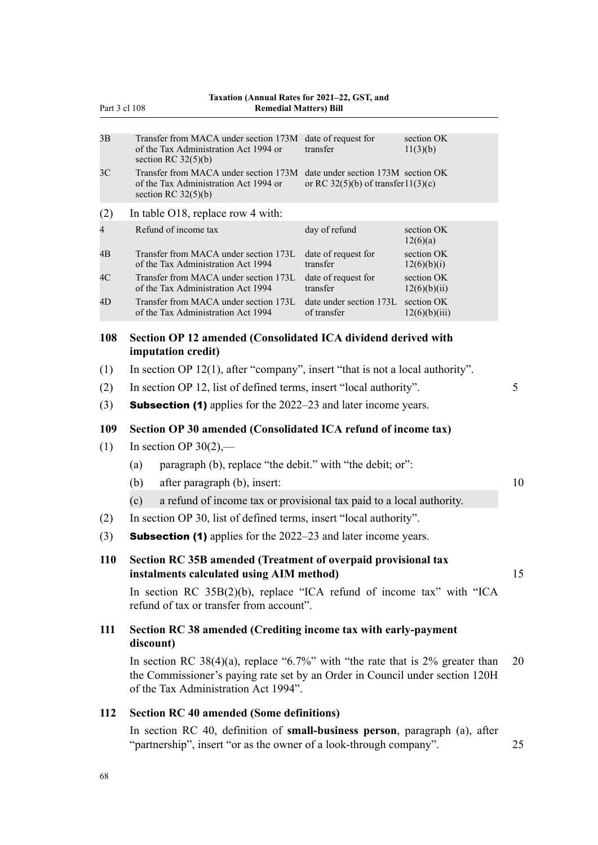| Part 3 cl 108  |                                                                                                                                                                                                          | Taxation (Annual Rates for 2021-22, GST, and<br><b>Remedial Matters) Bill</b> |                             |    |
|----------------|----------------------------------------------------------------------------------------------------------------------------------------------------------------------------------------------------------|-------------------------------------------------------------------------------|-----------------------------|----|
| 3B             | Transfer from MACA under section 173M date of request for<br>of the Tax Administration Act 1994 or<br>section RC $32(5)(b)$                                                                              | transfer                                                                      | section OK<br>11(3)(b)      |    |
| 3 <sup>C</sup> | Transfer from MACA under section 173M<br>of the Tax Administration Act 1994 or<br>section RC $32(5)(b)$                                                                                                  | date under section 173M section OK<br>or RC 32(5)(b) of transfer11(3)(c)      |                             |    |
| (2)            | In table O18, replace row 4 with:                                                                                                                                                                        |                                                                               |                             |    |
| 4              | Refund of income tax                                                                                                                                                                                     | day of refund                                                                 | section OK<br>12(6)(a)      |    |
| 4B             | Transfer from MACA under section 173L<br>of the Tax Administration Act 1994                                                                                                                              | date of request for<br>transfer                                               | section OK<br>12(6)(b)(i)   |    |
| 4C             | Transfer from MACA under section 173L<br>of the Tax Administration Act 1994                                                                                                                              | date of request for<br>transfer                                               | section OK<br>12(6)(b)(ii)  |    |
| 4D             | Transfer from MACA under section 173L<br>of the Tax Administration Act 1994                                                                                                                              | date under section 173L<br>of transfer                                        | section OK<br>12(6)(b)(iii) |    |
| 108            | Section OP 12 amended (Consolidated ICA dividend derived with<br>imputation credit)                                                                                                                      |                                                                               |                             |    |
| (1)            | In section OP $12(1)$ , after "company", insert "that is not a local authority".                                                                                                                         |                                                                               |                             |    |
| (2)            | In section OP 12, list of defined terms, insert "local authority".                                                                                                                                       |                                                                               |                             | 5  |
| (3)            | <b>Subsection (1)</b> applies for the 2022–23 and later income years.                                                                                                                                    |                                                                               |                             |    |
| 109            | Section OP 30 amended (Consolidated ICA refund of income tax)                                                                                                                                            |                                                                               |                             |    |
| (1)            | In section OP $30(2)$ ,—                                                                                                                                                                                 |                                                                               |                             |    |
|                | paragraph (b), replace "the debit." with "the debit; or":<br>(a)                                                                                                                                         |                                                                               |                             |    |
|                | after paragraph (b), insert:<br>(b)                                                                                                                                                                      |                                                                               |                             | 10 |
|                | a refund of income tax or provisional tax paid to a local authority.<br>(c)                                                                                                                              |                                                                               |                             |    |
| (2)            | In section OP 30, list of defined terms, insert "local authority".                                                                                                                                       |                                                                               |                             |    |
| (3)            | <b>Subsection (1)</b> applies for the 2022–23 and later income years.                                                                                                                                    |                                                                               |                             |    |
| <b>110</b>     | Section RC 35B amended (Treatment of overpaid provisional tax<br>instalments calculated using AIM method)                                                                                                |                                                                               |                             | 15 |
|                | In section RC $35B(2)(b)$ , replace "ICA refund of income tax" with "ICA<br>refund of tax or transfer from account".                                                                                     |                                                                               |                             |    |
| 111            | Section RC 38 amended (Crediting income tax with early-payment<br>discount)                                                                                                                              |                                                                               |                             |    |
|                | In section RC 38(4)(a), replace "6.7%" with "the rate that is $2\%$ greater than<br>the Commissioner's paying rate set by an Order in Council under section 120H<br>of the Tax Administration Act 1994". |                                                                               |                             | 20 |
| 112            | <b>Section RC 40 amended (Some definitions)</b>                                                                                                                                                          |                                                                               |                             |    |
|                | In section RC 40, definition of small-business person, paragraph (a), after<br>"partnership", insert "or as the owner of a look-through company".                                                        |                                                                               |                             | 25 |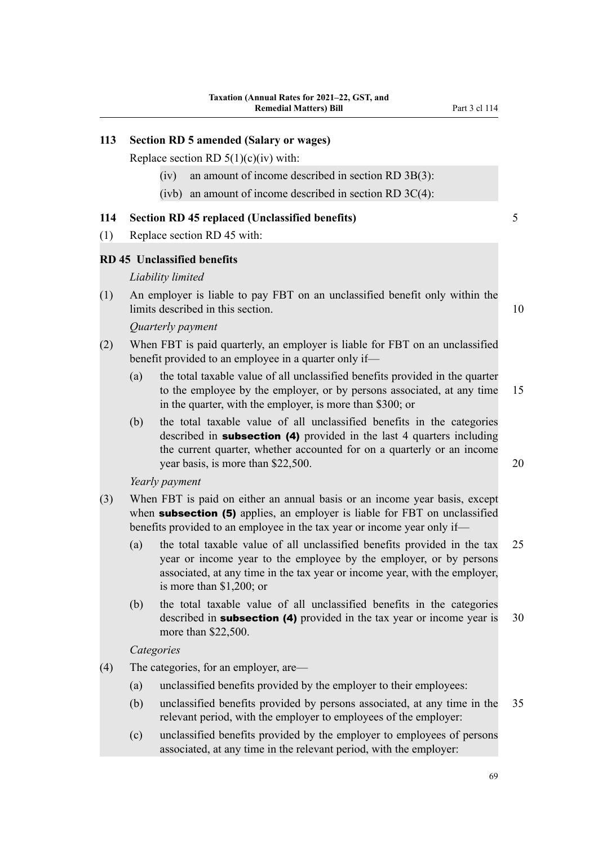# **113 Section RD 5 amended (Salary or wages)** Replace section RD  $5(1)(c)(iv)$  with: (iv) an amount of income described in section RD 3B(3): (ivb) an amount of income described in section RD  $3C(4)$ : **114 Section RD 45 replaced (Unclassified benefits)** 5 (1) Replace section RD 45 with: **RD 45 Unclassified benefits** *Liability limited* (1) An employer is liable to pay FBT on an unclassified benefit only within the limits described in this section. 10 *Quarterly payment* (2) When FBT is paid quarterly, an employer is liable for FBT on an unclassified benefit provided to an employee in a quarter only if— (a) the total taxable value of all unclassified benefits provided in the quarter to the employee by the employer, or by persons associated, at any time 15 in the quarter, with the employer, is more than \$300; or (b) the total taxable value of all unclassified benefits in the categories described in **subsection** (4) provided in the last 4 quarters including the current quarter, whether accounted for on a quarterly or an income year basis, is more than \$22,500. 20 *Yearly payment* (3) When FBT is paid on either an annual basis or an income year basis, except when **subsection (5)** applies, an employer is liable for FBT on unclassified benefits provided to an employee in the tax year or income year only if— (a) the total taxable value of all unclassified benefits provided in the tax 25 year or income year to the employee by the employer, or by persons associated, at any time in the tax year or income year, with the employer, is more than \$1,200; or (b) the total taxable value of all unclassified benefits in the categories described in **subsection** (4) provided in the tax year or income year is 30 more than \$22,500. *Categories* (4) The categories, for an employer, are— (a) unclassified benefits provided by the employer to their employees:

- (b) unclassified benefits provided by persons associated, at any time in the 35 relevant period, with the employer to employees of the employer:
- (c) unclassified benefits provided by the employer to employees of persons associated, at any time in the relevant period, with the employer:

69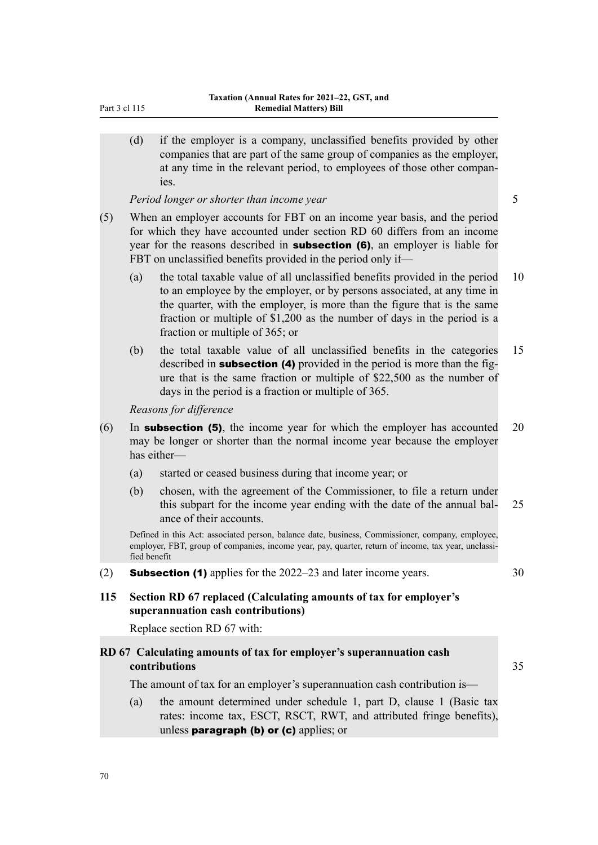| Part 3 cl 115 |  |
|---------------|--|
|               |  |

(d) if the employer is a company, unclassified benefits provided by other companies that are part of the same group of companies as the employer, at any time in the relevant period, to employees of those other compan‐ ies.

*Period longer or shorter than income year* 5

- (5) When an employer accounts for FBT on an income year basis, and the period for which they have accounted under section RD 60 differs from an income year for the reasons described in **subsection (6)**, an employer is liable for FBT on unclassified benefits provided in the period only if—
	- (a) the total taxable value of all unclassified benefits provided in the period 10 to an employee by the employer, or by persons associated, at any time in the quarter, with the employer, is more than the figure that is the same fraction or multiple of \$1,200 as the number of days in the period is a fraction or multiple of 365; or
	- (b) the total taxable value of all unclassified benefits in the categories 15 described in **subsection** (4) provided in the period is more than the figure that is the same fraction or multiple of \$22,500 as the number of days in the period is a fraction or multiple of 365.

*Reasons for difference*

- (6) In **subsection (5)**, the income year for which the employer has accounted 20 may be longer or shorter than the normal income year because the employer has either—
	- (a) started or ceased business during that income year; or
	- (b) chosen, with the agreement of the Commissioner, to file a return under this subpart for the income year ending with the date of the annual bal- 25 ance of their accounts.

Defined in this Act: associated person, balance date, business, Commissioner, company, employee, employer, FBT, group of companies, income year, pay, quarter, return of income, tax year, unclassified benefit

- (2) **Subsection (1)** applies for the  $2022-23$  and later income years.  $30$
- **115 Section RD 67 replaced (Calculating amounts of tax for employer's superannuation cash contributions)**

Replace section RD 67 with:

# **RD 67 Calculating amounts of tax for employer's superannuation cash contributions** 35

The amount of tax for an employer's superannuation cash contribution is—

(a) the amount determined under schedule 1, part D, clause 1 (Basic tax rates: income tax, ESCT, RSCT, RWT, and attributed fringe benefits), unless **paragraph (b) or (c)** applies; or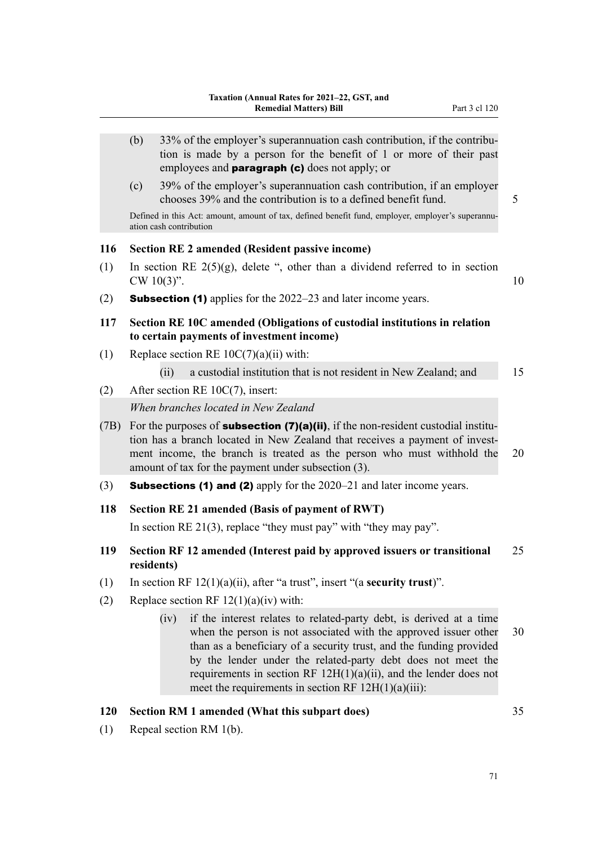- (b)  $33\%$  of the employer's superannuation cash contribution, if the contribution is made by a person for the benefit of 1 or more of their past employees and **paragraph (c)** does not apply; or
- (c) 39% of the employer's superannuation cash contribution, if an employer chooses 39% and the contribution is to a defined benefit fund. 5

Defined in this Act: amount, amount of tax, defined benefit fund, employer, employer's superannuation cash contribution

### **116 Section RE 2 amended (Resident passive income)**

- (1) In section RE  $2(5)(g)$ , delete ", other than a dividend referred to in section  $CW 10(3)$ ". 10
- (2) **Subsection (1)** applies for the  $2022-23$  and later income years.
- **117 Section RE 10C amended (Obligations of custodial institutions in relation to certain payments of investment income)**
- (1) Replace section RE  $10C(7)(a)(ii)$  with:
	- (ii) a custodial institution that is not resident in New Zealand; and 15
- (2) After section RE 10C(7), insert:

*When branches located in New Zealand*

- (7B) For the purposes of **subsection (7)(a)(ii)**, if the non-resident custodial institution has a branch located in New Zealand that receives a payment of invest‐ ment income, the branch is treated as the person who must withhold the 20 amount of tax for the payment under subsection (3).
- (3) **Subsections (1) and (2)** apply for the  $2020-21$  and later income years.
- **118 Section RE 21 amended (Basis of payment of RWT)** In section RE 21(3), replace "they must pay" with "they may pay".
- **119 Section RF 12 amended (Interest paid by approved issuers or transitional** 25 **residents)**
- (1) In section RF 12(1)(a)(ii), after "a trust", insert "(a **security trust**)".
- (2) Replace section RF  $12(1)(a)(iv)$  with:
	- (iv) if the interest relates to related-party debt, is derived at a time when the person is not associated with the approved issuer other 30 than as a beneficiary of a security trust, and the funding provided by the lender under the related-party debt does not meet the requirements in section RF 12H(1)(a)(ii), and the lender does not meet the requirements in section RF  $12H(1)(a)(iii)$ :

### **120 Section RM 1 amended (What this subpart does)** 35

(1) Repeal section RM 1(b).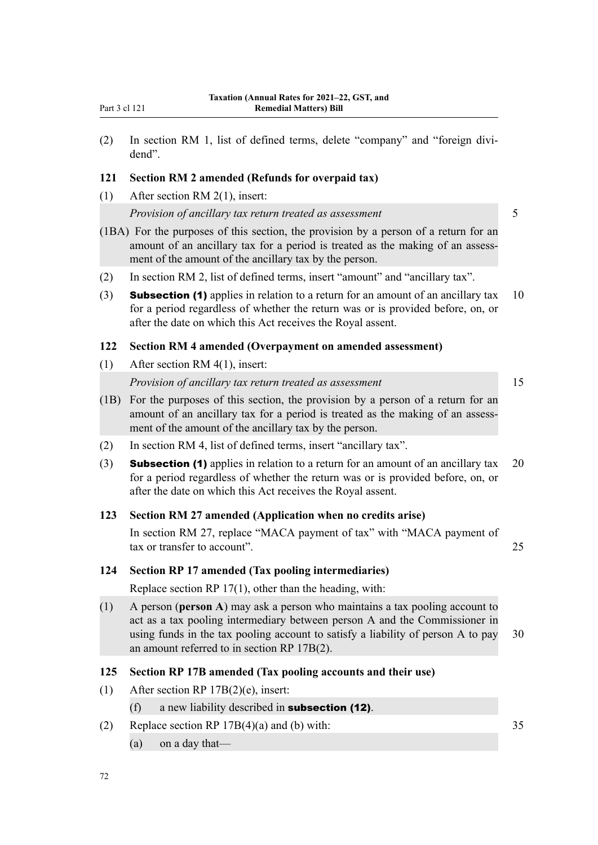(2) In section RM 1, list of defined terms, delete "company" and "foreign divi‐ dend".

### **121 Section RM 2 amended (Refunds for overpaid tax)**

(1) After section RM 2(1), insert:

*Provision of ancillary tax return treated as assessment* 5

- (1BA) For the purposes of this section, the provision by a person of a return for an amount of an ancillary tax for a period is treated as the making of an assessment of the amount of the ancillary tax by the person.
- (2) In section RM 2, list of defined terms, insert "amount" and "ancillary tax".
- (3) **Subsection (1)** applies in relation to a return for an amount of an ancillary tax  $10$ for a period regardless of whether the return was or is provided before, on, or after the date on which this Act receives the Royal assent.

#### **122 Section RM 4 amended (Overpayment on amended assessment)**

(1) After section RM 4(1), insert:

### *Provision of ancillary tax return treated as assessment* 15

- (1B) For the purposes of this section, the provision by a person of a return for an amount of an ancillary tax for a period is treated as the making of an assessment of the amount of the ancillary tax by the person.
- (2) In section RM 4, list of defined terms, insert "ancillary tax".
- (3) **Subsection (1)** applies in relation to a return for an amount of an ancillary tax  $20$ for a period regardless of whether the return was or is provided before, on, or after the date on which this Act receives the Royal assent.

### **123 Section RM 27 amended (Application when no credits arise)**

In section RM 27, replace "MACA payment of tax" with "MACA payment of tax or transfer to account". 25

### **124 Section RP 17 amended (Tax pooling intermediaries)**

Replace section RP 17(1), other than the heading, with:

(1) A person (**person A**) may ask a person who maintains a tax pooling account to act as a tax pooling intermediary between person A and the Commissioner in using funds in the tax pooling account to satisfy a liability of person A to pay 30 an amount referred to in section RP 17B(2).

# **125 Section RP 17B amended (Tax pooling accounts and their use)**

- (1) After section RP 17B(2)(e), insert:
	- (f) a new liability described in **subsection (12)**.
- (2) Replace section RP  $17B(4)(a)$  and (b) with: 35
	- (a) on a day that—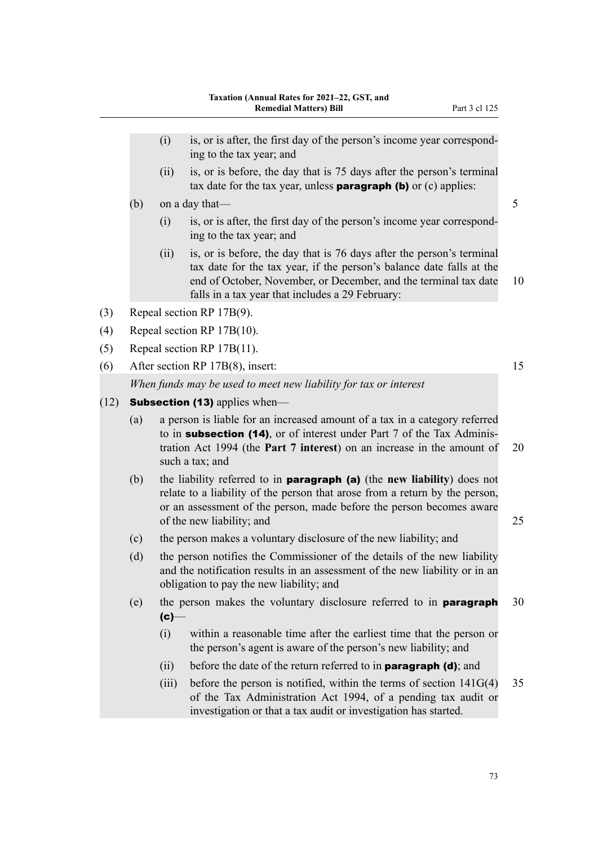- $(i)$  is, or is after, the first day of the person's income year corresponding to the tax year; and
- (ii) is, or is before, the day that is 75 days after the person's terminal tax date for the tax year, unless **paragraph (b)** or  $(c)$  applies:
- (b) on a day that  $\frac{5}{5}$ 
	- $(i)$  is, or is after, the first day of the person's income year corresponding to the tax year; and
	- (ii) is, or is before, the day that is 76 days after the person's terminal tax date for the tax year, if the person's balance date falls at the end of October, November, or December, and the terminal tax date 10 falls in a tax year that includes a 29 February:
- (3) Repeal section RP 17B(9).
- (4) Repeal section RP 17B(10).
- (5) Repeal section RP 17B(11).
- (6) After section RP 17B(8), insert: 15 *When funds may be used to meet new liability for tax or interest*
- $(12)$  **Subsection (13)** applies when—
	- (a) a person is liable for an increased amount of a tax in a category referred to in **subsection (14)**, or of interest under Part 7 of the Tax Administration Act 1994 (the **Part 7 interest**) on an increase in the amount of 20 such a tax; and
	- (b) the liability referred to in paragraph (a) (the **new liability**) does not relate to a liability of the person that arose from a return by the person, or an assessment of the person, made before the person becomes aware of the new liability; and 25
	- (c) the person makes a voluntary disclosure of the new liability; and
	- (d) the person notifies the Commissioner of the details of the new liability and the notification results in an assessment of the new liability or in an obligation to pay the new liability; and
	- (e) the person makes the voluntary disclosure referred to in **paragraph**  $30$  $(c)-$ 
		- (i) within a reasonable time after the earliest time that the person or the person's agent is aware of the person's new liability; and
		- (ii) before the date of the return referred to in **paragraph (d)**; and
		- (iii) before the person is notified, within the terms of section  $141G(4)$  35 of the Tax Administration Act 1994, of a pending tax audit or investigation or that a tax audit or investigation has started.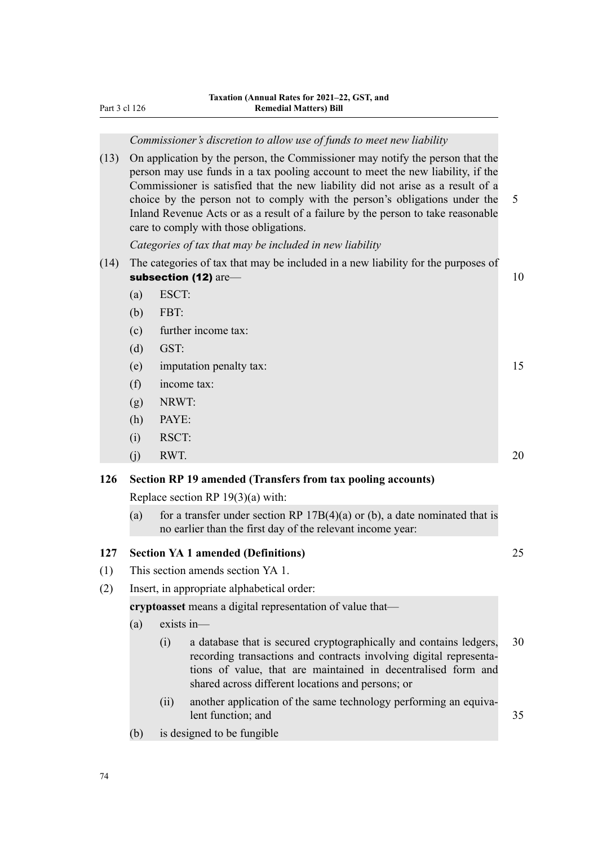*Commissioner's discretion to allow use of funds to meet new liability*

(13) On application by the person, the Commissioner may notify the person that the person may use funds in a tax pooling account to meet the new liability, if the Commissioner is satisfied that the new liability did not arise as a result of a choice by the person not to comply with the person's obligations under the 5 Inland Revenue Acts or as a result of a failure by the person to take reasonable care to comply with those obligations.

*Categories of tax that may be included in new liability*

- (14) The categories of tax that may be included in a new liability for the purposes of subsection (12) are— 10
	- (a) ESCT:
	- (b) FBT:
	- (c) further income tax:
	- (d) GST:
	- (e) imputation penalty tax: 15
	- (f) income tax:
	- (g) NRWT:
	- (h) PAYE:
	- (i) RSCT:
	- (j) RWT. 20

## **126 Section RP 19 amended (Transfers from tax pooling accounts)**

Replace section RP 19(3)(a) with:

(a) for a transfer under section RP  $17B(4)(a)$  or (b), a date nominated that is no earlier than the first day of the relevant income year:

### **127 Section YA 1 amended (Definitions)** 25

- (1) This section amends section YA 1.
- (2) Insert, in appropriate alphabetical order:

**cryptoasset** means a digital representation of value that—

- (a) exists in—
	- (i) a database that is secured cryptographically and contains ledgers, 30 recording transactions and contracts involving digital representations of value, that are maintained in decentralised form and shared across different locations and persons; or
	- (ii) another application of the same technology performing an equivalent function; and 35
- (b) is designed to be fungible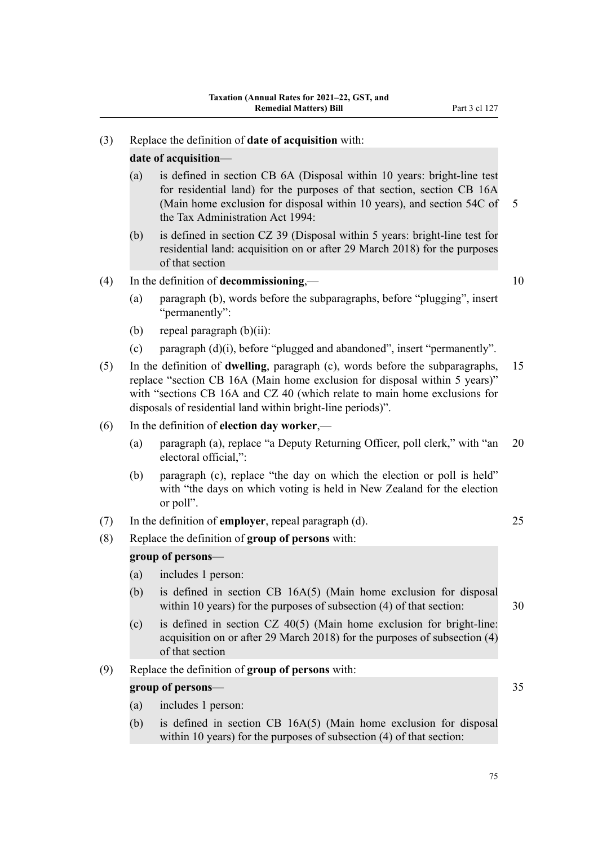### (3) Replace the definition of **date of acquisition** with:

### **date of acquisition**—

- (a) is defined in section CB 6A (Disposal within 10 years: bright-line test for residential land) for the purposes of that section, section CB 16A (Main home exclusion for disposal within 10 years), and section 54C of 5 the Tax Administration Act 1994:
- (b) is defined in section CZ 39 (Disposal within 5 years: bright-line test for residential land: acquisition on or after 29 March 2018) for the purposes of that section

### (4) In the definition of **decommissioning**,— 10

- (a) paragraph (b), words before the subparagraphs, before "plugging", insert "permanently":
- (b) repeal paragraph  $(b)(ii)$ :
- (c) paragraph (d)(i), before "plugged and abandoned", insert "permanently".
- (5) In the definition of **dwelling**, paragraph (c), words before the subparagraphs, 15 replace "section CB 16A (Main home exclusion for disposal within 5 years)" with "sections CB 16A and CZ 40 (which relate to main home exclusions for disposals of residential land within bright-line periods)".

#### (6) In the definition of **election day worker**,—

- (a) paragraph (a), replace "a Deputy Returning Officer, poll clerk," with "an 20 electoral official,":
- (b) paragraph (c), replace "the day on which the election or poll is held" with "the days on which voting is held in New Zealand for the election or poll".
- (7) In the definition of **employer**, repeal paragraph (d). 25
- (8) Replace the definition of **group of persons** with:

#### **group of persons**—

- (a) includes 1 person:
- (b) is defined in section CB 16A(5) (Main home exclusion for disposal within 10 years) for the purposes of subsection (4) of that section: 30
- (c) is defined in section CZ 40(5) (Main home exclusion for bright-line: acquisition on or after 29 March 2018) for the purposes of subsection (4) of that section
- (9) Replace the definition of **group of persons** with:

### **group of persons—** 35

- (a) includes 1 person:
- (b) is defined in section CB 16A(5) (Main home exclusion for disposal within 10 years) for the purposes of subsection (4) of that section: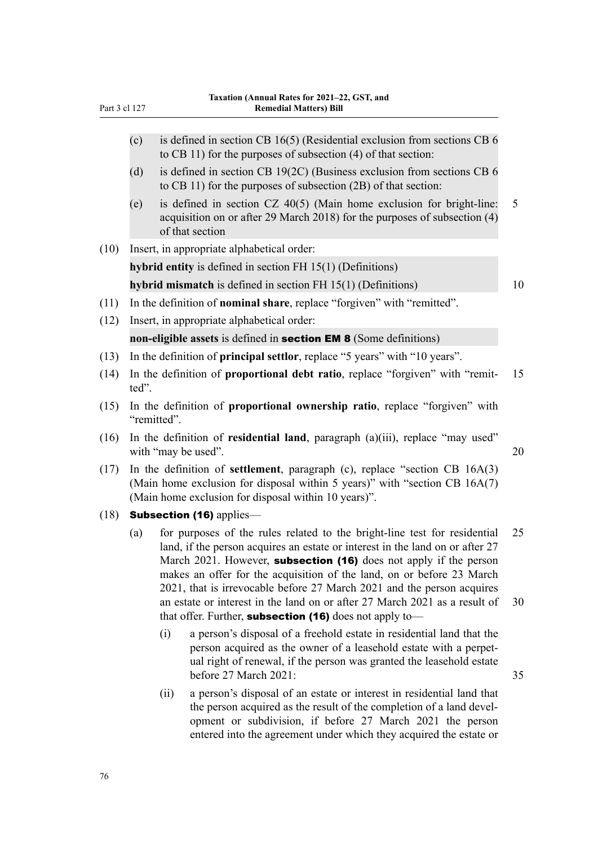- (c) is defined in section CB 16(5) (Residential exclusion from sections CB 6 to CB 11) for the purposes of subsection (4) of that section: (d) is defined in section CB 19(2C) (Business exclusion from sections CB 6 to CB 11) for the purposes of subsection (2B) of that section:
- (e) is defined in section CZ 40(5) (Main home exclusion for bright-line: 5 acquisition on or after 29 March 2018) for the purposes of subsection (4) of that section
- (10) Insert, in appropriate alphabetical order:

**hybrid entity** is defined in section FH 15(1) (Definitions)

**hybrid mismatch** is defined in section FH 15(1) (Definitions) 10

- (11) In the definition of **nominal share**, replace "forgiven" with "remitted".
- (12) Insert, in appropriate alphabetical order:

**non-eligible assets** is defined in section EM 8 (Some definitions)

- (13) In the definition of **principal settlor**, replace "5 years" with "10 years".
- (14) In the definition of **proportional debt ratio**, replace "forgiven" with "remit‐ 15 ted".
- (15) In the definition of **proportional ownership ratio**, replace "forgiven" with "remitted".
- (16) In the definition of **residential land**, paragraph (a)(iii), replace "may used" with "may be used". 20
- (17) In the definition of **settlement**, paragraph (c), replace "section CB 16A(3) (Main home exclusion for disposal within 5 years)" with "section CB 16A(7) (Main home exclusion for disposal within 10 years)".
- (18) **Subsection (16)** applies—
	- (a) for purposes of the rules related to the bright-line test for residential 25 land, if the person acquires an estate or interest in the land on or after 27 March 2021. However, **subsection (16)** does not apply if the person makes an offer for the acquisition of the land, on or before 23 March 2021, that is irrevocable before 27 March 2021 and the person acquires an estate or interest in the land on or after 27 March 2021 as a result of 30 that offer. Further, subsection (16) does not apply to-
		- (i) a person's disposal of a freehold estate in residential land that the person acquired as the owner of a leasehold estate with a perpet‐ ual right of renewal, if the person was granted the leasehold estate before 27 March 2021: 35
		- (ii) a person's disposal of an estate or interest in residential land that the person acquired as the result of the completion of a land development or subdivision, if before 27 March 2021 the person entered into the agreement under which they acquired the estate or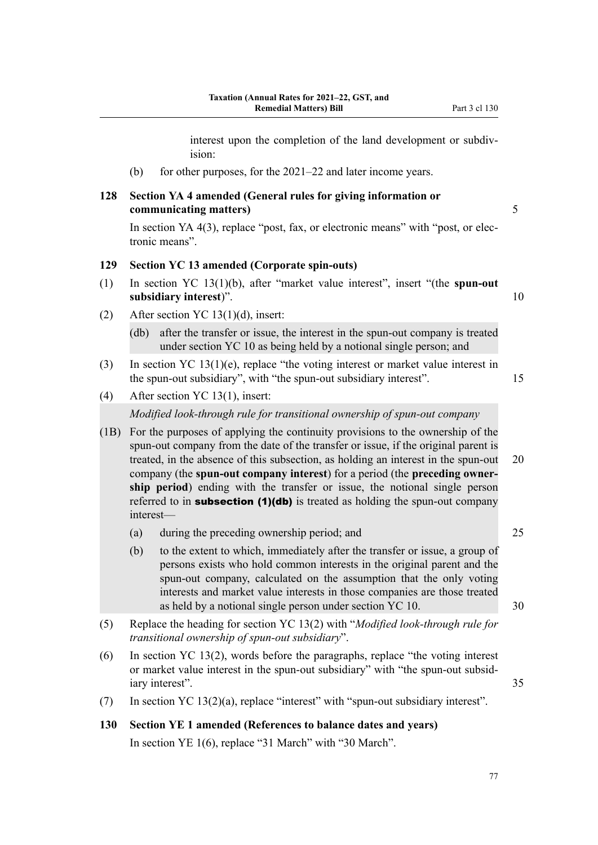interest upon the completion of the land development or subdivision:

(b) for other purposes, for the  $2021-22$  and later income years.

# **128 Section YA 4 amended (General rules for giving information or communicating matters)** 5

In section YA 4(3), replace "post, fax, or electronic means" with "post, or electronic means".

#### **129 Section YC 13 amended (Corporate spin-outs)**

- (1) In section YC 13(1)(b), after "market value interest", insert "(the **spun-out subsidiary interest**)". 10
- (2) After section YC 13(1)(d), insert:

(db) after the transfer or issue, the interest in the spun-out company is treated under section YC 10 as being held by a notional single person; and

- (3) In section YC 13(1)(e), replace "the voting interest or market value interest in the spun-out subsidiary", with "the spun-out subsidiary interest". 15
- (4) After section YC 13(1), insert:

*Modified look-through rule for transitional ownership of spun-out company*

- (1B) For the purposes of applying the continuity provisions to the ownership of the spun-out company from the date of the transfer or issue, if the original parent is treated, in the absence of this subsection, as holding an interest in the spun-out 20 company (the **spun-out company interest**) for a period (the **preceding owner‐ ship period**) ending with the transfer or issue, the notional single person referred to in **subsection (1)(db)** is treated as holding the spun-out company interest—
	- (a) during the preceding ownership period; and 25
	- (b) to the extent to which, immediately after the transfer or issue, a group of persons exists who hold common interests in the original parent and the spun-out company, calculated on the assumption that the only voting interests and market value interests in those companies are those treated as held by a notional single person under section YC 10. 30
- (5) Replace the heading for section YC 13(2) with "*Modified look-through rule for transitional ownership of spun-out subsidiary*".
- (6) In section YC 13(2), words before the paragraphs, replace "the voting interest or market value interest in the spun-out subsidiary" with "the spun-out subsid‐ iary interest". 35
- (7) In section YC 13(2)(a), replace "interest" with "spun-out subsidiary interest".
- **130 Section YE 1 amended (References to balance dates and years)** In section YE 1(6), replace "31 March" with "30 March".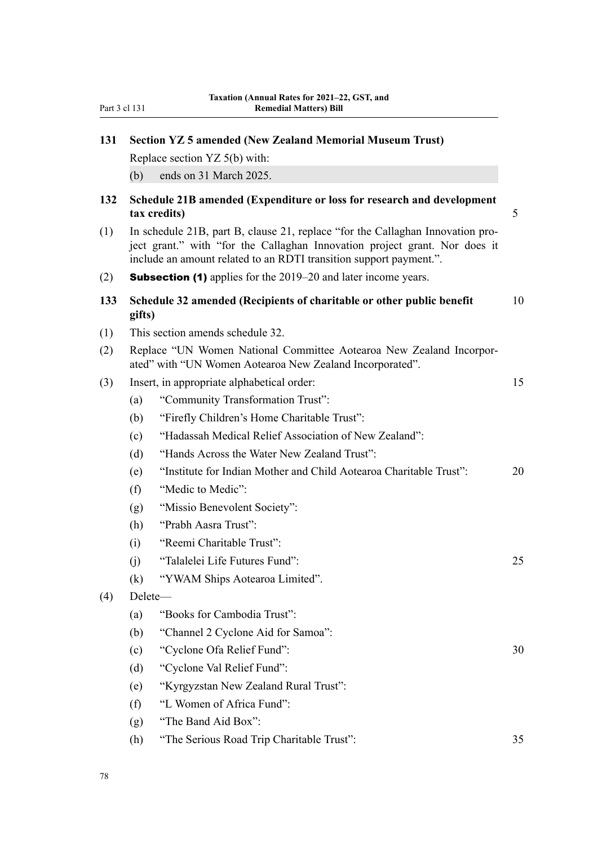| Part 3 cl 131 |  |  |
|---------------|--|--|
|               |  |  |

| 131 | <b>Section YZ 5 amended (New Zealand Memorial Museum Trust)</b>                                                                                                                                                                    |    |  |  |
|-----|------------------------------------------------------------------------------------------------------------------------------------------------------------------------------------------------------------------------------------|----|--|--|
|     | Replace section YZ 5(b) with:                                                                                                                                                                                                      |    |  |  |
|     | ends on 31 March 2025.<br>(b)                                                                                                                                                                                                      |    |  |  |
| 132 | Schedule 21B amended (Expenditure or loss for research and development<br>tax credits)                                                                                                                                             | 5  |  |  |
| (1) | In schedule 21B, part B, clause 21, replace "for the Callaghan Innovation pro-<br>ject grant." with "for the Callaghan Innovation project grant. Nor does it<br>include an amount related to an RDTI transition support payment.". |    |  |  |
| (2) | <b>Subsection (1)</b> applies for the 2019–20 and later income years.                                                                                                                                                              |    |  |  |
| 133 | Schedule 32 amended (Recipients of charitable or other public benefit<br>gifts)                                                                                                                                                    | 10 |  |  |
| (1) | This section amends schedule 32.                                                                                                                                                                                                   |    |  |  |
| (2) | Replace "UN Women National Committee Aotearoa New Zealand Incorpor-<br>ated" with "UN Women Aotearoa New Zealand Incorporated".                                                                                                    |    |  |  |
| (3) | Insert, in appropriate alphabetical order:                                                                                                                                                                                         | 15 |  |  |
|     | "Community Transformation Trust":<br>(a)                                                                                                                                                                                           |    |  |  |
|     | "Firefly Children's Home Charitable Trust":<br>(b)                                                                                                                                                                                 |    |  |  |
|     | "Hadassah Medical Relief Association of New Zealand":<br>(c)                                                                                                                                                                       |    |  |  |
|     | "Hands Across the Water New Zealand Trust":<br>(d)                                                                                                                                                                                 |    |  |  |
|     | "Institute for Indian Mother and Child Aotearoa Charitable Trust":<br>(e)                                                                                                                                                          | 20 |  |  |
|     | "Medic to Medic":<br>(f)                                                                                                                                                                                                           |    |  |  |
|     | "Missio Benevolent Society":<br>(g)                                                                                                                                                                                                |    |  |  |
|     | "Prabh Aasra Trust":<br>(h)                                                                                                                                                                                                        |    |  |  |
|     | "Reemi Charitable Trust":<br>(i)                                                                                                                                                                                                   |    |  |  |
|     | "Talalelei Life Futures Fund":<br>(j)                                                                                                                                                                                              | 25 |  |  |
|     | "YWAM Ships Aotearoa Limited".<br>(k)                                                                                                                                                                                              |    |  |  |
| (4) | Delete-                                                                                                                                                                                                                            |    |  |  |
|     | "Books for Cambodia Trust":<br>(a)                                                                                                                                                                                                 |    |  |  |
|     | "Channel 2 Cyclone Aid for Samoa":<br>(b)                                                                                                                                                                                          |    |  |  |
|     | "Cyclone Ofa Relief Fund":<br>(c)                                                                                                                                                                                                  | 30 |  |  |
|     | "Cyclone Val Relief Fund":<br>(d)                                                                                                                                                                                                  |    |  |  |
|     | "Kyrgyzstan New Zealand Rural Trust":<br>(e)                                                                                                                                                                                       |    |  |  |
|     | "L Women of Africa Fund":<br>(f)                                                                                                                                                                                                   |    |  |  |
|     | "The Band Aid Box":<br>(g)                                                                                                                                                                                                         |    |  |  |
|     | "The Serious Road Trip Charitable Trust":<br>(h)                                                                                                                                                                                   | 35 |  |  |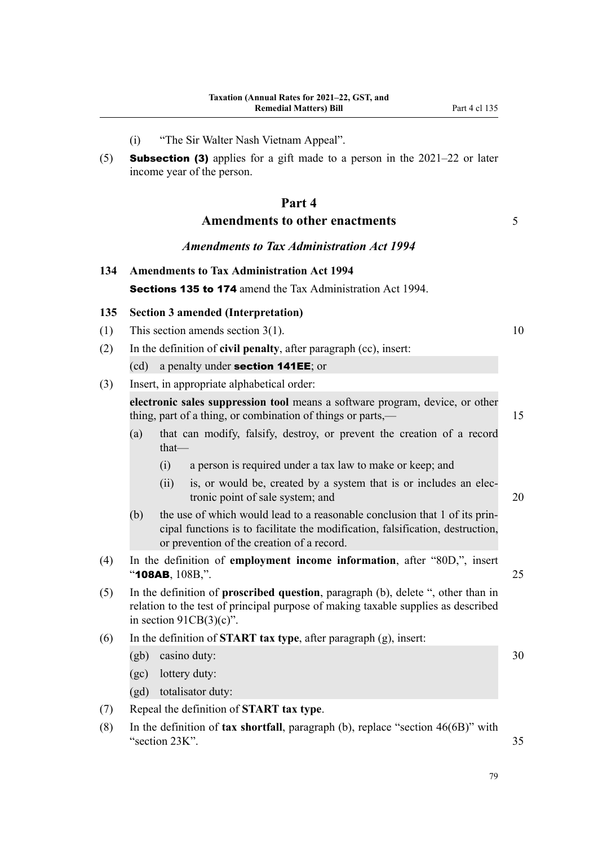- (i) "The Sir Walter Nash Vietnam Appeal".
- (5) **Subsection (3)** applies for a gift made to a person in the  $2021-22$  or later income year of the person.

# **Part 4**

# **Amendments to other enactments** 5

*Amendments to Tax Administration Act 1994*

**134 Amendments to Tax Administration Act 1994** Sections 135 to 174 amend the Tax Administration Act 1994.

# **135 Section 3 amended (Interpretation)**

- (1) This section amends section  $3(1)$ . 10
- (2) In the definition of **civil penalty**, after paragraph (cc), insert:
	- (cd) a penalty under section 141EE; or
- (3) Insert, in appropriate alphabetical order:

**electronic sales suppression tool** means a software program, device, or other thing, part of a thing, or combination of things or parts,—

- (a) that can modify, falsify, destroy, or prevent the creation of a record that—
	- (i) a person is required under a tax law to make or keep; and
	- (ii) is, or would be, created by a system that is or includes an electronic point of sale system; and 20
- $(b)$  the use of which would lead to a reasonable conclusion that 1 of its principal functions is to facilitate the modification, falsification, destruction, or prevention of the creation of a record.
- (4) In the definition of **employment income information**, after "80D,", insert  $\bullet$  108AB,  $108B$ ,". 25
- (5) In the definition of **proscribed question**, paragraph (b), delete ", other than in relation to the test of principal purpose of making taxable supplies as described in section  $91CB(3)(c)$ ".
- (6) In the definition of **START tax type**, after paragraph (g), insert:
	- $(gb)$  casino duty:  $30$
	- (gc) lottery duty:
	- (gd) totalisator duty:
- (7) Repeal the definition of **START tax type**.
- (8) In the definition of **tax shortfall**, paragraph (b), replace "section 46(6B)" with "section 23K". 35

79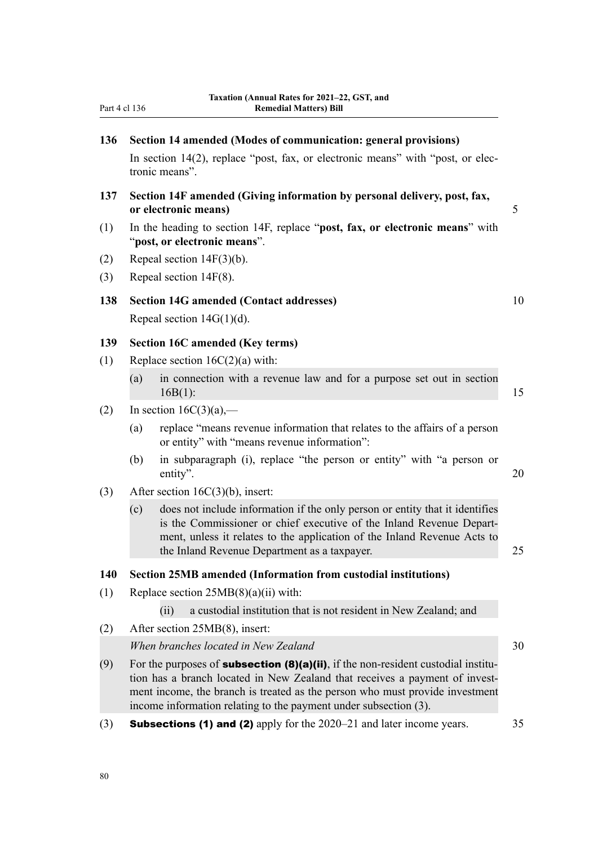| Part 4 cl 136 |                                                                                                                                                                                                                                                                                                                              | Taxation (Annual Rates for 2021-22, GST, and<br><b>Remedial Matters) Bill</b>                                                                                                                                                                                                    |    |  |  |
|---------------|------------------------------------------------------------------------------------------------------------------------------------------------------------------------------------------------------------------------------------------------------------------------------------------------------------------------------|----------------------------------------------------------------------------------------------------------------------------------------------------------------------------------------------------------------------------------------------------------------------------------|----|--|--|
| 136           | Section 14 amended (Modes of communication: general provisions)<br>In section 14(2), replace "post, fax, or electronic means" with "post, or elec-<br>tronic means".                                                                                                                                                         |                                                                                                                                                                                                                                                                                  |    |  |  |
| 137           | Section 14F amended (Giving information by personal delivery, post, fax,<br>or electronic means)                                                                                                                                                                                                                             |                                                                                                                                                                                                                                                                                  |    |  |  |
| (1)           | In the heading to section 14F, replace "post, fax, or electronic means" with<br>"post, or electronic means".                                                                                                                                                                                                                 |                                                                                                                                                                                                                                                                                  |    |  |  |
| (2)           | Repeal section $14F(3)(b)$ .                                                                                                                                                                                                                                                                                                 |                                                                                                                                                                                                                                                                                  |    |  |  |
| (3)           |                                                                                                                                                                                                                                                                                                                              | Repeal section $14F(8)$ .                                                                                                                                                                                                                                                        |    |  |  |
| 138           | <b>Section 14G amended (Contact addresses)</b><br>Repeal section $14G(1)(d)$ .                                                                                                                                                                                                                                               |                                                                                                                                                                                                                                                                                  | 10 |  |  |
| 139           |                                                                                                                                                                                                                                                                                                                              | <b>Section 16C amended (Key terms)</b>                                                                                                                                                                                                                                           |    |  |  |
| (1)           |                                                                                                                                                                                                                                                                                                                              | Replace section $16C(2)(a)$ with:                                                                                                                                                                                                                                                |    |  |  |
|               | (a)                                                                                                                                                                                                                                                                                                                          | in connection with a revenue law and for a purpose set out in section<br>$16B(1)$ :                                                                                                                                                                                              | 15 |  |  |
| (2)           |                                                                                                                                                                                                                                                                                                                              | In section $16C(3)(a)$ ,—                                                                                                                                                                                                                                                        |    |  |  |
|               | (a)                                                                                                                                                                                                                                                                                                                          | replace "means revenue information that relates to the affairs of a person<br>or entity" with "means revenue information":                                                                                                                                                       |    |  |  |
|               | (b)                                                                                                                                                                                                                                                                                                                          | in subparagraph (i), replace "the person or entity" with "a person or<br>entity".                                                                                                                                                                                                | 20 |  |  |
| (3)           |                                                                                                                                                                                                                                                                                                                              | After section $16C(3)(b)$ , insert:                                                                                                                                                                                                                                              |    |  |  |
|               | (c)                                                                                                                                                                                                                                                                                                                          | does not include information if the only person or entity that it identifies<br>is the Commissioner or chief executive of the Inland Revenue Depart-<br>ment, unless it relates to the application of the Inland Revenue Acts to<br>the Inland Revenue Department as a taxpayer. | 25 |  |  |
| 140           |                                                                                                                                                                                                                                                                                                                              | Section 25MB amended (Information from custodial institutions)                                                                                                                                                                                                                   |    |  |  |
| (1)           |                                                                                                                                                                                                                                                                                                                              | Replace section $25MB(8)(a)(ii)$ with:                                                                                                                                                                                                                                           |    |  |  |
|               |                                                                                                                                                                                                                                                                                                                              | a custodial institution that is not resident in New Zealand; and<br>(ii)                                                                                                                                                                                                         |    |  |  |
| (2)           |                                                                                                                                                                                                                                                                                                                              | After section 25MB(8), insert:                                                                                                                                                                                                                                                   |    |  |  |
|               | When branches located in New Zealand                                                                                                                                                                                                                                                                                         |                                                                                                                                                                                                                                                                                  |    |  |  |
| (9)           | For the purposes of <b>subsection (8)(a)(ii)</b> , if the non-resident custodial institu-<br>tion has a branch located in New Zealand that receives a payment of invest-<br>ment income, the branch is treated as the person who must provide investment<br>income information relating to the payment under subsection (3). |                                                                                                                                                                                                                                                                                  |    |  |  |
| (3)           |                                                                                                                                                                                                                                                                                                                              | <b>Subsections (1) and (2)</b> apply for the 2020–21 and later income years.                                                                                                                                                                                                     | 35 |  |  |
|               |                                                                                                                                                                                                                                                                                                                              |                                                                                                                                                                                                                                                                                  |    |  |  |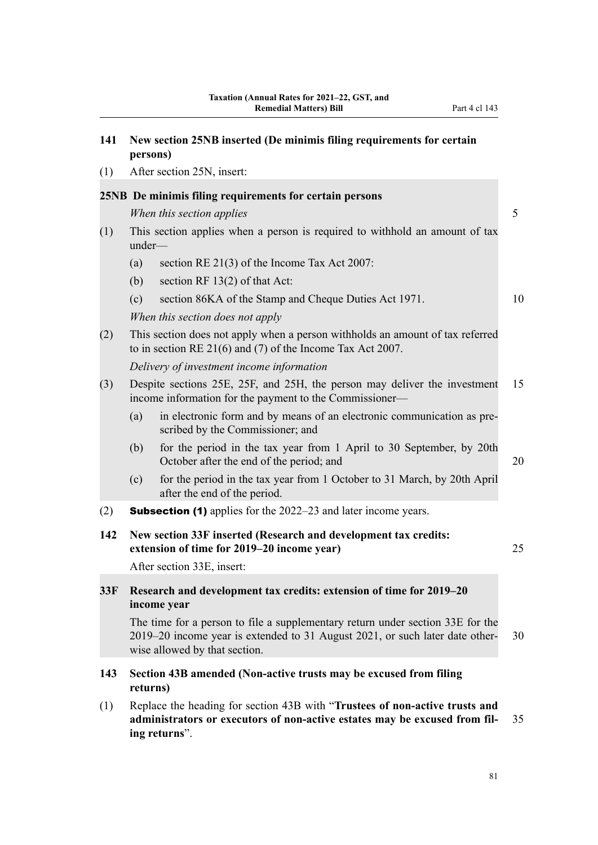| 141 | New section 25NB inserted (De minimis filing requirements for certain<br>persons) |  |  |  |  |  |  |
|-----|-----------------------------------------------------------------------------------|--|--|--|--|--|--|
| (1) | After section 25N, insert:                                                        |  |  |  |  |  |  |
|     | 25NB De minimis filing requirements for certain persons                           |  |  |  |  |  |  |
|     | When this section applies                                                         |  |  |  |  |  |  |
|     |                                                                                   |  |  |  |  |  |  |

- (1) This section applies when a person is required to withhold an amount of tax under—
	- (a) section RE 21(3) of the Income Tax Act 2007:
	- (b) section RF 13(2) of that Act:

(c) section 86KA of the Stamp and Cheque Duties Act 1971. 10

*When this section does not apply*

(2) This section does not apply when a person withholds an amount of tax referred to in section RE 21(6) and (7) of the Income Tax Act 2007.

*Delivery of investment income information*

- (3) Despite sections 25E, 25F, and 25H, the person may deliver the investment 15 income information for the payment to the Commissioner—
	- (a) in electronic form and by means of an electronic communication as prescribed by the Commissioner; and
	- (b) for the period in the tax year from 1 April to 30 September, by 20th October after the end of the period; and 20
	- (c) for the period in the tax year from 1 October to 31 March, by 20th April after the end of the period.
- (2) Subsection (1) applies for the 2022–23 and later income years.
- **142 New section 33F inserted (Research and development tax credits: extension of time for 2019–20 income year)** 25

After section 33E, insert:

# **33F Research and development tax credits: extension of time for 2019–20 income year**

The time for a person to file a supplementary return under section 33E for the 2019–20 income year is extended to 31 August 2021, or such later date other‐ 30 wise allowed by that section.

# **143 Section 43B amended (Non-active trusts may be excused from filing returns)**

(1) Replace the heading for section 43B with "**Trustees of non-active trusts and administrators or executors of non-active estates may be excused from fil‐** 35 **ing returns**".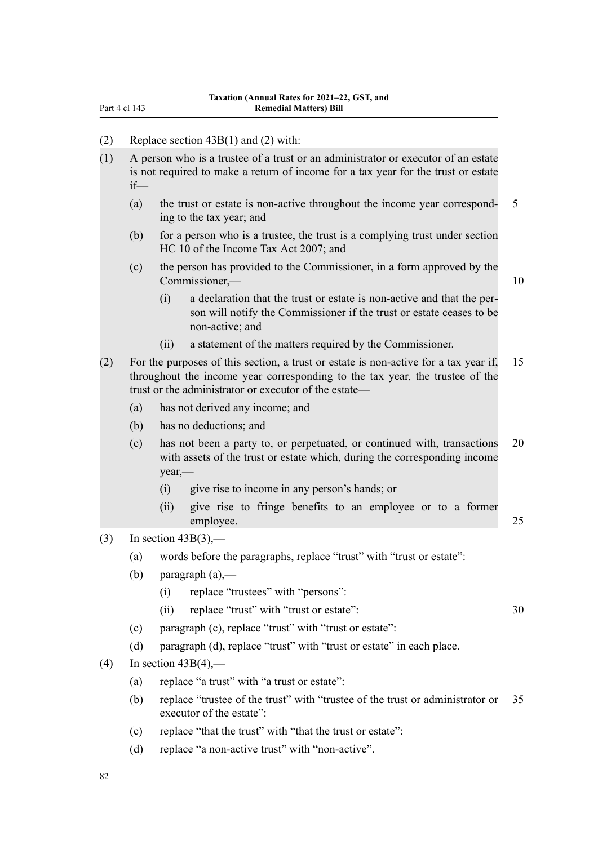| Part 4 cl 143 |  |  |
|---------------|--|--|
|               |  |  |

|  | (2) | Replace section $43B(1)$ and (2) with: |  |
|--|-----|----------------------------------------|--|
|--|-----|----------------------------------------|--|

- (1) A person who is a trustee of a trust or an administrator or executor of an estate is not required to make a return of income for a tax year for the trust or estate if—
	- (a) the trust or estate is non-active throughout the income year correspond‐ 5 ing to the tax year; and
	- (b) for a person who is a trustee, the trust is a complying trust under section HC 10 of the Income Tax Act 2007; and
	- (c) the person has provided to the Commissioner, in a form approved by the Commissioner,— 10
		- (i) a declaration that the trust or estate is non-active and that the per‐ son will notify the Commissioner if the trust or estate ceases to be non-active; and
		- (ii) a statement of the matters required by the Commissioner.
- (2) For the purposes of this section, a trust or estate is non-active for a tax year if, 15 throughout the income year corresponding to the tax year, the trustee of the trust or the administrator or executor of the estate—
	- (a) has not derived any income; and
	- (b) has no deductions; and
	- (c) has not been a party to, or perpetuated, or continued with, transactions 20 with assets of the trust or estate which, during the corresponding income year,—
		- (i) give rise to income in any person's hands; or
		- (ii) give rise to fringe benefits to an employee or to a former employee. 25
- $(3)$  In section 43B(3),—
	- (a) words before the paragraphs, replace "trust" with "trust or estate":
	- (b) paragraph  $(a)$ ,—
		- (i) replace "trustees" with "persons":
		- (ii) replace "trust" with "trust or estate": 30
	- (c) paragraph (c), replace "trust" with "trust or estate":
	- (d) paragraph (d), replace "trust" with "trust or estate" in each place.
- (4) In section  $43B(4)$ ,—
	- (a) replace "a trust" with "a trust or estate":
	- (b) replace "trustee of the trust" with "trustee of the trust or administrator or 35 executor of the estate":
	- (c) replace "that the trust" with "that the trust or estate":
	- (d) replace "a non-active trust" with "non-active".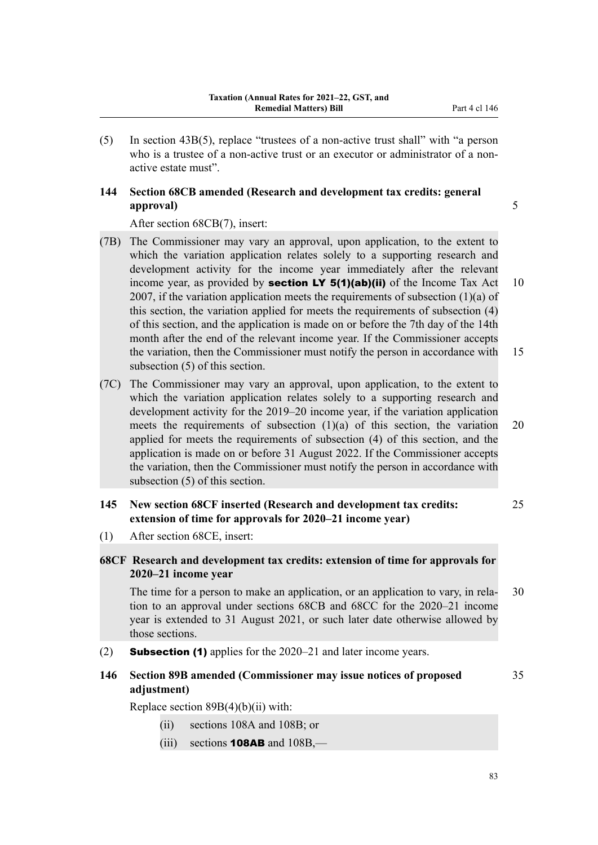(5) In section 43B(5), replace "trustees of a non-active trust shall" with "a person who is a trustee of a non-active trust or an executor or administrator of a nonactive estate must".

# **144 Section 68CB amended (Research and development tax credits: general approval)** 5

After section 68CB(7), insert:

- (7B) The Commissioner may vary an approval, upon application, to the extent to which the variation application relates solely to a supporting research and development activity for the income year immediately after the relevant income year, as provided by **section LY 5(1)(ab)(ii)** of the Income Tax Act 10 2007, if the variation application meets the requirements of subsection  $(1)(a)$  of this section, the variation applied for meets the requirements of subsection (4) of this section, and the application is made on or before the 7th day of the 14th month after the end of the relevant income year. If the Commissioner accepts the variation, then the Commissioner must notify the person in accordance with 15 subsection (5) of this section.
- (7C) The Commissioner may vary an approval, upon application, to the extent to which the variation application relates solely to a supporting research and development activity for the 2019–20 income year, if the variation application meets the requirements of subsection  $(1)(a)$  of this section, the variation 20 applied for meets the requirements of subsection (4) of this section, and the application is made on or before 31 August 2022. If the Commissioner accepts the variation, then the Commissioner must notify the person in accordance with subsection (5) of this section.

# **145 New section 68CF inserted (Research and development tax credits:** 25 **extension of time for approvals for 2020–21 income year)**

(1) After section 68CE, insert:

# **68CF Research and development tax credits: extension of time for approvals for 2020–21 income year**

The time for a person to make an application, or an application to vary, in rela- 30 tion to an approval under sections 68CB and 68CC for the 2020–21 income year is extended to 31 August 2021, or such later date otherwise allowed by those sections.

(2) Subsection (1) applies for the 2020–21 and later income years.

# **146 Section 89B amended (Commissioner may issue notices of proposed** 35 **adjustment)**

Replace section 89B(4)(b)(ii) with:

- (ii) sections 108A and 108B; or
- (iii) sections **108AB** and  $108B$ ,—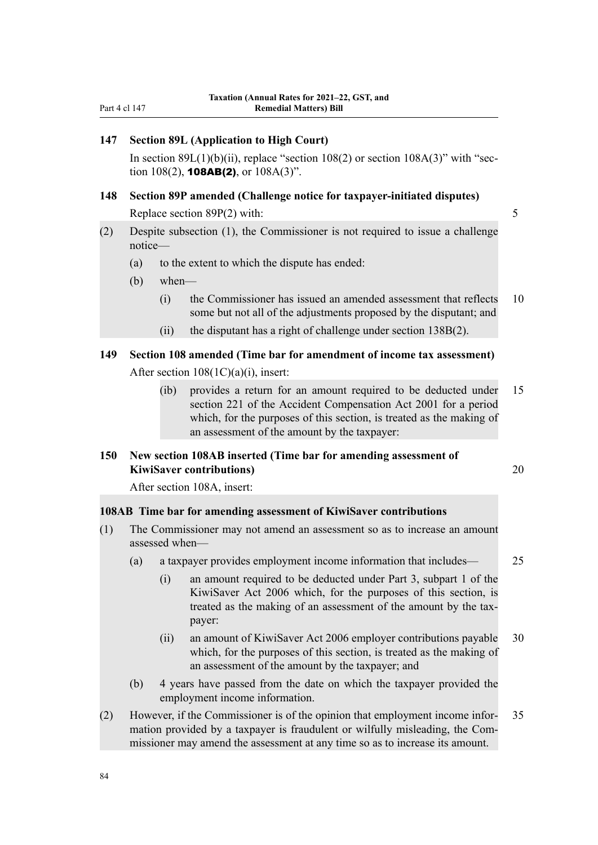# **147 Section 89L (Application to High Court)**

In section  $89L(1)(b)(ii)$ , replace "section  $108(2)$  or section  $108A(3)$ " with "section 108(2), **108AB(2)**, or  $108A(3)$ ".

# **148 Section 89P amended (Challenge notice for taxpayer-initiated disputes)** Replace section 89P(2) with: 5

- (2) Despite subsection (1), the Commissioner is not required to issue a challenge notice—
	- (a) to the extent to which the dispute has ended:
	- (b) when—
		- (i) the Commissioner has issued an amended assessment that reflects 10 some but not all of the adjustments proposed by the disputant; and
		- (ii) the disputant has a right of challenge under section 138B(2).

# **149 Section 108 amended (Time bar for amendment of income tax assessment)** After section 108(1C)(a)(i), insert:

(ib) provides a return for an amount required to be deducted under 15 section 221 of the Accident Compensation Act 2001 for a period which, for the purposes of this section, is treated as the making of an assessment of the amount by the taxpayer:

### **150 New section 108AB inserted (Time bar for amending assessment of KiwiSaver contributions)** 20

After section 108A, insert:

### **108AB Time bar for amending assessment of KiwiSaver contributions**

- (1) The Commissioner may not amend an assessment so as to increase an amount assessed when—
	- (a) a taxpayer provides employment income information that includes— 25
		- (i) an amount required to be deducted under Part 3, subpart 1 of the KiwiSaver Act 2006 which, for the purposes of this section, is treated as the making of an assessment of the amount by the taxpayer:
		- (ii) an amount of KiwiSaver Act 2006 employer contributions payable 30 which, for the purposes of this section, is treated as the making of an assessment of the amount by the taxpayer; and
	- (b) 4 years have passed from the date on which the taxpayer provided the employment income information.
- (2) However, if the Commissioner is of the opinion that employment income infor‐ 35 mation provided by a taxpayer is fraudulent or wilfully misleading, the Com‐ missioner may amend the assessment at any time so as to increase its amount.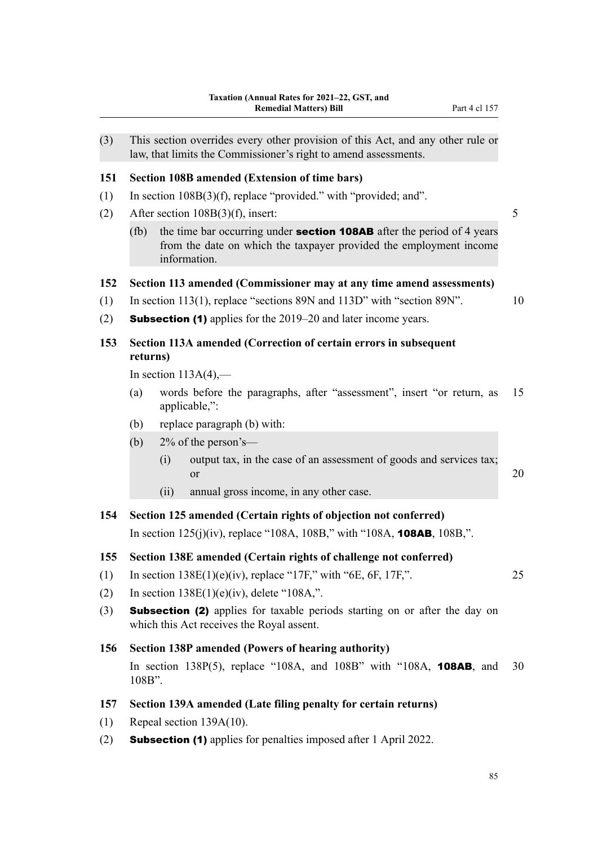| (3) |          |      | This section overrides every other provision of this Act, and any other rule or<br>law, that limits the Commissioner's right to amend assessments.                  |    |
|-----|----------|------|---------------------------------------------------------------------------------------------------------------------------------------------------------------------|----|
| 151 |          |      | <b>Section 108B amended (Extension of time bars)</b>                                                                                                                |    |
| (1) |          |      | In section $108B(3)(f)$ , replace "provided." with "provided; and".                                                                                                 |    |
| (2) |          |      | After section $108B(3)(f)$ , insert:                                                                                                                                | 5  |
|     | (fb)     |      | the time bar occurring under <b>section 108AB</b> after the period of 4 years<br>from the date on which the taxpayer provided the employment income<br>information. |    |
| 152 |          |      | Section 113 amended (Commissioner may at any time amend assessments)                                                                                                |    |
| (1) |          |      | In section 113(1), replace "sections 89N and 113D" with "section 89N".                                                                                              | 10 |
| (2) |          |      | <b>Subsection (1)</b> applies for the 2019–20 and later income years.                                                                                               |    |
| 153 | returns) |      | Section 113A amended (Correction of certain errors in subsequent                                                                                                    |    |
|     |          |      | In section $113A(4)$ ,—                                                                                                                                             |    |
|     | (a)      |      | words before the paragraphs, after "assessment", insert "or return, as<br>applicable,":                                                                             | 15 |
|     | (b)      |      | replace paragraph (b) with:                                                                                                                                         |    |
|     | (b)      |      | $2\%$ of the person's—                                                                                                                                              |    |
|     |          | (i)  | output tax, in the case of an assessment of goods and services tax;<br><sub>or</sub>                                                                                |    |
|     |          |      |                                                                                                                                                                     | 20 |
|     |          | (ii) | annual gross income, in any other case.                                                                                                                             |    |
| 154 |          |      | Section 125 amended (Certain rights of objection not conferred)                                                                                                     |    |
|     |          |      | In section $125(j)(iv)$ , replace "108A, 108B," with "108A, <b>108AB</b> , 108B,".                                                                                  |    |
| 155 |          |      | Section 138E amended (Certain rights of challenge not conferred)                                                                                                    |    |
| (1) |          |      | In section $138E(1)(e)(iv)$ , replace "17F," with "6E, 6F, 17F,".                                                                                                   | 25 |
| (2) |          |      | In section $138E(1)(e)(iv)$ , delete "108A,".                                                                                                                       |    |
| (3) |          |      | <b>Subsection (2)</b> applies for taxable periods starting on or after the day on<br>which this Act receives the Royal assent.                                      |    |
| 156 |          |      | <b>Section 138P amended (Powers of hearing authority)</b>                                                                                                           |    |
|     | 108B".   |      | In section 138 $P(5)$ , replace "108A, and 108B" with "108A, 108AB, and                                                                                             | 30 |
| 157 |          |      | Section 139A amended (Late filing penalty for certain returns)                                                                                                      |    |

(2) Subsection (1) applies for penalties imposed after 1 April 2022.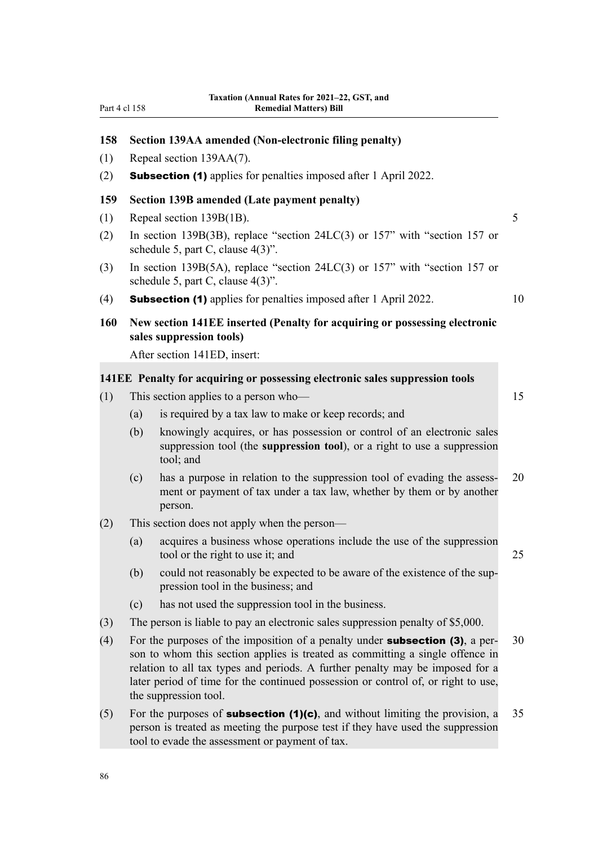# **158 Section 139AA amended (Non-electronic filing penalty)** (1) Repeal section 139AA(7). (2) Subsection (1) applies for penalties imposed after 1 April 2022. **159 Section 139B amended (Late payment penalty)** (1) Repeal section 139B(1B). 5 (2) In section 139B(3B), replace "section 24LC(3) or 157" with "section 157 or schedule 5, part C, clause 4(3)". (3) In section 139B(5A), replace "section 24LC(3) or 157" with "section 157 or schedule 5, part C, clause 4(3)". (4) **Subsection (1)** applies for penalties imposed after 1 April 2022. 10 **160 New section 141EE inserted (Penalty for acquiring or possessing electronic sales suppression tools)** After section 141ED, insert: **141EE Penalty for acquiring or possessing electronic sales suppression tools** (1) This section applies to a person who— 15 (a) is required by a tax law to make or keep records; and (b) knowingly acquires, or has possession or control of an electronic sales suppression tool (the **suppression tool**), or a right to use a suppression tool; and (c) has a purpose in relation to the suppression tool of evading the assess‐ 20 ment or payment of tax under a tax law, whether by them or by another person. (2) This section does not apply when the person— (a) acquires a business whose operations include the use of the suppression tool or the right to use it; and 25 (b) could not reasonably be expected to be aware of the existence of the sup‐ pression tool in the business; and (c) has not used the suppression tool in the business. (3) The person is liable to pay an electronic sales suppression penalty of \$5,000. (4) For the purposes of the imposition of a penalty under **subsection (3)**, a per- 30 son to whom this section applies is treated as committing a single offence in relation to all tax types and periods. A further penalty may be imposed for a later period of time for the continued possession or control of, or right to use, the suppression tool. (5) For the purposes of **subsection (1)(c)**, and without limiting the provision, a  $35$ person is treated as meeting the purpose test if they have used the suppression

tool to evade the assessment or payment of tax.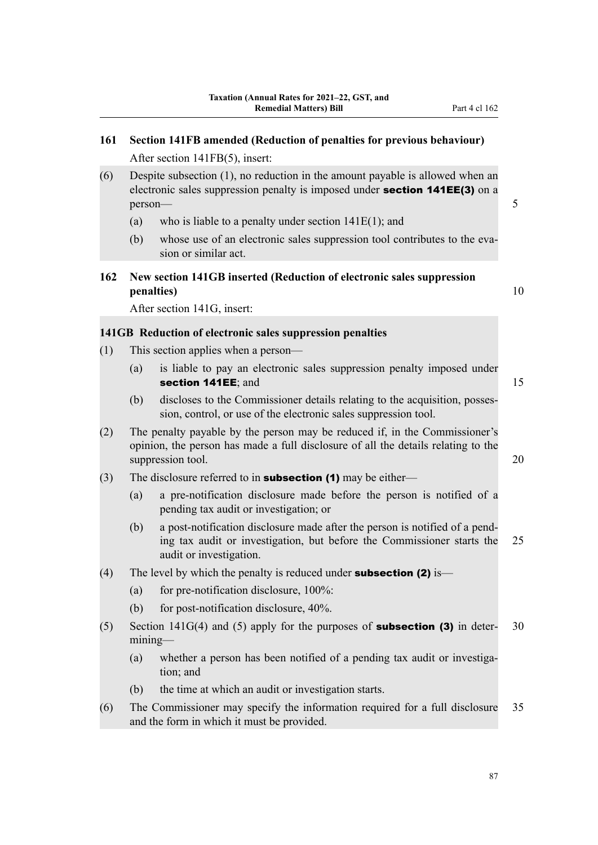| 161 |                                                                                                   | Section 141FB amended (Reduction of penalties for previous behaviour)                                                                                                                |    |  |
|-----|---------------------------------------------------------------------------------------------------|--------------------------------------------------------------------------------------------------------------------------------------------------------------------------------------|----|--|
|     |                                                                                                   | After section 141FB(5), insert:                                                                                                                                                      |    |  |
| (6) | person-                                                                                           | Despite subsection $(1)$ , no reduction in the amount payable is allowed when an<br>electronic sales suppression penalty is imposed under section 141EE(3) on a                      | 5  |  |
|     | (a)                                                                                               | who is liable to a penalty under section $141E(1)$ ; and                                                                                                                             |    |  |
|     | (b)                                                                                               | whose use of an electronic sales suppression tool contributes to the eva-<br>sion or similar act.                                                                                    |    |  |
| 162 |                                                                                                   | New section 141GB inserted (Reduction of electronic sales suppression<br>penalties)                                                                                                  | 10 |  |
|     |                                                                                                   | After section 141G, insert:                                                                                                                                                          |    |  |
|     |                                                                                                   | 141GB Reduction of electronic sales suppression penalties                                                                                                                            |    |  |
| (1) |                                                                                                   | This section applies when a person—                                                                                                                                                  |    |  |
|     | (a)                                                                                               | is liable to pay an electronic sales suppression penalty imposed under<br>section 141EE; and                                                                                         | 15 |  |
|     | (b)                                                                                               | discloses to the Commissioner details relating to the acquisition, posses-<br>sion, control, or use of the electronic sales suppression tool.                                        |    |  |
| (2) |                                                                                                   | The penalty payable by the person may be reduced if, in the Commissioner's<br>opinion, the person has made a full disclosure of all the details relating to the<br>suppression tool. | 20 |  |
| (3) |                                                                                                   | The disclosure referred to in <b>subsection (1)</b> may be either—                                                                                                                   |    |  |
|     | (a)                                                                                               | a pre-notification disclosure made before the person is notified of a<br>pending tax audit or investigation; or                                                                      |    |  |
|     | (b)                                                                                               | a post-notification disclosure made after the person is notified of a pend-<br>ing tax audit or investigation, but before the Commissioner starts the<br>audit or investigation.     | 25 |  |
| (4) |                                                                                                   | The level by which the penalty is reduced under <b>subsection (2)</b> is—                                                                                                            |    |  |
|     | (a)                                                                                               | for pre-notification disclosure, 100%:                                                                                                                                               |    |  |
|     | (b)                                                                                               | for post-notification disclosure, 40%.                                                                                                                                               |    |  |
| (5) | Section $141G(4)$ and (5) apply for the purposes of <b>subsection (3)</b> in deter-<br>$mining$ — |                                                                                                                                                                                      |    |  |
|     | (a)                                                                                               | whether a person has been notified of a pending tax audit or investiga-<br>tion; and                                                                                                 |    |  |
|     | (b)                                                                                               | the time at which an audit or investigation starts.                                                                                                                                  |    |  |
| (6) |                                                                                                   | The Commissioner may specify the information required for a full disclosure<br>and the form in which it must be provided.                                                            | 35 |  |
|     |                                                                                                   |                                                                                                                                                                                      |    |  |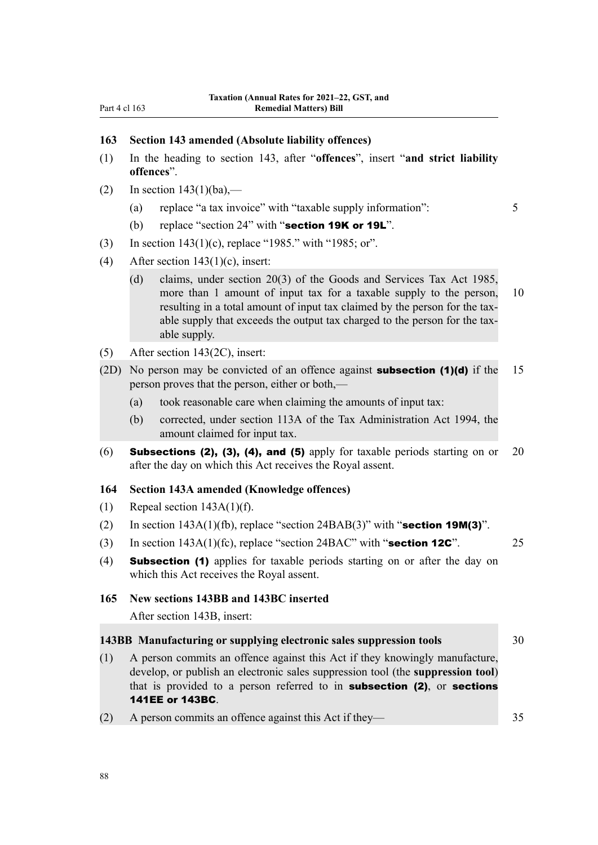#### **163 Section 143 amended (Absolute liability offences)**

- (1) In the heading to section 143, after "**offences**", insert "**and strict liability offences**".
- (2) In section  $143(1)(ba)$ ,—
	- (a) replace "a tax invoice" with "taxable supply information": 5
	- (b) replace "section  $24$ " with "section  $19K$  or  $19L$ ".
- (3) In section 143(1)(c), replace "1985." with "1985; or".
- (4) After section  $143(1)(c)$ , insert:
	- (d) claims, under section 20(3) of the Goods and Services Tax Act 1985, more than 1 amount of input tax for a taxable supply to the person, 10 resulting in a total amount of input tax claimed by the person for the taxable supply that exceeds the output tax charged to the person for the taxable supply.
- (5) After section 143(2C), insert:
- (2D) No person may be convicted of an offence against **subsection (1)(d)** if the 15 person proves that the person, either or both,—
	- (a) took reasonable care when claiming the amounts of input tax:
	- (b) corrected, under section 113A of the Tax Administration Act 1994, the amount claimed for input tax.
- (6) Subsections (2), (3), (4), and (5) apply for taxable periods starting on or 20 after the day on which this Act receives the Royal assent.

#### **164 Section 143A amended (Knowledge offences)**

- (1) Repeal section  $143A(1)(f)$ .
- (2) In section  $143A(1)(fb)$ , replace "section  $24BAB(3)$ " with "section  $19M(3)$ ".
- (3) In section  $143A(1)(f_c)$ , replace "section  $24BAC$ " with "**section 12C**". 25
- (4) Subsection (1) applies for taxable periods starting on or after the day on which this Act receives the Royal assent.

#### **165 New sections 143BB and 143BC inserted**

After section 143B, insert:

#### **143BB Manufacturing or supplying electronic sales suppression tools** 30

- (1) A person commits an offence against this Act if they knowingly manufacture, develop, or publish an electronic sales suppression tool (the **suppression tool**) that is provided to a person referred to in subsection (2), or sections 141EE or 143BC.
- (2) A person commits an offence against this Act if they— 35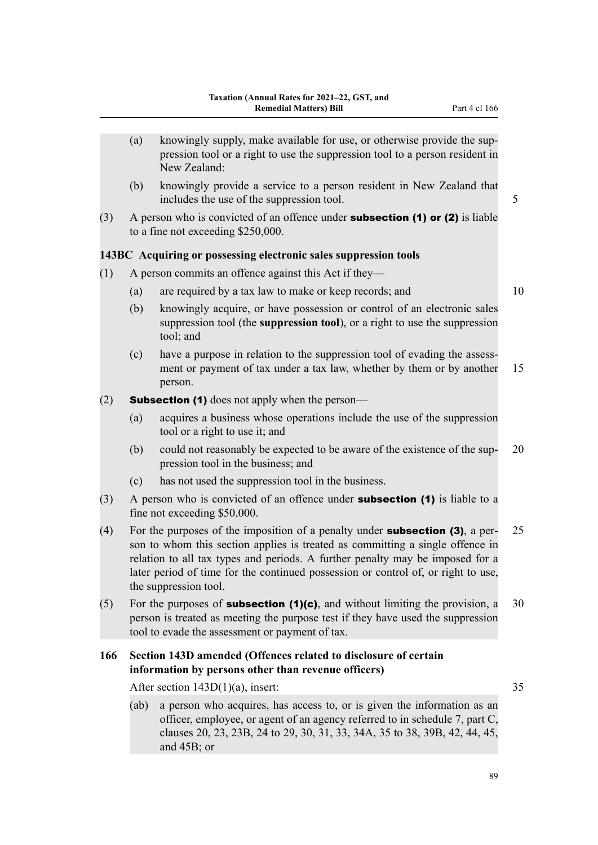- (a) knowingly supply, make available for use, or otherwise provide the suppression tool or a right to use the suppression tool to a person resident in New Zealand: (b) knowingly provide a service to a person resident in New Zealand that includes the use of the suppression tool. 5 (3) A person who is convicted of an offence under **subsection (1) or (2)** is liable to a fine not exceeding \$250,000. **143BC Acquiring or possessing electronic sales suppression tools** (1) A person commits an offence against this Act if they— (a) are required by a tax law to make or keep records; and 10 (b) knowingly acquire, or have possession or control of an electronic sales suppression tool (the **suppression tool**), or a right to use the suppression tool; and (c) have a purpose in relation to the suppression tool of evading the assess‐ ment or payment of tax under a tax law, whether by them or by another 15 person. (2) **Subsection (1)** does not apply when the person— (a) acquires a business whose operations include the use of the suppression tool or a right to use it; and (b) could not reasonably be expected to be aware of the existence of the sup‐ 20 pression tool in the business; and (c) has not used the suppression tool in the business.  $(3)$  A person who is convicted of an offence under **subsection (1)** is liable to a fine not exceeding \$50,000. (4) For the purposes of the imposition of a penalty under **subsection (3)**, a per- 25 son to whom this section applies is treated as committing a single offence in relation to all tax types and periods. A further penalty may be imposed for a later period of time for the continued possession or control of, or right to use,
- (5) For the purposes of **subsection (1)(c)**, and without limiting the provision, a 30 person is treated as meeting the purpose test if they have used the suppression tool to evade the assessment or payment of tax.

# **166 Section 143D amended (Offences related to disclosure of certain information by persons other than revenue officers)**

After section 143D(1)(a), insert: 35

the suppression tool.

(ab) a person who acquires, has access to, or is given the information as an officer, employee, or agent of an agency referred to in schedule 7, part C, clauses 20, 23, 23B, 24 to 29, 30, 31, 33, 34A, 35 to 38, 39B, 42, 44, 45, and 45B; or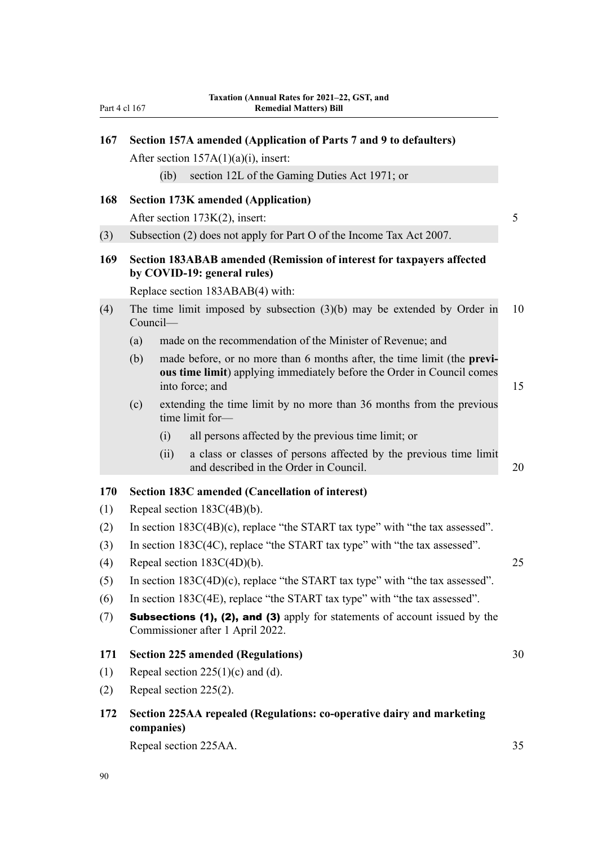| 167 |     |            | Section 157A amended (Application of Parts 7 and 9 to defaulters)                                                                                                    |    |
|-----|-----|------------|----------------------------------------------------------------------------------------------------------------------------------------------------------------------|----|
|     |     |            | After section $157A(1)(a)(i)$ , insert:                                                                                                                              |    |
|     |     | $(ib)$     | section 12L of the Gaming Duties Act 1971; or                                                                                                                        |    |
| 168 |     |            | <b>Section 173K amended (Application)</b>                                                                                                                            |    |
|     |     |            | After section 173K(2), insert:                                                                                                                                       | 5  |
| (3) |     |            | Subsection (2) does not apply for Part O of the Income Tax Act 2007.                                                                                                 |    |
| 169 |     |            | Section 183ABAB amended (Remission of interest for taxpayers affected<br>by COVID-19: general rules)                                                                 |    |
|     |     |            | Replace section 183ABAB(4) with:                                                                                                                                     |    |
| (4) |     | Council-   | The time limit imposed by subsection $(3)(b)$ may be extended by Order in                                                                                            | 10 |
|     | (a) |            | made on the recommendation of the Minister of Revenue; and                                                                                                           |    |
|     | (b) |            | made before, or no more than 6 months after, the time limit (the previ-<br>ous time limit) applying immediately before the Order in Council comes<br>into force; and | 15 |
|     | (c) |            | extending the time limit by no more than 36 months from the previous<br>time limit for-                                                                              |    |
|     |     | (i)        | all persons affected by the previous time limit; or                                                                                                                  |    |
|     |     | (ii)       | a class or classes of persons affected by the previous time limit<br>and described in the Order in Council.                                                          | 20 |
| 170 |     |            | Section 183C amended (Cancellation of interest)                                                                                                                      |    |
| (1) |     |            | Repeal section $183C(4B)(b)$ .                                                                                                                                       |    |
| (2) |     |            | In section $183C(4B)(c)$ , replace "the START tax type" with "the tax assessed".                                                                                     |    |
| (3) |     |            | In section 183C(4C), replace "the START tax type" with "the tax assessed".                                                                                           |    |
| (4) |     |            | Repeal section $183C(4D)(b)$ .                                                                                                                                       | 25 |
| (5) |     |            | In section $183C(4D)(c)$ , replace "the START tax type" with "the tax assessed".                                                                                     |    |
| (6) |     |            | In section 183C(4E), replace "the START tax type" with "the tax assessed".                                                                                           |    |
| (7) |     |            | Subsections (1), (2), and (3) apply for statements of account issued by the<br>Commissioner after 1 April 2022.                                                      |    |
| 171 |     |            | <b>Section 225 amended (Regulations)</b>                                                                                                                             | 30 |
| (1) |     |            | Repeal section $225(1)(c)$ and (d).                                                                                                                                  |    |
| (2) |     |            | Repeal section 225(2).                                                                                                                                               |    |
| 172 |     | companies) | Section 225AA repealed (Regulations: co-operative dairy and marketing                                                                                                |    |
|     |     |            | Repeal section 225AA.                                                                                                                                                | 35 |

Part 4 cl 167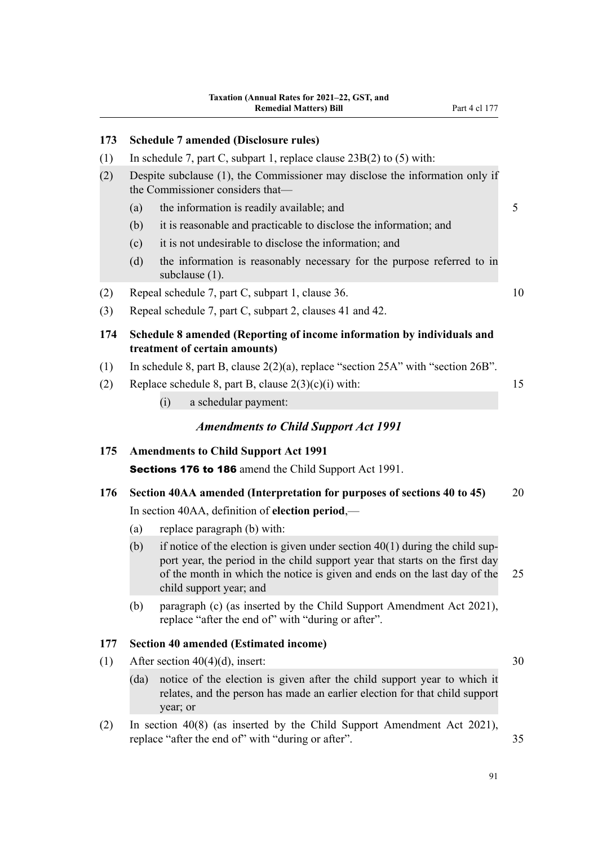| 173 |                                                  | <b>Schedule 7 amended (Disclosure rules)</b>                                                                                                                                                                                                                           |    |  |  |
|-----|--------------------------------------------------|------------------------------------------------------------------------------------------------------------------------------------------------------------------------------------------------------------------------------------------------------------------------|----|--|--|
| (1) |                                                  | In schedule 7, part C, subpart 1, replace clause $23B(2)$ to (5) with:                                                                                                                                                                                                 |    |  |  |
| (2) |                                                  | Despite subclause (1), the Commissioner may disclose the information only if<br>the Commissioner considers that-                                                                                                                                                       |    |  |  |
|     | (a)                                              | the information is readily available; and                                                                                                                                                                                                                              | 5  |  |  |
|     | (b)                                              | it is reasonable and practicable to disclose the information; and                                                                                                                                                                                                      |    |  |  |
|     | (c)                                              | it is not undesirable to disclose the information; and                                                                                                                                                                                                                 |    |  |  |
|     | (d)                                              | the information is reasonably necessary for the purpose referred to in<br>subclause (1).                                                                                                                                                                               |    |  |  |
| (2) |                                                  | Repeal schedule 7, part C, subpart 1, clause 36.                                                                                                                                                                                                                       | 10 |  |  |
| (3) |                                                  | Repeal schedule 7, part C, subpart 2, clauses 41 and 42.                                                                                                                                                                                                               |    |  |  |
| 174 |                                                  | Schedule 8 amended (Reporting of income information by individuals and<br>treatment of certain amounts)                                                                                                                                                                |    |  |  |
| (1) |                                                  | In schedule 8, part B, clause $2(2)(a)$ , replace "section $25A$ " with "section $26B$ ".                                                                                                                                                                              |    |  |  |
| (2) |                                                  | Replace schedule 8, part B, clause $2(3)(c)(i)$ with:                                                                                                                                                                                                                  | 15 |  |  |
|     |                                                  | a schedular payment:<br>(i)                                                                                                                                                                                                                                            |    |  |  |
|     |                                                  | <b>Amendments to Child Support Act 1991</b>                                                                                                                                                                                                                            |    |  |  |
| 175 |                                                  | <b>Amendments to Child Support Act 1991</b>                                                                                                                                                                                                                            |    |  |  |
|     |                                                  | <b>Sections 176 to 186</b> amend the Child Support Act 1991.                                                                                                                                                                                                           |    |  |  |
| 176 |                                                  | Section 40AA amended (Interpretation for purposes of sections 40 to 45)                                                                                                                                                                                                | 20 |  |  |
|     | In section 40AA, definition of election period,— |                                                                                                                                                                                                                                                                        |    |  |  |
|     | (a)                                              | replace paragraph (b) with:                                                                                                                                                                                                                                            |    |  |  |
|     | (b)                                              | if notice of the election is given under section $40(1)$ during the child sup-<br>port year, the period in the child support year that starts on the first day<br>of the month in which the notice is given and ends on the last day of the<br>child support year; and | 25 |  |  |
|     | (b)                                              | paragraph (c) (as inserted by the Child Support Amendment Act 2021),<br>replace "after the end of" with "during or after".                                                                                                                                             |    |  |  |

# **177 Section 40 amended (Estimated income)**

- (1) After section  $40(4)(d)$ , insert: 30
	- (da) notice of the election is given after the child support year to which it relates, and the person has made an earlier election for that child support year; or
- (2) In section 40(8) (as inserted by the Child Support Amendment Act 2021), replace "after the end of" with "during or after". 35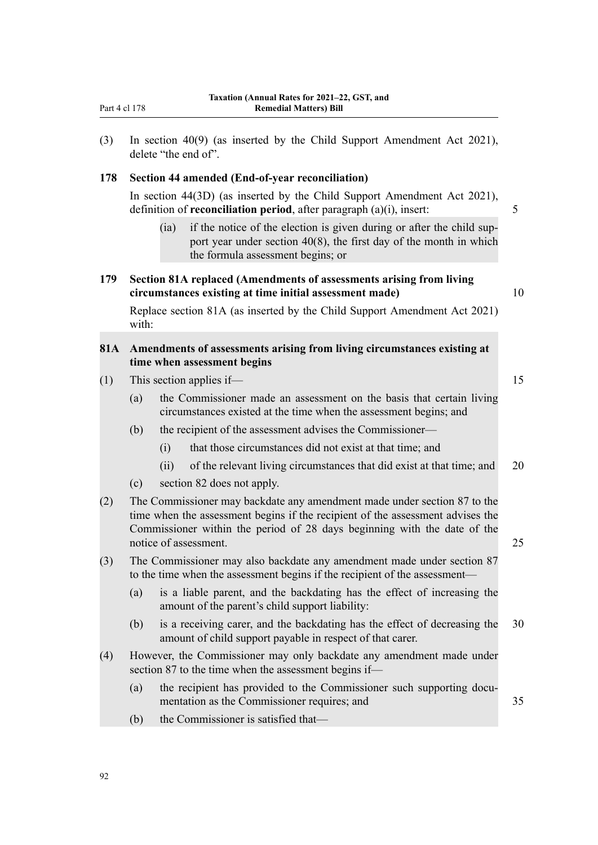(3) In section 40(9) (as inserted by the Child Support Amendment Act 2021), delete "the end of".

#### **178 Section 44 amended (End-of-year reconciliation)**

In section 44(3D) (as inserted by the Child Support Amendment Act 2021), definition of **reconciliation period**, after paragraph (a)(i), insert: 5

(ia) if the notice of the election is given during or after the child support year under section 40(8), the first day of the month in which the formula assessment begins; or

# **179 Section 81A replaced (Amendments of assessments arising from living circumstances existing at time initial assessment made)** 10

Replace section 81A (as inserted by the Child Support Amendment Act 2021) with:

# **81A Amendments of assessments arising from living circumstances existing at time when assessment begins**

- (1) This section applies if— 15
	- (a) the Commissioner made an assessment on the basis that certain living circumstances existed at the time when the assessment begins; and
	- (b) the recipient of the assessment advises the Commissioner—
		- (i) that those circumstances did not exist at that time; and
		- (ii) of the relevant living circumstances that did exist at that time; and 20
	- (c) section 82 does not apply.
- (2) The Commissioner may backdate any amendment made under section 87 to the time when the assessment begins if the recipient of the assessment advises the Commissioner within the period of 28 days beginning with the date of the notice of assessment. 25
- (3) The Commissioner may also backdate any amendment made under section 87 to the time when the assessment begins if the recipient of the assessment—
	- (a) is a liable parent, and the backdating has the effect of increasing the amount of the parent's child support liability:
	- (b) is a receiving carer, and the backdating has the effect of decreasing the 30 amount of child support payable in respect of that carer.
- (4) However, the Commissioner may only backdate any amendment made under section 87 to the time when the assessment begins if—
	- (a) the recipient has provided to the Commissioner such supporting documentation as the Commissioner requires; and 35
	- (b) the Commissioner is satisfied that—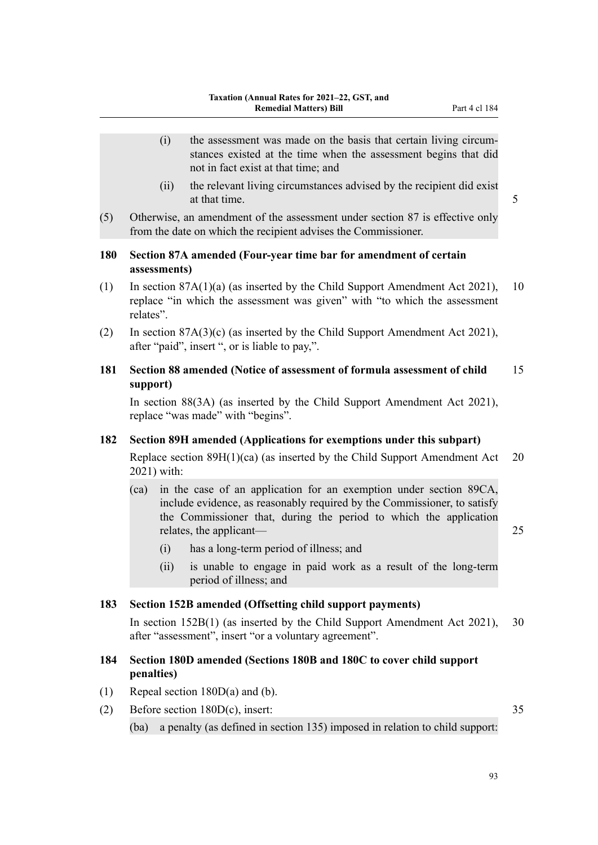- (i) the assessment was made on the basis that certain living circum‐ stances existed at the time when the assessment begins that did not in fact exist at that time; and
- (ii) the relevant living circumstances advised by the recipient did exist at that time. 5
- (5) Otherwise, an amendment of the assessment under section 87 is effective only from the date on which the recipient advises the Commissioner.

# **180 Section 87A amended (Four-year time bar for amendment of certain assessments)**

- (1) In section 87A(1)(a) (as inserted by the Child Support Amendment Act 2021), 10 replace "in which the assessment was given" with "to which the assessment relates".
- (2) In section 87A(3)(c) (as inserted by the Child Support Amendment Act 2021), after "paid", insert ", or is liable to pay,".
- **181 Section 88 amended (Notice of assessment of formula assessment of child** 15 **support)**

In section 88(3A) (as inserted by the Child Support Amendment Act 2021), replace "was made" with "begins".

### **182 Section 89H amended (Applications for exemptions under this subpart)**

Replace section 89H(1)(ca) (as inserted by the Child Support Amendment Act 20 2021) with:

(ca) in the case of an application for an exemption under section 89CA, include evidence, as reasonably required by the Commissioner, to satisfy the Commissioner that, during the period to which the application relates, the applicant— 25

- (i) has a long-term period of illness; and
- (ii) is unable to engage in paid work as a result of the long-term period of illness; and

#### **183 Section 152B amended (Offsetting child support payments)**

In section 152B(1) (as inserted by the Child Support Amendment Act 2021), 30 after "assessment", insert "or a voluntary agreement".

## **184 Section 180D amended (Sections 180B and 180C to cover child support penalties)**

- (1) Repeal section 180D(a) and (b).
- (2) Before section 180D(c), insert: 35 (ba) a penalty (as defined in section 135) imposed in relation to child support: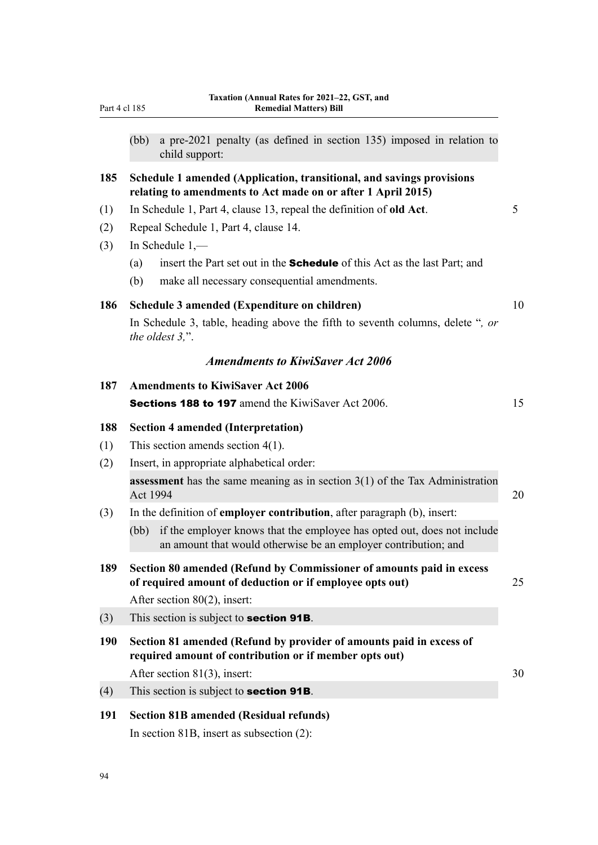| Part 4 cl 185 | <b>Remedial Matters) Bill</b>                                                                                                                      |    |
|---------------|----------------------------------------------------------------------------------------------------------------------------------------------------|----|
|               | a pre-2021 penalty (as defined in section 135) imposed in relation to<br>(bb)<br>child support:                                                    |    |
| 185           | Schedule 1 amended (Application, transitional, and savings provisions<br>relating to amendments to Act made on or after 1 April 2015)              |    |
| (1)           | In Schedule 1, Part 4, clause 13, repeal the definition of old Act.                                                                                | 5  |
| (2)           | Repeal Schedule 1, Part 4, clause 14.                                                                                                              |    |
| (3)           | In Schedule $1,$ —                                                                                                                                 |    |
|               | insert the Part set out in the <b>Schedule</b> of this Act as the last Part; and<br>(a)                                                            |    |
|               | (b)<br>make all necessary consequential amendments.                                                                                                |    |
| 186           | Schedule 3 amended (Expenditure on children)                                                                                                       | 10 |
|               | In Schedule 3, table, heading above the fifth to seventh columns, delete ", or<br>the oldest $3$ .".                                               |    |
|               | <b>Amendments to KiwiSaver Act 2006</b>                                                                                                            |    |
| 187           | <b>Amendments to KiwiSaver Act 2006</b>                                                                                                            |    |
|               | <b>Sections 188 to 197</b> amend the KiwiSaver Act 2006.                                                                                           | 15 |
| 188           | <b>Section 4 amended (Interpretation)</b>                                                                                                          |    |
| (1)           | This section amends section $4(1)$ .                                                                                                               |    |
| (2)           | Insert, in appropriate alphabetical order:                                                                                                         |    |
|               | <b>assessment</b> has the same meaning as in section $3(1)$ of the Tax Administration<br>Act 1994                                                  | 20 |
| (3)           | In the definition of employer contribution, after paragraph (b), insert:                                                                           |    |
|               | if the employer knows that the employee has opted out, does not include<br>(bb)<br>an amount that would otherwise be an employer contribution; and |    |
| 189           | Section 80 amended (Refund by Commissioner of amounts paid in excess<br>of required amount of deduction or if employee opts out)                   | 25 |
|               | After section $80(2)$ , insert:                                                                                                                    |    |
| (3)           | This section is subject to <b>section 91B</b> .                                                                                                    |    |
| <b>190</b>    | Section 81 amended (Refund by provider of amounts paid in excess of<br>required amount of contribution or if member opts out)                      |    |
|               | After section $81(3)$ , insert:                                                                                                                    | 30 |
| (4)           | This section is subject to <b>section 91B</b> .                                                                                                    |    |
| 191           | <b>Section 81B amended (Residual refunds)</b>                                                                                                      |    |

In section 81B, insert as subsection (2):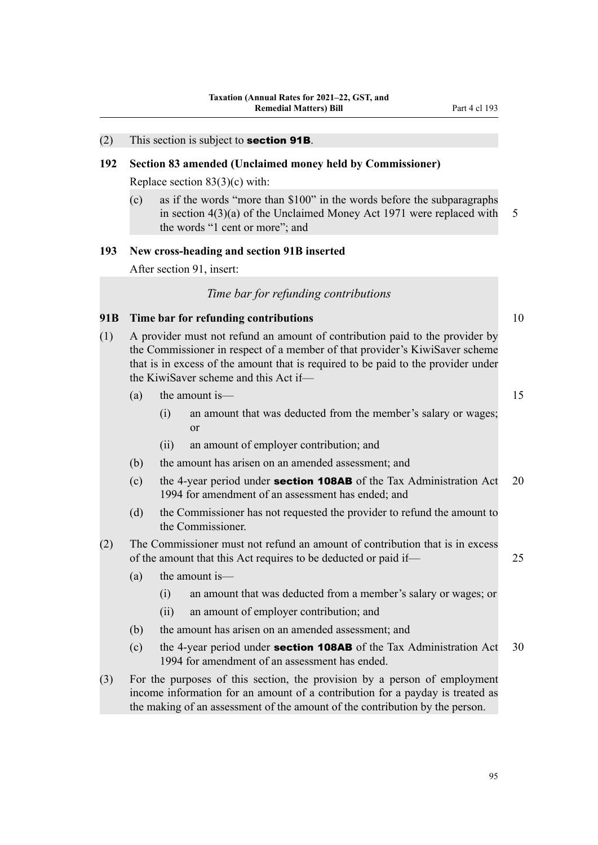#### $(2)$  This section is subject to **section 91B**.

## **192 Section 83 amended (Unclaimed money held by Commissioner)**

Replace section 83(3)(c) with:

(c) as if the words "more than \$100" in the words before the subparagraphs in section  $4(3)(a)$  of the Unclaimed Money Act 1971 were replaced with 5 the words "1 cent or more"; and

### **193 New cross-heading and section 91B inserted**

After section 91, insert:

# *Time bar for refunding contributions*

#### **91B Time bar for refunding contributions** 10

(1) A provider must not refund an amount of contribution paid to the provider by the Commissioner in respect of a member of that provider's KiwiSaver scheme that is in excess of the amount that is required to be paid to the provider under the KiwiSaver scheme and this Act if—

| (a) | the amount is—                                                 |  |
|-----|----------------------------------------------------------------|--|
|     | an amount that was deducted from the member's salary or wages; |  |
|     |                                                                |  |
|     | an amount of employer contribution; and                        |  |

- (b) the amount has arisen on an amended assessment; and
- (c) the 4-year period under **section 108AB** of the Tax Administration Act 20 1994 for amendment of an assessment has ended; and
- (d) the Commissioner has not requested the provider to refund the amount to the Commissioner.
- (2) The Commissioner must not refund an amount of contribution that is in excess of the amount that this Act requires to be deducted or paid if— 25
	- (a) the amount is—
		- (i) an amount that was deducted from a member's salary or wages; or
		- (ii) an amount of employer contribution; and
	- (b) the amount has arisen on an amended assessment; and
	- (c) the 4-year period under **section 108AB** of the Tax Administration Act 30 1994 for amendment of an assessment has ended.
- (3) For the purposes of this section, the provision by a person of employment income information for an amount of a contribution for a payday is treated as the making of an assessment of the amount of the contribution by the person.

95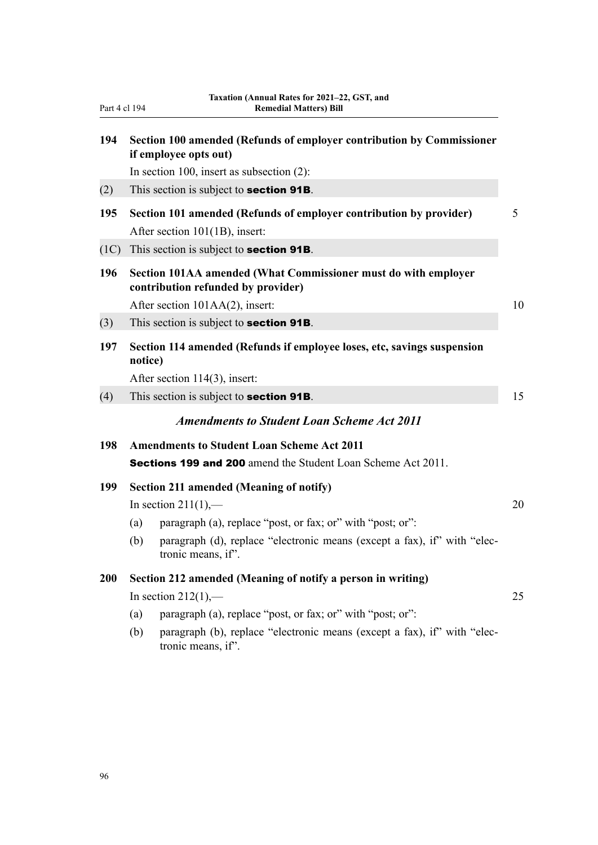| Part 4 cl 194 | <b>Remedial Matters) Bill</b>                                                                         |  |
|---------------|-------------------------------------------------------------------------------------------------------|--|
| 194           | Section 100 amended (Refunds of employer contribution by Commissioner<br>if employee opts out)        |  |
|               | In section 100, insert as subsection $(2)$ :                                                          |  |
| (2)           | This section is subject to <b>section 91B</b> .                                                       |  |
| 195           | Section 101 amended (Refunds of employer contribution by provider)<br>After section 101(1B), insert:  |  |
| (1C)          | This section is subject to <b>section 91B</b> .                                                       |  |
| 196           | Section 101AA amended (What Commissioner must do with employer<br>contribution refunded by provider)  |  |
|               | After section 101AA(2), insert:                                                                       |  |
| (3)           | This section is subject to <b>section 91B</b> .                                                       |  |
| 197           | Section 114 amended (Refunds if employee loses, etc, savings suspension<br>notice)                    |  |
|               | After section 114(3), insert:                                                                         |  |
| (4)           | This section is subject to <b>section 91B</b> .                                                       |  |
|               | <b>Amendments to Student Loan Scheme Act 2011</b>                                                     |  |
| 198           | <b>Amendments to Student Loan Scheme Act 2011</b>                                                     |  |
|               | <b>Sections 199 and 200</b> amend the Student Loan Scheme Act 2011.                                   |  |
| 199           | <b>Section 211 amended (Meaning of notify)</b>                                                        |  |
|               | In section $211(1)$ ,—                                                                                |  |
|               | paragraph (a), replace "post, or fax; or" with "post; or":<br>(a)                                     |  |
|               | paragraph (d), replace "electronic means (except a fax), if" with "elec-<br>(b)<br>tronic means, if". |  |
| 200           | Section 212 amended (Meaning of notify a person in writing)                                           |  |
|               | In section $212(1)$ ,—                                                                                |  |
|               | paragraph (a), replace "post, or fax; or" with "post; or":<br>(a)                                     |  |
|               | paragraph (b), replace "electronic means (except a fax), if" with "elec-<br>(b)<br>tronic means, if". |  |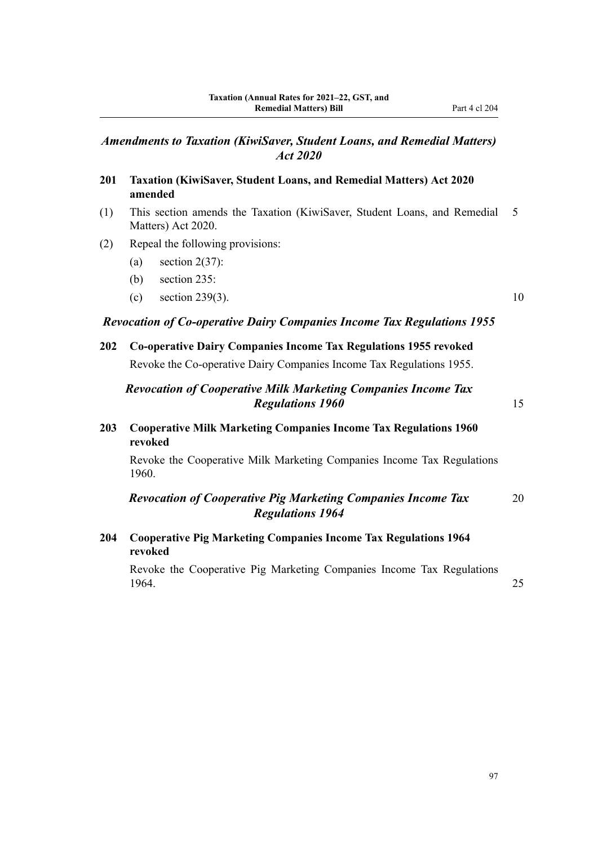- **201 Taxation (KiwiSaver, Student Loans, and Remedial Matters) Act 2020 amended**
- (1) This section amends the Taxation (KiwiSaver, Student Loans, and Remedial 5 Matters) Act 2020.
- (2) Repeal the following provisions:
	- (a) section  $2(37)$ :
	- (b) section 235:
	- (c) section 239(3). 10

#### *Revocation of Co-operative Dairy Companies Income Tax Regulations 1955*

# **202 Co-operative Dairy Companies Income Tax Regulations 1955 revoked**

Revoke the Co-operative Dairy Companies Income Tax Regulations 1955.

# *Revocation of Cooperative Milk Marketing Companies Income Tax* **Regulations 1960** 15

**203 Cooperative Milk Marketing Companies Income Tax Regulations 1960 revoked**

Revoke the Cooperative Milk Marketing Companies Income Tax Regulations 1960.

# *Revocation of Cooperative Pig Marketing Companies Income Tax* 20 *Regulations 1964*

**204 Cooperative Pig Marketing Companies Income Tax Regulations 1964 revoked**

Revoke the Cooperative Pig Marketing Companies Income Tax Regulations 1964. 25